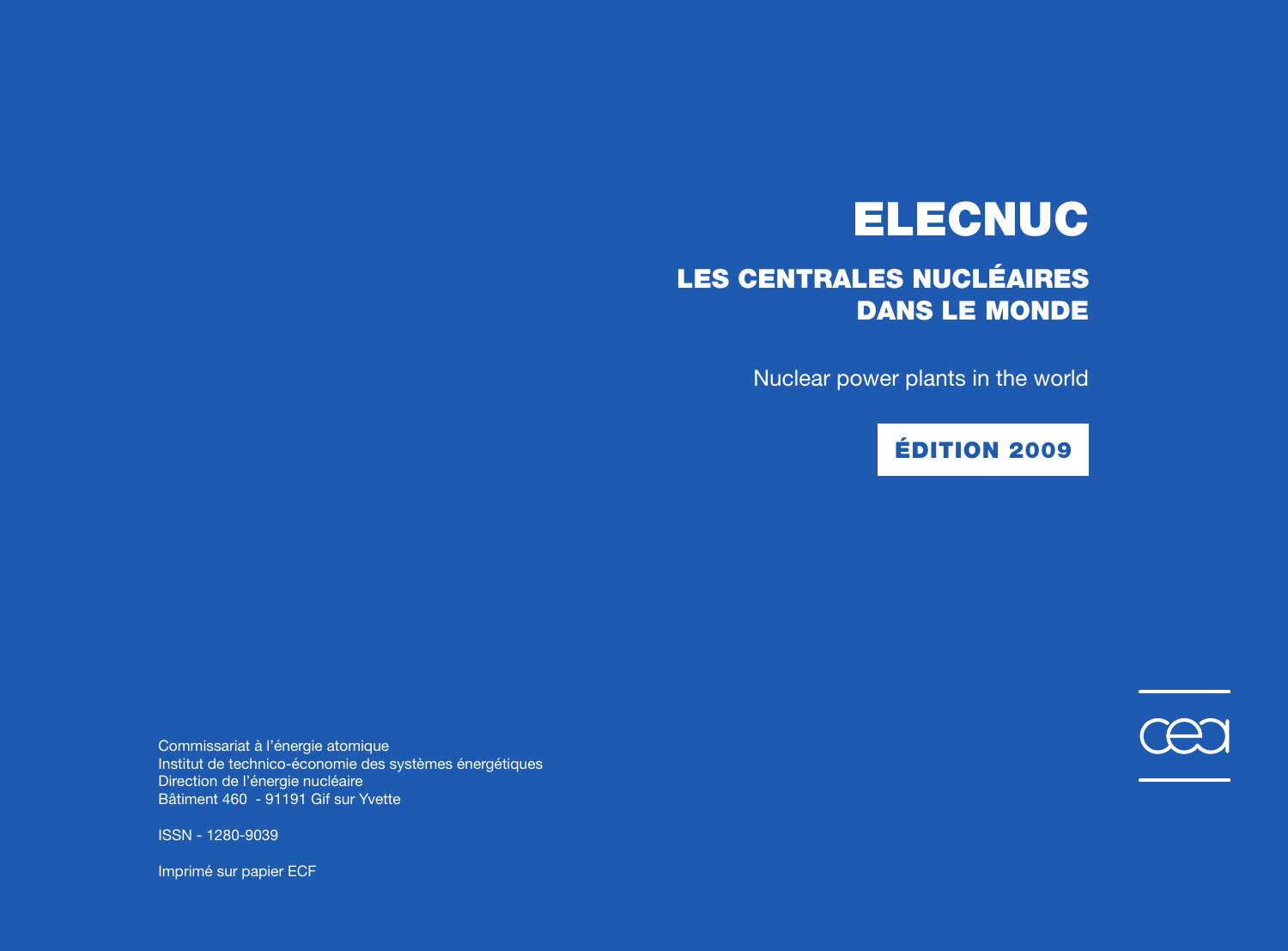# **ELECNUC**

# **LES CENTRALES NUCLÉAIRES DANS LE MONDE**

Nuclear power plants in the world

## **ÉDITION 2009**

Commissariat à l'énergie atomique Institut de technico-économie des systèmes énergétiques Direction de l'énergie nucléaire Bâtiment 460 - 91191 Gif sur Yvette



Imprimé sur papier ECF

À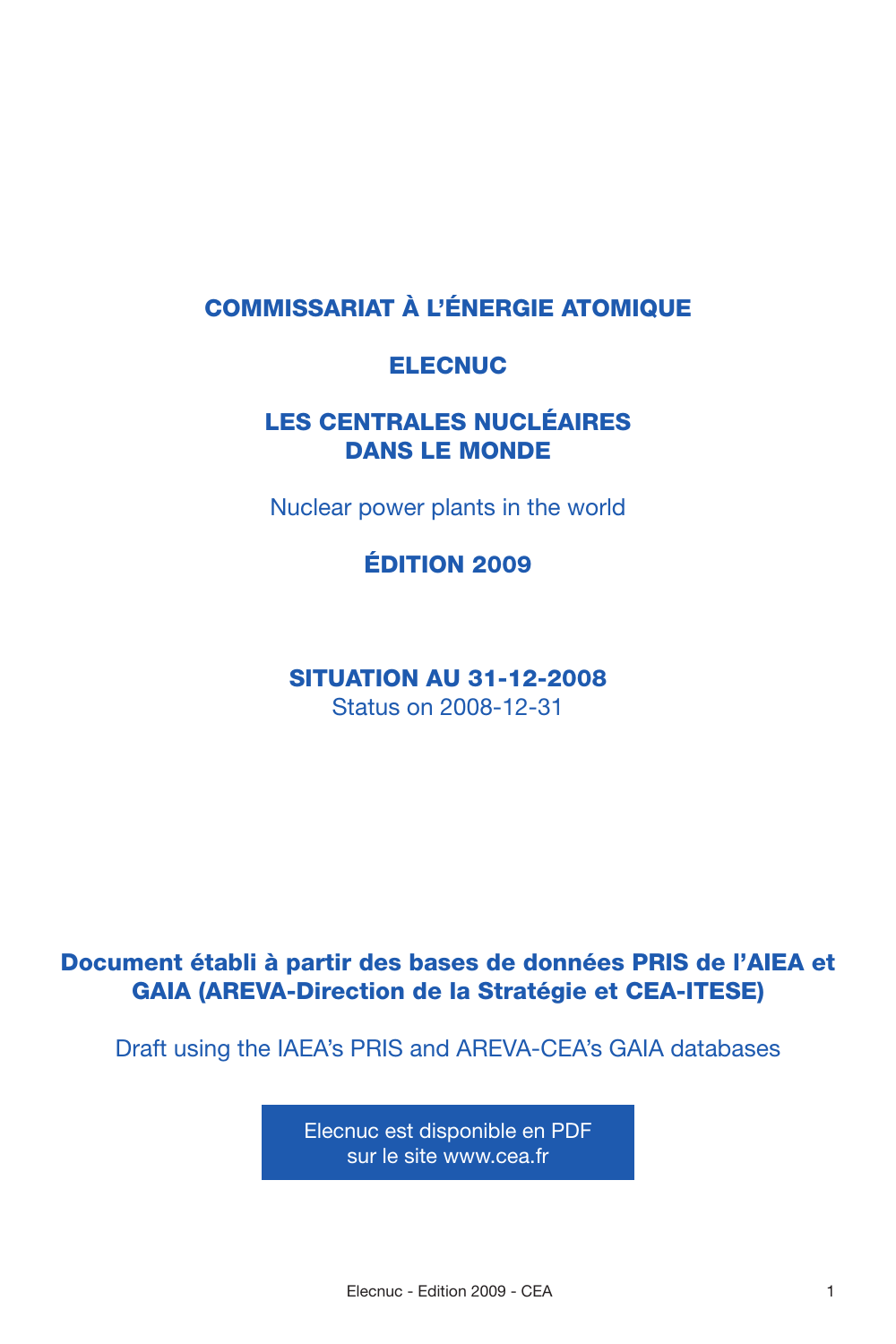### **COMMISSARIAT À L'ÉNERGIE ATOMIQUE**

### **ELECNUC**

### **LES CENTRALES NUCLÉAIRES DANS LE MONDE**

Nuclear power plants in the world

**ÉDITION 2009**

**SITUATION AU 31-12-2008** Status on 2008-12-31

### **Document établi à partir des bases de données PRIS de l'AIEA et GAIA (AREVA-Direction de la Stratégie et CEA-ITESE)**

Draft using the IAEA's PRIS and AREVA-CEA's GAIA databases

Elecnuc est disponible en PDF sur le site www.cea.fr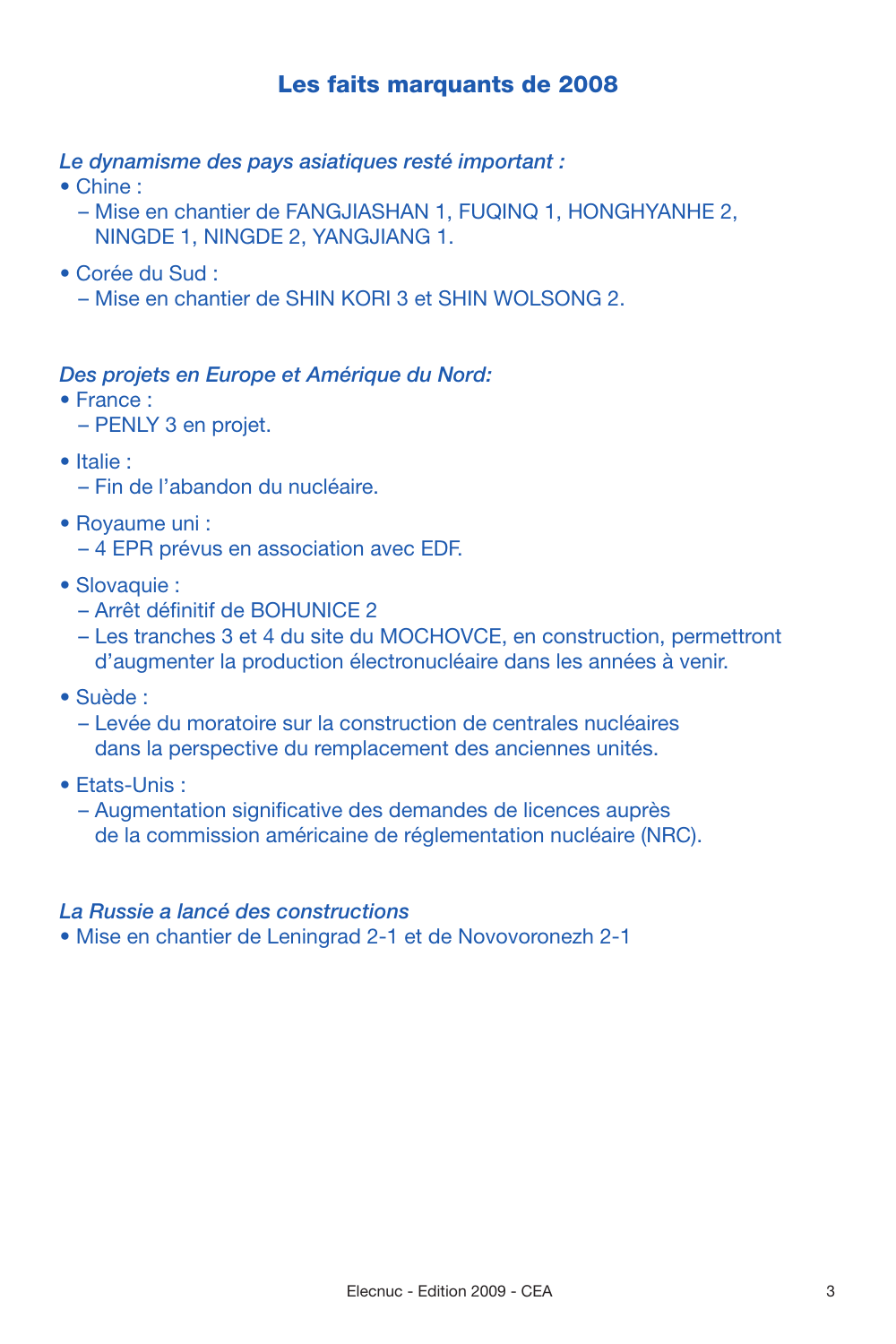### **Les faits marquants de 2008**

*Le dynamisme des pays asiatiques resté important :*

- Chine :
	- Mise en chantier de FANGJIASHAN 1, FUQINQ 1, HONGHYANHE 2, NINGDE 1, NINGDE 2, YANGJIANG 1.
- Corée du Sud :
	- Mise en chantier de SHIN KORI 3 et SHIN WOLSONG 2.

### *Des projets en Europe et Amérique du Nord:*

- France :
	- PENLY 3 en projet.
- Italie :
	- Fin de l'abandon du nucléaire.
- Royaume uni :
	- 4 EPR prévus en association avec EDF.
- Slovaquie :
	- Arrêt définitif de BOHUNICE 2
	- Les tranches 3 et 4 du site du MOCHOVCE, en construction, permettront d'augmenter la production électronucléaire dans les années à venir.
- Suède :
	- Levée du moratoire sur la construction de centrales nucléaires dans la perspective du remplacement des anciennes unités.
- Etats-Unis :
	- Augmentation significative des demandes de licences auprès de la commission américaine de réglementation nucléaire (NRC).

### *La Russie a lancé des constructions*

• Mise en chantier de Leningrad 2-1 et de Novovoronezh 2-1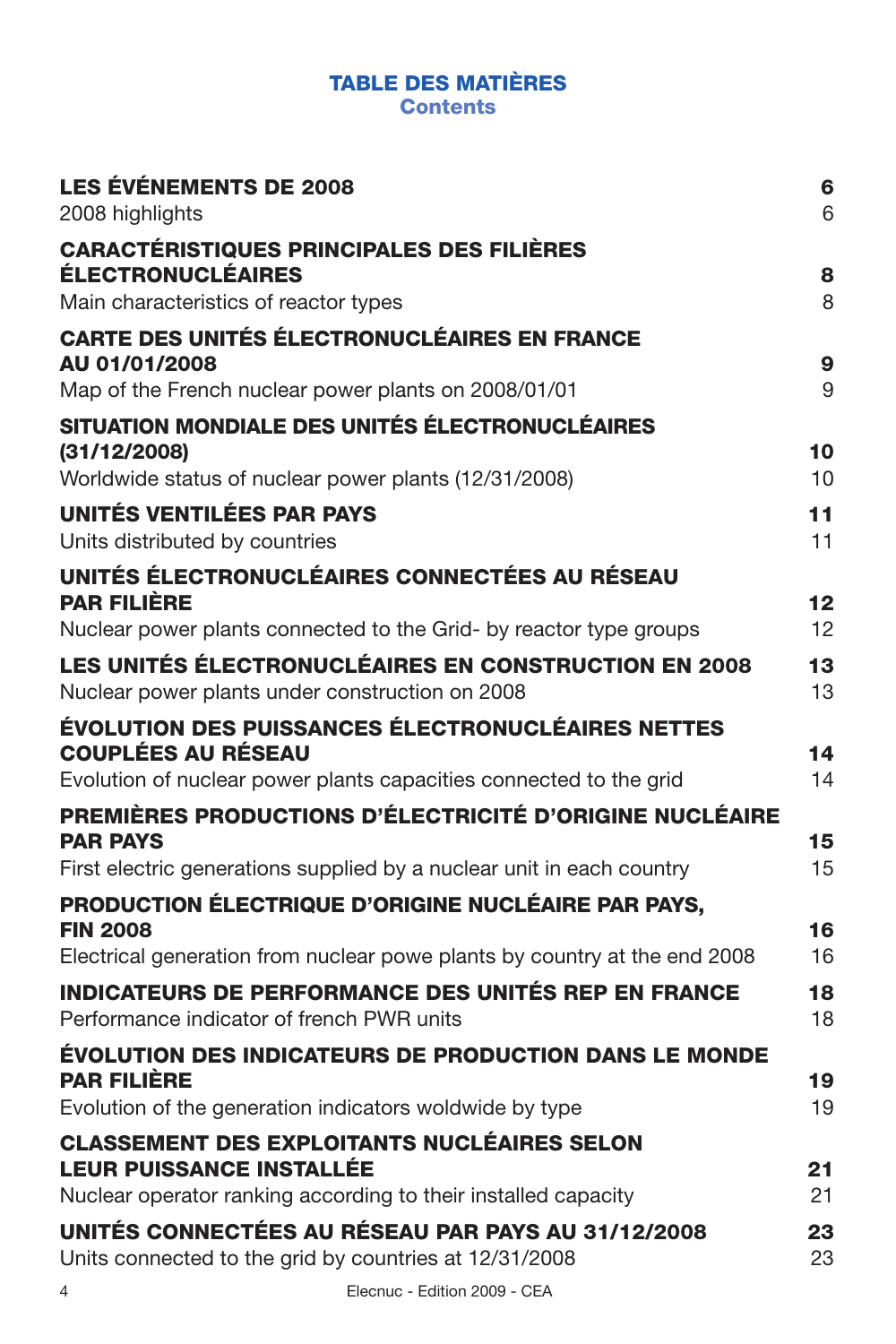### **TABLE DES MATIÈRES**

**Contents**

| <b>LES ÉVÉNEMENTS DE 2008</b><br>2008 highlights                                                                      | 6<br>6   |
|-----------------------------------------------------------------------------------------------------------------------|----------|
| <b>CARACTÉRISTIQUES PRINCIPALES DES FILIÈRES</b><br><b>ÉLECTRONUCLÉAIRES</b><br>Main characteristics of reactor types | 8<br>8   |
| <b>CARTE DES UNITÉS ÉLECTRONUCLÉAIRES EN FRANCE</b>                                                                   |          |
| AU 01/01/2008                                                                                                         | 9        |
| Map of the French nuclear power plants on 2008/01/01                                                                  | 9        |
| SITUATION MONDIALE DES UNITÉS ÉLECTRONUCLÉAIRES                                                                       |          |
| (31/12/2008)                                                                                                          | 10       |
| Worldwide status of nuclear power plants (12/31/2008)                                                                 | 10       |
| UNITÉS VENTILÉES PAR PAYS<br>Units distributed by countries                                                           | 11<br>11 |
| UNITÉS ÉLECTRONUCLÉAIRES CONNECTÉES AU RÉSEAU                                                                         |          |
| <b>PAR FILIÈRE</b>                                                                                                    | 12       |
| Nuclear power plants connected to the Grid- by reactor type groups                                                    | 12       |
| <b>LES UNITÉS ÉLECTRONUCLÉAIRES EN CONSTRUCTION EN 2008</b><br>Nuclear power plants under construction on 2008        | 13<br>13 |
| ÉVOLUTION DES PUISSANCES ÉLECTRONUCLÉAIRES NETTES<br><b>COUPLÉES AU RÉSEAU</b>                                        | 14       |
| Evolution of nuclear power plants capacities connected to the grid                                                    | 14       |
| PREMIÈRES PRODUCTIONS D'ÉLECTRICITÉ D'ORIGINE NUCLÉAIRE                                                               |          |
| <b>PAR PAYS</b>                                                                                                       | 15       |
| First electric generations supplied by a nuclear unit in each country                                                 | 15       |
| <b>PRODUCTION ÉLECTRIQUE D'ORIGINE NUCLÉAIRE PAR PAYS.</b><br><b>FIN 2008</b>                                         | 16       |
| Electrical generation from nuclear powe plants by country at the end 2008                                             | 16       |
| <b>INDICATEURS DE PERFORMANCE DES UNITÉS REP EN FRANCE</b><br>Performance indicator of french PWR units               | 18<br>18 |
| ÉVOLUTION DES INDICATEURS DE PRODUCTION DANS LE MONDE                                                                 |          |
| <b>PAR FILIÈRE</b><br>Evolution of the generation indicators woldwide by type                                         | 19<br>19 |
| <b>CLASSEMENT DES EXPLOITANTS NUCLÉAIRES SELON</b>                                                                    |          |
| <b>LEUR PUISSANCE INSTALLÉE</b>                                                                                       | 21       |
| Nuclear operator ranking according to their installed capacity                                                        | 21       |
| UNITÉS CONNECTÉES AU RÉSEAU PAR PAYS AU 31/12/2008<br>Units connected to the grid by countries at 12/31/2008          | 23<br>23 |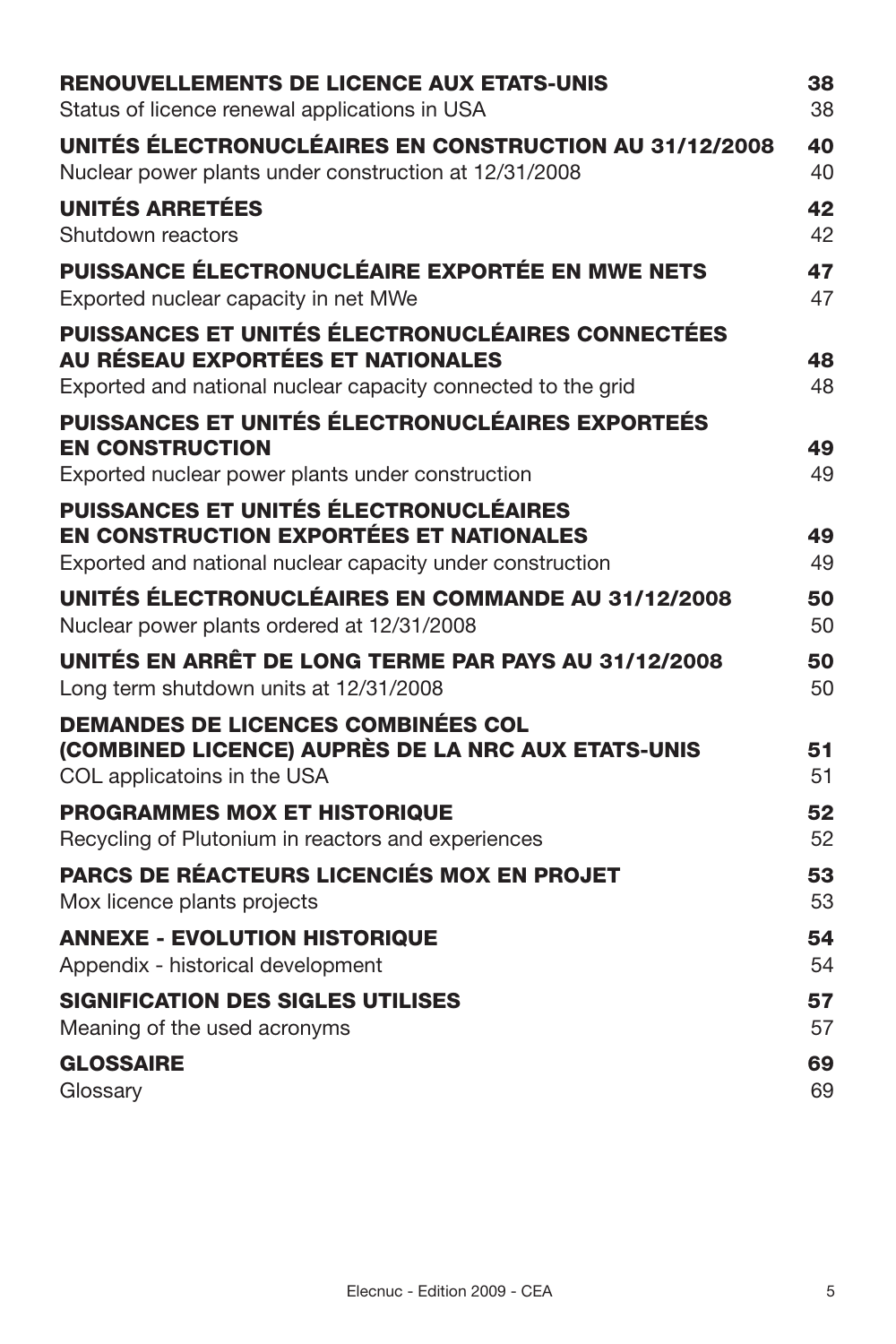| <b>RENOUVELLEMENTS DE LICENCE AUX ETATS-UNIS</b>                                                                               | 38       |
|--------------------------------------------------------------------------------------------------------------------------------|----------|
| Status of licence renewal applications in USA                                                                                  | 38       |
| UNITÉS ÉLECTRONUCLÉAIRES EN CONSTRUCTION AU 31/12/2008<br>Nuclear power plants under construction at 12/31/2008                | 40<br>40 |
| <b>UNITÉS ARRETÉES</b><br>Shutdown reactors                                                                                    | 42<br>42 |
| <b>PUISSANCE ÉLECTRONUCLÉAIRE EXPORTÉE EN MWE NETS</b><br>Exported nuclear capacity in net MWe                                 | 47<br>47 |
| <b>PUISSANCES ET UNITÉS ÉLECTRONUCLÉAIRES CONNECTÉES</b><br>AU RÉSEAU EXPORTÉES ET NATIONALES                                  | 48       |
| Exported and national nuclear capacity connected to the grid                                                                   | 48       |
| PUISSANCES ET UNITÉS ÉLECTRONUCLÉAIRES EXPORTEÉS<br><b>EN CONSTRUCTION</b><br>Exported nuclear power plants under construction | 49<br>49 |
| <b>PUISSANCES ET UNITÉS ÉLECTRONUCLÉAIRES</b>                                                                                  |          |
| EN CONSTRUCTION EXPORTÉES ET NATIONALES                                                                                        | 49       |
| Exported and national nuclear capacity under construction                                                                      | 49       |
| UNITÉS ÉLECTRONUCLÉAIRES EN COMMANDE AU 31/12/2008<br>Nuclear power plants ordered at 12/31/2008                               | 50<br>50 |
| UNITÉS EN ARRÊT DE LONG TERME PAR PAYS AU 31/12/2008<br>Long term shutdown units at 12/31/2008                                 | 50<br>50 |
| <b>DEMANDES DE LICENCES COMBINÉES COL</b>                                                                                      |          |
| (COMBINED LICENCE) AUPRÈS DE LA NRC AUX ETATS-UNIS<br>COL applicatoins in the USA                                              | 51<br>51 |
| <b>PROGRAMMES MOX ET HISTORIQUE</b>                                                                                            | 52       |
| Recycling of Plutonium in reactors and experiences                                                                             | 52       |
| PARCS DE RÉACTEURS LICENCIÉS MOX EN PROJET<br>Mox licence plants projects                                                      | 53<br>53 |
| <b>ANNEXE - EVOLUTION HISTORIQUE</b><br>Appendix - historical development                                                      | 54<br>54 |
| <b>SIGNIFICATION DES SIGLES UTILISES</b><br>Meaning of the used acronyms                                                       | 57<br>57 |
| <b>GLOSSAIRE</b><br>Glossary                                                                                                   | 69<br>69 |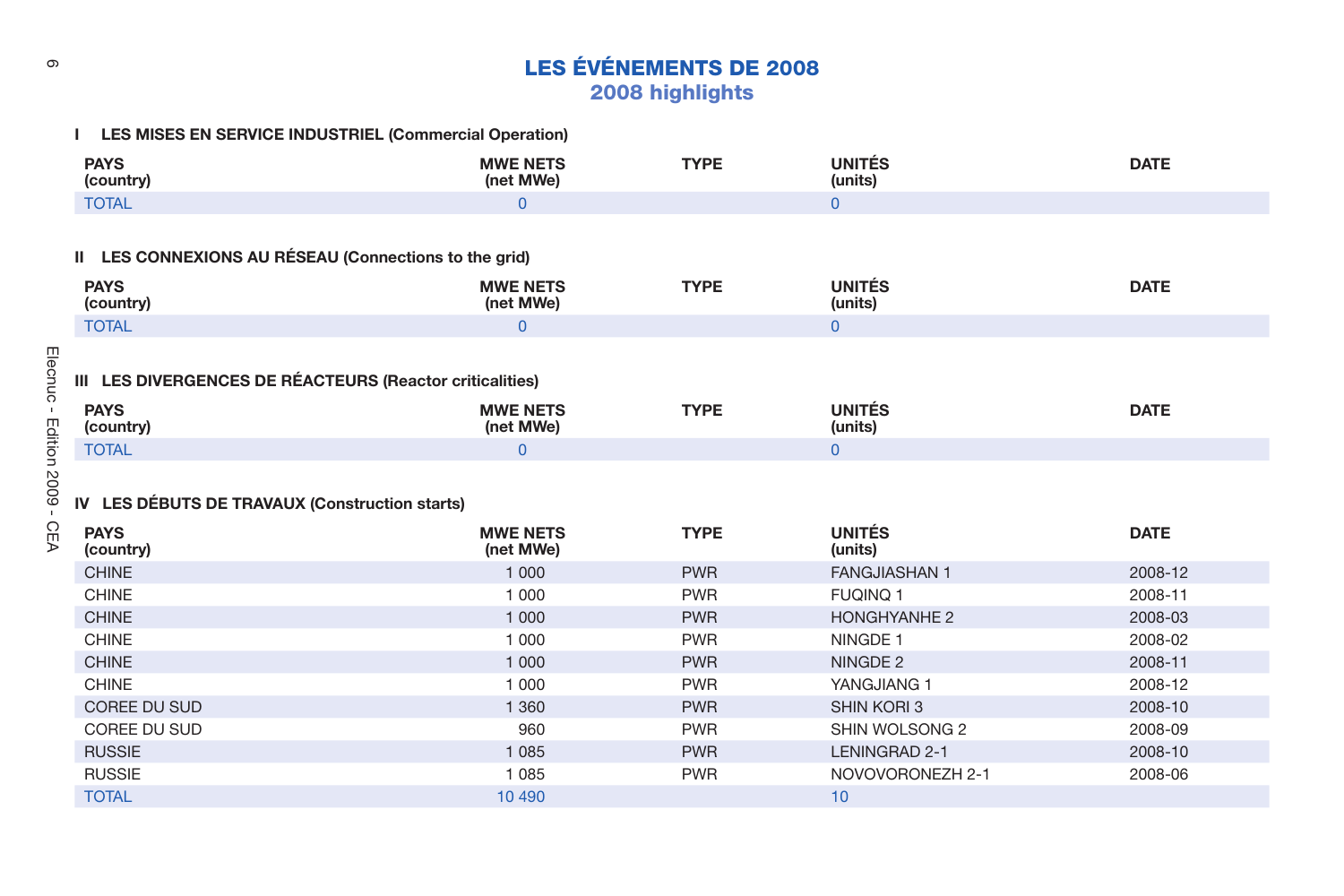| Φ                                                                   |                              | <b>LES ÉVÉNEMENTS DE 2008</b> |                          |             |
|---------------------------------------------------------------------|------------------------------|-------------------------------|--------------------------|-------------|
|                                                                     |                              | 2008 highlights               |                          |             |
|                                                                     |                              |                               |                          |             |
| I LES MISES EN SERVICE INDUSTRIEL (Commercial Operation)            |                              |                               |                          |             |
| <b>PAYS</b><br>(country)                                            | <b>MWE NETS</b><br>(net MWe) | <b>TYPE</b>                   | <b>UNITÉS</b><br>(units) | <b>DATE</b> |
| <b>TOTAL</b>                                                        | $\Omega$                     |                               | $\Omega$                 |             |
|                                                                     |                              |                               |                          |             |
| II LES CONNEXIONS AU RÉSEAU (Connections to the grid)               |                              |                               |                          |             |
|                                                                     |                              |                               |                          |             |
| <b>PAYS</b><br>(country)                                            | <b>MWE NETS</b><br>(net MWe) | <b>TYPE</b>                   | <b>UNITÉS</b><br>(units) | <b>DATE</b> |
| <b>TOTAL</b>                                                        | $\overline{0}$               |                               | $\mathbf{0}$             |             |
|                                                                     |                              |                               |                          |             |
| Elecnuc<br>III LES DIVERGENCES DE RÉACTEURS (Reactor criticalities) |                              |                               |                          |             |
|                                                                     |                              |                               |                          |             |
| <b>PAYS</b><br>$\mathbf{L}$<br>(country)                            | <b>MWE NETS</b><br>(net MWe) | <b>TYPE</b>                   | <b>UNITÉS</b><br>(units) | <b>DATE</b> |
| Edition 2009 -<br><b>TOTAL</b>                                      | $\mathbf{0}$                 |                               | $\mathbf{0}$             |             |
|                                                                     |                              |                               |                          |             |
|                                                                     |                              |                               |                          |             |
| IV LES DÉBUTS DE TRAVAUX (Construction starts)                      |                              |                               |                          |             |
| СEA<br><b>PAYS</b><br>(country)                                     | <b>MWE NETS</b><br>(net MWe) | <b>TYPE</b>                   | <b>UNITÉS</b><br>(units) | <b>DATE</b> |
| <b>CHINE</b>                                                        | 1 0 0 0                      | <b>PWR</b>                    | <b>FANGJIASHAN 1</b>     | 2008-12     |
| <b>CHINE</b>                                                        | 1 0 0 0                      | <b>PWR</b>                    | <b>FUQINQ 1</b>          | 2008-11     |
| <b>CHINE</b>                                                        | 1 000                        | <b>PWR</b>                    | <b>HONGHYANHE 2</b>      | 2008-03     |
| <b>CHINE</b>                                                        | 1 0 0 0                      | <b>PWR</b>                    | NINGDE 1                 | 2008-02     |
| <b>CHINE</b>                                                        | 1 0 0 0                      | <b>PWR</b>                    | NINGDE 2                 | 2008-11     |
| <b>CHINE</b>                                                        | 1 000                        | <b>PWR</b>                    | YANGJIANG 1              | 2008-12     |
| <b>COREE DU SUD</b>                                                 | 1 3 6 0                      | <b>PWR</b>                    | <b>SHIN KORI 3</b>       | 2008-10     |
| COREE DU SUD                                                        | 960                          | <b>PWR</b>                    | SHIN WOLSONG 2           | 2008-09     |
| <b>RUSSIE</b>                                                       | 1 0 8 5                      | <b>PWR</b>                    | LENINGRAD 2-1            | 2008-10     |
| <b>RUSSIE</b>                                                       | 1 0 8 5                      | <b>PWR</b>                    | NOVOVORONEZH 2-1         | 2008-06     |

TOTAL  $\qquad \qquad$  10  $\qquad \qquad$  10  $\qquad \qquad$  10  $\qquad \qquad$  10  $\qquad \qquad$  10  $\qquad \qquad$  10  $\qquad \qquad$  10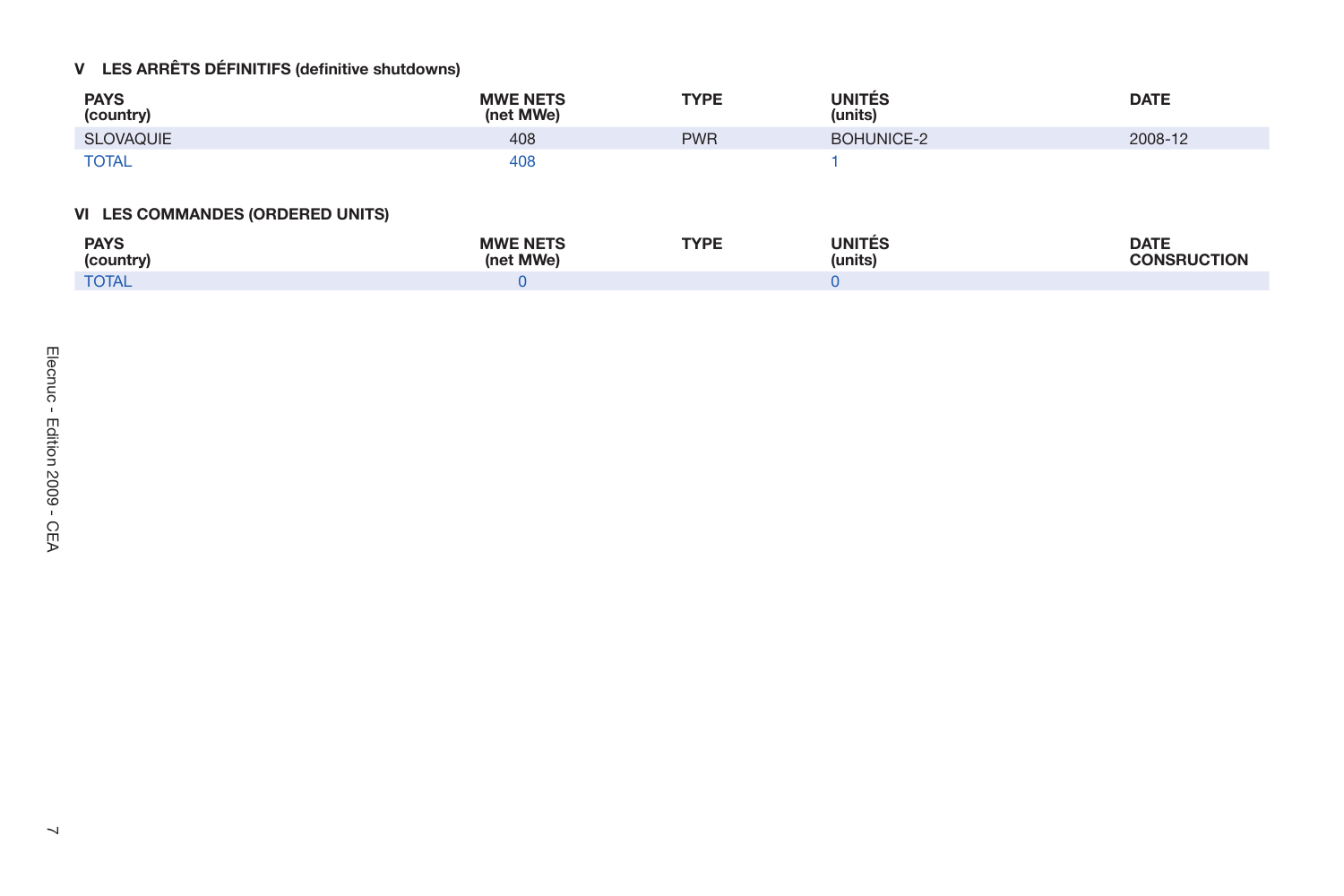|                                        | V LES ARRÊTS DÉFINITIFS (definitive shutdowns) |                              |             |                          |                                   |
|----------------------------------------|------------------------------------------------|------------------------------|-------------|--------------------------|-----------------------------------|
|                                        | <b>PAYS</b><br>(country)                       | <b>MWE NETS</b><br>(net MWe) | <b>TYPE</b> | <b>UNITÉS</b><br>(units) | <b>DATE</b>                       |
|                                        | SLOVAQUIE                                      | 408                          | <b>PWR</b>  | BOHUNICE-2               | 2008-12                           |
|                                        | <b>TOTAL</b>                                   | 408                          |             | $\mathbf{1}$             |                                   |
|                                        | VI LES COMMANDES (ORDERED UNITS)               |                              |             |                          |                                   |
|                                        | <b>PAYS</b><br>(country)                       | <b>MWE NETS</b><br>(net MWe) | <b>TYPE</b> | <b>UNITÉS</b><br>(units) | <b>DATE</b><br><b>CONSRUCTION</b> |
|                                        | <b>TOTAL</b>                                   | $\mathbf{0}$                 |             | $\mathbf{0}$             |                                   |
| Elecnuc - Edition 2009 - CEA<br>$\sim$ |                                                |                              |             |                          |                                   |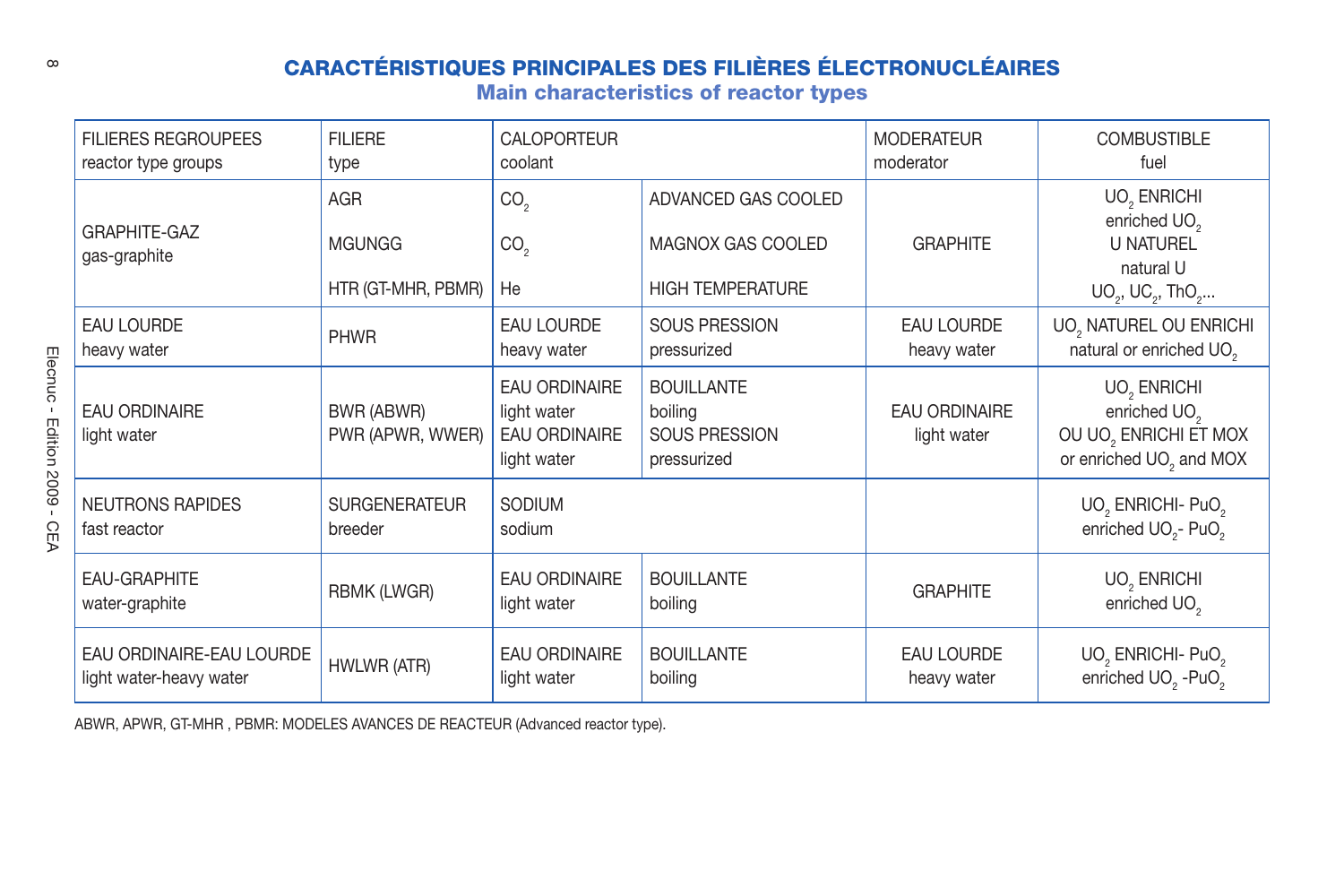| $\infty$                                  |                                                     |                                                   |                                                                            | <b>CARACTÉRISTIQUES PRINCIPALES DES FILIÈRES ÉLECTRONUCLÉAIRES</b><br><b>Main characteristics of reactor types</b> |                                     |                                                                                                                     |
|-------------------------------------------|-----------------------------------------------------|---------------------------------------------------|----------------------------------------------------------------------------|--------------------------------------------------------------------------------------------------------------------|-------------------------------------|---------------------------------------------------------------------------------------------------------------------|
|                                           | <b>FILIERES REGROUPEES</b><br>reactor type groups   | <b>FILIERE</b><br>type                            | CALOPORTEUR<br>coolant                                                     |                                                                                                                    | <b>MODERATEUR</b><br>moderator      | <b>COMBUSTIBLE</b><br>fuel                                                                                          |
|                                           | <b>GRAPHITE-GAZ</b><br>gas-graphite                 | <b>AGR</b><br><b>MGUNGG</b><br>HTR (GT-MHR, PBMR) | CO <sub>2</sub><br>CO <sub>2</sub><br>He                                   | ADVANCED GAS COOLED<br>MAGNOX GAS COOLED<br><b>HIGH TEMPERATURE</b>                                                | <b>GRAPHITE</b>                     | UO <sub>2</sub> ENRICHI<br>enriched UO <sub>2</sub><br><b>U NATUREL</b><br>natural U<br>$UO_2$ , $UC_2$ , Th $O_2$  |
|                                           | <b>EAU LOURDE</b><br>heavy water                    | <b>PHWR</b>                                       | <b>EAU LOURDE</b><br>heavy water                                           | <b>SOUS PRESSION</b><br>pressurized                                                                                | <b>EAU LOURDE</b><br>heavy water    | UO, NATUREL OU ENRICHI<br>natural or enriched UO <sub>2</sub>                                                       |
| Elecnuc<br>- Edition 2009 -<br><b>CEA</b> | <b>EAU ORDINAIRE</b><br>light water                 | BWR (ABWR)<br>PWR (APWR, WWER)                    | <b>EAU ORDINAIRE</b><br>light water<br><b>EAU ORDINAIRE</b><br>light water | <b>BOUILLANTE</b><br>boiling<br><b>SOUS PRESSION</b><br>pressurized                                                | <b>EAU ORDINAIRE</b><br>light water | UO <sub>2</sub> ENRICHI<br>enriched UO <sub>2</sub><br>OU UO, ENRICHI ET MOX<br>or enriched UO <sub>2</sub> and MOX |
|                                           | <b>NEUTRONS RAPIDES</b><br>fast reactor             | <b>SURGENERATEUR</b><br>breeder                   | SODIUM<br>sodium                                                           |                                                                                                                    |                                     | UO <sub>2</sub> ENRICHI- PuO <sub>2</sub><br>enriched UO <sub>2</sub> - PuO <sub>2</sub>                            |
|                                           | <b>EAU-GRAPHITE</b><br>water-graphite               | RBMK (LWGR)                                       | <b>EAU ORDINAIRE</b><br><b>BOUILLANTE</b><br>light water<br>boiling        |                                                                                                                    | <b>GRAPHITE</b>                     | UO <sub>2</sub> ENRICHI<br>enriched UO <sub>2</sub>                                                                 |
|                                           | EAU ORDINAIRE-EAU LOURDE<br>light water-heavy water | HWLWR (ATR)                                       | <b>EAU ORDINAIRE</b><br>light water                                        | <b>BOUILLANTE</b><br>boiling                                                                                       | <b>EAU LOURDE</b><br>heavy water    | UO <sub>2</sub> ENRICHI- PuO <sub>2</sub><br>enriched UO <sub>2</sub> -PuO <sub>2</sub>                             |

ABWR, APWR, GT-MHR , PBMR: MODELES AVANCES DE REACTEUR (Advanced reactor type).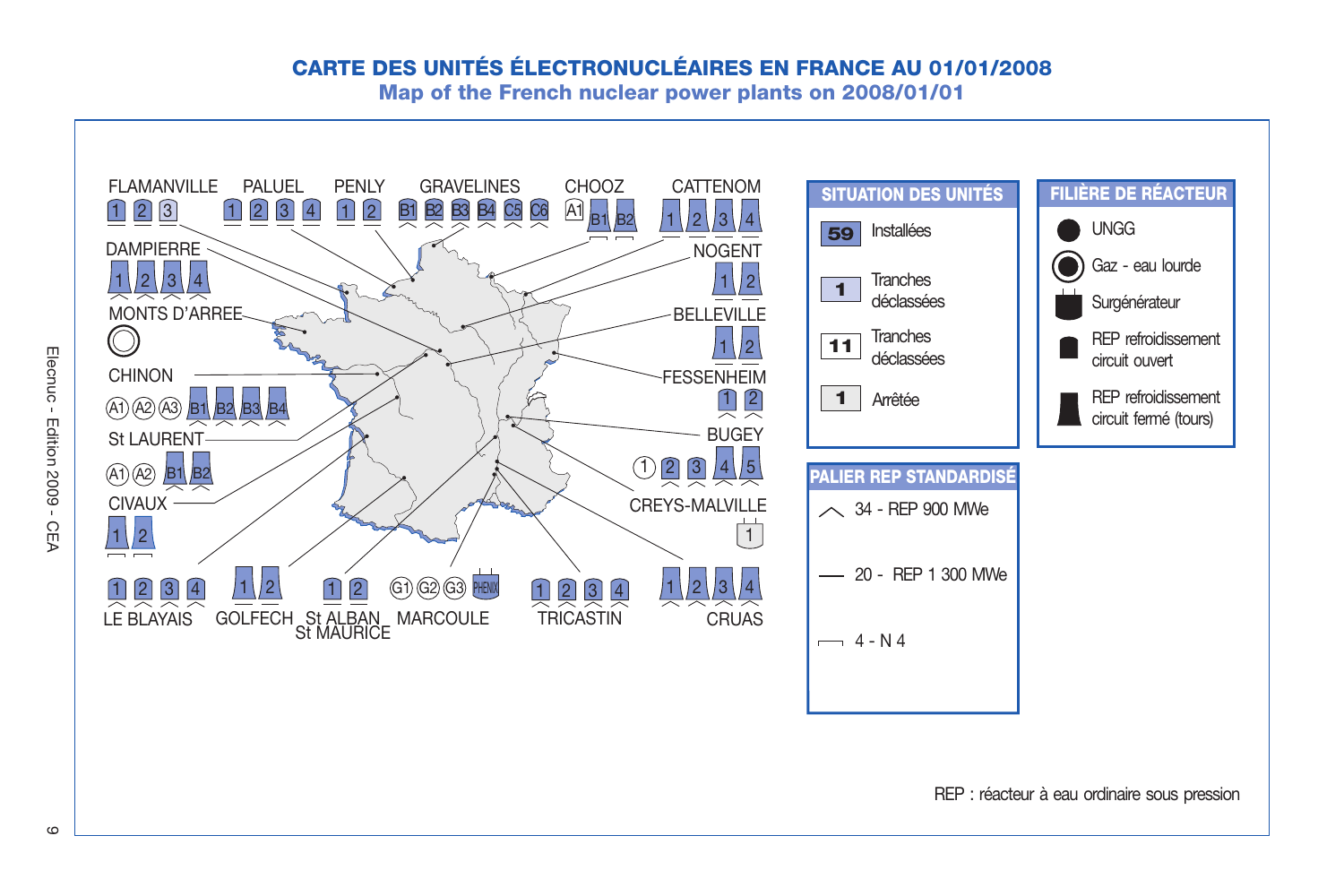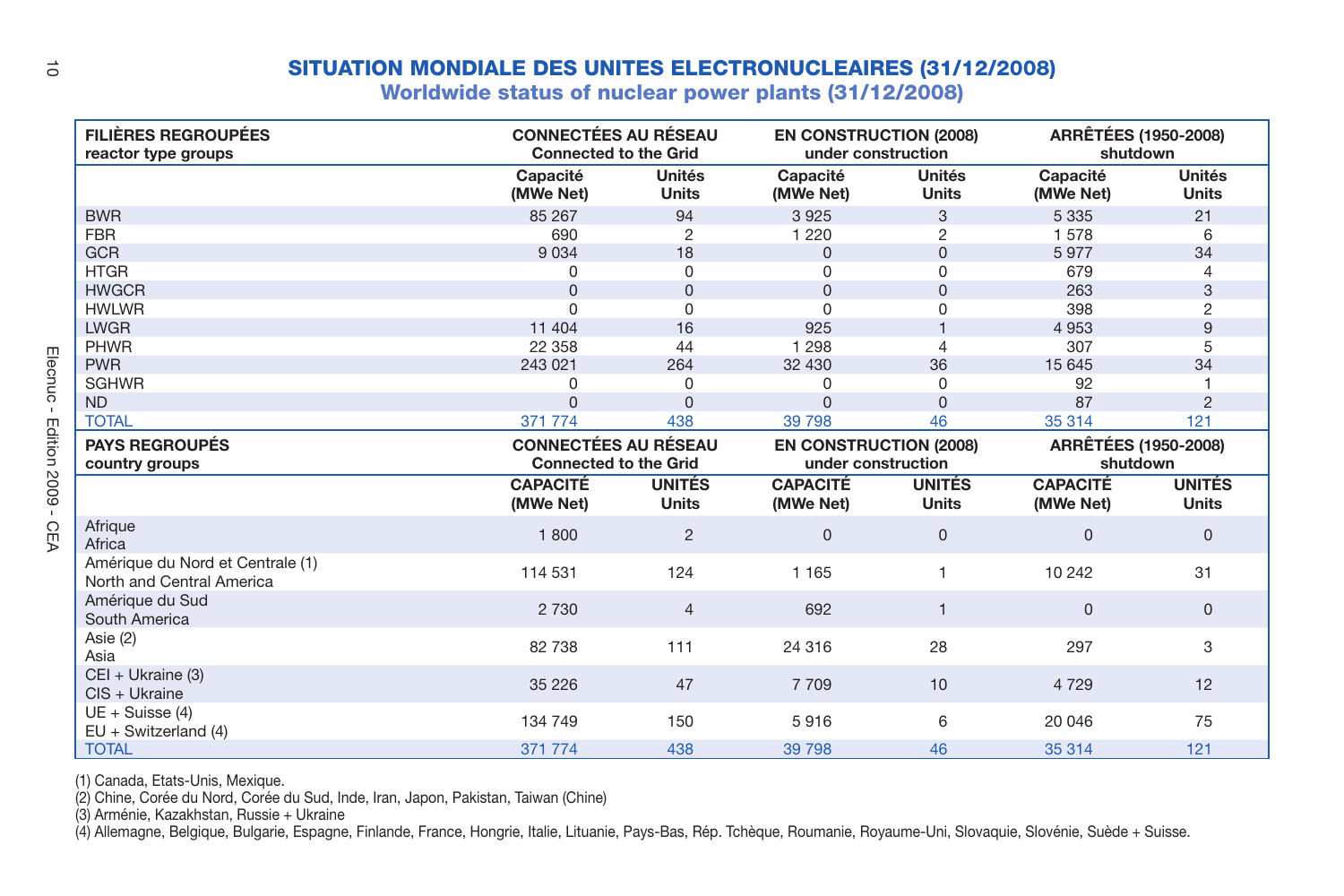| ă              |                                                               | <b>SITUATION MONDIALE DES UNITES ELECTRONUCLEAIRES (31/12/2008)</b><br>Worldwide status of nuclear power plants (31/12/2008) |                               |                                                     |                               |                                         |                               |
|----------------|---------------------------------------------------------------|------------------------------------------------------------------------------------------------------------------------------|-------------------------------|-----------------------------------------------------|-------------------------------|-----------------------------------------|-------------------------------|
|                | <b>FILIÈRES REGROUPÉES</b><br>reactor type groups             | <b>CONNECTÉES AU RÉSEAU</b><br><b>Connected to the Grid</b>                                                                  |                               | <b>EN CONSTRUCTION (2008)</b><br>under construction |                               | <b>ARRÊTÉES (1950-2008)</b><br>shutdown |                               |
|                |                                                               | Capacité<br>(MWe Net)                                                                                                        | Unités<br><b>Units</b>        | Capacité<br>(MWe Net)                               | Unités<br><b>Units</b>        | Capacité<br>(MWe Net)                   | Unités<br><b>Units</b>        |
|                | <b>BWR</b>                                                    | 85 267                                                                                                                       | 94                            | 3925                                                | 3                             | 5 3 3 5                                 | 21                            |
|                | <b>FBR</b>                                                    | 690                                                                                                                          | $\overline{c}$                | 1 2 2 0                                             | $\overline{c}$                | 1578                                    | 6                             |
|                | <b>GCR</b>                                                    | 9 0 3 4                                                                                                                      | 18                            | $\Omega$                                            | $\Omega$                      | 5977                                    | 34                            |
|                | <b>HTGR</b>                                                   | $\Omega$                                                                                                                     | 0                             | $\Omega$                                            | $\Omega$                      | 679                                     | 4                             |
|                | <b>HWGCR</b>                                                  | $\Omega$                                                                                                                     | $\Omega$                      | $\Omega$                                            | $\Omega$                      | 263                                     | 3                             |
|                | <b>HWLWR</b>                                                  | $\Omega$                                                                                                                     | $\Omega$                      | $\Omega$                                            | U                             | 398                                     | 2                             |
|                | <b>LWGR</b>                                                   | 11 404                                                                                                                       | 16                            | 925                                                 |                               | 4953                                    | 9                             |
|                | <b>PHWR</b>                                                   | 22 358                                                                                                                       | 44                            | 1 2 9 8                                             | 4                             | 307                                     | 5                             |
| Elecnuc        | <b>PWR</b>                                                    | 243 021                                                                                                                      | 264                           | 32 430                                              | 36                            | 15 645                                  | 34                            |
|                | <b>SGHWR</b>                                                  | $\Omega$                                                                                                                     | 0                             | $\Omega$                                            | $\Omega$                      | 92                                      |                               |
| $\mathbf{I}$   | <b>ND</b>                                                     | $\Omega$                                                                                                                     | $\Omega$                      | $\Omega$                                            | $\Omega$                      | 87                                      | $\overline{2}$                |
|                | <b>TOTAL</b>                                                  | 371 774                                                                                                                      | 438                           | 39 7 98                                             | 46                            | 35 314                                  | 121                           |
|                | <b>PAYS REGROUPÉS</b>                                         | <b>CONNECTÉES AU RÉSEAU</b>                                                                                                  |                               | <b>EN CONSTRUCTION (2008)</b>                       |                               | <b>ARRÊTÉES (1950-2008)</b>             |                               |
|                | country groups                                                | <b>Connected to the Grid</b>                                                                                                 |                               | under construction                                  |                               | shutdown                                |                               |
| Edition 2009 - |                                                               | <b>CAPACITÉ</b><br>(MWe Net)                                                                                                 | <b>UNITÉS</b><br><b>Units</b> | <b>CAPACITÉ</b><br>(MWe Net)                        | <b>UNITÉS</b><br><b>Units</b> | <b>CAPACITÉ</b><br>(MWe Net)            | <b>UNITÉS</b><br><b>Units</b> |
| CEA            | Afrique<br>Africa                                             | 1800                                                                                                                         | $\overline{2}$                | $\Omega$                                            | $\Omega$                      | $\Omega$                                | $\Omega$                      |
|                | Amérique du Nord et Centrale (1)<br>North and Central America | 114 531                                                                                                                      | 124                           | 1 1 6 5                                             | 1                             | 10 24 2                                 | 31                            |
|                | Amérique du Sud<br>South America                              | 2 7 3 0                                                                                                                      | $\overline{4}$                | 692                                                 | $\mathbf{1}$                  | $\Omega$                                | $\Omega$                      |
|                | Asie (2)<br>Asia                                              | 82 738                                                                                                                       | 111                           | 24 316                                              | 28                            | 297                                     | 3                             |
|                | CEI + Ukraine (3)<br>$CIS + Ukraine$                          | 35 2 26                                                                                                                      | 47                            | 7709                                                | 10                            | 4 7 2 9                                 | 12                            |
|                | $UE + Suisse(4)$<br>$EU + Switzerland (4)$                    | 134 749                                                                                                                      | 150                           | 5916                                                | 6                             | 20 046                                  | 75                            |
|                | <b>TOTAL</b>                                                  | 371 774                                                                                                                      | 438                           | 39 798                                              | 46                            | 35 314                                  | 121                           |

(1) Canada, Etats-Unis, Mexique.

(2) Chine, Corée du Nord, Corée du Sud, Inde, Iran, Japon, Pakistan, Taiwan (Chine)

(3) Arménie, Kazakhstan, Russie + Ukraine

(4) Allemagne, Belgique, Bulgarie, Espagne, Finlande, France, Hongrie, Italie, Lituanie, Pays-Bas, Rép. Tchèque, Roumanie, Royaume-Uni, Slovaquie, Slovénie, Suède + Suisse.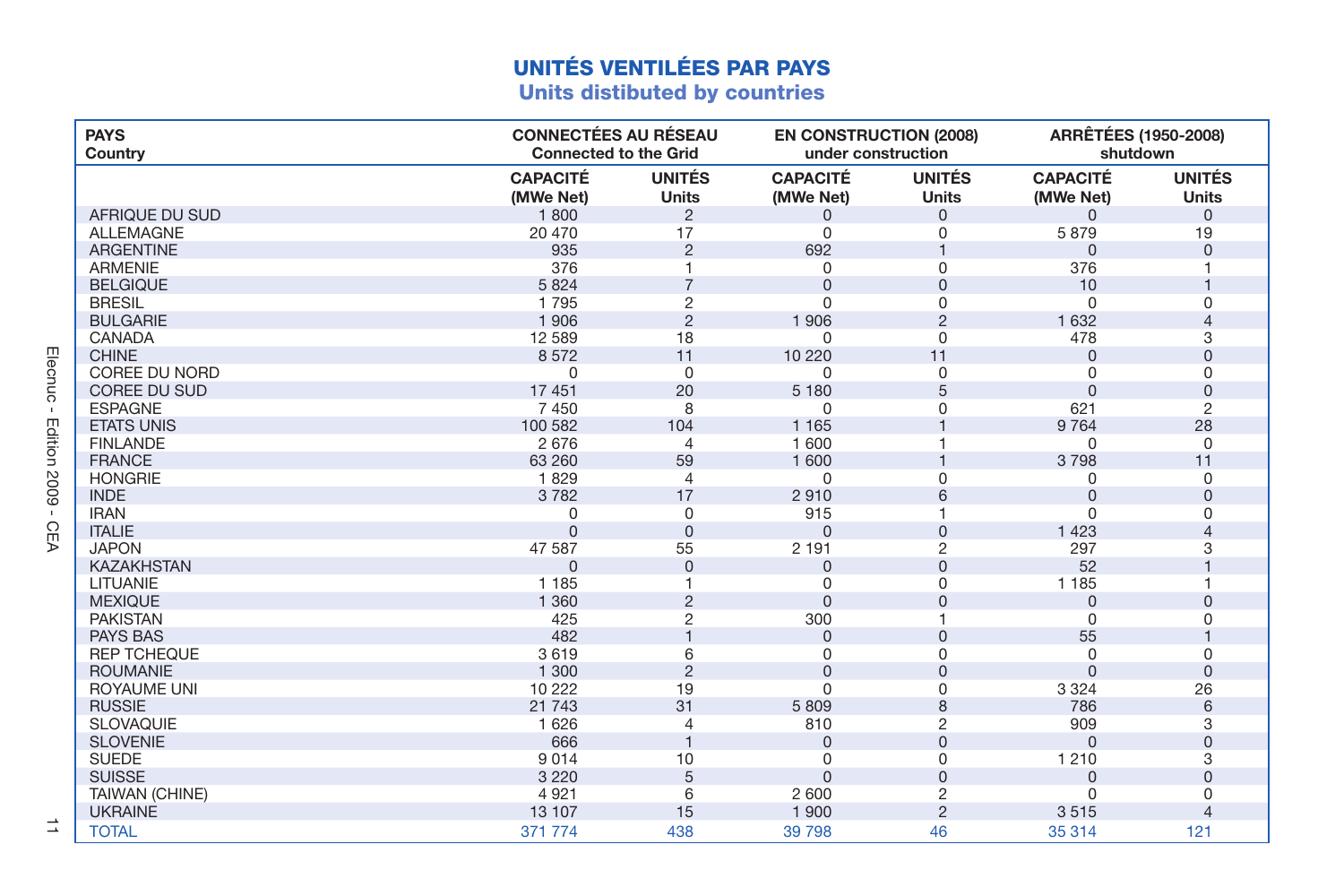| <b>CONNECTÉES AU RÉSEAU</b><br><b>ARRÊTÉES (1950-2008)</b><br><b>PAYS</b><br><b>EN CONSTRUCTION (2008)</b><br>under construction<br><b>Connected to the Grid</b><br>shutdown<br>Country<br><b>CAPACITÉ</b><br><b>UNITÉS</b><br><b>CAPACITÉ</b><br><b>UNITÉS</b><br><b>CAPACITÉ</b><br><b>Units</b><br>Units<br>Units<br>(MWe Net)<br>(MWe Net)<br>(MWe Net)<br>AFRIQUE DU SUD<br>1800<br>$\overline{2}$<br>$\Omega$<br>$\Omega$<br>$\Omega$<br>$\Omega$<br>17<br>20 470<br>5879<br><b>ALLEMAGNE</b><br>$\Omega$<br>$\mathbf 0$<br>19<br><b>ARGENTINE</b><br>935<br>$\overline{2}$<br>692<br>$\Omega$<br>$\Omega$<br>376<br>376<br><b>ARMENIE</b><br>$\Omega$<br>$\Omega$<br><b>BELGIQUE</b><br>5824<br>$\overline{7}$<br>$\Omega$<br>$\Omega$<br>10<br><b>BRESIL</b><br>$\overline{c}$<br>1795<br>$\Omega$<br>$\mathbf 0$<br>$\Omega$<br>$\Omega$<br>$\overline{2}$<br><b>BULGARIE</b><br>1906<br>1906<br>$\overline{2}$<br>1 632<br>$\overline{4}$<br>12 589<br>18<br>CANADA<br>$\Omega$<br>478<br>$\Omega$<br>3<br><b>CHINE</b><br>8572<br>11<br>10 220<br>11<br>$\Omega$<br>$\Omega$<br>COREE DU NORD<br>$\mathbf 0$<br>$\mathbf 0$<br>$\Omega$<br>$\Omega$<br>$\Omega$<br>$\Omega$<br>5<br>17 451<br>20<br>COREE DU SUD<br>5 1 8 0<br>$\Omega$<br>$\Omega$<br><b>ESPAGNE</b><br>7 4 5 0<br>8<br>621<br>$\mathbf 0$<br>0<br>2<br>1 1 6 5<br>9 7 6 4<br><b>ETATS UNIS</b><br>100 582<br>104<br>28<br>1 600<br><b>FINLANDE</b><br>2676<br>$\overline{4}$<br>0<br>$\Omega$<br><b>FRANCE</b><br>63 260<br>59<br>1 600<br>3798<br>11<br><b>HONGRIE</b><br>1829<br>$\Omega$<br>$\Omega$<br>$\overline{4}$<br>0<br>$\Omega$<br>17<br><b>INDE</b><br>3782<br>2910<br>6<br>$\Omega$<br>$\Omega$<br><b>IRAN</b><br>915<br>0<br>0<br>0<br>$\Omega$<br>$\Omega$<br>$\Omega$<br>$\Omega$<br>1 4 2 3<br><b>ITALIE</b><br>$\Omega$<br><b>JAPON</b><br>55<br>$\overline{c}$<br>297<br>47 587<br>2 1 9 1<br>3<br><b>KAZAKHSTAN</b><br>$\Omega$<br>52<br>$\Omega$<br>$\Omega$<br>$\Omega$<br>LITUANIE<br>1 1 8 5<br>$\Omega$<br>$\Omega$<br>1 1 8 5<br><b>MEXIQUE</b><br>1 3 6 0<br>$\overline{2}$<br>$\Omega$<br>$\Omega$<br>$\Omega$<br>$\Omega$<br>425<br>$\overline{2}$<br>300<br><b>PAKISTAN</b><br>0<br>1<br>$\Omega$<br>482<br>55<br><b>PAYS BAS</b><br>$\Omega$<br>$\mathbf 0$<br>3619<br><b>REP TCHEQUE</b><br>6<br>$\mathbf 0$<br>$\mathbf 0$<br>$\Omega$<br>0<br>1 300<br>$\overline{2}$<br>$\Omega$<br>$\Omega$<br><b>ROUMANIE</b><br>$\Omega$<br>$\Omega$<br>10 222<br>3 3 2 4<br>19<br>$\Omega$<br>$\mathbf 0$<br><b>ROYAUME UNI</b><br>26<br>31<br><b>RUSSIE</b><br>21 7 4 3<br>5809<br>8<br>786<br>6<br><b>SLOVAQUIE</b><br>1 6 2 6<br>810<br>$\overline{2}$<br>909<br>$\overline{4}$<br>3<br><b>SLOVENIE</b><br>666<br>$\overline{1}$<br>$\mathbf{0}$<br>$\Omega$<br>$\Omega$<br>$\Omega$<br><b>SUEDE</b><br>9014<br>10<br>1 2 1 0<br>0<br>0<br>3<br><b>SUISSE</b><br>5<br>$\Omega$<br>3 2 2 0<br>$\mathbf{0}$<br>$\Omega$<br>$\Omega$<br>4921<br>6<br>2 600<br>$\overline{c}$<br>TAIWAN (CHINE)<br>0<br>$\Omega$<br>15<br>1 900<br>$\overline{2}$<br><b>UKRAINE</b><br>13 107<br>3515 |  | <b>UNITÉS VENTILÉES PAR PAYS</b><br><b>Units distibuted by countries</b> |  |               |
|------------------------------------------------------------------------------------------------------------------------------------------------------------------------------------------------------------------------------------------------------------------------------------------------------------------------------------------------------------------------------------------------------------------------------------------------------------------------------------------------------------------------------------------------------------------------------------------------------------------------------------------------------------------------------------------------------------------------------------------------------------------------------------------------------------------------------------------------------------------------------------------------------------------------------------------------------------------------------------------------------------------------------------------------------------------------------------------------------------------------------------------------------------------------------------------------------------------------------------------------------------------------------------------------------------------------------------------------------------------------------------------------------------------------------------------------------------------------------------------------------------------------------------------------------------------------------------------------------------------------------------------------------------------------------------------------------------------------------------------------------------------------------------------------------------------------------------------------------------------------------------------------------------------------------------------------------------------------------------------------------------------------------------------------------------------------------------------------------------------------------------------------------------------------------------------------------------------------------------------------------------------------------------------------------------------------------------------------------------------------------------------------------------------------------------------------------------------------------------------------------------------------------------------------------------------------------------------------------------------------------------------------------------------------------------------------------------------------------------------------------------------------------------------------------------------------------------------------------------------------------------------------------------------------------------------------------------------------------------------------------------------------------------------------------------------------------------------|--|--------------------------------------------------------------------------|--|---------------|
|                                                                                                                                                                                                                                                                                                                                                                                                                                                                                                                                                                                                                                                                                                                                                                                                                                                                                                                                                                                                                                                                                                                                                                                                                                                                                                                                                                                                                                                                                                                                                                                                                                                                                                                                                                                                                                                                                                                                                                                                                                                                                                                                                                                                                                                                                                                                                                                                                                                                                                                                                                                                                                                                                                                                                                                                                                                                                                                                                                                                                                                                                          |  |                                                                          |  |               |
|                                                                                                                                                                                                                                                                                                                                                                                                                                                                                                                                                                                                                                                                                                                                                                                                                                                                                                                                                                                                                                                                                                                                                                                                                                                                                                                                                                                                                                                                                                                                                                                                                                                                                                                                                                                                                                                                                                                                                                                                                                                                                                                                                                                                                                                                                                                                                                                                                                                                                                                                                                                                                                                                                                                                                                                                                                                                                                                                                                                                                                                                                          |  |                                                                          |  | <b>UNITÉS</b> |
|                                                                                                                                                                                                                                                                                                                                                                                                                                                                                                                                                                                                                                                                                                                                                                                                                                                                                                                                                                                                                                                                                                                                                                                                                                                                                                                                                                                                                                                                                                                                                                                                                                                                                                                                                                                                                                                                                                                                                                                                                                                                                                                                                                                                                                                                                                                                                                                                                                                                                                                                                                                                                                                                                                                                                                                                                                                                                                                                                                                                                                                                                          |  |                                                                          |  |               |
|                                                                                                                                                                                                                                                                                                                                                                                                                                                                                                                                                                                                                                                                                                                                                                                                                                                                                                                                                                                                                                                                                                                                                                                                                                                                                                                                                                                                                                                                                                                                                                                                                                                                                                                                                                                                                                                                                                                                                                                                                                                                                                                                                                                                                                                                                                                                                                                                                                                                                                                                                                                                                                                                                                                                                                                                                                                                                                                                                                                                                                                                                          |  |                                                                          |  |               |
|                                                                                                                                                                                                                                                                                                                                                                                                                                                                                                                                                                                                                                                                                                                                                                                                                                                                                                                                                                                                                                                                                                                                                                                                                                                                                                                                                                                                                                                                                                                                                                                                                                                                                                                                                                                                                                                                                                                                                                                                                                                                                                                                                                                                                                                                                                                                                                                                                                                                                                                                                                                                                                                                                                                                                                                                                                                                                                                                                                                                                                                                                          |  |                                                                          |  |               |
|                                                                                                                                                                                                                                                                                                                                                                                                                                                                                                                                                                                                                                                                                                                                                                                                                                                                                                                                                                                                                                                                                                                                                                                                                                                                                                                                                                                                                                                                                                                                                                                                                                                                                                                                                                                                                                                                                                                                                                                                                                                                                                                                                                                                                                                                                                                                                                                                                                                                                                                                                                                                                                                                                                                                                                                                                                                                                                                                                                                                                                                                                          |  |                                                                          |  |               |
|                                                                                                                                                                                                                                                                                                                                                                                                                                                                                                                                                                                                                                                                                                                                                                                                                                                                                                                                                                                                                                                                                                                                                                                                                                                                                                                                                                                                                                                                                                                                                                                                                                                                                                                                                                                                                                                                                                                                                                                                                                                                                                                                                                                                                                                                                                                                                                                                                                                                                                                                                                                                                                                                                                                                                                                                                                                                                                                                                                                                                                                                                          |  |                                                                          |  |               |
|                                                                                                                                                                                                                                                                                                                                                                                                                                                                                                                                                                                                                                                                                                                                                                                                                                                                                                                                                                                                                                                                                                                                                                                                                                                                                                                                                                                                                                                                                                                                                                                                                                                                                                                                                                                                                                                                                                                                                                                                                                                                                                                                                                                                                                                                                                                                                                                                                                                                                                                                                                                                                                                                                                                                                                                                                                                                                                                                                                                                                                                                                          |  |                                                                          |  |               |
|                                                                                                                                                                                                                                                                                                                                                                                                                                                                                                                                                                                                                                                                                                                                                                                                                                                                                                                                                                                                                                                                                                                                                                                                                                                                                                                                                                                                                                                                                                                                                                                                                                                                                                                                                                                                                                                                                                                                                                                                                                                                                                                                                                                                                                                                                                                                                                                                                                                                                                                                                                                                                                                                                                                                                                                                                                                                                                                                                                                                                                                                                          |  |                                                                          |  |               |
|                                                                                                                                                                                                                                                                                                                                                                                                                                                                                                                                                                                                                                                                                                                                                                                                                                                                                                                                                                                                                                                                                                                                                                                                                                                                                                                                                                                                                                                                                                                                                                                                                                                                                                                                                                                                                                                                                                                                                                                                                                                                                                                                                                                                                                                                                                                                                                                                                                                                                                                                                                                                                                                                                                                                                                                                                                                                                                                                                                                                                                                                                          |  |                                                                          |  |               |
|                                                                                                                                                                                                                                                                                                                                                                                                                                                                                                                                                                                                                                                                                                                                                                                                                                                                                                                                                                                                                                                                                                                                                                                                                                                                                                                                                                                                                                                                                                                                                                                                                                                                                                                                                                                                                                                                                                                                                                                                                                                                                                                                                                                                                                                                                                                                                                                                                                                                                                                                                                                                                                                                                                                                                                                                                                                                                                                                                                                                                                                                                          |  |                                                                          |  |               |
|                                                                                                                                                                                                                                                                                                                                                                                                                                                                                                                                                                                                                                                                                                                                                                                                                                                                                                                                                                                                                                                                                                                                                                                                                                                                                                                                                                                                                                                                                                                                                                                                                                                                                                                                                                                                                                                                                                                                                                                                                                                                                                                                                                                                                                                                                                                                                                                                                                                                                                                                                                                                                                                                                                                                                                                                                                                                                                                                                                                                                                                                                          |  |                                                                          |  |               |
|                                                                                                                                                                                                                                                                                                                                                                                                                                                                                                                                                                                                                                                                                                                                                                                                                                                                                                                                                                                                                                                                                                                                                                                                                                                                                                                                                                                                                                                                                                                                                                                                                                                                                                                                                                                                                                                                                                                                                                                                                                                                                                                                                                                                                                                                                                                                                                                                                                                                                                                                                                                                                                                                                                                                                                                                                                                                                                                                                                                                                                                                                          |  |                                                                          |  |               |
|                                                                                                                                                                                                                                                                                                                                                                                                                                                                                                                                                                                                                                                                                                                                                                                                                                                                                                                                                                                                                                                                                                                                                                                                                                                                                                                                                                                                                                                                                                                                                                                                                                                                                                                                                                                                                                                                                                                                                                                                                                                                                                                                                                                                                                                                                                                                                                                                                                                                                                                                                                                                                                                                                                                                                                                                                                                                                                                                                                                                                                                                                          |  |                                                                          |  |               |
|                                                                                                                                                                                                                                                                                                                                                                                                                                                                                                                                                                                                                                                                                                                                                                                                                                                                                                                                                                                                                                                                                                                                                                                                                                                                                                                                                                                                                                                                                                                                                                                                                                                                                                                                                                                                                                                                                                                                                                                                                                                                                                                                                                                                                                                                                                                                                                                                                                                                                                                                                                                                                                                                                                                                                                                                                                                                                                                                                                                                                                                                                          |  |                                                                          |  |               |
|                                                                                                                                                                                                                                                                                                                                                                                                                                                                                                                                                                                                                                                                                                                                                                                                                                                                                                                                                                                                                                                                                                                                                                                                                                                                                                                                                                                                                                                                                                                                                                                                                                                                                                                                                                                                                                                                                                                                                                                                                                                                                                                                                                                                                                                                                                                                                                                                                                                                                                                                                                                                                                                                                                                                                                                                                                                                                                                                                                                                                                                                                          |  |                                                                          |  |               |
|                                                                                                                                                                                                                                                                                                                                                                                                                                                                                                                                                                                                                                                                                                                                                                                                                                                                                                                                                                                                                                                                                                                                                                                                                                                                                                                                                                                                                                                                                                                                                                                                                                                                                                                                                                                                                                                                                                                                                                                                                                                                                                                                                                                                                                                                                                                                                                                                                                                                                                                                                                                                                                                                                                                                                                                                                                                                                                                                                                                                                                                                                          |  |                                                                          |  |               |
|                                                                                                                                                                                                                                                                                                                                                                                                                                                                                                                                                                                                                                                                                                                                                                                                                                                                                                                                                                                                                                                                                                                                                                                                                                                                                                                                                                                                                                                                                                                                                                                                                                                                                                                                                                                                                                                                                                                                                                                                                                                                                                                                                                                                                                                                                                                                                                                                                                                                                                                                                                                                                                                                                                                                                                                                                                                                                                                                                                                                                                                                                          |  |                                                                          |  |               |
|                                                                                                                                                                                                                                                                                                                                                                                                                                                                                                                                                                                                                                                                                                                                                                                                                                                                                                                                                                                                                                                                                                                                                                                                                                                                                                                                                                                                                                                                                                                                                                                                                                                                                                                                                                                                                                                                                                                                                                                                                                                                                                                                                                                                                                                                                                                                                                                                                                                                                                                                                                                                                                                                                                                                                                                                                                                                                                                                                                                                                                                                                          |  |                                                                          |  |               |
|                                                                                                                                                                                                                                                                                                                                                                                                                                                                                                                                                                                                                                                                                                                                                                                                                                                                                                                                                                                                                                                                                                                                                                                                                                                                                                                                                                                                                                                                                                                                                                                                                                                                                                                                                                                                                                                                                                                                                                                                                                                                                                                                                                                                                                                                                                                                                                                                                                                                                                                                                                                                                                                                                                                                                                                                                                                                                                                                                                                                                                                                                          |  |                                                                          |  |               |
|                                                                                                                                                                                                                                                                                                                                                                                                                                                                                                                                                                                                                                                                                                                                                                                                                                                                                                                                                                                                                                                                                                                                                                                                                                                                                                                                                                                                                                                                                                                                                                                                                                                                                                                                                                                                                                                                                                                                                                                                                                                                                                                                                                                                                                                                                                                                                                                                                                                                                                                                                                                                                                                                                                                                                                                                                                                                                                                                                                                                                                                                                          |  |                                                                          |  |               |
|                                                                                                                                                                                                                                                                                                                                                                                                                                                                                                                                                                                                                                                                                                                                                                                                                                                                                                                                                                                                                                                                                                                                                                                                                                                                                                                                                                                                                                                                                                                                                                                                                                                                                                                                                                                                                                                                                                                                                                                                                                                                                                                                                                                                                                                                                                                                                                                                                                                                                                                                                                                                                                                                                                                                                                                                                                                                                                                                                                                                                                                                                          |  |                                                                          |  |               |
|                                                                                                                                                                                                                                                                                                                                                                                                                                                                                                                                                                                                                                                                                                                                                                                                                                                                                                                                                                                                                                                                                                                                                                                                                                                                                                                                                                                                                                                                                                                                                                                                                                                                                                                                                                                                                                                                                                                                                                                                                                                                                                                                                                                                                                                                                                                                                                                                                                                                                                                                                                                                                                                                                                                                                                                                                                                                                                                                                                                                                                                                                          |  |                                                                          |  |               |
|                                                                                                                                                                                                                                                                                                                                                                                                                                                                                                                                                                                                                                                                                                                                                                                                                                                                                                                                                                                                                                                                                                                                                                                                                                                                                                                                                                                                                                                                                                                                                                                                                                                                                                                                                                                                                                                                                                                                                                                                                                                                                                                                                                                                                                                                                                                                                                                                                                                                                                                                                                                                                                                                                                                                                                                                                                                                                                                                                                                                                                                                                          |  |                                                                          |  |               |
|                                                                                                                                                                                                                                                                                                                                                                                                                                                                                                                                                                                                                                                                                                                                                                                                                                                                                                                                                                                                                                                                                                                                                                                                                                                                                                                                                                                                                                                                                                                                                                                                                                                                                                                                                                                                                                                                                                                                                                                                                                                                                                                                                                                                                                                                                                                                                                                                                                                                                                                                                                                                                                                                                                                                                                                                                                                                                                                                                                                                                                                                                          |  |                                                                          |  |               |
|                                                                                                                                                                                                                                                                                                                                                                                                                                                                                                                                                                                                                                                                                                                                                                                                                                                                                                                                                                                                                                                                                                                                                                                                                                                                                                                                                                                                                                                                                                                                                                                                                                                                                                                                                                                                                                                                                                                                                                                                                                                                                                                                                                                                                                                                                                                                                                                                                                                                                                                                                                                                                                                                                                                                                                                                                                                                                                                                                                                                                                                                                          |  |                                                                          |  |               |
|                                                                                                                                                                                                                                                                                                                                                                                                                                                                                                                                                                                                                                                                                                                                                                                                                                                                                                                                                                                                                                                                                                                                                                                                                                                                                                                                                                                                                                                                                                                                                                                                                                                                                                                                                                                                                                                                                                                                                                                                                                                                                                                                                                                                                                                                                                                                                                                                                                                                                                                                                                                                                                                                                                                                                                                                                                                                                                                                                                                                                                                                                          |  |                                                                          |  |               |
|                                                                                                                                                                                                                                                                                                                                                                                                                                                                                                                                                                                                                                                                                                                                                                                                                                                                                                                                                                                                                                                                                                                                                                                                                                                                                                                                                                                                                                                                                                                                                                                                                                                                                                                                                                                                                                                                                                                                                                                                                                                                                                                                                                                                                                                                                                                                                                                                                                                                                                                                                                                                                                                                                                                                                                                                                                                                                                                                                                                                                                                                                          |  |                                                                          |  |               |
|                                                                                                                                                                                                                                                                                                                                                                                                                                                                                                                                                                                                                                                                                                                                                                                                                                                                                                                                                                                                                                                                                                                                                                                                                                                                                                                                                                                                                                                                                                                                                                                                                                                                                                                                                                                                                                                                                                                                                                                                                                                                                                                                                                                                                                                                                                                                                                                                                                                                                                                                                                                                                                                                                                                                                                                                                                                                                                                                                                                                                                                                                          |  |                                                                          |  |               |
|                                                                                                                                                                                                                                                                                                                                                                                                                                                                                                                                                                                                                                                                                                                                                                                                                                                                                                                                                                                                                                                                                                                                                                                                                                                                                                                                                                                                                                                                                                                                                                                                                                                                                                                                                                                                                                                                                                                                                                                                                                                                                                                                                                                                                                                                                                                                                                                                                                                                                                                                                                                                                                                                                                                                                                                                                                                                                                                                                                                                                                                                                          |  |                                                                          |  |               |
|                                                                                                                                                                                                                                                                                                                                                                                                                                                                                                                                                                                                                                                                                                                                                                                                                                                                                                                                                                                                                                                                                                                                                                                                                                                                                                                                                                                                                                                                                                                                                                                                                                                                                                                                                                                                                                                                                                                                                                                                                                                                                                                                                                                                                                                                                                                                                                                                                                                                                                                                                                                                                                                                                                                                                                                                                                                                                                                                                                                                                                                                                          |  |                                                                          |  |               |
|                                                                                                                                                                                                                                                                                                                                                                                                                                                                                                                                                                                                                                                                                                                                                                                                                                                                                                                                                                                                                                                                                                                                                                                                                                                                                                                                                                                                                                                                                                                                                                                                                                                                                                                                                                                                                                                                                                                                                                                                                                                                                                                                                                                                                                                                                                                                                                                                                                                                                                                                                                                                                                                                                                                                                                                                                                                                                                                                                                                                                                                                                          |  |                                                                          |  |               |
|                                                                                                                                                                                                                                                                                                                                                                                                                                                                                                                                                                                                                                                                                                                                                                                                                                                                                                                                                                                                                                                                                                                                                                                                                                                                                                                                                                                                                                                                                                                                                                                                                                                                                                                                                                                                                                                                                                                                                                                                                                                                                                                                                                                                                                                                                                                                                                                                                                                                                                                                                                                                                                                                                                                                                                                                                                                                                                                                                                                                                                                                                          |  |                                                                          |  |               |
|                                                                                                                                                                                                                                                                                                                                                                                                                                                                                                                                                                                                                                                                                                                                                                                                                                                                                                                                                                                                                                                                                                                                                                                                                                                                                                                                                                                                                                                                                                                                                                                                                                                                                                                                                                                                                                                                                                                                                                                                                                                                                                                                                                                                                                                                                                                                                                                                                                                                                                                                                                                                                                                                                                                                                                                                                                                                                                                                                                                                                                                                                          |  |                                                                          |  |               |
|                                                                                                                                                                                                                                                                                                                                                                                                                                                                                                                                                                                                                                                                                                                                                                                                                                                                                                                                                                                                                                                                                                                                                                                                                                                                                                                                                                                                                                                                                                                                                                                                                                                                                                                                                                                                                                                                                                                                                                                                                                                                                                                                                                                                                                                                                                                                                                                                                                                                                                                                                                                                                                                                                                                                                                                                                                                                                                                                                                                                                                                                                          |  |                                                                          |  |               |
|                                                                                                                                                                                                                                                                                                                                                                                                                                                                                                                                                                                                                                                                                                                                                                                                                                                                                                                                                                                                                                                                                                                                                                                                                                                                                                                                                                                                                                                                                                                                                                                                                                                                                                                                                                                                                                                                                                                                                                                                                                                                                                                                                                                                                                                                                                                                                                                                                                                                                                                                                                                                                                                                                                                                                                                                                                                                                                                                                                                                                                                                                          |  |                                                                          |  |               |
|                                                                                                                                                                                                                                                                                                                                                                                                                                                                                                                                                                                                                                                                                                                                                                                                                                                                                                                                                                                                                                                                                                                                                                                                                                                                                                                                                                                                                                                                                                                                                                                                                                                                                                                                                                                                                                                                                                                                                                                                                                                                                                                                                                                                                                                                                                                                                                                                                                                                                                                                                                                                                                                                                                                                                                                                                                                                                                                                                                                                                                                                                          |  |                                                                          |  |               |
| <b>TOTAL</b><br>438<br>46<br>121<br>371 774<br>39 798<br>35 314                                                                                                                                                                                                                                                                                                                                                                                                                                                                                                                                                                                                                                                                                                                                                                                                                                                                                                                                                                                                                                                                                                                                                                                                                                                                                                                                                                                                                                                                                                                                                                                                                                                                                                                                                                                                                                                                                                                                                                                                                                                                                                                                                                                                                                                                                                                                                                                                                                                                                                                                                                                                                                                                                                                                                                                                                                                                                                                                                                                                                          |  |                                                                          |  |               |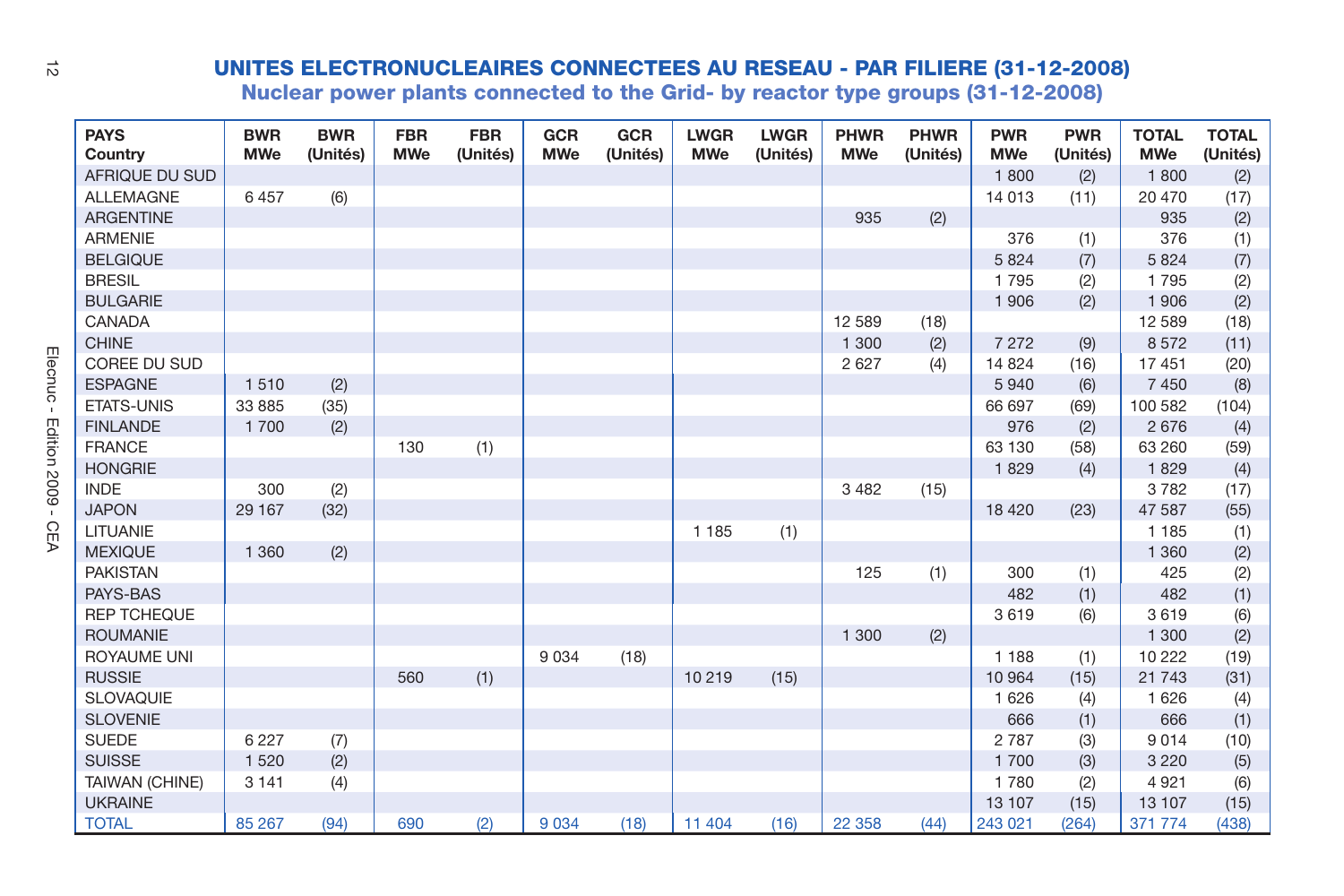| ನ                       |                        |                          |                        |                          | <b>UNITES ELECTRONUCLEAIRES CONNECTEES AU RESEAU - PAR FILIERE (31-12-2008)</b><br>Nuclear power plants connected to the Grid- by reactor type groups (31-12-2008) |                          |                 |                           |                         |                           |                  |                          |                        |                            |                          |
|-------------------------|------------------------|--------------------------|------------------------|--------------------------|--------------------------------------------------------------------------------------------------------------------------------------------------------------------|--------------------------|-----------------|---------------------------|-------------------------|---------------------------|------------------|--------------------------|------------------------|----------------------------|--------------------------|
|                         | <b>PAYS</b><br>Country | <b>BWR</b><br><b>MWe</b> | <b>BWR</b><br>(Unités) | <b>FBR</b><br><b>MWe</b> | <b>FBR</b><br>(Unités)                                                                                                                                             | <b>GCR</b><br><b>MWe</b> | GCR<br>(Unités) | <b>LWGR</b><br><b>MWe</b> | <b>LWGR</b><br>(Unités) | <b>PHWR</b><br><b>MWe</b> | PHWR<br>(Unités) | <b>PWR</b><br><b>MWe</b> | <b>PWR</b><br>(Unités) | <b>TOTAL</b><br><b>MWe</b> | <b>TOTAL</b><br>(Unités) |
|                         | AFRIQUE DU SUD         |                          |                        |                          |                                                                                                                                                                    |                          |                 |                           |                         |                           |                  | 1800                     | (2)                    | 1800                       | (2)                      |
|                         | <b>ALLEMAGNE</b>       | 6457                     | (6)                    |                          |                                                                                                                                                                    |                          |                 |                           |                         |                           |                  | 14 013                   | (11)                   | 20 470                     | (17)                     |
|                         | <b>ARGENTINE</b>       |                          |                        |                          |                                                                                                                                                                    |                          |                 |                           |                         | 935                       | (2)              |                          |                        | 935                        | (2)                      |
|                         | <b>ARMENIE</b>         |                          |                        |                          |                                                                                                                                                                    |                          |                 |                           |                         |                           |                  | 376                      | (1)                    | 376                        | (1)                      |
|                         | <b>BELGIQUE</b>        |                          |                        |                          |                                                                                                                                                                    |                          |                 |                           |                         |                           |                  | 5 8 2 4                  | (7)                    | 5 8 2 4                    | (7)                      |
|                         | <b>BRESIL</b>          |                          |                        |                          |                                                                                                                                                                    |                          |                 |                           |                         |                           |                  | 1795                     | (2)                    | 1795                       | (2)                      |
|                         | <b>BULGARIE</b>        |                          |                        |                          |                                                                                                                                                                    |                          |                 |                           |                         |                           |                  | 1 9 0 6                  | (2)                    | 1 906                      | (2)                      |
|                         | CANADA                 |                          |                        |                          |                                                                                                                                                                    |                          |                 |                           |                         | 12 589                    | (18)             |                          |                        | 12 5 8 9                   | (18)                     |
|                         | <b>CHINE</b>           |                          |                        |                          |                                                                                                                                                                    |                          |                 |                           |                         | 1 300                     | (2)              | 7 2 7 2                  | (9)                    | 8572                       | (11)                     |
|                         | COREE DU SUD           |                          |                        |                          |                                                                                                                                                                    |                          |                 |                           |                         | 2 6 2 7                   | (4)              | 14 8 24                  | (16)                   | 17 451                     | (20)                     |
| Elecnuc<br>$\mathbf{I}$ | <b>ESPAGNE</b>         | 1510                     | (2)                    |                          |                                                                                                                                                                    |                          |                 |                           |                         |                           |                  | 5940                     | (6)                    | 7 4 5 0                    | (8)                      |
|                         | <b>ETATS-UNIS</b>      | 33 885                   | (35)                   |                          |                                                                                                                                                                    |                          |                 |                           |                         |                           |                  | 66 697                   | (69)                   | 100 582                    | (104)                    |
|                         | <b>FINLANDE</b>        | 1700                     | (2)                    |                          |                                                                                                                                                                    |                          |                 |                           |                         |                           |                  | 976                      | (2)                    | 2676                       | (4)                      |
| Edition 2009 -          | <b>FRANCE</b>          |                          |                        | 130                      | (1)                                                                                                                                                                |                          |                 |                           |                         |                           |                  | 63 130                   | (58)                   | 63 260                     | (59)                     |
|                         | <b>HONGRIE</b>         |                          |                        |                          |                                                                                                                                                                    |                          |                 |                           |                         |                           |                  | 1829                     | (4)                    | 1829                       | (4)                      |
|                         | <b>INDE</b>            | 300                      | (2)                    |                          |                                                                                                                                                                    |                          |                 |                           |                         | 3 4 8 2                   | (15)             |                          |                        | 3782                       | (17)                     |
|                         | <b>JAPON</b>           | 29 167                   | (32)                   |                          |                                                                                                                                                                    |                          |                 |                           |                         |                           |                  | 18 4 20                  | (23)                   | 47 587                     | (55)                     |
| <b>CEA</b>              | LITUANIE               |                          |                        |                          |                                                                                                                                                                    |                          |                 | 1 1 8 5                   | (1)                     |                           |                  |                          |                        | 1 1 8 5                    | (1)                      |
|                         | <b>MEXIQUE</b>         | 1 3 6 0                  | (2)                    |                          |                                                                                                                                                                    |                          |                 |                           |                         |                           |                  |                          |                        | 1 3 6 0                    | (2)                      |
|                         | <b>PAKISTAN</b>        |                          |                        |                          |                                                                                                                                                                    |                          |                 |                           |                         | 125                       | (1)              | 300                      | (1)                    | 425                        | (2)                      |
|                         | PAYS-BAS               |                          |                        |                          |                                                                                                                                                                    |                          |                 |                           |                         |                           |                  | 482                      | (1)                    | 482                        | (1)                      |
|                         | <b>REP TCHEQUE</b>     |                          |                        |                          |                                                                                                                                                                    |                          |                 |                           |                         |                           |                  | 3619                     | (6)                    | 3619                       | (6)                      |
|                         | <b>ROUMANIE</b>        |                          |                        |                          |                                                                                                                                                                    |                          |                 |                           |                         | 1 300                     | (2)              |                          |                        | 1 300                      | (2)                      |
|                         | <b>ROYAUME UNI</b>     |                          |                        |                          |                                                                                                                                                                    | 9 0 3 4                  | (18)            |                           |                         |                           |                  | 1 1 8 8                  | (1)                    | 10 222                     | (19)                     |
|                         | <b>RUSSIE</b>          |                          |                        | 560                      | (1)                                                                                                                                                                |                          |                 | 10 219                    | (15)                    |                           |                  | 10 964                   | (15)                   | 21 743                     | (31)                     |
|                         | <b>SLOVAQUIE</b>       |                          |                        |                          |                                                                                                                                                                    |                          |                 |                           |                         |                           |                  | 1 6 2 6                  | (4)                    | 1 6 2 6                    | (4)                      |
|                         | <b>SLOVENIE</b>        |                          |                        |                          |                                                                                                                                                                    |                          |                 |                           |                         |                           |                  | 666                      | (1)                    | 666                        | (1)                      |
|                         | <b>SUEDE</b>           | 6 2 2 7                  | (7)                    |                          |                                                                                                                                                                    |                          |                 |                           |                         |                           |                  | 2 7 8 7                  | (3)                    | 9014                       | (10)                     |
|                         | <b>SUISSE</b>          | 1 5 2 0                  | (2)                    |                          |                                                                                                                                                                    |                          |                 |                           |                         |                           |                  | 1700                     | (3)                    | 3 2 2 0                    | (5)                      |
|                         | TAIWAN (CHINE)         | 3 1 4 1                  | (4)                    |                          |                                                                                                                                                                    |                          |                 |                           |                         |                           |                  | 1780                     | (2)                    | 4 9 21                     | (6)                      |
|                         | <b>UKRAINE</b>         |                          |                        |                          |                                                                                                                                                                    |                          |                 |                           |                         |                           |                  | 13 107                   | (15)                   | 13 107                     | (15)                     |
|                         | <b>TOTAL</b>           | 85 267                   | (94)                   | 690                      | (2)                                                                                                                                                                | 9 0 3 4                  | (18)            | 11 404                    | (16)                    | 22 3 58                   | (44)             | 243 021                  | (264)                  | 371 774                    | (438)                    |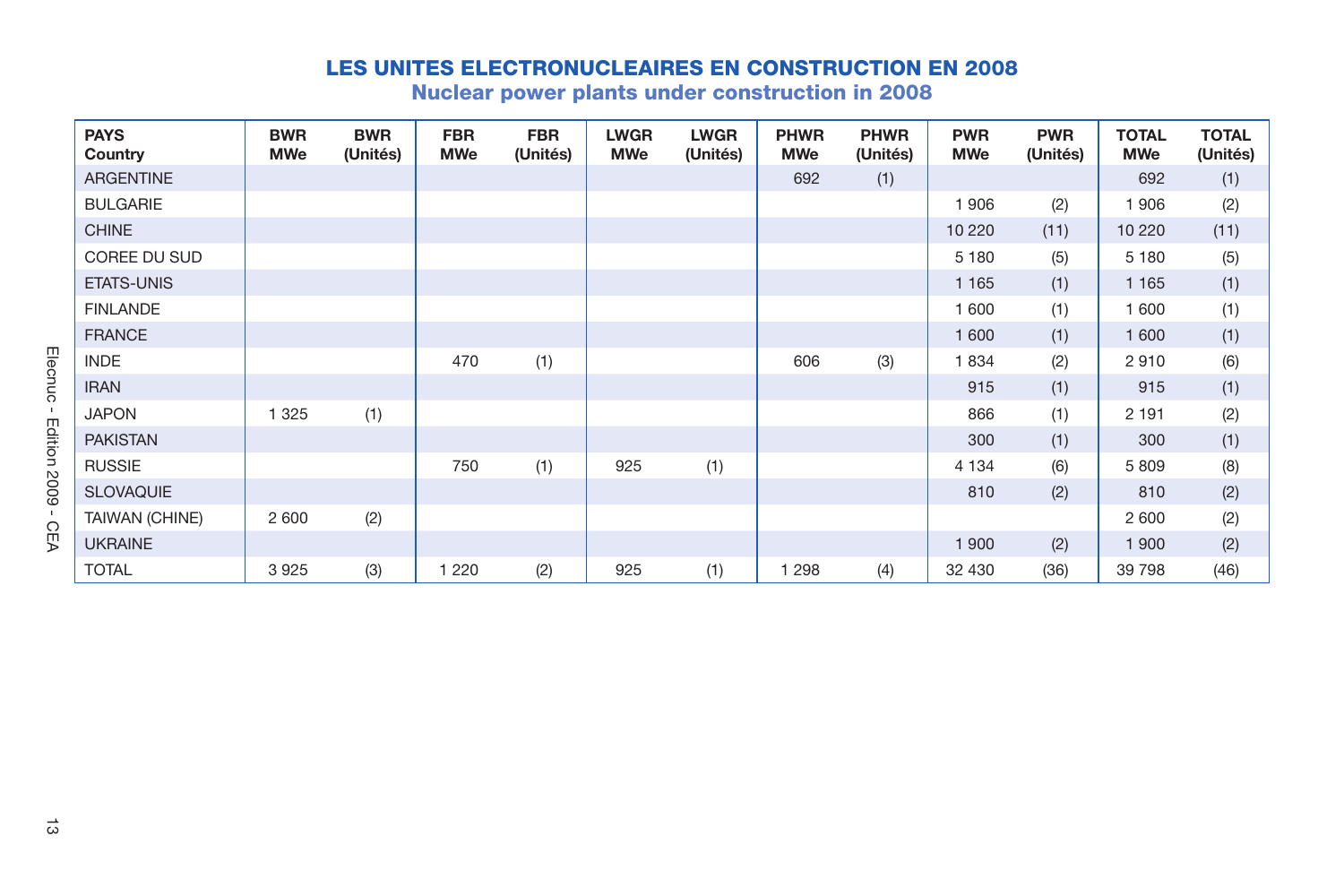| ARGENTINE<br><b>BULGARIE</b><br><b>CHINE</b> |         |     |         | (Unités) | <b>LWGR</b><br><b>MWe</b> | <b>LWGR</b><br>(Unités) | <b>PHWR</b><br><b>MWe</b> | <b>PHWR</b><br>(Unités) | <b>PWR</b><br><b>MWe</b> | <b>PWR</b><br>(Unités) | <b>TOTAL</b><br><b>MWe</b> | <b>TOTAL</b><br>(Unités) |
|----------------------------------------------|---------|-----|---------|----------|---------------------------|-------------------------|---------------------------|-------------------------|--------------------------|------------------------|----------------------------|--------------------------|
|                                              |         |     |         |          |                           |                         | 692                       | (1)                     |                          |                        | 692                        | (1)                      |
|                                              |         |     |         |          |                           |                         |                           |                         | 1 906                    | (2)                    | 1906                       | (2)                      |
|                                              |         |     |         |          |                           |                         |                           |                         | 10 220                   | (11)                   | 10 2 20                    | (11)                     |
| COREE DU SUD                                 |         |     |         |          |                           |                         |                           |                         | 5 1 8 0                  | (5)                    | 5 1 8 0                    | (5)                      |
| ETATS-UNIS                                   |         |     |         |          |                           |                         |                           |                         | 1 1 6 5                  | (1)                    | 1 1 6 5                    | (1)                      |
| <b>FINLANDE</b>                              |         |     |         |          |                           |                         |                           |                         | 1 600                    | (1)                    | 1 600                      | (1)                      |
| <b>FRANCE</b>                                |         |     |         |          |                           |                         |                           |                         | 1 600                    | (1)                    | 1 600                      | (1)                      |
| <b>INDE</b>                                  |         |     | 470     | (1)      |                           |                         | 606                       | (3)                     | 1834                     | (2)                    | 2910                       | (6)                      |
| <b>IRAN</b>                                  |         |     |         |          |                           |                         |                           |                         | 915                      | (1)                    | 915                        | (1)                      |
| <b>JAPON</b>                                 | 1 3 2 5 | (1) |         |          |                           |                         |                           |                         | 866                      | (1)                    | 2 1 9 1                    | (2)                      |
| <b>PAKISTAN</b>                              |         |     |         |          |                           |                         |                           |                         | 300                      | (1)                    | 300                        | (1)                      |
| <b>RUSSIE</b>                                |         |     | 750     | (1)      | 925                       | (1)                     |                           |                         | 4 1 3 4                  | (6)                    | 5 8 0 9                    | (8)                      |
| <b>SLOVAQUIE</b>                             |         |     |         |          |                           |                         |                           |                         | 810                      | (2)                    | 810                        | (2)                      |
| TAIWAN (CHINE)                               | 2 600   | (2) |         |          |                           |                         |                           |                         |                          |                        | 2 600                      | (2)                      |
| <b>UKRAINE</b>                               |         |     |         |          |                           |                         |                           |                         | 1 900                    | (2)                    | 1 900                      | (2)                      |
| <b>TOTAL</b>                                 | 3925    | (3) | 1 2 2 0 | (2)      | 925                       | (1)                     | 1 2 9 8                   | (4)                     | 32 430                   | (36)                   | 39 798                     | (46)                     |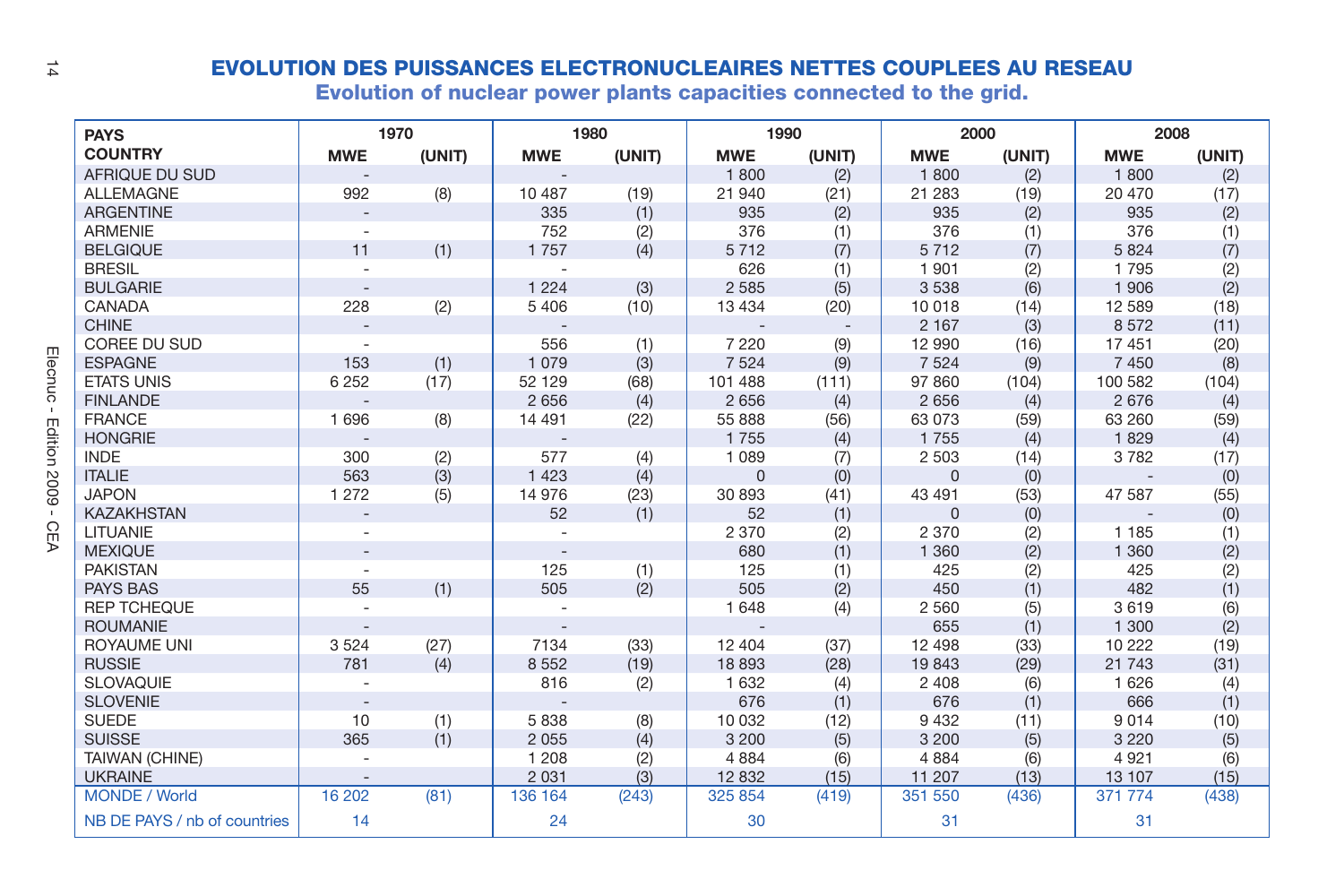| 14                                      |                              |                |        |            |        | <b>EVOLUTION DES PUISSANCES ELECTRONUCLEAIRES NETTES COUPLEES AU RESEAU</b><br>Evolution of nuclear power plants capacities connected to the grid. |                          |             |        |            |        |
|-----------------------------------------|------------------------------|----------------|--------|------------|--------|----------------------------------------------------------------------------------------------------------------------------------------------------|--------------------------|-------------|--------|------------|--------|
|                                         | <b>PAYS</b>                  |                | 1970   |            | 1980   | 1990                                                                                                                                               |                          | 2000        |        | 2008       |        |
|                                         | <b>COUNTRY</b>               | <b>MWE</b>     | (UNIT) | <b>MWE</b> | (UNIT) | <b>MWE</b>                                                                                                                                         | (UNIT)                   | <b>MWE</b>  | (UNIT) | <b>MWE</b> | (UNIT) |
|                                         | AFRIQUE DU SUD               |                |        |            |        | 1800                                                                                                                                               | (2)                      | 1800        | (2)    | 1800       | (2)    |
|                                         | <b>ALLEMAGNE</b>             | 992            | (8)    | 10 487     | (19)   | 21 940                                                                                                                                             | (21)                     | 21 283      | (19)   | 20 470     | (17)   |
|                                         | <b>ARGENTINE</b>             |                |        | 335        | (1)    | 935                                                                                                                                                | (2)                      | 935         | (2)    | 935        | (2)    |
|                                         | <b>ARMENIE</b>               |                |        | 752        | (2)    | 376                                                                                                                                                | (1)                      | 376         | (1)    | 376        | (1)    |
|                                         | <b>BELGIQUE</b>              | 11             | (1)    | 1757       | (4)    | 5712                                                                                                                                               | (7)                      | 5712        | (7)    | 5 8 2 4    | (7)    |
|                                         | <b>BRESIL</b>                |                |        |            |        | 626                                                                                                                                                | (1)                      | 1 9 0 1     | (2)    | 1795       | (2)    |
|                                         | <b>BULGARIE</b>              | $\sim$         |        | 1 2 2 4    | (3)    | 2 5 8 5                                                                                                                                            | (5)                      | 3 5 3 8     | (6)    | 1 906      | (2)    |
|                                         | CANADA                       | 228            | (2)    | 5 4 0 6    | (10)   | 13 4 34                                                                                                                                            | (20)                     | 10 018      | (14)   | 12 5 8 9   | (18)   |
|                                         | <b>CHINE</b>                 | $\overline{a}$ |        |            |        |                                                                                                                                                    | $\overline{\phantom{a}}$ | 2 1 6 7     | (3)    | 8572       | (11)   |
|                                         | COREE DU SUD                 |                |        | 556        | (1)    | 7 2 2 0                                                                                                                                            | (9)                      | 12 990      | (16)   | 17 451     | (20)   |
|                                         | <b>ESPAGNE</b>               | 153            | (1)    | 1 0 7 9    | (3)    | 7 5 2 4                                                                                                                                            | (9)                      | 7 5 2 4     | (9)    | 7 4 5 0    | (8)    |
|                                         | <b>ETATS UNIS</b>            | 6 2 5 2        | (17)   | 52 129     | (68)   | 101 488                                                                                                                                            | (111)                    | 97 860      | (104)  | 100 582    | (104)  |
| Elecnuc<br>$\mathbf{I}$<br>Edition 2009 | <b>FINLANDE</b>              |                |        | 2 6 5 6    | (4)    | 2 6 5 6                                                                                                                                            | (4)                      | 2 6 5 6     | (4)    | 2676       | (4)    |
|                                         | <b>FRANCE</b>                | 1696           | (8)    | 14 4 91    | (22)   | 55 888                                                                                                                                             | (56)                     | 63 073      | (59)   | 63 260     | (59)   |
|                                         | <b>HONGRIE</b>               |                |        |            |        | 1755                                                                                                                                               | (4)                      | 1755        | (4)    | 1829       | (4)    |
|                                         | <b>INDE</b>                  | 300            | (2)    | 577        | (4)    | 1 0 8 9                                                                                                                                            | (7)                      | 2 5 0 3     | (14)   | 3782       | (17)   |
|                                         | <b>ITALIE</b>                | 563            | (3)    | 1423       | (4)    | $\mathbf{0}$                                                                                                                                       | (0)                      | $\mathbf 0$ | (0)    |            | (0)    |
|                                         | <b>JAPON</b>                 | 1 2 7 2        | (5)    | 14 976     | (23)   | 30 893                                                                                                                                             | (41)                     | 43 491      | (53)   | 47 587     | (55)   |
| $\mathbf{I}$                            | <b>KAZAKHSTAN</b>            |                |        | 52         | (1)    | 52                                                                                                                                                 | (1)                      | $\Omega$    | (0)    |            | (0)    |
| <b>CEA</b>                              | LITUANIE                     |                |        |            |        | 2 3 7 0                                                                                                                                            | (2)                      | 2 3 7 0     | (2)    | 1 1 8 5    | (1)    |
|                                         | <b>MEXIQUE</b>               |                |        |            |        | 680                                                                                                                                                | (1)                      | 1 3 6 0     | (2)    | 1 3 6 0    | (2)    |
|                                         | <b>PAKISTAN</b>              |                |        | 125        | (1)    | 125                                                                                                                                                | (1)                      | 425         | (2)    | 425        | (2)    |
|                                         | <b>PAYS BAS</b>              | 55             | (1)    | 505        | (2)    | 505                                                                                                                                                | (2)                      | 450         | (1)    | 482        | (1)    |
|                                         | <b>REP TCHEQUE</b>           |                |        |            |        | 1 6 4 8                                                                                                                                            | (4)                      | 2 5 6 0     | (5)    | 3619       | (6)    |
|                                         | <b>ROUMANIE</b>              | $\overline{a}$ |        |            |        |                                                                                                                                                    |                          | 655         | (1)    | 1 300      | (2)    |
|                                         | ROYAUME UNI                  | 3524           | (27)   | 7134       | (33)   | 12 4 04                                                                                                                                            | (37)                     | 12 4 9 8    | (33)   | 10 222     | (19)   |
|                                         | <b>RUSSIE</b>                | 781            | (4)    | 8 5 5 2    | (19)   | 18 893                                                                                                                                             | (28)                     | 19843       | (29)   | 21 7 4 3   | (31)   |
|                                         | <b>SLOVAQUIE</b>             |                |        | 816        | (2)    | 1 6 3 2                                                                                                                                            | (4)                      | 2 4 0 8     | (6)    | 1 6 2 6    | (4)    |
|                                         | <b>SLOVENIE</b>              | $\sim$         |        |            |        | 676                                                                                                                                                | (1)                      | 676         | (1)    | 666        | (1)    |
|                                         | <b>SUEDE</b>                 | 10             | (1)    | 5838       | (8)    | 10 032                                                                                                                                             | (12)                     | 9 4 3 2     | (11)   | 9014       | (10)   |
|                                         | <b>SUISSE</b>                | 365            | (1)    | 2 0 5 5    | (4)    | 3 2 0 0                                                                                                                                            | (5)                      | 3 2 0 0     | (5)    | 3 2 2 0    | (5)    |
|                                         | <b>TAIWAN (CHINE)</b>        | ÷,             |        | 1 2 0 8    | (2)    | 4 8 8 4                                                                                                                                            | (6)                      | 4884        | (6)    | 4 9 21     | (6)    |
|                                         | <b>UKRAINE</b>               |                |        | 2 0 3 1    | (3)    | 12 832                                                                                                                                             | (15)                     | 11 207      | (13)   | 13 107     | (15)   |
|                                         | <b>MONDE / World</b>         | 16 20 2        | (81)   | 136 164    | (243)  | 325 854                                                                                                                                            | (419)                    | 351 550     | (436)  | 371 774    | (438)  |
|                                         | NB DE PAYS / nb of countries | 14             |        | 24         |        | 30                                                                                                                                                 |                          | 31          |        | 31         |        |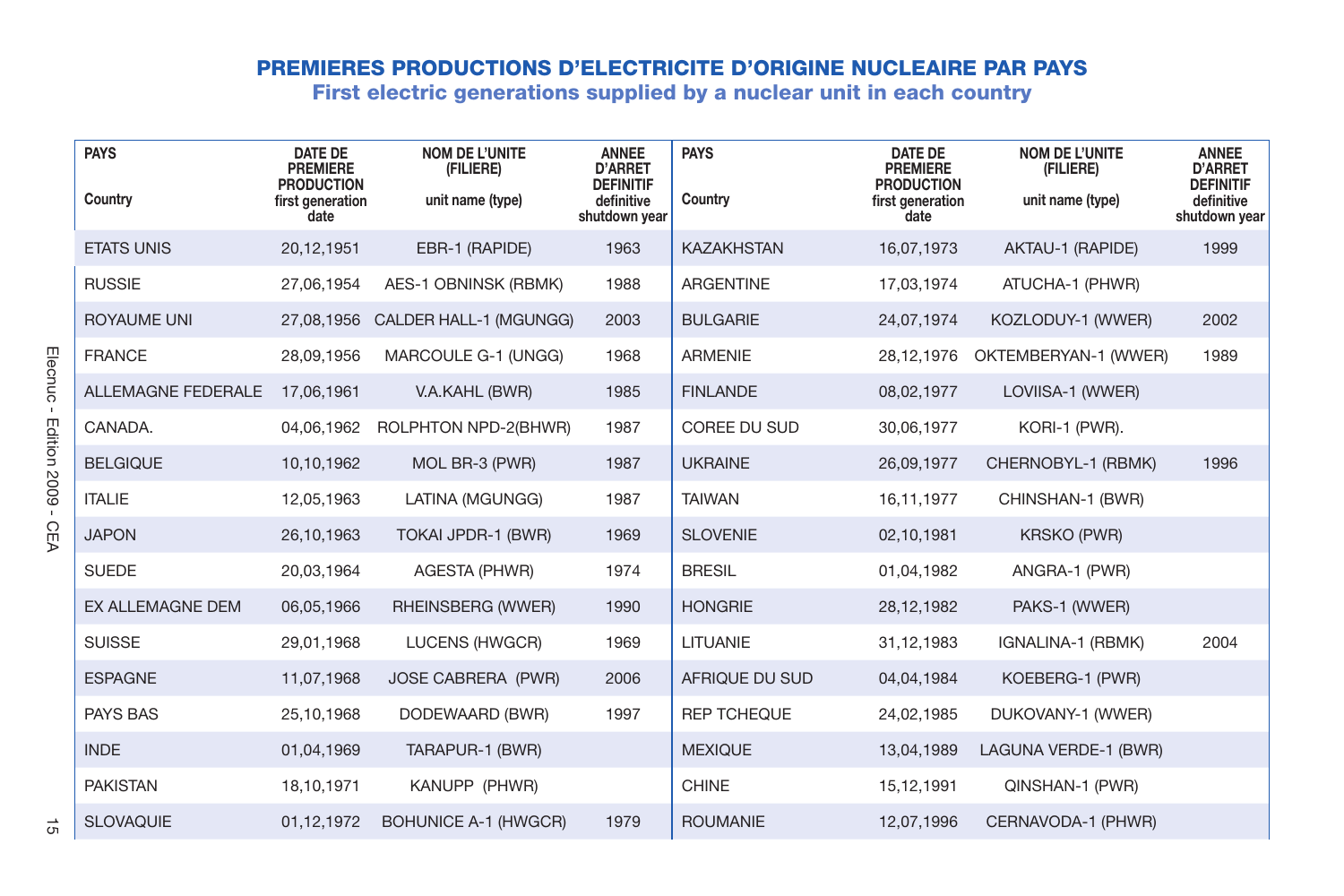|                                           |                        |                                                                                    | <b>PREMIERES PRODUCTIONS D'ELECTRICITE D'ORIGINE NUCLEAIRE PAR PAYS</b><br>First electric generations supplied by a nuclear unit in each country |                                                                                   |                        |                                                                                    |                                                        |                                                                                   |
|-------------------------------------------|------------------------|------------------------------------------------------------------------------------|--------------------------------------------------------------------------------------------------------------------------------------------------|-----------------------------------------------------------------------------------|------------------------|------------------------------------------------------------------------------------|--------------------------------------------------------|-----------------------------------------------------------------------------------|
|                                           | <b>PAYS</b><br>Country | <b>DATE DE</b><br><b>PREMIERE</b><br><b>PRODUCTION</b><br>first generation<br>date | <b>NOM DE L'UNITE</b><br>(FILIERE)<br>unit name (type)                                                                                           | <b>ANNEE</b><br><b>D'ARRET</b><br><b>DEFINITIF</b><br>definitive<br>shutdown year | <b>PAYS</b><br>Country | <b>DATE DE</b><br><b>PREMIERE</b><br><b>PRODUCTION</b><br>first generation<br>date | <b>NOM DE L'UNITE</b><br>(FILIERE)<br>unit name (type) | <b>ANNEE</b><br><b>D'ARRET</b><br><b>DEFINITIF</b><br>definitive<br>shutdown year |
|                                           | <b>ETATS UNIS</b>      | 20.12.1951                                                                         | EBR-1 (RAPIDE)                                                                                                                                   | 1963                                                                              | <b>KAZAKHSTAN</b>      | 16.07.1973                                                                         | AKTAU-1 (RAPIDE)                                       | 1999                                                                              |
|                                           | <b>RUSSIE</b>          | 27,06,1954                                                                         | AES-1 OBNINSK (RBMK)                                                                                                                             | 1988                                                                              | ARGENTINE              | 17,03,1974                                                                         | ATUCHA-1 (PHWR)                                        |                                                                                   |
|                                           | <b>ROYAUME UNI</b>     |                                                                                    | 27,08,1956 CALDER HALL-1 (MGUNGG)                                                                                                                | 2003                                                                              | <b>BULGARIE</b>        | 24,07,1974                                                                         | KOZLODUY-1 (WWER)                                      | 2002                                                                              |
|                                           | <b>FRANCE</b>          | 28.09.1956                                                                         | MARCOULE G-1 (UNGG)                                                                                                                              | 1968                                                                              | <b>ARMENIE</b>         | 28,12,1976                                                                         | OKTEMBERYAN-1 (WWER)                                   | 1989                                                                              |
| Elecnuc<br>$\mathbf{I}$<br>Edition 2009 - | ALLEMAGNE FEDERALE     | 17,06,1961                                                                         | V.A.KAHL (BWR)                                                                                                                                   | 1985                                                                              | <b>FINLANDE</b>        | 08,02,1977                                                                         | LOVIISA-1 (WWER)                                       |                                                                                   |
|                                           | CANADA.                | 04,06,1962                                                                         | ROLPHTON NPD-2(BHWR)                                                                                                                             | 1987                                                                              | COREE DU SUD           | 30,06,1977                                                                         | KORI-1 (PWR).                                          |                                                                                   |
|                                           | <b>BELGIQUE</b>        | 10,10,1962                                                                         | MOL BR-3 (PWR)                                                                                                                                   | 1987                                                                              | <b>UKRAINE</b>         | 26,09,1977                                                                         | CHERNOBYL-1 (RBMK)                                     | 1996                                                                              |
|                                           | <b>ITALIE</b>          | 12,05,1963                                                                         | LATINA (MGUNGG)                                                                                                                                  | 1987                                                                              | <b>TAIWAN</b>          | 16,11,1977                                                                         | CHINSHAN-1 (BWR)                                       |                                                                                   |
| <b>CEA</b>                                | <b>JAPON</b>           | 26,10,1963                                                                         | TOKAI JPDR-1 (BWR)                                                                                                                               | 1969                                                                              | <b>SLOVENIE</b>        | 02,10,1981                                                                         | <b>KRSKO (PWR)</b>                                     |                                                                                   |
|                                           | <b>SUEDE</b>           | 20,03,1964                                                                         | <b>AGESTA (PHWR)</b>                                                                                                                             | 1974                                                                              | <b>BRESIL</b>          | 01,04,1982                                                                         | ANGRA-1 (PWR)                                          |                                                                                   |
|                                           | EX ALLEMAGNE DEM       | 06,05,1966                                                                         | RHEINSBERG (WWER)                                                                                                                                | 1990                                                                              | <b>HONGRIE</b>         | 28,12,1982                                                                         | PAKS-1 (WWER)                                          |                                                                                   |
|                                           | <b>SUISSE</b>          | 29,01,1968                                                                         | LUCENS (HWGCR)                                                                                                                                   | 1969                                                                              | LITUANIE               | 31, 12, 1983                                                                       | IGNALINA-1 (RBMK)                                      | 2004                                                                              |
|                                           | <b>ESPAGNE</b>         | 11,07,1968                                                                         | <b>JOSE CABRERA (PWR)</b>                                                                                                                        | 2006                                                                              | AFRIQUE DU SUD         | 04,04,1984                                                                         | KOEBERG-1 (PWR)                                        |                                                                                   |
|                                           | <b>PAYS BAS</b>        | 25,10,1968                                                                         | DODEWAARD (BWR)                                                                                                                                  | 1997                                                                              | <b>REP TCHEQUE</b>     | 24,02,1985                                                                         | DUKOVANY-1 (WWER)                                      |                                                                                   |
|                                           | <b>INDE</b>            | 01,04,1969                                                                         | TARAPUR-1 (BWR)                                                                                                                                  |                                                                                   | <b>MEXIQUE</b>         | 13,04,1989                                                                         | LAGUNA VERDE-1 (BWR)                                   |                                                                                   |
|                                           | <b>PAKISTAN</b>        | 18,10,1971                                                                         | KANUPP (PHWR)                                                                                                                                    |                                                                                   | <b>CHINE</b>           | 15,12,1991                                                                         | QINSHAN-1 (PWR)                                        |                                                                                   |
| $\vec{a}$                                 | <b>SLOVAQUIE</b>       | 01,12,1972                                                                         | BOHUNICE A-1 (HWGCR)                                                                                                                             | 1979                                                                              | <b>ROUMANIE</b>        | 12,07,1996                                                                         | CERNAVODA-1 (PHWR)                                     |                                                                                   |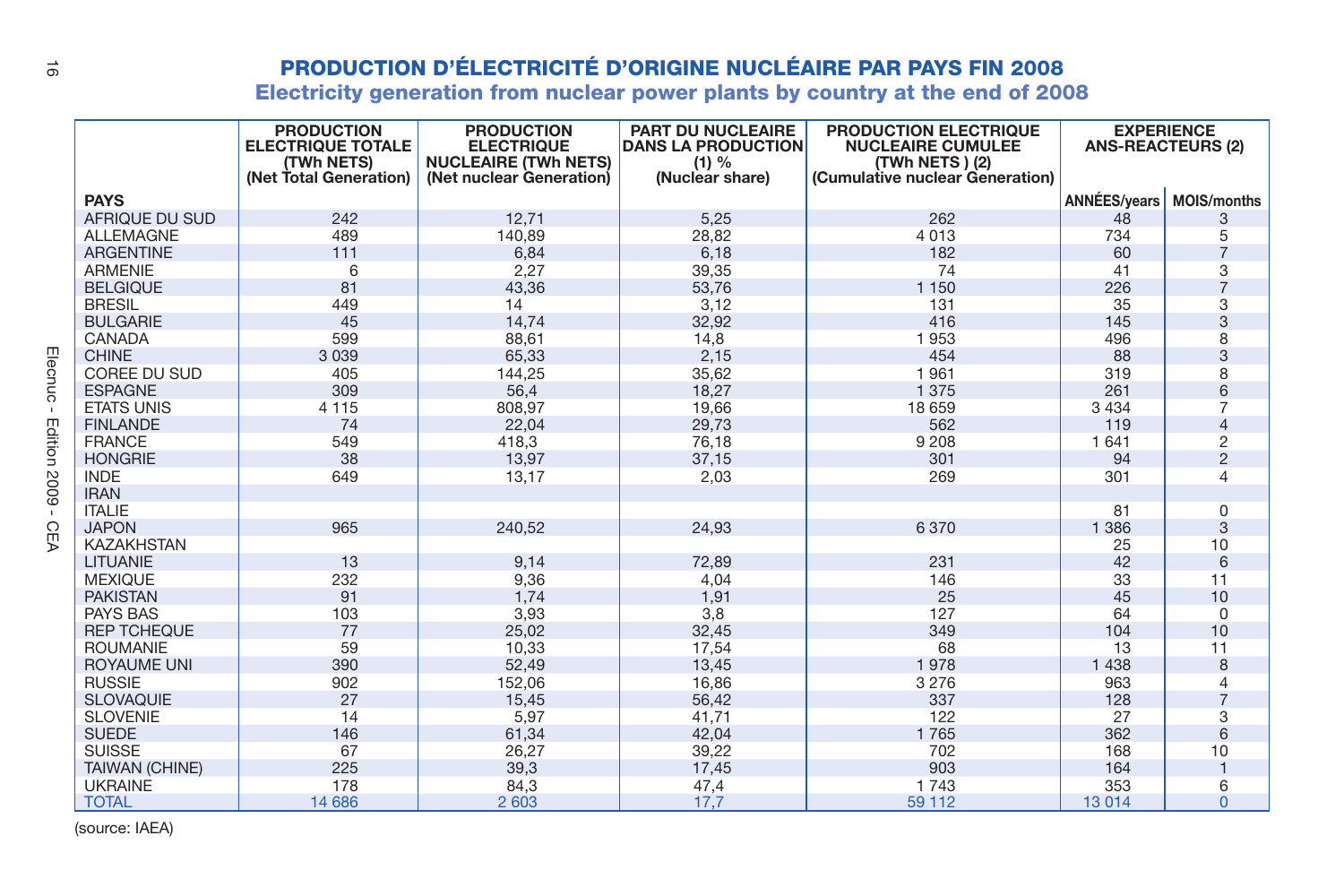| $\vec{a}$      |                                       |                                                                                       |                                                                                                   |                                                                            | <b>PRODUCTION D'ÉLECTRICITÉ D'ORIGINE NUCLÉAIRE PAR PAYS FIN 2008</b>                                  |                          |                         |
|----------------|---------------------------------------|---------------------------------------------------------------------------------------|---------------------------------------------------------------------------------------------------|----------------------------------------------------------------------------|--------------------------------------------------------------------------------------------------------|--------------------------|-------------------------|
|                |                                       |                                                                                       |                                                                                                   |                                                                            | Electricity generation from nuclear power plants by country at the end of 2008                         |                          |                         |
|                |                                       | <b>PRODUCTION</b><br><b>ELECTRIQUE TOTALE</b><br>(TWh NETS)<br>(Net Total Generation) | <b>PRODUCTION</b><br><b>ELECTRIQUE</b><br><b>NUCLEAIRE (TWh NETS)</b><br>(Net nuclear Generation) | PART DU NUCLEAIRE<br><b>DANS LA PRODUCTION</b><br>(1) %<br>(Nuclear share) | PRODUCTION ELECTRIQUE<br><b>NUCLEAIRE CUMULEE</b><br>(TWh NETS) (2)<br>(Cumulative nuclear Generation) | <b>ANS-REACTEURS (2)</b> | <b>EXPERIENCE</b>       |
|                | <b>PAYS</b>                           |                                                                                       |                                                                                                   |                                                                            |                                                                                                        | <b>ANNÉES/vears</b>      | <b>MOIS/months</b>      |
|                | AFRIQUE DU SUD                        | 242                                                                                   | 12,71                                                                                             | 5,25                                                                       | 262                                                                                                    | 48                       | 3                       |
|                | <b>ALLEMAGNE</b>                      | 489                                                                                   | 140,89                                                                                            | 28,82                                                                      | 4 0 1 3                                                                                                | 734                      | 5                       |
|                | <b>ARGENTINE</b>                      | 111                                                                                   | 6,84                                                                                              | 6,18                                                                       | 182                                                                                                    | 60                       | $\overline{7}$          |
|                | <b>ARMENIE</b>                        | 6                                                                                     | 2,27                                                                                              | 39,35                                                                      | 74                                                                                                     | 41                       | 3                       |
|                | <b>BELGIQUE</b>                       | 81                                                                                    | 43,36                                                                                             | 53,76                                                                      | 1 1 5 0                                                                                                | 226                      | $\overline{7}$          |
|                | <b>BRESIL</b>                         | 449                                                                                   | 14                                                                                                | 3,12                                                                       | 131                                                                                                    | 35                       | 3                       |
|                | <b>BULGARIE</b>                       | 45                                                                                    | 14.74                                                                                             | 32,92                                                                      | 416                                                                                                    | 145                      | 3                       |
|                | CANADA                                | 599                                                                                   | 88,61                                                                                             | 14,8                                                                       | 1953                                                                                                   | 496                      | 8                       |
| Elecnuc        | <b>CHINE</b>                          | 3 0 3 9                                                                               | 65,33                                                                                             | 2,15                                                                       | 454                                                                                                    | 88                       | 3                       |
|                | COREE DU SUD                          | 405                                                                                   | 144,25                                                                                            | 35,62                                                                      | 1961                                                                                                   | 319                      | 8                       |
|                | <b>ESPAGNE</b>                        | 309                                                                                   | 56,4                                                                                              | 18,27                                                                      | 1 3 7 5                                                                                                | 261                      | 6                       |
| $\mathbb{R}^n$ | <b>ETATS UNIS</b>                     | 4 1 1 5                                                                               | 808,97                                                                                            | 19,66                                                                      | 18 659                                                                                                 | 3 4 3 4                  | $\overline{7}$          |
|                | <b>FINLANDE</b>                       | 74                                                                                    | 22,04                                                                                             | 29,73                                                                      | 562                                                                                                    | 119                      | $\overline{4}$          |
|                | <b>FRANCE</b>                         | 549                                                                                   | 418,3                                                                                             | 76,18                                                                      | 9 2 0 8                                                                                                | 1 641                    | $\overline{\mathbf{c}}$ |
|                | <b>HONGRIE</b>                        | 38                                                                                    | 13,97                                                                                             | 37,15                                                                      | 301                                                                                                    | 94                       | $\overline{2}$          |
| Edition 2009   | <b>INDE</b>                           | 649                                                                                   | 13,17                                                                                             | 2,03                                                                       | 269                                                                                                    | 301                      | $\overline{4}$          |
|                | <b>IRAN</b>                           |                                                                                       |                                                                                                   |                                                                            |                                                                                                        |                          |                         |
| $\mathbf{r}$   | <b>ITALIE</b>                         |                                                                                       |                                                                                                   |                                                                            |                                                                                                        | 81                       | 0                       |
| C              | <b>JAPON</b>                          | 965                                                                                   | 240,52                                                                                            | 24.93                                                                      | 6370                                                                                                   | 1 3 8 6                  | 3                       |
| Ξ              | <b>KAZAKHSTAN</b>                     |                                                                                       |                                                                                                   |                                                                            |                                                                                                        | 25                       | 10                      |
|                | LITUANIE                              | 13                                                                                    | 9,14                                                                                              | 72,89                                                                      | 231                                                                                                    | 42                       | 6                       |
|                | <b>MEXIQUE</b>                        | 232                                                                                   | 9,36                                                                                              | 4.04                                                                       | 146                                                                                                    | 33                       | 11                      |
|                | <b>PAKISTAN</b>                       | 91                                                                                    | 1,74                                                                                              | 1,91                                                                       | 25                                                                                                     | 45                       | 10                      |
|                | <b>PAYS BAS</b><br><b>REP TCHEQUE</b> | 103<br>77                                                                             | 3,93                                                                                              | 3,8                                                                        | 127<br>349                                                                                             | 64<br>104                | $\mathbf 0$<br>10       |
|                |                                       |                                                                                       | 25,02                                                                                             | 32,45                                                                      |                                                                                                        |                          |                         |
|                | <b>ROUMANIE</b>                       | 59<br>390                                                                             | 10,33                                                                                             | 17,54                                                                      | 68                                                                                                     | 13                       | 11<br>8                 |
|                | <b>ROYAUME UNI</b><br><b>RUSSIE</b>   | 902                                                                                   | 52,49<br>152,06                                                                                   | 13,45<br>16,86                                                             | 1978<br>3 2 7 6                                                                                        | 1 4 3 8<br>963           | 4                       |
|                | <b>SLOVAQUIE</b>                      | 27                                                                                    |                                                                                                   |                                                                            | 337                                                                                                    | 128                      | $\overline{7}$          |
|                | <b>SLOVENIE</b>                       | 14                                                                                    | 15,45<br>5,97                                                                                     | 56,42<br>41,71                                                             | 122                                                                                                    | 27                       | 3                       |
|                | <b>SUEDE</b>                          | 146                                                                                   |                                                                                                   | 42,04                                                                      | 1765                                                                                                   | 362                      | 6                       |
|                | <b>SUISSE</b>                         | 67                                                                                    | 61,34<br>26,27                                                                                    | 39,22                                                                      | 702                                                                                                    | 168                      | 10                      |
|                | <b>TAIWAN (CHINE)</b>                 | 225                                                                                   | 39,3                                                                                              | 17,45                                                                      | 903                                                                                                    | 164                      | $\mathbf{1}$            |
|                | <b>UKRAINE</b>                        | 178                                                                                   | 84,3                                                                                              | 47,4                                                                       | 1743                                                                                                   | 353                      | 6                       |
|                | <b>TOTAL</b>                          | 14 686                                                                                | 2 603                                                                                             | 17,7                                                                       | 59 112                                                                                                 | 13 0 14                  | $\Omega$                |
|                |                                       |                                                                                       |                                                                                                   |                                                                            |                                                                                                        |                          |                         |

(source: IAEA)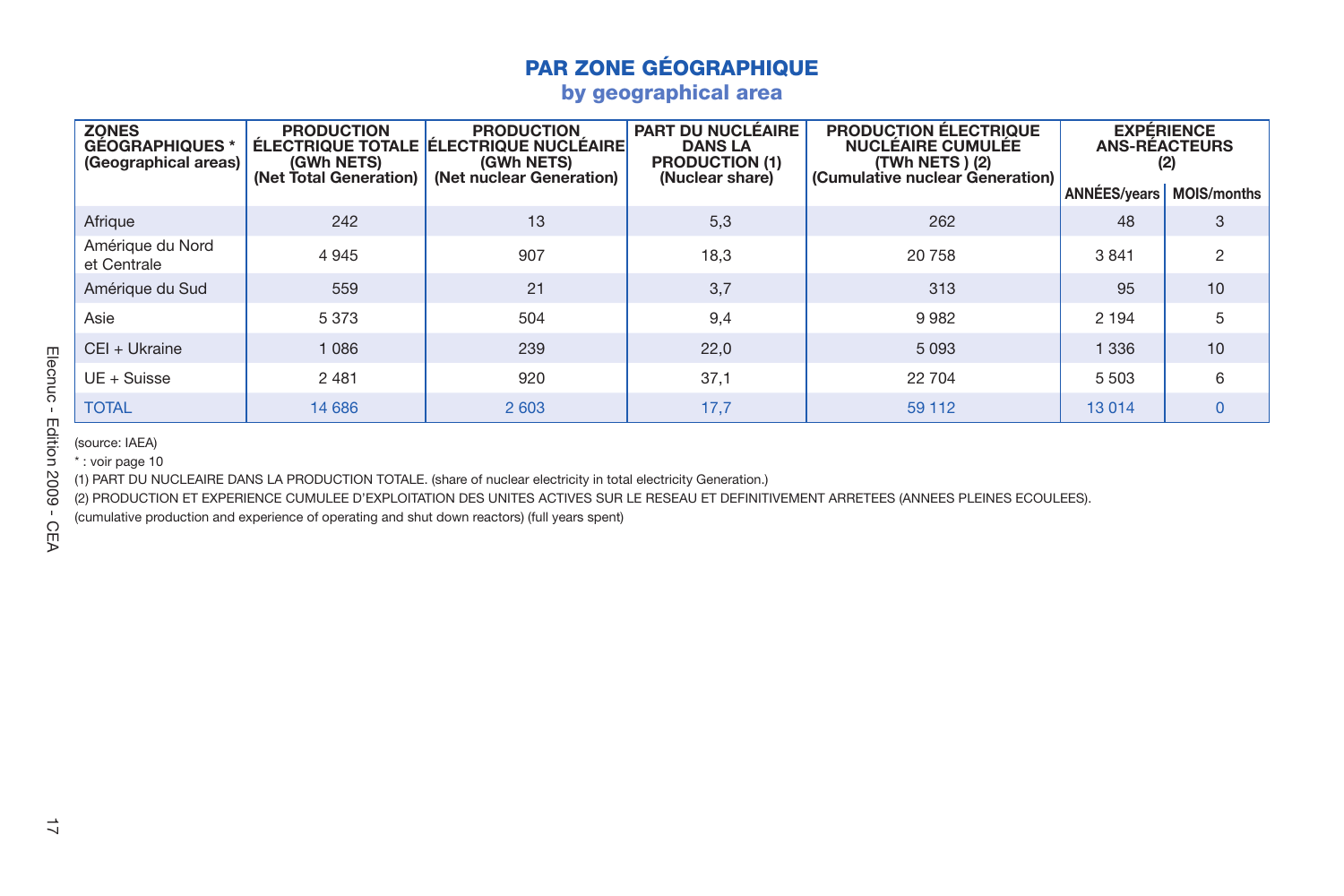|                               | <b>PAR ZONE GÉOGRAPHIQUE</b><br>by geographical area          |                                                           |                                                                                                                                                                                                                   |                                                                                 |                                                                                                                                            |                     |                                                                        |  |  |  |  |  |  |
|-------------------------------|---------------------------------------------------------------|-----------------------------------------------------------|-------------------------------------------------------------------------------------------------------------------------------------------------------------------------------------------------------------------|---------------------------------------------------------------------------------|--------------------------------------------------------------------------------------------------------------------------------------------|---------------------|------------------------------------------------------------------------|--|--|--|--|--|--|
|                               |                                                               |                                                           |                                                                                                                                                                                                                   |                                                                                 |                                                                                                                                            |                     |                                                                        |  |  |  |  |  |  |
|                               | <b>ZONES</b><br><b>GÉOGRAPHIQUES*</b><br>(Geographical areas) | <b>PRODUCTION</b><br>(GWh NETS)<br>(Net Total Generation) | <b>PRODUCTION</b><br>ÉLECTRIQUE TOTALE ÉLECTRIQUE NUCLÉAIRE<br>(GWh NETS)<br>(Net nuclear Generation)                                                                                                             | PART DU NUCLÉAIRE<br><b>DANS LA</b><br><b>PRODUCTION (1)</b><br>(Nuclear share) | PRODUCTION ÉLECTRIQUE<br><b>NUCLÉAIRE CUMULÉE</b><br>(TWh NETS) (2)<br>(Cumulative nuclear Generation)                                     | <b>ANNÉES/years</b> | <b>EXPÉRIENCE</b><br><b>ANS-RÉACTEURS</b><br>(2)<br><b>MOIS/months</b> |  |  |  |  |  |  |
|                               | Afrique                                                       | 242                                                       | 13                                                                                                                                                                                                                | 5,3                                                                             | 262                                                                                                                                        | 48                  | 3                                                                      |  |  |  |  |  |  |
|                               | Amérique du Nord<br>et Centrale                               | 4 9 4 5                                                   | 907                                                                                                                                                                                                               | 18,3                                                                            | 20758                                                                                                                                      | 3841                | 2                                                                      |  |  |  |  |  |  |
|                               | Amérique du Sud                                               | 559                                                       | 21                                                                                                                                                                                                                | 3,7                                                                             | 313                                                                                                                                        | 95                  | 10                                                                     |  |  |  |  |  |  |
|                               | Asie                                                          | 5 3 7 3                                                   | 504                                                                                                                                                                                                               | 9,4                                                                             | 9982                                                                                                                                       | 2 1 9 4             | 5                                                                      |  |  |  |  |  |  |
|                               | CEI + Ukraine                                                 | 1 0 8 6                                                   | 239                                                                                                                                                                                                               | 22,0                                                                            | 5 0 9 3                                                                                                                                    | 1 3 3 6             | 10                                                                     |  |  |  |  |  |  |
| Elecnuc-                      | $UE + Suisse$                                                 | 2 4 8 1                                                   | 920                                                                                                                                                                                                               | 37,1                                                                            | 22 704                                                                                                                                     | 5 5 0 3             | 6                                                                      |  |  |  |  |  |  |
|                               | <b>TOTAL</b>                                                  | 14 686                                                    | 2 603                                                                                                                                                                                                             | 17,7                                                                            | 59 112                                                                                                                                     | 13 0 14             | $\mathbf{0}$                                                           |  |  |  |  |  |  |
| Edition<br>2009<br><b>CEA</b> | *: voir page 10                                               |                                                           | (1) PART DU NUCLEAIRE DANS LA PRODUCTION TOTALE. (share of nuclear electricity in total electricity Generation.)<br>(cumulative production and experience of operating and shut down reactors) (full years spent) |                                                                                 | (2) PRODUCTION ET EXPERIENCE CUMULEE D'EXPLOITATION DES UNITES ACTIVES SUR LE RESEAU ET DEFINITIVEMENT ARRETEES (ANNEES PLEINES ECOULEES). |                     |                                                                        |  |  |  |  |  |  |
| ⇉                             |                                                               |                                                           |                                                                                                                                                                                                                   |                                                                                 |                                                                                                                                            |                     |                                                                        |  |  |  |  |  |  |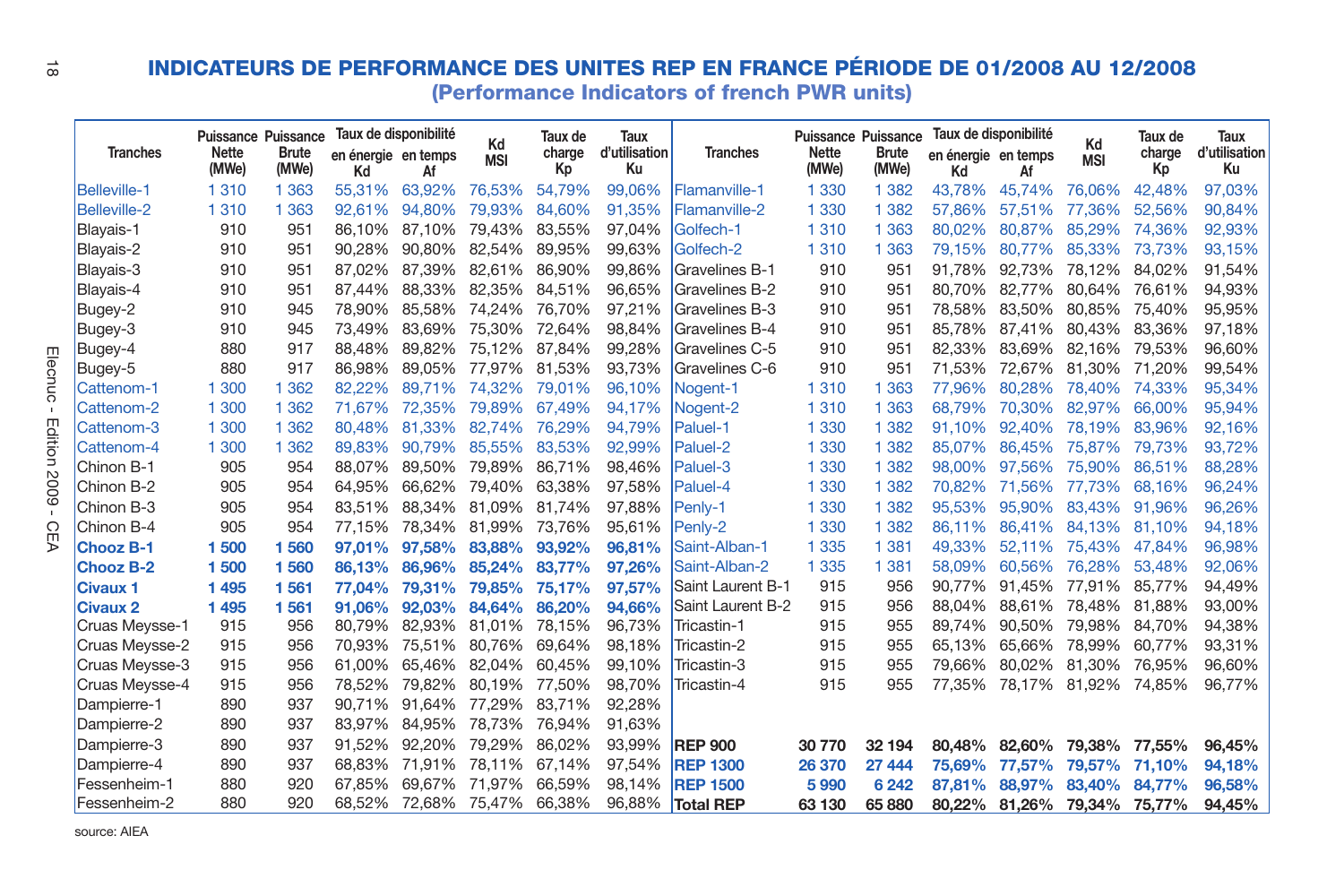| ಹೆ      |                     |                       |                                                     |                                                    |        |                  |                         |                             | INDICATEURS DE PERFORMANCE DES UNITES REP EN FRANCE PÉRIODE DE 01/2008 AU 12/2008<br>(Performance Indicators of french PWR units) |                                              |                       |                                                    |               |                  |                         |                             |
|---------|---------------------|-----------------------|-----------------------------------------------------|----------------------------------------------------|--------|------------------|-------------------------|-----------------------------|-----------------------------------------------------------------------------------------------------------------------------------|----------------------------------------------|-----------------------|----------------------------------------------------|---------------|------------------|-------------------------|-----------------------------|
|         | <b>Tranches</b>     | <b>Nette</b><br>(MWe) | <b>Puissance Puissance</b><br><b>Brute</b><br>(MWe) | Taux de disponibilité<br>en énergie en temps<br>Κd | Af     | Kd<br><b>MSI</b> | Taux de<br>charge<br>Кp | Taux<br>d'utilisation<br>Ku | <b>Tranches</b>                                                                                                                   | Puissance Puissance<br><b>Nette</b><br>(MWe) | <b>Brute</b><br>(MWe) | Taux de disponibilité<br>en énergie en temps<br>Κd | Af            | Kd<br><b>MSI</b> | Taux de<br>charge<br>Кp | Taux<br>d'utilisation<br>Ku |
|         | <b>Belleville-1</b> | 1310                  | 1 3 6 3                                             | 55.31%                                             | 63.92% | 76.53%           | 54.79%                  | 99.06%                      | Flamanville-1                                                                                                                     | 1 3 3 0                                      | 1 3 8 2               | 43.78%                                             | 45.74%        | 76.06%           | 42.48%                  | 97.03%                      |
|         | <b>Belleville-2</b> | 1310                  | 1 3 6 3                                             | 92.61%                                             | 94.80% | 79.93%           | 84.60%                  | 91.35%                      | Flamanville-2                                                                                                                     | 1 3 3 0                                      | 1 3 8 2               | 57.86%                                             | 57.51%        | 77.36%           | 52.56%                  | 90.84%                      |
|         | Blayais-1           | 910                   | 951                                                 | 86.10%                                             | 87.10% | 79.43%           | 83.55%                  | 97.04%                      | Golfech-1                                                                                                                         | 1 3 1 0                                      | 1 3 6 3               | 80.02%                                             | 80.87%        | 85.29%           | 74.36%                  | 92,93%                      |
|         | Blayais-2           | 910                   | 951                                                 | 90.28%                                             | 90.80% | 82.54%           | 89.95%                  | 99.63%                      | Golfech-2                                                                                                                         | 1 3 1 0                                      | 1 3 6 3               | 79.15%                                             | 80,77%        | 85.33%           | 73.73%                  | 93.15%                      |
|         | Blayais-3           | 910                   | 951                                                 | 87.02%                                             | 87.39% | 82.61%           | 86.90%                  | 99.86%                      | Gravelines B-1                                                                                                                    | 910                                          | 951                   | 91.78%                                             | 92.73%        | 78.12%           | 84.02%                  | 91.54%                      |
|         | Blayais-4           | 910                   | 951                                                 | 87,44%                                             | 88.33% | 82.35%           | 84.51%                  | 96.65%                      | Gravelines B-2                                                                                                                    | 910                                          | 951                   | 80.70%                                             | 82.77%        | 80.64%           | 76.61%                  | 94,93%                      |
|         | Bugey-2             | 910                   | 945                                                 | 78,90%                                             | 85.58% | 74.24%           | 76.70%                  | 97,21%                      | Gravelines B-3                                                                                                                    | 910                                          | 951                   | 78.58%                                             | 83.50%        | 80.85%           | 75.40%                  | 95,95%                      |
|         | Bugey-3             | 910                   | 945                                                 | 73,49%                                             | 83.69% | 75.30%           | 72.64%                  | 98.84%                      | Gravelines B-4                                                                                                                    | 910                                          | 951                   | 85.78%                                             | 87.41%        | 80.43%           | 83.36%                  | 97,18%                      |
| m       | Bugey-4             | 880                   | 917                                                 | 88.48%                                             | 89.82% | 75.12%           | 87.84%                  | 99,28%                      | Gravelines C-5                                                                                                                    | 910                                          | 951                   | 82.33%                                             | 83,69%        | 82.16%           | 79.53%                  | 96,60%                      |
| lecnuc  | Bugey-5             | 880                   | 917                                                 | 86.98%                                             | 89.05% | 77.97%           | 81.53%                  | 93.73%                      | Gravelines C-6                                                                                                                    | 910                                          | 951                   | 71.53%                                             | 72.67%        | 81.30%           | 71.20%                  | 99.54%                      |
|         | Cattenom-1          | 1 300                 | 1 3 6 2                                             | 82.22%                                             | 89.71% | 74.32%           | 79.01%                  | 96,10%                      | Nogent-1                                                                                                                          | 1310                                         | 1 3 6 3               | 77.96%                                             | 80.28%        | 78.40%           | 74.33%                  | 95,34%                      |
|         | Cattenom-2          | 1 300                 | 1 3 6 2                                             | 71.67%                                             | 72.35% | 79,89%           | 67.49%                  | 94.17%                      | Nogent-2                                                                                                                          | 1 3 1 0                                      | 1 3 6 3               | 68.79%                                             | 70.30%        | 82.97%           | 66.00%                  | 95,94%                      |
| Edition | Cattenom-3          | 1 300                 | 1 3 6 2                                             | 80.48%                                             | 81.33% | 82.74%           | 76.29%                  | 94.79%                      | Paluel-1                                                                                                                          | 1 3 3 0                                      | 1 3 8 2               | 91.10%                                             | 92.40%        | 78.19%           | 83.96%                  | 92.16%                      |
|         | Cattenom-4          | 1 300                 | 1 3 6 2                                             | 89.83%                                             | 90.79% | 85.55%           | 83.53%                  | 92.99%                      | Paluel-2                                                                                                                          | 1 3 3 0                                      | 1 3 8 2               | 85.07%                                             | 86,45%        | 75.87%           | 79.73%                  | 93.72%                      |
|         | Chinon B-1          | 905                   | 954                                                 | 88.07%                                             | 89.50% | 79.89%           | 86.71%                  | 98.46%                      | Paluel-3                                                                                                                          | 1 3 3 0                                      | 1 3 8 2               | 98.00%                                             | 97.56%        | 75.90%           | 86.51%                  | 88,28%                      |
| 6007    | Chinon B-2          | 905                   | 954                                                 | 64.95%                                             | 66.62% | 79.40%           | 63.38%                  | 97.58%                      | Paluel-4                                                                                                                          | 1 3 3 0                                      | 1 382                 | 70.82%                                             | 71.56%        | 77.73%           | 68.16%                  | 96,24%                      |
|         | Chinon B-3          | 905                   | 954                                                 | 83.51%                                             | 88.34% | 81.09%           | 81.74%                  | 97.88%                      | Penly-1                                                                                                                           | 1 3 3 0                                      | 1 3 8 2               | 95.53%                                             | 95.90%        | 83.43%           | 91.96%                  | 96,26%                      |
| C       | Chinon B-4          | 905                   | 954                                                 | 77,15%                                             | 78,34% | 81,99%           | 73,76%                  | 95,61%                      | Penly-2                                                                                                                           | 1 3 3 0                                      | 1 3 8 2               | 86.11%                                             | 86,41%        | 84.13%           | 81.10%                  | 94,18%                      |
| m       | <b>Chooz B-1</b>    | 1500                  | 1560                                                | 97,01%                                             | 97.58% | 83,88%           | 93,92%                  | 96,81%                      | Saint-Alban-1                                                                                                                     | 1 3 3 5                                      | 1 3 8 1               | 49.33%                                             | 52.11%        | 75.43%           | 47.84%                  | 96.98%                      |
|         | <b>Chooz B-2</b>    | 1500                  | 1560                                                | 86.13%                                             | 86.96% | 85.24%           | 83.77%                  | 97.26%                      | Saint-Alban-2                                                                                                                     | 1 3 3 5                                      | 1 3 8 1               | 58.09%                                             | 60.56%        | 76.28%           | 53.48%                  | 92.06%                      |
|         | Civaux 1            | 1495                  | 1561                                                | 77,04%                                             | 79.31% | 79,85%           | 75.17%                  | 97,57%                      | Saint Laurent B-1                                                                                                                 | 915                                          | 956                   | 90.77%                                             | 91.45%        | 77,91%           | 85.77%                  | 94,49%                      |
|         | <b>Civaux 2</b>     | 1495                  | 1561                                                | 91.06%                                             | 92.03% | 84,64%           | 86,20%                  | 94.66%                      | Saint Laurent B-2                                                                                                                 | 915                                          | 956                   | 88.04%                                             | 88.61%        | 78.48%           | 81.88%                  | 93,00%                      |
|         | Cruas Meysse-1      | 915                   | 956                                                 | 80.79%                                             | 82.93% | 81.01%           | 78,15%                  | 96,73%                      | Tricastin-1                                                                                                                       | 915                                          | 955                   | 89.74%                                             | 90.50%        | 79.98%           | 84.70%                  | 94,38%                      |
|         | Cruas Meysse-2      | 915                   | 956                                                 | 70,93%                                             | 75,51% | 80.76%           | 69,64%                  | 98,18%                      | Tricastin-2                                                                                                                       | 915                                          | 955                   | 65.13%                                             | 65.66%        | 78.99%           | 60.77%                  | 93,31%                      |
|         | Cruas Meysse-3      | 915                   | 956                                                 | 61.00%                                             | 65.46% | 82.04%           | 60,45%                  | 99,10%                      | Tricastin-3                                                                                                                       | 915                                          | 955                   | 79.66%                                             | 80,02%        | 81,30%           | 76,95%                  | 96,60%                      |
|         | Cruas Meysse-4      | 915                   | 956                                                 | 78.52%                                             | 79.82% | 80.19%           | 77.50%                  | 98,70%                      | Tricastin-4                                                                                                                       | 915                                          | 955                   | 77.35%                                             | 78.17%        | 81.92%           | 74.85%                  | 96.77%                      |
|         | Dampierre-1         | 890                   | 937                                                 | 90.71%                                             | 91.64% | 77.29%           | 83.71%                  | 92.28%                      |                                                                                                                                   |                                              |                       |                                                    |               |                  |                         |                             |
|         | Dampierre-2         | 890                   | 937                                                 | 83.97%                                             | 84.95% | 78.73%           | 76.94%                  | 91.63%                      |                                                                                                                                   |                                              |                       |                                                    |               |                  |                         |                             |
|         | Dampierre-3         | 890                   | 937                                                 | 91.52%                                             | 92.20% | 79.29%           | 86.02%                  | 93.99%                      | <b>REP 900</b>                                                                                                                    | 30 770                                       | 32 194                | 80.48%                                             | 82.60%        | 79.38%           | 77.55%                  | 96.45%                      |
|         | Dampierre-4         | 890                   | 937                                                 | 68.83%                                             | 71.91% | 78.11%           | 67.14%                  | 97,54%                      | <b>REP 1300</b>                                                                                                                   | 26 370                                       | 27 444                | 75.69%                                             | 77.57%        | 79,57%           | 71,10%                  | 94,18%                      |
|         | Fessenheim-1        | 880                   | 920                                                 | 67,85%                                             | 69.67% | 71.97%           | 66.59%                  | 98.14%                      | <b>REP 1500</b>                                                                                                                   | 5990                                         | 6 2 4 2               | 87.81%                                             | 88.97%        | 83.40%           | 84.77%                  | 96,58%                      |
|         | Fessenheim-2        | 880                   | 920                                                 | 68.52%                                             | 72.68% | 75.47% 66.38%    |                         | 96.88%                      | <b>Total REP</b>                                                                                                                  | 63 130                                       | 65 880                |                                                    | 80.22% 81.26% | 79.34%           | 75.77%                  | 94.45%                      |

source: AIEA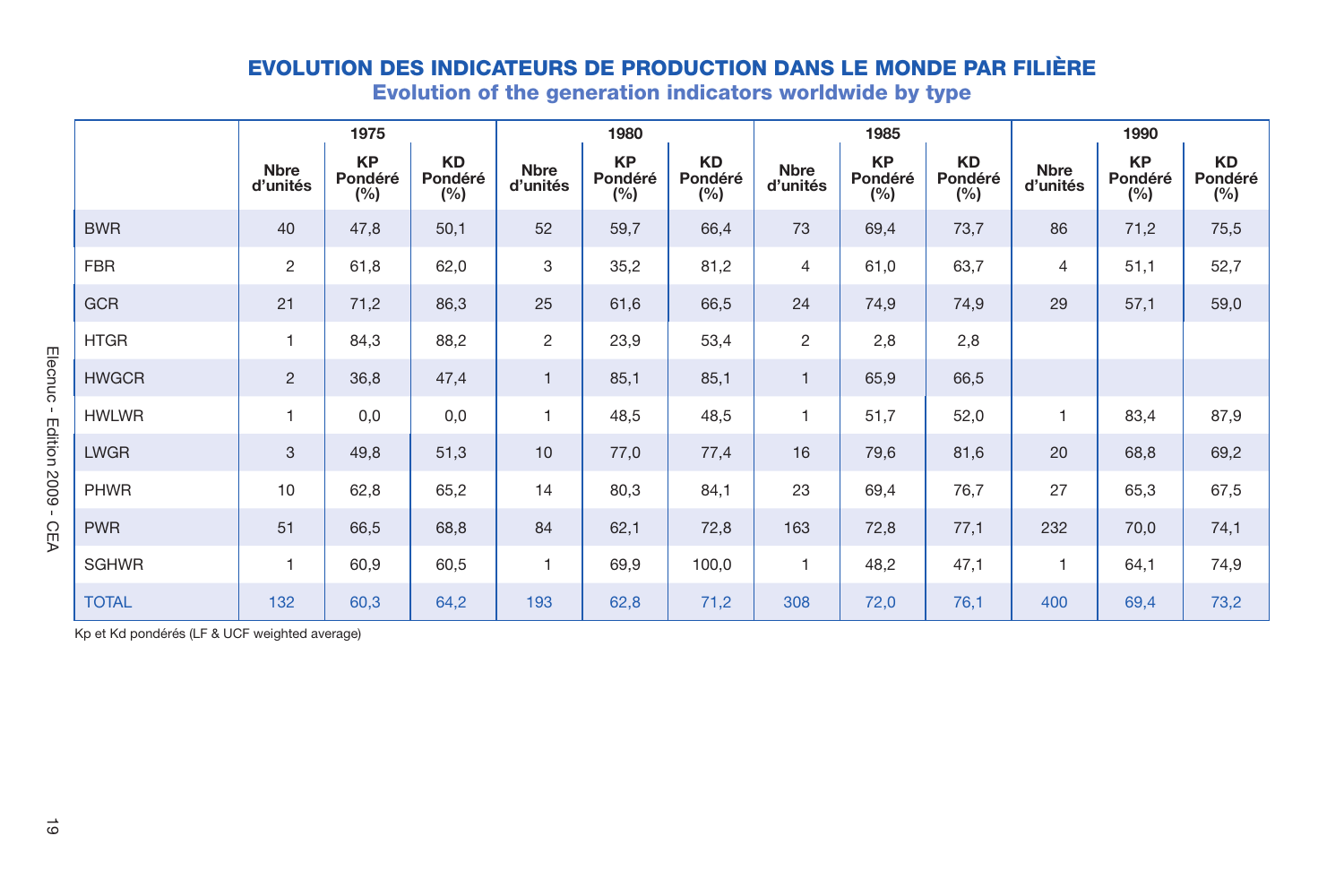|                                               |                         | 1975                        |                             |                         | 1980                        |                             |                         | 1985                        |                             |                         | 1990                        |                             |
|-----------------------------------------------|-------------------------|-----------------------------|-----------------------------|-------------------------|-----------------------------|-----------------------------|-------------------------|-----------------------------|-----------------------------|-------------------------|-----------------------------|-----------------------------|
|                                               | <b>Nbre</b><br>d'unités | <b>KP</b><br>Pondéré<br>(%) | <b>KD</b><br>Pondéré<br>(%) | <b>Nbre</b><br>d'unités | <b>KP</b><br>Pondéré<br>(%) | <b>KD</b><br>Pondéré<br>(%) | <b>Nbre</b><br>d'unités | <b>KP</b><br>Pondéré<br>(%) | <b>KD</b><br>Pondéré<br>(%) | <b>Nbre</b><br>d'unités | <b>KP</b><br>Pondéré<br>(%) | <b>KD</b><br>Pondéré<br>(%) |
| <b>BWR</b>                                    | 40                      | 47,8                        | 50,1                        | 52                      | 59,7                        | 66,4                        | 73                      | 69,4                        | 73,7                        | 86                      | 71,2                        | 75,5                        |
| <b>FBR</b>                                    | $\overline{2}$          | 61,8                        | 62,0                        | 3                       | 35,2                        | 81,2                        | $\overline{4}$          | 61,0                        | 63,7                        | 4                       | 51,1                        | 52,7                        |
| <b>GCR</b>                                    | 21                      | 71,2                        | 86,3                        | 25                      | 61,6                        | 66,5                        | 24                      | 74,9                        | 74,9                        | 29                      | 57,1                        | 59,0                        |
| <b>HTGR</b>                                   | 1                       | 84,3                        | 88,2                        | 2                       | 23,9                        | 53,4                        | $\overline{c}$          | 2,8                         | 2,8                         |                         |                             |                             |
| <b>HWGCR</b>                                  | $\overline{2}$          | 36,8                        | 47,4                        | $\mathbf{1}$            | 85,1                        | 85,1                        | $\mathbf{1}$            | 65,9                        | 66,5                        |                         |                             |                             |
| <b>HWLWR</b>                                  | 1                       | 0,0                         | 0,0                         | 1                       | 48,5                        | 48,5                        | 1                       | 51,7                        | 52,0                        | $\mathbf{1}$            | 83,4                        | 87,9                        |
| <b>LWGR</b>                                   | 3                       | 49,8                        | 51,3                        | 10                      | 77,0                        | 77,4                        | 16                      | 79,6                        | 81,6                        | 20                      | 68,8                        | 69,2                        |
| <b>PHWR</b>                                   | 10                      | 62,8                        | 65,2                        | 14                      | 80,3                        | 84,1                        | 23                      | 69,4                        | 76,7                        | 27                      | 65,3                        | 67,5                        |
| <b>PWR</b>                                    | 51                      | 66,5                        | 68,8                        | 84                      | 62,1                        | 72,8                        | 163                     | 72,8                        | 77,1                        | 232                     | 70,0                        | 74,1                        |
| SGHWR                                         | $\mathbf{1}$            | 60,9                        | 60,5                        | $\mathbf{1}$            | 69,9                        | 100,0                       | $\mathbf{1}$            | 48,2                        | 47,1                        | $\mathbf{1}$            | 64,1                        | 74,9                        |
| <b>TOTAL</b>                                  | 132                     | 60,3                        | 64,2                        | 193                     | 62,8                        | 71,2                        | 308                     | 72,0                        | 76,1                        | 400                     | 69,4                        | 73,2                        |
| Kp et Kd pondérés (LF & UCF weighted average) |                         |                             |                             |                         |                             |                             |                         |                             |                             |                         |                             |                             |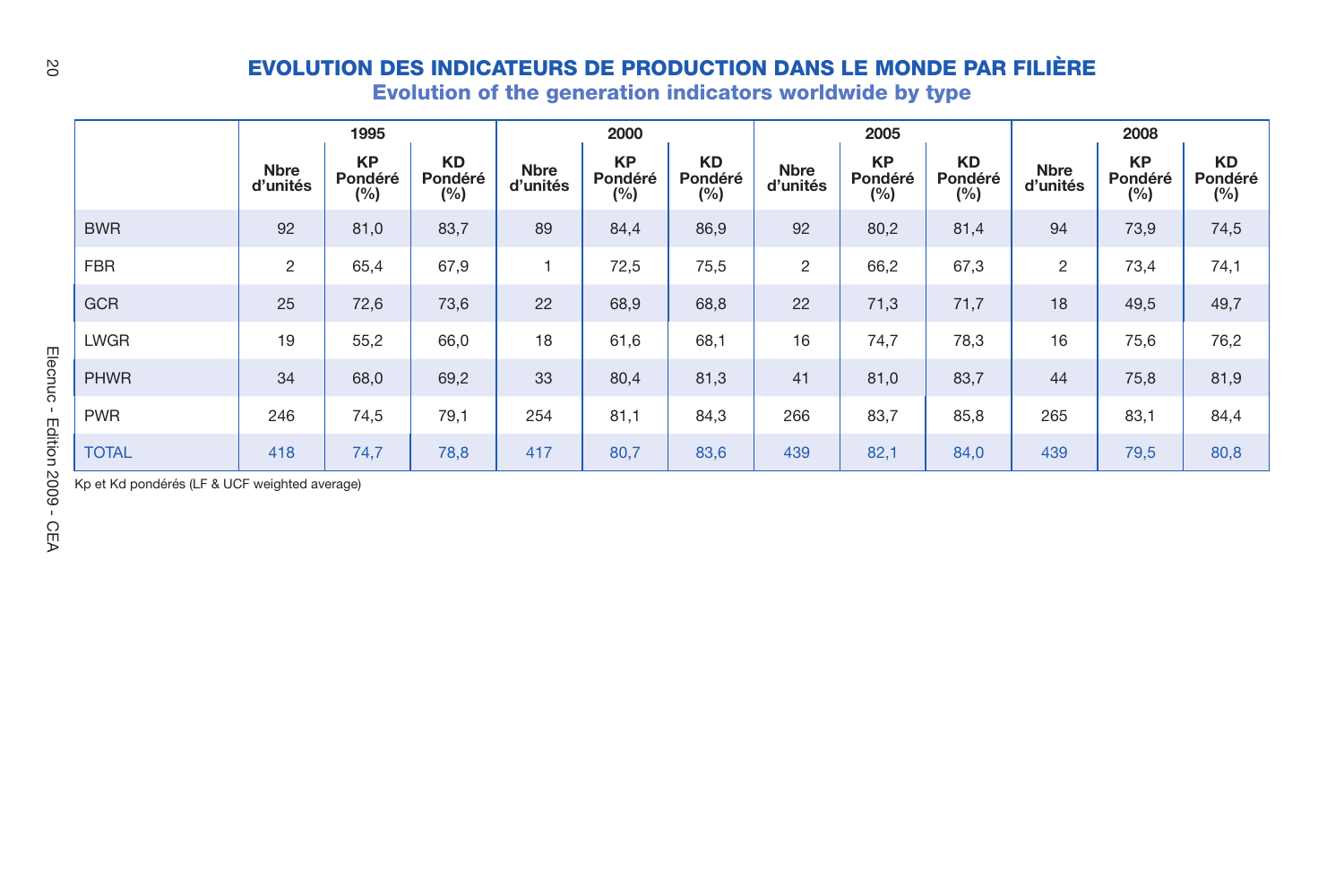|                            |                         | 1995                        |                             |                         | 2000                        |                             |                         | 2005                        |                             |                         | 2008                        |                             |
|----------------------------|-------------------------|-----------------------------|-----------------------------|-------------------------|-----------------------------|-----------------------------|-------------------------|-----------------------------|-----------------------------|-------------------------|-----------------------------|-----------------------------|
|                            | <b>Nbre</b><br>d'unités | <b>KP</b><br>Pondéré<br>(%) | <b>KD</b><br>Pondéré<br>(%) | <b>Nbre</b><br>d'unités | <b>KP</b><br>Pondéré<br>(%) | <b>KD</b><br>Pondéré<br>(%) | <b>Nbre</b><br>d'unités | <b>KP</b><br>Pondéré<br>(%) | <b>KD</b><br>Pondéré<br>(%) | <b>Nbre</b><br>d'unités | <b>KP</b><br>Pondéré<br>(%) | <b>KD</b><br>Pondéré<br>(%) |
| <b>BWR</b>                 | 92                      | 81,0                        | 83,7                        | 89                      | 84,4                        | 86,9                        | 92                      | 80,2                        | 81,4                        | 94                      | 73,9                        | 74,5                        |
| <b>FBR</b>                 | $\overline{2}$          | 65,4                        | 67,9                        | 1                       | 72,5                        | 75,5                        | $\overline{c}$          | 66,2                        | 67,3                        | $\overline{c}$          | 73,4                        | 74,1                        |
| <b>GCR</b>                 | 25                      | 72,6                        | 73,6                        | 22                      | 68,9                        | 68,8                        | 22                      | 71,3                        | 71,7                        | 18                      | 49,5                        | 49,7                        |
| <b>LWGR</b>                | 19                      | 55,2                        | 66,0                        | 18                      | 61,6                        | 68,1                        | 16                      | 74,7                        | 78,3                        | 16                      | 75,6                        | 76,2                        |
| Elecnuc<br><b>PHWR</b>     | 34                      | 68,0                        | 69,2                        | 33                      | 80,4                        | 81,3                        | 41                      | 81,0                        | 83,7                        | 44                      | 75,8                        | 81,9                        |
| $\mathbf{I}$<br><b>PWR</b> | 246                     | 74,5                        | 79,1                        | 254                     | 81,1                        | 84,3                        | 266                     | 83,7                        | 85,8                        | 265                     | 83,1                        | 84,4                        |
| Edition<br><b>TOTAL</b>    | 418                     | 74,7                        | 78,8                        | 417                     | 80,7                        | 83,6                        | 439                     | 82,1                        | 84,0                        | 439                     | 79,5                        | 80,8                        |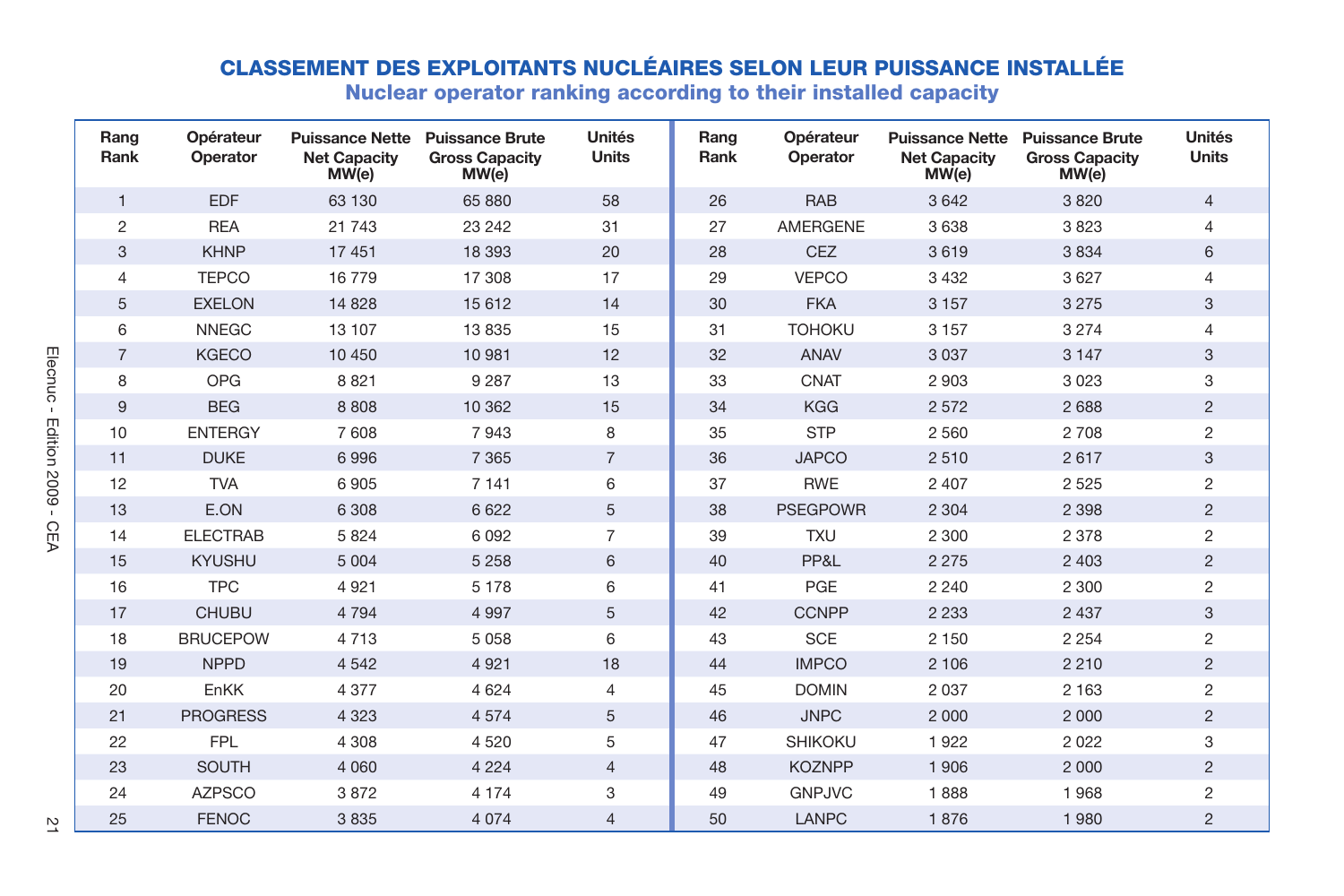|                |                |                       |                              | <b>CLASSEMENT DES EXPLOITANTS NUCLÉAIRES SELON LEUR PUISSANCE INSTALLÉE</b><br>Nuclear operator ranking according to their installed capacity |                        |              |                       |                              |                                                                   |                        |
|----------------|----------------|-----------------------|------------------------------|-----------------------------------------------------------------------------------------------------------------------------------------------|------------------------|--------------|-----------------------|------------------------------|-------------------------------------------------------------------|------------------------|
|                | Rang<br>Rank   | Opérateur<br>Operator | <b>Net Capacity</b><br>MW(e) | Puissance Nette Puissance Brute<br><b>Gross Capacity</b><br>MW(e)                                                                             | Unités<br><b>Units</b> | Rang<br>Rank | Opérateur<br>Operator | <b>Net Capacity</b><br>MW(e) | Puissance Nette Puissance Brute<br><b>Gross Capacity</b><br>MW(e) | Unités<br><b>Units</b> |
|                | $\mathbf{1}$   | <b>EDF</b>            | 63 130                       | 65 880                                                                                                                                        | 58                     | 26           | <b>RAB</b>            | 3642                         | 3820                                                              | $\overline{4}$         |
|                | $\mathfrak{p}$ | <b>REA</b>            | 21 743                       | 23 24 2                                                                                                                                       | 31                     | 27           | <b>AMERGENE</b>       | 3638                         | 3823                                                              | 4                      |
|                | 3              | <b>KHNP</b>           | 17 451                       | 18 3 9 3                                                                                                                                      | 20                     | 28           | <b>CEZ</b>            | 3619                         | 3834                                                              | 6                      |
|                | $\overline{4}$ | <b>TEPCO</b>          | 16779                        | 17 308                                                                                                                                        | 17                     | 29           | <b>VEPCO</b>          | 3 4 3 2                      | 3 6 27                                                            | 4                      |
|                | 5              | <b>EXELON</b>         | 14 8 28                      | 15 6 12                                                                                                                                       | 14                     | 30           | <b>FKA</b>            | 3 1 5 7                      | 3 2 7 5                                                           | 3                      |
|                | 6              | <b>NNEGC</b>          | 13 107                       | 13835                                                                                                                                         | 15                     | 31           | <b>TOHOKU</b>         | 3 1 5 7                      | 3 2 7 4                                                           | 4                      |
|                | $\overline{7}$ | <b>KGECO</b>          | 10 450                       | 10 981                                                                                                                                        | 12                     | 32           | <b>ANAV</b>           | 3 0 3 7                      | 3 1 4 7                                                           | 3                      |
| Elecnuc        | 8              | <b>OPG</b>            | 8821                         | 9 2 8 7                                                                                                                                       | 13                     | 33           | CNAT                  | 2 9 0 3                      | 3 0 2 3                                                           | 3                      |
|                | 9              | <b>BEG</b>            | 8808                         | 10 362                                                                                                                                        | 15                     | 34           | <b>KGG</b>            | 2 5 7 2                      | 2 6 8 8                                                           | $\overline{2}$         |
| Edition 2009 - | 10             | <b>ENTERGY</b>        | 7608                         | 7943                                                                                                                                          | 8                      | 35           | <b>STP</b>            | 2 5 6 0                      | 2 708                                                             | $\overline{c}$         |
|                | 11             | <b>DUKE</b>           | 6996                         | 7 3 6 5                                                                                                                                       | $\overline{7}$         | 36           | <b>JAPCO</b>          | 2510                         | 2617                                                              | 3                      |
|                | 12             | <b>TVA</b>            | 6905                         | 7 1 4 1                                                                                                                                       | 6                      | 37           | <b>RWE</b>            | 2 4 0 7                      | 2 5 2 5                                                           | $\overline{2}$         |
|                | 13             | E.ON                  | 6 3 0 8                      | 6 6 22                                                                                                                                        | 5                      | 38           | <b>PSEGPOWR</b>       | 2 3 0 4                      | 2 3 9 8                                                           | $\overline{2}$         |
| <b>CEA</b>     | 14             | <b>ELECTRAB</b>       | 5 8 2 4                      | 6092                                                                                                                                          | $\overline{7}$         | 39           | <b>TXU</b>            | 2 3 0 0                      | 2 3 7 8                                                           | $\overline{c}$         |
|                | 15             | <b>KYUSHU</b>         | 5 0 0 4                      | 5 2 5 8                                                                                                                                       | 6                      | 40           | PP&L                  | 2 2 7 5                      | 2 4 0 3                                                           | $\overline{2}$         |
|                | 16             | <b>TPC</b>            | 4 9 21                       | 5 1 7 8                                                                                                                                       | 6                      | 41           | PGE                   | 2 2 4 0                      | 2 3 0 0                                                           | $\overline{c}$         |
|                | 17             | <b>CHUBU</b>          | 4 7 9 4                      | 4 9 9 7                                                                                                                                       | 5                      | 42           | <b>CCNPP</b>          | 2 2 3 3                      | 2 4 3 7                                                           | 3                      |
|                | 18             | <b>BRUCEPOW</b>       | 4 7 1 3                      | 5058                                                                                                                                          | 6                      | 43           | <b>SCE</b>            | 2 1 5 0                      | 2 2 5 4                                                           | $\overline{c}$         |
|                | 19             | <b>NPPD</b>           | 4 5 4 2                      | 4 9 2 1                                                                                                                                       | 18                     | 44           | <b>IMPCO</b>          | 2 10 6                       | 2 2 1 0                                                           | $\overline{2}$         |
|                | 20             | EnKK                  | 4 3 7 7                      | 4 6 2 4                                                                                                                                       | 4                      | 45           | <b>DOMIN</b>          | 2 0 3 7                      | 2 1 6 3                                                           | $\overline{2}$         |
|                | 21             | <b>PROGRESS</b>       | 4 3 2 3                      | 4574                                                                                                                                          | 5                      | 46           | <b>JNPC</b>           | 2 0 0 0                      | 2 0 0 0                                                           | $\overline{2}$         |
|                | 22             | <b>FPL</b>            | 4 3 0 8                      | 4520                                                                                                                                          | 5                      | 47           | <b>SHIKOKU</b>        | 1922                         | 2 0 2 2                                                           | 3                      |
|                | 23             | <b>SOUTH</b>          | 4 0 6 0                      | 4 2 2 4                                                                                                                                       | $\overline{4}$         | 48           | <b>KOZNPP</b>         | 1906                         | 2 0 0 0                                                           | $\overline{2}$         |
|                | 24             | <b>AZPSCO</b>         | 3872                         | 4 1 7 4                                                                                                                                       | 3                      | 49           | <b>GNPJVC</b>         | 1888                         | 1968                                                              | $\overline{c}$         |
| Z              | 25             | <b>FENOC</b>          | 3835                         | 4 0 7 4                                                                                                                                       | 4                      | 50           | LANPC                 | 1876                         | 1980                                                              | $\overline{2}$         |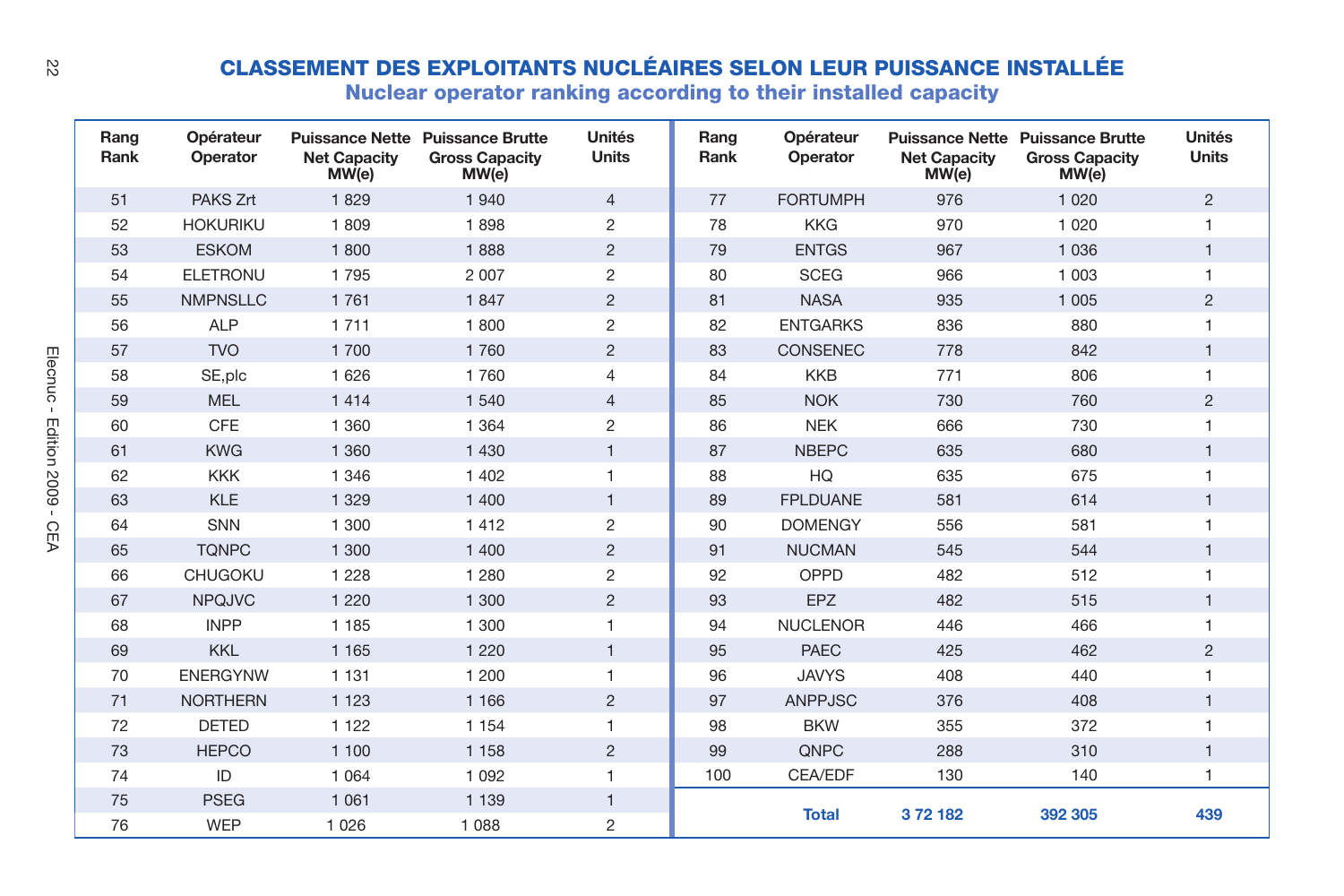| ß            |              |                       |                              | <b>CLASSEMENT DES EXPLOITANTS NUCLÉAIRES SELON LEUR PUISSANCE INSTALLÉE</b><br>Nuclear operator ranking according to their installed capacity |                        |              |                       |                              |                                                                    |                        |
|--------------|--------------|-----------------------|------------------------------|-----------------------------------------------------------------------------------------------------------------------------------------------|------------------------|--------------|-----------------------|------------------------------|--------------------------------------------------------------------|------------------------|
|              | Rang<br>Rank | Opérateur<br>Operator | <b>Net Capacity</b><br>MW(e) | Puissance Nette Puissance Brutte<br><b>Gross Capacity</b><br>MW(e)                                                                            | Unités<br><b>Units</b> | Rang<br>Rank | Opérateur<br>Operator | <b>Net Capacity</b><br>MW(e) | Puissance Nette Puissance Brutte<br><b>Gross Capacity</b><br>MW(e) | Unités<br><b>Units</b> |
|              | 51           | PAKS Zrt              | 1829                         | 1 940                                                                                                                                         | $\overline{4}$         | 77           | <b>FORTUMPH</b>       | 976                          | 1 0 2 0                                                            | $\overline{2}$         |
|              | 52           | <b>HOKURIKU</b>       | 1809                         | 1898                                                                                                                                          | 2                      | 78           | <b>KKG</b>            | 970                          | 1 0 2 0                                                            | $\mathbf{1}$           |
|              | 53           | <b>ESKOM</b>          | 1800                         | 1888                                                                                                                                          | $\overline{2}$         | 79           | <b>ENTGS</b>          | 967                          | 1 0 3 6                                                            | $\mathbf{1}$           |
|              | 54           | <b>ELETRONU</b>       | 1795                         | 2 0 0 7                                                                                                                                       | $\overline{2}$         | 80           | <b>SCEG</b>           | 966                          | 1 0 0 3                                                            |                        |
|              | 55           | <b>NMPNSLLC</b>       | 1761                         | 1847                                                                                                                                          | $\overline{2}$         | 81           | <b>NASA</b>           | 935                          | 1 0 0 5                                                            | $\overline{2}$         |
|              | 56           | <b>ALP</b>            | 1711                         | 1800                                                                                                                                          | $\overline{2}$         | 82           | <b>ENTGARKS</b>       | 836                          | 880                                                                | $\mathbf{1}$           |
|              | 57           | <b>TVO</b>            | 1700                         | 1760                                                                                                                                          | $\overline{2}$         | 83           | <b>CONSENEC</b>       | 778                          | 842                                                                | $\mathbf{1}$           |
| Elecnuc      | 58           | SE, plc               | 1 6 2 6                      | 1760                                                                                                                                          | $\overline{4}$         | 84           | <b>KKB</b>            | 771                          | 806                                                                | $\mathbf{1}$           |
| $\mathbf{r}$ | 59           | <b>MEL</b>            | 1414                         | 1 5 4 0                                                                                                                                       | $\overline{4}$         | 85           | <b>NOK</b>            | 730                          | 760                                                                | $\overline{2}$         |
|              | 60           | CFE                   | 1 3 6 0                      | 1 3 6 4                                                                                                                                       | $\overline{c}$         | 86           | <b>NEK</b>            | 666                          | 730                                                                | 1                      |
| Edition 2009 | 61           | <b>KWG</b>            | 1 3 6 0                      | 1 4 3 0                                                                                                                                       | $\mathbf{1}$           | 87           | <b>NBEPC</b>          | 635                          | 680                                                                | $\mathbf{1}$           |
|              | 62           | <b>KKK</b>            | 1 3 4 6                      | 1 4 0 2                                                                                                                                       | $\mathbf{1}$           | 88           | HQ                    | 635                          | 675                                                                | $\mathbf{1}$           |
|              | 63           | <b>KLE</b>            | 1 3 2 9                      | 1 400                                                                                                                                         | $\mathbf{1}$           | 89           | <b>FPLDUANE</b>       | 581                          | 614                                                                | $\mathbf{1}$           |
| CEA          | 64           | SNN                   | 1 300                        | 1412                                                                                                                                          | $\overline{2}$         | 90           | <b>DOMENGY</b>        | 556                          | 581                                                                |                        |
|              | 65           | <b>TONPC</b>          | 1 300                        | 1 400                                                                                                                                         | $\overline{2}$         | 91           | <b>NUCMAN</b>         | 545                          | 544                                                                | $\mathbf{1}$           |
|              | 66           | <b>CHUGOKU</b>        | 1 2 2 8                      | 1 2 8 0                                                                                                                                       | $\overline{c}$         | 92           | OPPD                  | 482                          | 512                                                                | $\mathbf{1}$           |
|              | 67           | <b>NPQJVC</b>         | 1 2 2 0                      | 1 300                                                                                                                                         | $\overline{c}$         | 93           | EPZ                   | 482                          | 515                                                                | $\mathbf{1}$           |
|              | 68           | <b>INPP</b>           | 1 1 8 5                      | 1 300                                                                                                                                         | $\mathbf{1}$           | 94           | <b>NUCLENOR</b>       | 446                          | 466                                                                | 1                      |
|              | 69           | <b>KKL</b>            | 1 1 6 5                      | 1 2 2 0                                                                                                                                       | $\mathbf{1}$           | 95           | <b>PAEC</b>           | 425                          | 462                                                                | $\overline{2}$         |
|              | 70           | <b>ENERGYNW</b>       | 1 1 3 1                      | 1 200                                                                                                                                         | 1                      | 96           | <b>JAVYS</b>          | 408                          | 440                                                                | 1                      |
|              | 71           | <b>NORTHERN</b>       | 1 1 2 3                      | 1 1 6 6                                                                                                                                       | $\overline{2}$         | 97           | <b>ANPPJSC</b>        | 376                          | 408                                                                | $\mathbf{1}$           |
|              | 72           | <b>DETED</b>          | 1 1 2 2                      | 1 1 5 4                                                                                                                                       | $\mathbf{1}$           | 98           | <b>BKW</b>            | 355                          | 372                                                                | $\mathbf{1}$           |
|              | 73           | <b>HEPCO</b>          | 1 100                        | 1 1 5 8                                                                                                                                       | $\overline{2}$         | 99           | QNPC                  | 288                          | 310                                                                | $\mathbf{1}$           |
|              | 74           | ID                    | 1 0 6 4                      | 1 0 9 2                                                                                                                                       | 1                      | 100          | CEA/EDF               | 130                          | 140                                                                | $\mathbf{1}$           |
|              | 75           | <b>PSEG</b>           | 1 0 6 1                      | 1 1 3 9                                                                                                                                       | $\mathbf{1}$           |              |                       |                              |                                                                    |                        |
|              | 76           | <b>WEP</b>            | 1 0 2 6                      | 1 0 8 8                                                                                                                                       | $\overline{2}$         |              | <b>Total</b>          | 372182                       | 392 305                                                            | 439                    |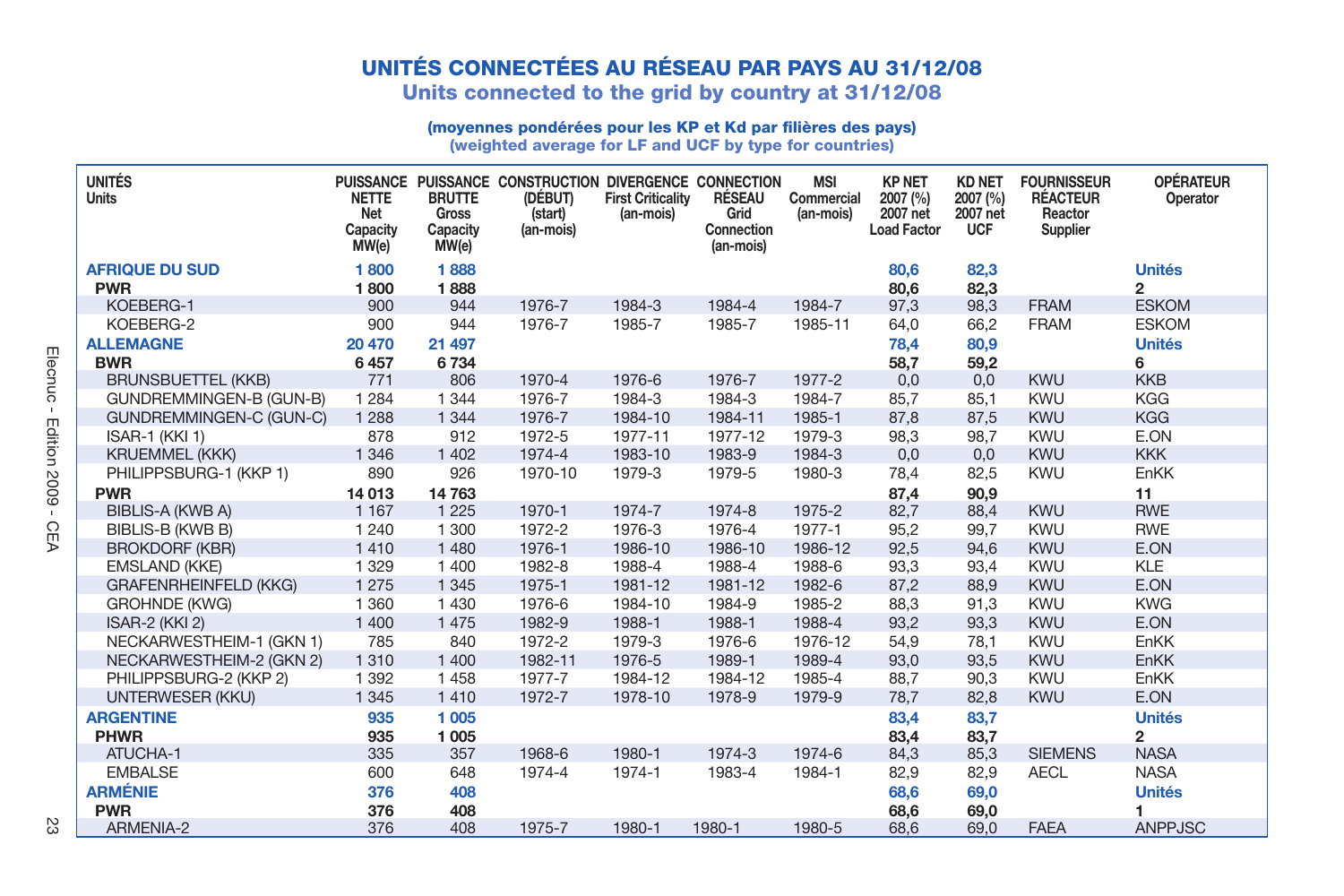### **UNITÉS CONNECTÉES AU RÉSEAU PAR PAYS AU 31/12/08**

**Units connected to the grid by country at 31/12/08**

### **(moyennes pondérées pour les KP et Kd par fi lières des pays)**

**(weighted average for LF and UCF by type for countries)**

| <b>UNITÉS</b><br><b>Units</b>       | <b>NETTE</b><br>Net<br>Capacity<br>MW(e) | <b>BRUTTE</b><br><b>Gross</b><br>Capacity<br>MW(e) | PUISSANCE PUISSANCE CONSTRUCTION DIVERGENCE CONNECTION<br>(DÉBUT)<br>(start)<br>(an-mois) | <b>First Criticality</b><br>(an-mois) | <b>RÉSEAU</b><br>Grid<br>Connection<br>(an-mois) | <b>MSI</b><br>Commercial<br>(an-mois) | <b>KP NET</b><br>2007 (%)<br>2007 net<br><b>Load Factor</b> | <b>KD NET</b><br>2007 (%)<br>2007 net<br><b>UCF</b> | <b>FOURNISSEUR</b><br><b>RÉACTEUR</b><br>Reactor<br>Supplier | <b>OPÉRATEUR</b><br>Operator |
|-------------------------------------|------------------------------------------|----------------------------------------------------|-------------------------------------------------------------------------------------------|---------------------------------------|--------------------------------------------------|---------------------------------------|-------------------------------------------------------------|-----------------------------------------------------|--------------------------------------------------------------|------------------------------|
| <b>AFRIQUE DU SUD</b><br><b>PWR</b> | 1800                                     | 1888                                               |                                                                                           |                                       |                                                  |                                       | 80.6                                                        | 82,3                                                |                                                              | <b>Unités</b>                |
| KOEBERG-1                           | 1800<br>900                              | 1888<br>944                                        | 1976-7                                                                                    | 1984-3                                | 1984-4                                           | 1984-7                                | 80,6<br>97,3                                                | 82,3<br>98,3                                        | <b>FRAM</b>                                                  | 2<br><b>ESKOM</b>            |
| KOEBERG-2                           | 900                                      | 944                                                | 1976-7                                                                                    | 1985-7                                | 1985-7                                           | 1985-11                               | 64.0                                                        | 66.2                                                | <b>FRAM</b>                                                  | <b>ESKOM</b>                 |
| <b>ALLEMAGNE</b>                    | 20 470                                   | 21 497                                             |                                                                                           |                                       |                                                  |                                       | 78.4                                                        | 80,9                                                |                                                              | <b>Unités</b>                |
| <b>BWR</b>                          | 6457                                     | 6734                                               |                                                                                           |                                       |                                                  |                                       | 58,7                                                        | 59,2                                                |                                                              | 6                            |
| <b>BRUNSBUETTEL (KKB)</b>           | 771                                      | 806                                                | 1970-4                                                                                    | 1976-6                                | 1976-7                                           | 1977-2                                | 0,0                                                         | 0,0                                                 | <b>KWU</b>                                                   | <b>KKB</b>                   |
| GUNDREMMINGEN-B (GUN-B)             | 1 2 8 4                                  | 1 3 4 4                                            | 1976-7                                                                                    | 1984-3                                | 1984-3                                           | 1984-7                                | 85.7                                                        | 85,1                                                | <b>KWU</b>                                                   | <b>KGG</b>                   |
| GUNDREMMINGEN-C (GUN-C)             | 1 2 8 8                                  | 1 3 4 4                                            | 1976-7                                                                                    | 1984-10                               | 1984-11                                          | 1985-1                                | 87,8                                                        | 87,5                                                | <b>KWU</b>                                                   | <b>KGG</b>                   |
| ISAR-1 (KKI 1)                      | 878                                      | 912                                                | 1972-5                                                                                    | 1977-11                               | 1977-12                                          | 1979-3                                | 98,3                                                        | 98,7                                                | <b>KWU</b>                                                   | E.ON                         |
| <b>KRUEMMEL (KKK)</b>               | 1 3 4 6                                  | 1 4 0 2                                            | 1974-4                                                                                    | 1983-10                               | 1983-9                                           | 1984-3                                | 0,0                                                         | 0,0                                                 | KWU                                                          | <b>KKK</b>                   |
| PHILIPPSBURG-1 (KKP 1)              | 890                                      | 926                                                | 1970-10                                                                                   | 1979-3                                | 1979-5                                           | 1980-3                                | 78.4                                                        | 82,5                                                | <b>KWU</b>                                                   | EnKK                         |
| <b>PWR</b>                          | 14 013                                   | 14763                                              |                                                                                           |                                       |                                                  |                                       | 87,4                                                        | 90,9                                                |                                                              | 11                           |
| <b>BIBLIS-A (KWB A)</b>             | 1 1 6 7                                  | 1 2 2 5                                            | 1970-1                                                                                    | 1974-7                                | 1974-8                                           | 1975-2                                | 82,7                                                        | 88,4                                                | <b>KWU</b>                                                   | <b>RWE</b>                   |
| BIBLIS-B (KWB B)                    | 1 2 4 0                                  | 1 300                                              | 1972-2                                                                                    | 1976-3                                | 1976-4                                           | 1977-1                                | 95.2                                                        | 99.7                                                | <b>KWU</b>                                                   | <b>RWE</b>                   |
| <b>BROKDORF (KBR)</b>               | 1410                                     | 1 4 8 0                                            | 1976-1                                                                                    | 1986-10                               | 1986-10                                          | 1986-12                               | 92,5                                                        | 94,6                                                | <b>KWU</b>                                                   | E.ON                         |
| <b>EMSLAND (KKE)</b>                | 1 3 2 9                                  | 1 400                                              | 1982-8                                                                                    | 1988-4                                | 1988-4                                           | 1988-6                                | 93,3                                                        | 93,4                                                | <b>KWU</b>                                                   | <b>KLE</b>                   |
| <b>GRAFENRHEINFELD (KKG)</b>        | 1 2 7 5                                  | 1 3 4 5                                            | 1975-1                                                                                    | 1981-12                               | 1981-12                                          | 1982-6                                | 87,2                                                        | 88,9                                                | <b>KWU</b>                                                   | E.ON                         |
| <b>GROHNDE (KWG)</b>                | 1 3 6 0                                  | 1 4 3 0                                            | 1976-6                                                                                    | 1984-10                               | 1984-9                                           | 1985-2                                | 88.3                                                        | 91,3                                                | <b>KWU</b>                                                   | <b>KWG</b>                   |
| ISAR-2 (KKI 2)                      | 1 400                                    | 1 4 7 5                                            | 1982-9                                                                                    | 1988-1                                | 1988-1                                           | 1988-4                                | 93,2                                                        | 93,3                                                | <b>KWU</b>                                                   | E.ON                         |
| NECKARWESTHEIM-1 (GKN 1)            | 785                                      | 840                                                | 1972-2                                                                                    | 1979-3                                | 1976-6                                           | 1976-12                               | 54.9                                                        | 78,1                                                | <b>KWU</b>                                                   | EnKK                         |
| NECKARWESTHEIM-2 (GKN 2)            | 1 3 1 0                                  | 1 400                                              | 1982-11                                                                                   | 1976-5                                | 1989-1                                           | 1989-4                                | 93,0                                                        | 93,5                                                | <b>KWU</b>                                                   | EnKK                         |
| PHILIPPSBURG-2 (KKP 2)              | 1 3 9 2                                  | 1458                                               | 1977-7                                                                                    | 1984-12                               | 1984-12                                          | 1985-4                                | 88.7                                                        | 90,3                                                | <b>KWU</b>                                                   | EnKK                         |
| UNTERWESER (KKU)                    | 1 3 4 5                                  | 1410                                               | 1972-7                                                                                    | 1978-10                               | 1978-9                                           | 1979-9                                | 78,7                                                        | 82,8                                                | <b>KWU</b>                                                   | E.ON                         |
| <b>ARGENTINE</b>                    | 935                                      | 1 0 0 5                                            |                                                                                           |                                       |                                                  |                                       | 83.4                                                        | 83.7                                                |                                                              | <b>Unités</b>                |
| <b>PHWR</b>                         | 935                                      | 1 0 0 5                                            |                                                                                           |                                       |                                                  |                                       | 83,4                                                        | 83,7                                                |                                                              | 2                            |
| ATUCHA-1                            | 335                                      | 357                                                | 1968-6                                                                                    | 1980-1                                | 1974-3                                           | 1974-6                                | 84,3                                                        | 85,3                                                | <b>SIEMENS</b>                                               | <b>NASA</b>                  |
| <b>EMBALSE</b>                      | 600                                      | 648                                                | 1974-4                                                                                    | 1974-1                                | 1983-4                                           | 1984-1                                | 82,9                                                        | 82,9                                                | <b>AECL</b>                                                  | <b>NASA</b>                  |
| <b>ARMÉNIE</b>                      | 376                                      | 408                                                |                                                                                           |                                       |                                                  |                                       | 68,6                                                        | 69,0                                                |                                                              | <b>Unités</b>                |
| <b>PWR</b>                          | 376                                      | 408                                                |                                                                                           |                                       |                                                  |                                       | 68,6                                                        | 69,0                                                |                                                              | 1                            |
| ARMENIA-2                           | 376                                      | 408                                                | 1975-7                                                                                    | 1980-1                                | 1980-1                                           | 1980-5                                | 68,6                                                        | 69,0                                                | <b>FAEA</b>                                                  | <b>ANPPJSC</b>               |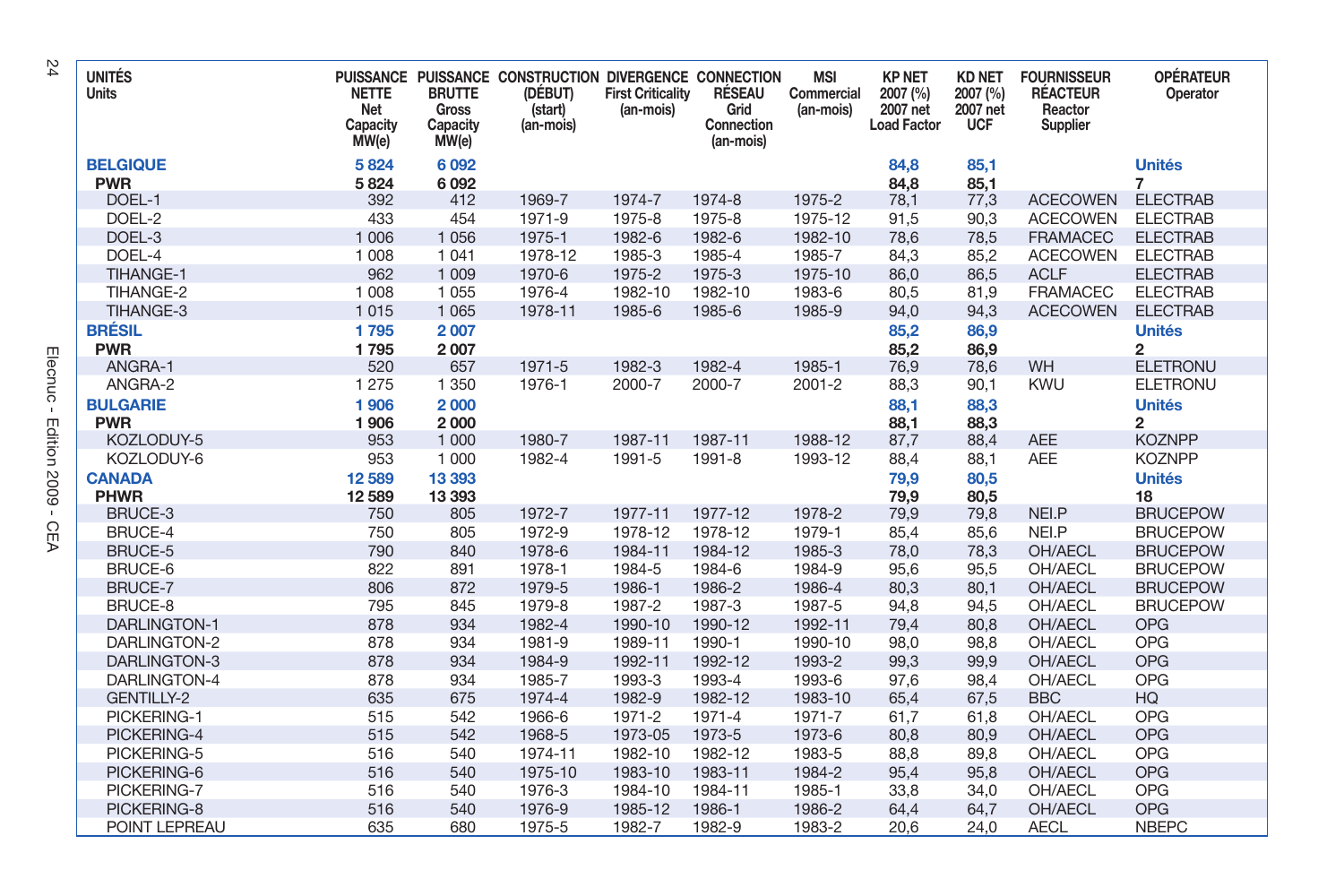| <b>UNITÉS</b><br>Units        | <b>NETTE</b><br>Net<br>Capacity<br>MW(e) | <b>BRUTTE</b><br><b>Gross</b><br>Capacity<br>MW(e) | PUISSANCE PUISSANCE CONSTRUCTION DIVERGENCE CONNECTION<br>(DÉBUT)<br>(start)<br>(an-mois) | <b>First Criticality</b><br>(an-mois) | RÉSEAU<br>Grid<br>Connection<br>(an-mois) | <b>MSI</b><br>Commercial<br>(an-mois) | <b>KP NET</b><br>2007 (%)<br>2007 net<br><b>Load Factor</b> | <b>KD NET</b><br>2007 (%)<br>2007 net<br><b>UCF</b> | <b>FOURNISSEUR</b><br><b>RÉACTEUR</b><br>Reactor<br>Supplier | <b>OPÉRATEUR</b><br>Operator    |
|-------------------------------|------------------------------------------|----------------------------------------------------|-------------------------------------------------------------------------------------------|---------------------------------------|-------------------------------------------|---------------------------------------|-------------------------------------------------------------|-----------------------------------------------------|--------------------------------------------------------------|---------------------------------|
| <b>BELGIQUE</b><br><b>PWR</b> | 5824<br>5824                             | 6092<br>6092                                       |                                                                                           |                                       |                                           |                                       | 84,8<br>84,8                                                | 85,1<br>85,1                                        |                                                              | <b>Unités</b><br>$\overline{7}$ |
| DOEL-1                        | 392                                      | 412                                                | 1969-7                                                                                    | 1974-7                                | 1974-8                                    | 1975-2                                | 78,1                                                        | 77,3                                                | <b>ACECOWEN</b>                                              | <b>ELECTRAB</b>                 |
| DOEL-2                        | 433                                      | 454                                                | 1971-9                                                                                    | 1975-8                                | 1975-8                                    | 1975-12                               | 91,5                                                        | 90,3                                                | <b>ACECOWEN</b>                                              | <b>ELECTRAB</b>                 |
| DOEL-3                        | 1 0 0 6                                  | 1 0 5 6                                            | 1975-1                                                                                    | 1982-6                                | 1982-6                                    | 1982-10                               | 78,6                                                        | 78,5                                                | <b>FRAMACEC</b>                                              | <b>ELECTRAB</b>                 |
| DOEL-4                        | 1 0 0 8                                  | 1 0 4 1                                            | 1978-12                                                                                   | 1985-3                                | 1985-4                                    | 1985-7                                | 84,3                                                        | 85,2                                                | <b>ACECOWEN</b>                                              | <b>ELECTRAB</b>                 |
| TIHANGE-1                     | 962                                      | 1 0 0 9                                            | 1970-6                                                                                    | 1975-2                                | 1975-3                                    | 1975-10                               | 86,0                                                        | 86,5                                                | <b>ACLF</b>                                                  | <b>ELECTRAB</b>                 |
| TIHANGE-2                     | 1 0 0 8                                  | 1 0 5 5                                            | 1976-4                                                                                    | 1982-10                               | 1982-10                                   | 1983-6                                | 80,5                                                        | 81,9                                                | <b>FRAMACEC</b>                                              | <b>ELECTRAB</b>                 |
| TIHANGE-3                     | 1015                                     | 1 0 6 5                                            | 1978-11                                                                                   | 1985-6                                | 1985-6                                    | 1985-9                                | 94,0                                                        | 94,3                                                | <b>ACECOWEN</b>                                              | <b>ELECTRAB</b>                 |
| <b>BRÉSIL</b>                 | 1795                                     | 2007                                               |                                                                                           |                                       |                                           |                                       | 85,2                                                        | 86,9                                                |                                                              | <b>Unités</b>                   |
| <b>PWR</b>                    | 1795                                     | 2007                                               |                                                                                           |                                       |                                           |                                       | 85,2                                                        | 86,9                                                |                                                              | $\overline{2}$                  |
| ANGRA-1                       | 520                                      | 657                                                | 1971-5                                                                                    | 1982-3                                | 1982-4                                    | 1985-1                                | 76,9                                                        | 78,6                                                | WH                                                           | <b>ELETRONU</b>                 |
| ANGRA-2                       | 1 2 7 5                                  | 1 3 5 0                                            | 1976-1                                                                                    | 2000-7                                | 2000-7                                    | $2001 - 2$                            | 88,3                                                        | 90,1                                                | <b>KWU</b>                                                   | <b>ELETRONU</b>                 |
| <b>BULGARIE</b>               | 1906                                     | 2000                                               |                                                                                           |                                       |                                           |                                       | 88,1                                                        | 88,3                                                |                                                              | <b>Unités</b>                   |
| <b>PWR</b>                    | 1906                                     | 2000                                               |                                                                                           |                                       |                                           |                                       | 88,1                                                        | 88,3                                                |                                                              | $\overline{2}$                  |
| KOZLODUY-5                    | 953                                      | 1 0 0 0                                            | 1980-7                                                                                    | 1987-11                               | 1987-11                                   | 1988-12                               | 87,7                                                        | 88,4                                                | <b>AEE</b>                                                   | <b>KOZNPP</b>                   |
| KOZLODUY-6                    | 953                                      | 1 000                                              | 1982-4                                                                                    | 1991-5                                | 1991-8                                    | 1993-12                               | 88,4                                                        | 88,1                                                | <b>AEE</b>                                                   | <b>KOZNPP</b>                   |
| <b>CANADA</b>                 | 12 5 89                                  | 13 393                                             |                                                                                           |                                       |                                           |                                       | 79,9                                                        | 80,5                                                |                                                              | <b>Unités</b>                   |
| <b>PHWR</b>                   | 12 5 89                                  | 13 3 9 3                                           |                                                                                           |                                       |                                           |                                       | 79,9                                                        | 80,5                                                |                                                              | 18                              |
| BRUCE-3                       | 750                                      | 805                                                | 1972-7                                                                                    | 1977-11                               | 1977-12                                   | 1978-2                                | 79,9                                                        | 79,8                                                | NEI.P                                                        | <b>BRUCEPOW</b>                 |
| BRUCE-4                       | 750                                      | 805                                                | 1972-9                                                                                    | 1978-12                               | 1978-12                                   | 1979-1                                | 85,4                                                        | 85,6                                                | NEI.P                                                        | <b>BRUCEPOW</b>                 |
| <b>BRUCE-5</b>                | 790                                      | 840                                                | 1978-6                                                                                    | 1984-11                               | 1984-12                                   | 1985-3                                | 78,0                                                        | 78,3                                                | OH/AECL                                                      | <b>BRUCEPOW</b>                 |
| BRUCE-6                       | 822                                      | 891                                                | 1978-1                                                                                    | 1984-5                                | 1984-6                                    | 1984-9                                | 95,6                                                        | 95,5                                                | OH/AECL                                                      | <b>BRUCEPOW</b>                 |
| BRUCE-7                       | 806                                      | 872                                                | 1979-5                                                                                    | 1986-1                                | 1986-2                                    | 1986-4                                | 80,3                                                        | 80,1                                                | OH/AECL                                                      | <b>BRUCEPOW</b>                 |
| BRUCE-8                       | 795                                      | 845                                                | 1979-8                                                                                    | 1987-2                                | 1987-3                                    | 1987-5                                | 94,8                                                        | 94,5                                                | OH/AECL                                                      | <b>BRUCEPOW</b>                 |
| <b>DARLINGTON-1</b>           | 878                                      | 934                                                | 1982-4                                                                                    | 1990-10                               | 1990-12                                   | 1992-11                               | 79,4                                                        | 80,8                                                | OH/AECL                                                      | <b>OPG</b>                      |
| DARLINGTON-2                  | 878                                      | 934                                                | 1981-9                                                                                    | 1989-11                               | 1990-1                                    | 1990-10                               | 98,0                                                        | 98,8                                                | OH/AECL                                                      | OPG                             |
| DARLINGTON-3                  | 878                                      | 934                                                | 1984-9                                                                                    | 1992-11                               | 1992-12                                   | 1993-2                                | 99.3                                                        | 99,9                                                | OH/AECL                                                      | <b>OPG</b>                      |
| DARLINGTON-4                  | 878                                      | 934                                                | 1985-7                                                                                    | 1993-3                                | 1993-4                                    | 1993-6                                | 97.6                                                        | 98.4                                                | OH/AECL                                                      | OPG                             |
| <b>GENTILLY-2</b>             | 635                                      | 675                                                | 1974-4                                                                                    | 1982-9                                | 1982-12                                   | 1983-10                               | 65,4                                                        | 67,5                                                | <b>BBC</b>                                                   | <b>HQ</b>                       |
| PICKERING-1                   | 515                                      | 542                                                | 1966-6                                                                                    | 1971-2                                | 1971-4                                    | 1971-7                                | 61,7                                                        | 61,8                                                | OH/AECL                                                      | OPG                             |
| PICKERING-4                   | 515                                      | 542                                                | 1968-5                                                                                    | 1973-05                               | 1973-5                                    | 1973-6                                | 80,8                                                        | 80,9                                                | OH/AECL                                                      | <b>OPG</b>                      |
| PICKERING-5                   | 516                                      | 540                                                | 1974-11                                                                                   | 1982-10                               | 1982-12                                   | 1983-5                                | 88,8                                                        | 89,8                                                | OH/AECL                                                      | OPG                             |
| PICKERING-6                   | 516                                      | 540                                                | 1975-10                                                                                   | 1983-10                               | 1983-11                                   | 1984-2                                | 95,4                                                        | 95,8                                                | OH/AECL                                                      | <b>OPG</b>                      |
| PICKERING-7                   | 516                                      | 540                                                | 1976-3                                                                                    | 1984-10                               | 1984-11                                   | 1985-1                                | 33,8                                                        | 34,0                                                | OH/AECL                                                      | OPG                             |
| PICKERING-8                   | 516                                      | 540                                                | 1976-9                                                                                    | 1985-12                               | 1986-1                                    | 1986-2                                | 64,4                                                        | 64,7                                                | OH/AECL                                                      | <b>OPG</b>                      |
| POINT LEPREAU                 | 635                                      | 680                                                | 1975-5                                                                                    | 1982-7                                | 1982-9                                    | 1983-2                                | 20,6                                                        | 24,0                                                | <b>AECL</b>                                                  | <b>NBEPC</b>                    |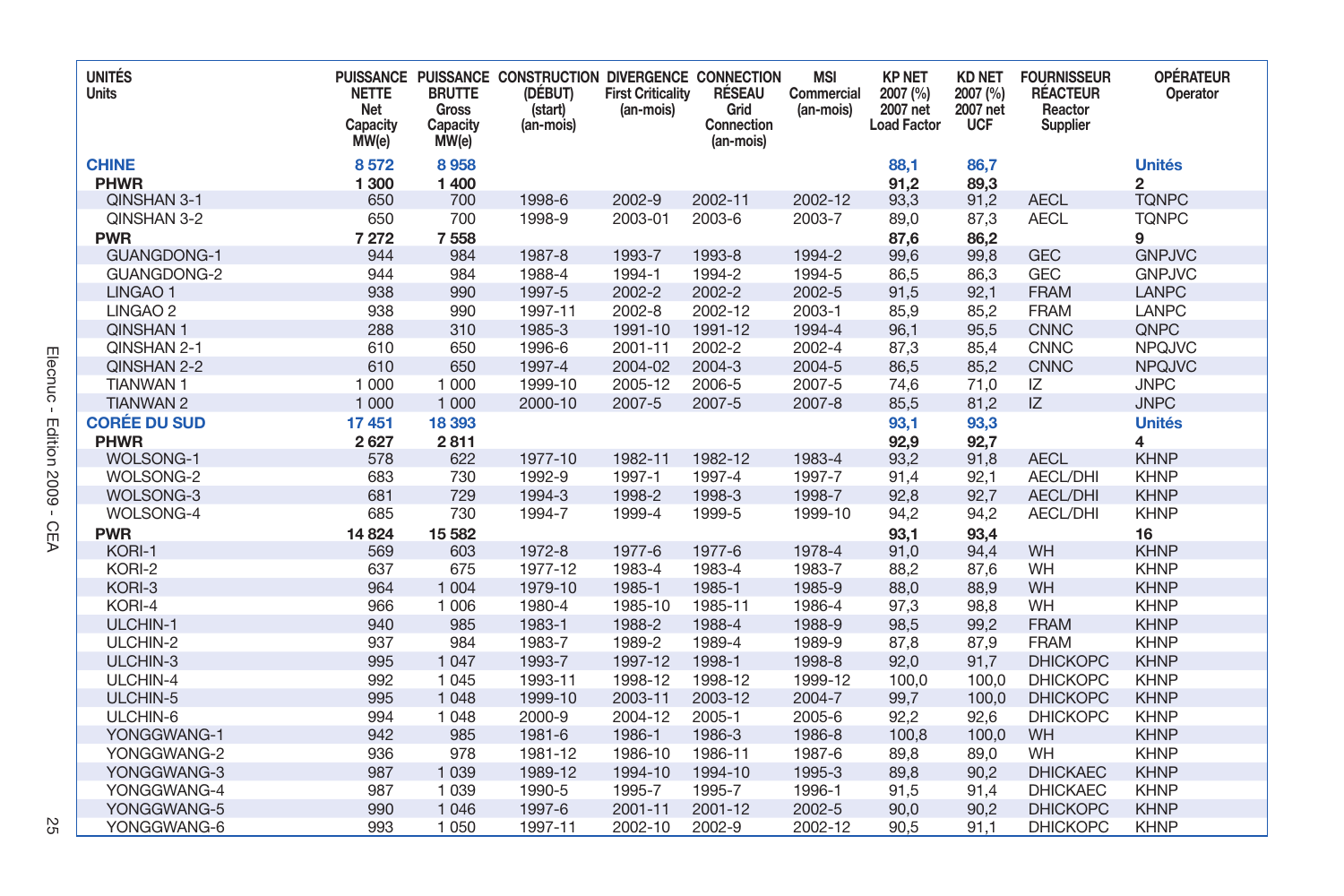| <b>UNITÉS</b><br>Units             | <b>NETTE</b><br>Net<br>Capacity<br>MW(e) | <b>BRUTTE</b><br>Gross<br>Capacity<br>MW(e) | PUISSANCE PUISSANCE CONSTRUCTION DIVERGENCE CONNECTION<br>(DÉBUT)<br>(start)<br>(an-mois) | <b>First Criticality</b><br>(an-mois) | RÉSEAU<br>Grid<br>Connection<br>(an-mois) | <b>MSI</b><br>Commercial<br>(an-mois) | <b>KP NET</b><br>2007 (%)<br>2007 net<br><b>Load Factor</b> | <b>KD NET</b><br>2007 (%)<br>2007 net<br><b>UCF</b> | <b>FOURNISSEUR</b><br><b>RÉACTEUR</b><br>Reactor<br>Supplier | <b>OPÉRATEUR</b><br>Operator             |
|------------------------------------|------------------------------------------|---------------------------------------------|-------------------------------------------------------------------------------------------|---------------------------------------|-------------------------------------------|---------------------------------------|-------------------------------------------------------------|-----------------------------------------------------|--------------------------------------------------------------|------------------------------------------|
| <b>CHINE</b>                       | 8572                                     | 8958                                        |                                                                                           |                                       |                                           |                                       | 88,1                                                        | 86,7                                                |                                                              | <b>Unités</b>                            |
| <b>PHWR</b>                        | 1 300                                    | 1 400                                       |                                                                                           |                                       |                                           |                                       | 91,2                                                        | 89,3                                                |                                                              | $\overline{2}$                           |
| QINSHAN 3-1                        | 650                                      | 700                                         | 1998-6                                                                                    | 2002-9                                | 2002-11                                   | 2002-12                               | 93,3                                                        | 91,2                                                | <b>AECL</b>                                                  | <b>TONPC</b>                             |
| QINSHAN 3-2                        | 650                                      | 700                                         | 1998-9                                                                                    | 2003-01                               | 2003-6                                    | 2003-7                                | 89,0                                                        | 87,3                                                | <b>AECL</b>                                                  | <b>TQNPC</b>                             |
| <b>PWR</b>                         | 7 272                                    | 7558                                        |                                                                                           |                                       |                                           |                                       | 87,6                                                        | 86,2                                                |                                                              | 9                                        |
| <b>GUANGDONG-1</b>                 | 944                                      | 984                                         | 1987-8                                                                                    | 1993-7                                | 1993-8                                    | 1994-2                                | 99,6                                                        | 99,8                                                | <b>GEC</b>                                                   | <b>GNPJVC</b>                            |
| GUANGDONG-2                        | 944                                      | 984                                         | 1988-4                                                                                    | 1994-1                                | 1994-2                                    | 1994-5                                | 86,5                                                        | 86,3                                                | <b>GEC</b>                                                   | <b>GNPJVC</b>                            |
| LINGAO <sub>1</sub>                | 938                                      | 990                                         | 1997-5                                                                                    | 2002-2                                | 2002-2                                    | 2002-5                                | 91,5                                                        | 92,1                                                | <b>FRAM</b>                                                  | LANPC                                    |
| LINGAO <sub>2</sub>                | 938                                      | 990                                         | 1997-11                                                                                   | $2002 - 8$                            | 2002-12                                   | 2003-1                                | 85,9                                                        | 85,2                                                | <b>FRAM</b>                                                  | LANPC                                    |
| QINSHAN 1                          | 288                                      | 310                                         | 1985-3                                                                                    | 1991-10                               | 1991-12                                   | 1994-4                                | 96.1                                                        | 95,5                                                | <b>CNNC</b>                                                  | QNPC                                     |
| QINSHAN 2-1                        | 610                                      | 650                                         | 1996-6                                                                                    | 2001-11                               | 2002-2                                    | 2002-4                                | 87,3                                                        | 85,4                                                | <b>CNNC</b>                                                  | <b>NPQJVC</b>                            |
| QINSHAN 2-2                        | 610                                      | 650                                         | 1997-4                                                                                    | 2004-02                               | 2004-3                                    | 2004-5                                | 86,5                                                        | 85,2                                                | <b>CNNC</b>                                                  | <b>NPQJVC</b>                            |
| <b>TIANWAN1</b>                    | 1 000                                    | 1 000                                       | 1999-10                                                                                   | 2005-12                               | 2006-5                                    | 2007-5                                | 74,6                                                        | 71,0                                                | IZ                                                           | <b>JNPC</b>                              |
| <b>TIANWAN 2</b>                   | 1 0 0 0                                  | 1 0 0 0                                     | 2000-10                                                                                   | 2007-5                                | 2007-5                                    | $2007 - 8$                            | 85,5                                                        | 81,2                                                | IZ                                                           | <b>JNPC</b>                              |
| <b>CORÉE DU SUD</b><br><b>PHWR</b> | 17451<br>2627                            | 18 393<br>2811                              |                                                                                           |                                       |                                           |                                       | 93,1<br>92,9                                                | 93,3<br>92,7                                        |                                                              | <b>Unités</b><br>$\overline{\mathbf{4}}$ |
| <b>WOLSONG-1</b>                   | 578                                      | 622                                         | 1977-10                                                                                   | 1982-11                               | 1982-12                                   | 1983-4                                | 93,2                                                        | 91,8                                                | <b>AECL</b>                                                  | <b>KHNP</b>                              |
| WOLSONG-2                          | 683                                      | 730                                         | 1992-9                                                                                    | 1997-1                                | 1997-4                                    | 1997-7                                | 91,4                                                        | 92,1                                                | AECL/DHI                                                     | <b>KHNP</b>                              |
| <b>WOLSONG-3</b>                   | 681                                      | 729                                         | 1994-3                                                                                    | 1998-2                                | 1998-3                                    | 1998-7                                | 92,8                                                        | 92,7                                                | <b>AECL/DHI</b>                                              | <b>KHNP</b>                              |
| WOLSONG-4                          | 685                                      | 730                                         | 1994-7                                                                                    | 1999-4                                | 1999-5                                    | 1999-10                               | 94,2                                                        | 94,2                                                | AECL/DHI                                                     | <b>KHNP</b>                              |
| <b>PWR</b>                         | 14 8 24                                  | 15 5 82                                     |                                                                                           |                                       |                                           |                                       | 93,1                                                        | 93,4                                                |                                                              | 16                                       |
| KORI-1                             | 569                                      | 603                                         | 1972-8                                                                                    | 1977-6                                | 1977-6                                    | 1978-4                                | 91,0                                                        | 94,4                                                | WH                                                           | <b>KHNP</b>                              |
| KORI-2                             | 637                                      | 675                                         | 1977-12                                                                                   | 1983-4                                | 1983-4                                    | 1983-7                                | 88,2                                                        | 87,6                                                | WH                                                           | <b>KHNP</b>                              |
| KORI-3                             | 964                                      | 1 0 0 4                                     | 1979-10                                                                                   | 1985-1                                | 1985-1                                    | 1985-9                                | 88,0                                                        | 88,9                                                | WH                                                           | <b>KHNP</b>                              |
| KORI-4                             | 966                                      | 1 0 0 6                                     | 1980-4                                                                                    | 1985-10                               | 1985-11                                   | 1986-4                                | 97,3                                                        | 98,8                                                | WH                                                           | <b>KHNP</b>                              |
| ULCHIN-1                           | 940                                      | 985                                         | 1983-1                                                                                    | 1988-2                                | 1988-4                                    | 1988-9                                | 98,5                                                        | 99,2                                                | <b>FRAM</b>                                                  | <b>KHNP</b>                              |
| ULCHIN-2                           | 937                                      | 984                                         | 1983-7                                                                                    | 1989-2                                | 1989-4                                    | 1989-9                                | 87,8                                                        | 87,9                                                | <b>FRAM</b>                                                  | <b>KHNP</b>                              |
| ULCHIN-3                           | 995                                      | 1 0 4 7                                     | 1993-7                                                                                    | 1997-12                               | 1998-1                                    | 1998-8                                | 92.0                                                        | 91,7                                                | <b>DHICKOPC</b>                                              | <b>KHNP</b>                              |
| ULCHIN-4                           | 992                                      | 1 0 4 5                                     | 1993-11                                                                                   | 1998-12                               | 1998-12                                   | 1999-12                               | 100.0                                                       | 100.0                                               | <b>DHICKOPC</b>                                              | <b>KHNP</b>                              |
| ULCHIN-5                           | 995                                      | 1 0 4 8                                     | 1999-10                                                                                   | 2003-11                               | 2003-12                                   | 2004-7                                | 99,7                                                        | 100,0                                               | <b>DHICKOPC</b>                                              | <b>KHNP</b>                              |
| ULCHIN-6                           | 994                                      | 1 0 4 8                                     | 2000-9                                                                                    | 2004-12                               | $2005 - 1$                                | 2005-6                                | 92,2                                                        | 92,6                                                | <b>DHICKOPC</b>                                              | <b>KHNP</b>                              |
| YONGGWANG-1                        | 942                                      | 985                                         | 1981-6                                                                                    | 1986-1                                | 1986-3                                    | 1986-8                                | 100.8                                                       | 100,0                                               | <b>WH</b>                                                    | <b>KHNP</b>                              |
| YONGGWANG-2                        | 936                                      | 978                                         | 1981-12                                                                                   | 1986-10                               | 1986-11                                   | 1987-6                                | 89,8                                                        | 89,0                                                | <b>WH</b>                                                    | <b>KHNP</b>                              |
| YONGGWANG-3                        | 987                                      | 1 0 3 9                                     | 1989-12                                                                                   | 1994-10                               | 1994-10                                   | 1995-3                                | 89,8                                                        | 90,2                                                | <b>DHICKAEC</b>                                              | <b>KHNP</b>                              |
| YONGGWANG-4                        | 987                                      | 1 0 3 9                                     | 1990-5                                                                                    | 1995-7                                | 1995-7                                    | 1996-1                                | 91,5                                                        | 91,4                                                | <b>DHICKAEC</b>                                              | <b>KHNP</b>                              |
| YONGGWANG-5                        | 990                                      | 1 0 46                                      | 1997-6                                                                                    | 2001-11                               | 2001-12                                   | 2002-5                                | 90.0                                                        | 90,2                                                | <b>DHICKOPC</b>                                              | <b>KHNP</b>                              |
| YONGGWANG-6                        | 993                                      | 1 0 5 0                                     | 1997-11                                                                                   | 2002-10                               | 2002-9                                    | 2002-12                               | 90,5                                                        | 91,1                                                | <b>DHICKOPC</b>                                              | <b>KHNP</b>                              |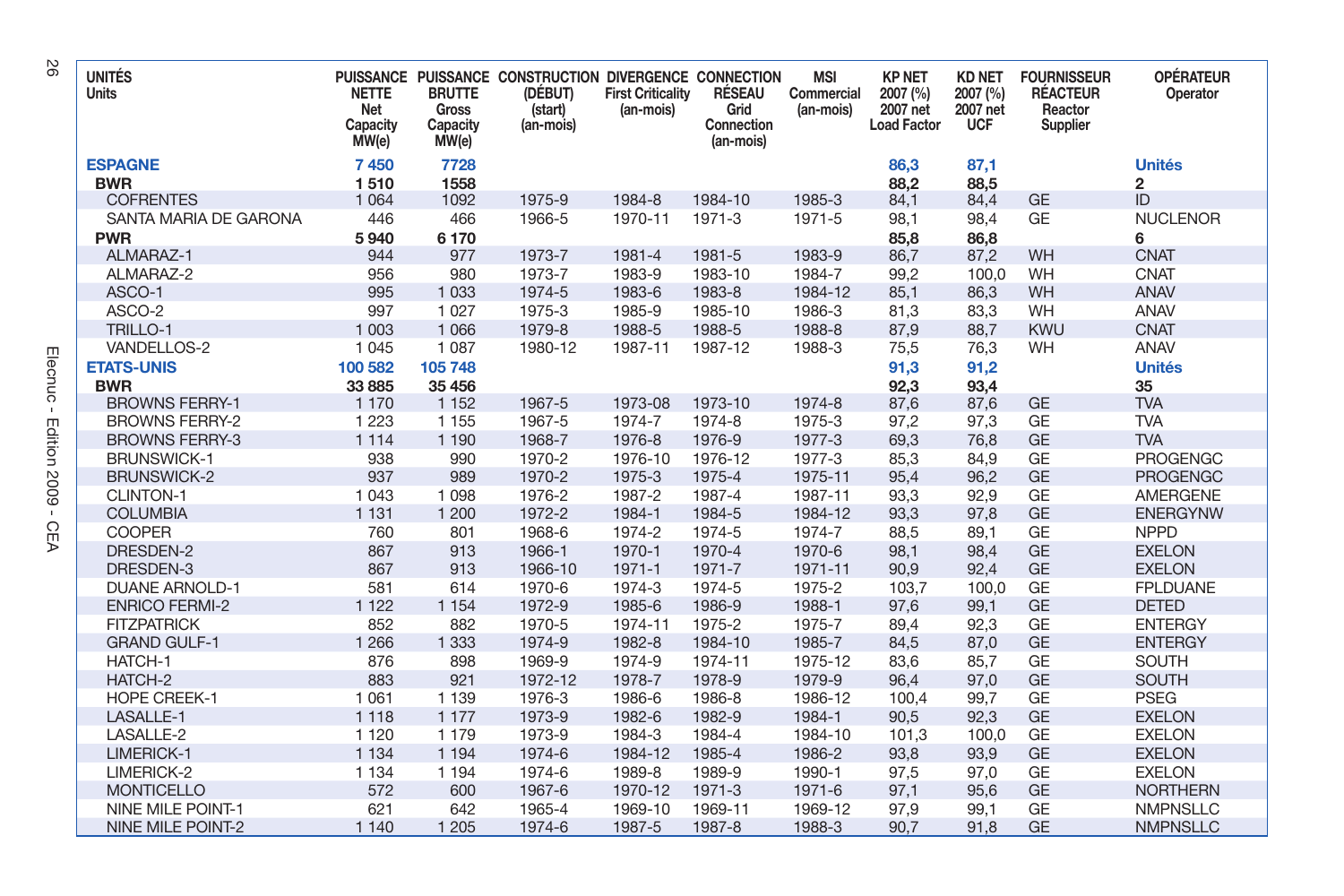| <b>UNITÉS</b><br>Units                    | <b>NETTE</b><br>Net<br>Capacity<br>MW(e) | <b>BRUTTE</b><br>Gross<br>Capacity<br>MW(e) | PUISSANCE PUISSANCE CONSTRUCTION DIVERGENCE CONNECTION<br>(DÉBUT)<br>(start)<br>(an-mois) | <b>First Criticality</b><br>(an-mois) | RÉSEAU<br>Grid<br>Connection<br>(an-mois) | <b>MSI</b><br>Commercial<br>(an-mois) | <b>KP NET</b><br>2007 (%)<br>2007 net<br><b>Load Factor</b> | <b>KD NET</b><br>2007 (%)<br>2007 net<br><b>UCF</b> | <b>FOURNISSEUR</b><br><b>RÉACTEUR</b><br>Reactor<br>Supplier | <b>OPÉRATEUR</b><br>Operator |
|-------------------------------------------|------------------------------------------|---------------------------------------------|-------------------------------------------------------------------------------------------|---------------------------------------|-------------------------------------------|---------------------------------------|-------------------------------------------------------------|-----------------------------------------------------|--------------------------------------------------------------|------------------------------|
| <b>ESPAGNE</b>                            | 7450                                     | 7728                                        |                                                                                           |                                       |                                           |                                       | 86,3                                                        | 87,1                                                |                                                              | <b>Unités</b>                |
| <b>BWR</b>                                | 1510                                     | 1558                                        |                                                                                           |                                       |                                           |                                       | 88,2                                                        | 88.5                                                |                                                              | $\overline{2}$               |
| <b>COFRENTES</b><br>SANTA MARIA DE GARONA | 1 0 6 4<br>446                           | 1092<br>466                                 | 1975-9<br>1966-5                                                                          | 1984-8<br>1970-11                     | 1984-10<br>1971-3                         | 1985-3<br>1971-5                      | 84,1                                                        | 84,4                                                | <b>GE</b><br><b>GE</b>                                       | ID<br><b>NUCLENOR</b>        |
|                                           |                                          |                                             |                                                                                           |                                       |                                           |                                       | 98,1                                                        | 98,4                                                |                                                              |                              |
| <b>PWR</b><br>ALMARAZ-1                   | 5940<br>944                              | 6 170<br>977                                | 1973-7                                                                                    | 1981-4                                | 1981-5                                    | 1983-9                                | 85,8<br>86,7                                                | 86,8                                                | WH                                                           | 6<br><b>CNAT</b>             |
| ALMARAZ-2                                 | 956                                      | 980                                         | 1973-7                                                                                    | 1983-9                                | 1983-10                                   | 1984-7                                | 99.2                                                        | 87,2<br>100.0                                       | WH                                                           | <b>CNAT</b>                  |
| ASCO-1                                    | 995                                      | 1 0 3 3                                     | 1974-5                                                                                    | 1983-6                                | 1983-8                                    | 1984-12                               | 85,1                                                        | 86,3                                                | WH                                                           | <b>ANAV</b>                  |
| ASCO-2                                    | 997                                      | 1 0 2 7                                     | 1975-3                                                                                    | 1985-9                                | 1985-10                                   | 1986-3                                | 81,3                                                        | 83,3                                                | WH                                                           | ANAV                         |
| TRILLO-1                                  | 1 0 0 3                                  | 1 0 6 6                                     | 1979-8                                                                                    | 1988-5                                | 1988-5                                    | 1988-8                                | 87.9                                                        | 88,7                                                | <b>KWU</b>                                                   | <b>CNAT</b>                  |
| VANDELLOS-2                               | 1 0 4 5                                  | 1 0 8 7                                     | 1980-12                                                                                   | 1987-11                               | 1987-12                                   | 1988-3                                | 75,5                                                        | 76,3                                                | WH                                                           | ANAV                         |
|                                           |                                          |                                             |                                                                                           |                                       |                                           |                                       |                                                             |                                                     |                                                              |                              |
| <b>ETATS-UNIS</b><br><b>BWR</b>           | 100 582<br>33 885                        | 105 748<br>35 456                           |                                                                                           |                                       |                                           |                                       | 91,3<br>92,3                                                | 91,2<br>93,4                                        |                                                              | <b>Unités</b><br>35          |
| <b>BROWNS FERRY-1</b>                     | 1 1 7 0                                  | 1 1 5 2                                     | 1967-5                                                                                    | 1973-08                               | 1973-10                                   | 1974-8                                | 87,6                                                        | 87,6                                                | <b>GE</b>                                                    | <b>TVA</b>                   |
| <b>BROWNS FERRY-2</b>                     | 1 2 2 3                                  | 1 1 5 5                                     | 1967-5                                                                                    | 1974-7                                | 1974-8                                    | 1975-3                                | 97,2                                                        | 97,3                                                | <b>GE</b>                                                    | <b>TVA</b>                   |
| <b>BROWNS FERRY-3</b>                     | 1 1 1 4                                  | 1 1 9 0                                     | 1968-7                                                                                    | 1976-8                                | 1976-9                                    | 1977-3                                | 69,3                                                        | 76,8                                                | <b>GE</b>                                                    | <b>TVA</b>                   |
| <b>BRUNSWICK-1</b>                        | 938                                      | 990                                         | 1970-2                                                                                    | 1976-10                               | 1976-12                                   | 1977-3                                | 85,3                                                        | 84,9                                                | <b>GE</b>                                                    | <b>PROGENGC</b>              |
| <b>BRUNSWICK-2</b>                        | 937                                      | 989                                         | 1970-2                                                                                    | 1975-3                                | 1975-4                                    | 1975-11                               | 95,4                                                        | 96,2                                                | <b>GE</b>                                                    | <b>PROGENGC</b>              |
| <b>CLINTON-1</b>                          | 1 0 4 3                                  | 1 0 9 8                                     | 1976-2                                                                                    | 1987-2                                | 1987-4                                    | 1987-11                               | 93.3                                                        | 92.9                                                | <b>GE</b>                                                    | <b>AMERGENE</b>              |
| <b>COLUMBIA</b>                           | 1 1 3 1                                  | 1 200                                       | 1972-2                                                                                    | 1984-1                                | 1984-5                                    | 1984-12                               | 93.3                                                        | 97.8                                                | <b>GE</b>                                                    | <b>ENERGYNW</b>              |
| <b>COOPER</b>                             | 760                                      | 801                                         | 1968-6                                                                                    | 1974-2                                | 1974-5                                    | 1974-7                                | 88,5                                                        | 89,1                                                | <b>GE</b>                                                    | <b>NPPD</b>                  |
| DRESDEN-2                                 | 867                                      | 913                                         | 1966-1                                                                                    | 1970-1                                | 1970-4                                    | 1970-6                                | 98,1                                                        | 98,4                                                | <b>GE</b>                                                    | <b>EXELON</b>                |
| DRESDEN-3                                 | 867                                      | 913                                         | 1966-10                                                                                   | $1971 - 1$                            | 1971-7                                    | 1971-11                               | 90,9                                                        | 92,4                                                | <b>GE</b>                                                    | <b>EXELON</b>                |
| <b>DUANE ARNOLD-1</b>                     | 581                                      | 614                                         | 1970-6                                                                                    | 1974-3                                | 1974-5                                    | 1975-2                                | 103,7                                                       | 100,0                                               | GE                                                           | <b>FPLDUANE</b>              |
| <b>ENRICO FERMI-2</b>                     | 1 1 2 2                                  | 1 1 5 4                                     | 1972-9                                                                                    | 1985-6                                | 1986-9                                    | 1988-1                                | 97,6                                                        | 99,1                                                | <b>GE</b>                                                    | <b>DETED</b>                 |
| <b>FITZPATRICK</b>                        | 852                                      | 882                                         | 1970-5                                                                                    | 1974-11                               | 1975-2                                    | 1975-7                                | 89,4                                                        | 92,3                                                | <b>GE</b>                                                    | <b>ENTERGY</b>               |
| <b>GRAND GULF-1</b>                       | 1 2 6 6                                  | 1 3 3 3                                     | 1974-9                                                                                    | 1982-8                                | 1984-10                                   | 1985-7                                | 84,5                                                        | 87,0                                                | <b>GE</b>                                                    | <b>ENTERGY</b>               |
| HATCH-1                                   | 876                                      | 898                                         | 1969-9                                                                                    | 1974-9                                | 1974-11                                   | 1975-12                               | 83.6                                                        | 85.7                                                | <b>GE</b>                                                    | <b>SOUTH</b>                 |
| HATCH-2                                   | 883                                      | 921                                         | 1972-12                                                                                   | 1978-7                                | 1978-9                                    | 1979-9                                | 96.4                                                        | 97.0                                                | <b>GE</b>                                                    | <b>SOUTH</b>                 |
| <b>HOPE CREEK-1</b>                       | 1 0 6 1                                  | 1 1 3 9                                     | 1976-3                                                                                    | 1986-6                                | 1986-8                                    | 1986-12                               | 100,4                                                       | 99,7                                                | <b>GE</b>                                                    | <b>PSEG</b>                  |
| LASALLE-1                                 | 1 1 1 8                                  | 1 1 7 7                                     | 1973-9                                                                                    | 1982-6                                | 1982-9                                    | 1984-1                                | 90,5                                                        | 92,3                                                | <b>GE</b>                                                    | <b>EXELON</b>                |
| LASALLE-2                                 | 1 1 2 0                                  | 1 1 7 9                                     | 1973-9                                                                                    | 1984-3                                | 1984-4                                    | 1984-10                               | 101.3                                                       | 100,0                                               | <b>GE</b>                                                    | <b>EXELON</b>                |
| LIMERICK-1                                | 1 1 3 4                                  | 1 1 9 4                                     | 1974-6                                                                                    | 1984-12                               | 1985-4                                    | 1986-2                                | 93,8                                                        | 93,9                                                | <b>GE</b>                                                    | <b>EXELON</b>                |
| LIMERICK-2                                | 1 1 3 4                                  | 1 1 9 4                                     | 1974-6                                                                                    | 1989-8                                | 1989-9                                    | 1990-1                                | 97,5                                                        | 97,0                                                | GE                                                           | <b>EXELON</b>                |
| <b>MONTICELLO</b>                         | 572                                      | 600                                         | 1967-6                                                                                    | 1970-12                               | 1971-3                                    | 1971-6                                | 97,1                                                        | 95,6                                                | <b>GE</b>                                                    | <b>NORTHERN</b>              |
| <b>NINE MILE POINT-1</b>                  | 621                                      | 642                                         | 1965-4                                                                                    | 1969-10                               | 1969-11                                   | 1969-12                               | 97,9                                                        | 99,1                                                | <b>GE</b>                                                    | <b>NMPNSLLC</b>              |
| <b>NINE MILE POINT-2</b>                  | 1 1 4 0                                  | 1 2 0 5                                     | 1974-6                                                                                    | 1987-5                                | 1987-8                                    | 1988-3                                | 90,7                                                        | 91,8                                                | <b>GE</b>                                                    | <b>NMPNSLLC</b>              |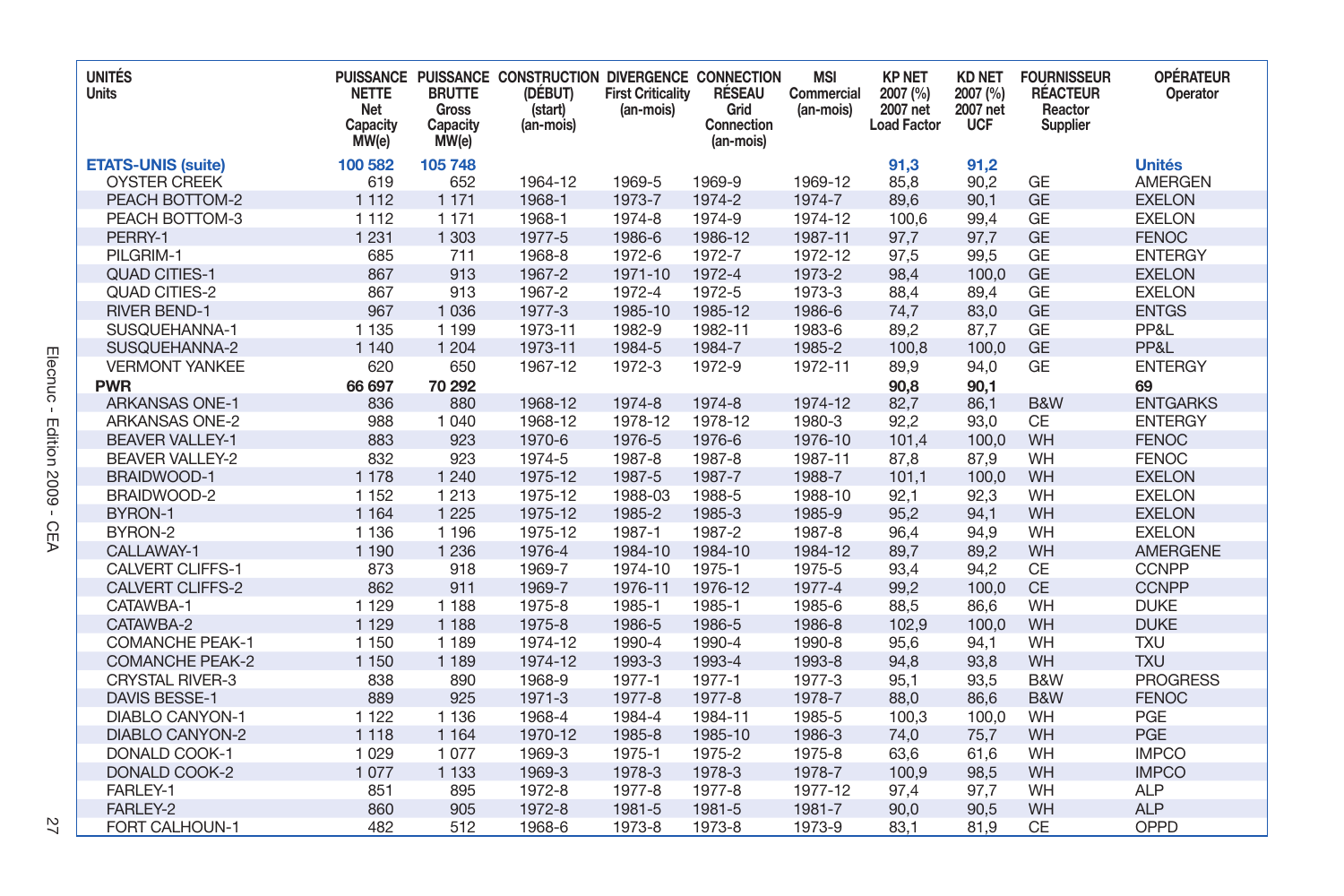| <b>UNITÉS</b><br><b>Units</b> | <b>NETTE</b><br>Net<br>Capacity<br>MW(e) | <b>BRUTTE</b><br><b>Gross</b><br>Capacity<br>MW(e) | PUISSANCE PUISSANCE CONSTRUCTION DIVERGENCE CONNECTION<br>(DÉBUT)<br>(start)<br>(an-mois) | <b>First Criticality</b><br>(an-mois) | RÉSEAU<br>Grid<br>Connection<br>(an-mois) | <b>MSI</b><br>Commercial<br>(an-mois) | <b>KP NET</b><br>2007 (%)<br>2007 net<br><b>Load Factor</b> | <b>KD NET</b><br>2007 (%)<br>2007 net<br><b>UCF</b> | <b>FOURNISSEUR</b><br><b>RÉACTEUR</b><br>Reactor<br>Supplier | <b>OPÉRATEUR</b><br>Operator |
|-------------------------------|------------------------------------------|----------------------------------------------------|-------------------------------------------------------------------------------------------|---------------------------------------|-------------------------------------------|---------------------------------------|-------------------------------------------------------------|-----------------------------------------------------|--------------------------------------------------------------|------------------------------|
| <b>ETATS-UNIS (suite)</b>     | 100 582                                  | 105 748                                            |                                                                                           |                                       |                                           |                                       | 91,3                                                        | 91,2                                                |                                                              | <b>Unités</b>                |
| <b>OYSTER CREEK</b>           | 619                                      | 652                                                | 1964-12                                                                                   | 1969-5                                | 1969-9                                    | 1969-12                               | 85,8                                                        | 90,2                                                | <b>GE</b>                                                    | <b>AMERGEN</b>               |
| PEACH BOTTOM-2                | 1 1 1 2                                  | 1 1 7 1                                            | 1968-1                                                                                    | 1973-7                                | 1974-2                                    | 1974-7                                | 89,6                                                        | 90,1                                                | <b>GE</b>                                                    | <b>EXELON</b>                |
| PEACH BOTTOM-3                | 1 1 1 2                                  | 1 1 7 1                                            | 1968-1                                                                                    | 1974-8                                | 1974-9                                    | 1974-12                               | 100.6                                                       | 99,4                                                | <b>GE</b>                                                    | <b>EXELON</b>                |
| PERRY-1                       | 1 2 3 1                                  | 1 3 0 3                                            | 1977-5                                                                                    | 1986-6                                | 1986-12                                   | 1987-11                               | 97.7                                                        | 97.7                                                | <b>GE</b>                                                    | <b>FENOC</b>                 |
| PILGRIM-1                     | 685                                      | 711                                                | 1968-8                                                                                    | 1972-6                                | 1972-7                                    | 1972-12                               | 97,5                                                        | 99.5                                                | <b>GE</b>                                                    | <b>ENTERGY</b>               |
| <b>QUAD CITIES-1</b>          | 867                                      | 913                                                | 1967-2                                                                                    | 1971-10                               | 1972-4                                    | 1973-2                                | 98.4                                                        | 100.0                                               | <b>GE</b>                                                    | <b>EXELON</b>                |
| <b>QUAD CITIES-2</b>          | 867                                      | 913                                                | 1967-2                                                                                    | 1972-4                                | 1972-5                                    | 1973-3                                | 88,4                                                        | 89,4                                                | <b>GE</b>                                                    | <b>EXELON</b>                |
| <b>RIVER BEND-1</b>           | 967                                      | 1 0 3 6                                            | 1977-3                                                                                    | 1985-10                               | 1985-12                                   | 1986-6                                | 74,7                                                        | 83,0                                                | <b>GE</b>                                                    | <b>ENTGS</b>                 |
| SUSQUEHANNA-1                 | 1 1 3 5                                  | 1 1 9 9                                            | 1973-11                                                                                   | 1982-9                                | 1982-11                                   | 1983-6                                | 89,2                                                        | 87,7                                                | <b>GE</b>                                                    | PP&L                         |
| SUSQUEHANNA-2                 | 1 1 4 0                                  | 1 2 0 4                                            | 1973-11                                                                                   | 1984-5                                | 1984-7                                    | 1985-2                                | 100,8                                                       | 100,0                                               | <b>GE</b>                                                    | PP&L                         |
| <b>VERMONT YANKEE</b>         | 620                                      | 650                                                | 1967-12                                                                                   | 1972-3                                | 1972-9                                    | 1972-11                               | 89,9                                                        | 94,0                                                | <b>GE</b>                                                    | <b>ENTERGY</b>               |
| <b>PWR</b>                    | 66 697                                   | 70 292                                             |                                                                                           |                                       |                                           |                                       | 90,8                                                        | 90,1                                                |                                                              | 69                           |
| <b>ARKANSAS ONE-1</b>         | 836                                      | 880                                                | 1968-12                                                                                   | 1974-8                                | 1974-8                                    | 1974-12                               | 82,7                                                        | 86,1                                                | B&W                                                          | <b>ENTGARKS</b>              |
| <b>ARKANSAS ONE-2</b>         | 988                                      | 1 0 4 0                                            | 1968-12                                                                                   | 1978-12                               | 1978-12                                   | 1980-3                                | 92,2                                                        | 93,0                                                | <b>CE</b>                                                    | <b>ENTERGY</b>               |
| <b>BEAVER VALLEY-1</b>        | 883                                      | 923                                                | 1970-6                                                                                    | 1976-5                                | 1976-6                                    | 1976-10                               | 101.4                                                       | 100.0                                               | WH                                                           | <b>FENOC</b>                 |
| <b>BEAVER VALLEY-2</b>        | 832                                      | 923                                                | 1974-5                                                                                    | 1987-8                                | 1987-8                                    | 1987-11                               | 87,8                                                        | 87,9                                                | WH                                                           | <b>FENOC</b>                 |
| <b>BRAIDWOOD-1</b>            | 1 1 7 8                                  | 1 2 4 0                                            | 1975-12                                                                                   | 1987-5                                | 1987-7                                    | 1988-7                                | 101,1                                                       | 100,0                                               | WH                                                           | <b>EXELON</b>                |
| BRAIDWOOD-2                   | 1 1 5 2                                  | 1 2 1 3                                            | 1975-12                                                                                   | 1988-03                               | 1988-5                                    | 1988-10                               | 92,1                                                        | 92,3                                                | WH                                                           | <b>EXELON</b>                |
| BYRON-1                       | 1 1 6 4                                  | 1 2 2 5                                            | 1975-12                                                                                   | 1985-2                                | 1985-3                                    | 1985-9                                | 95,2                                                        | 94,1                                                | WH                                                           | <b>EXELON</b>                |
| BYRON-2                       | 1 1 3 6                                  | 1 1 9 6                                            | 1975-12                                                                                   | 1987-1                                | 1987-2                                    | 1987-8                                | 96,4                                                        | 94,9                                                | WH                                                           | <b>EXELON</b>                |
| CALLAWAY-1                    | 1 1 9 0                                  | 1 2 3 6                                            | 1976-4                                                                                    | 1984-10                               | 1984-10                                   | 1984-12                               | 89,7                                                        | 89,2                                                | WH                                                           | <b>AMERGENE</b>              |
| <b>CALVERT CLIFFS-1</b>       | 873                                      | 918                                                | 1969-7                                                                                    | 1974-10                               | 1975-1                                    | 1975-5                                | 93,4                                                        | 94,2                                                | CE                                                           | <b>CCNPP</b>                 |
| <b>CALVERT CLIFFS-2</b>       | 862                                      | 911                                                | 1969-7                                                                                    | 1976-11                               | 1976-12                                   | 1977-4                                | 99,2                                                        | 100,0                                               | <b>CE</b>                                                    | <b>CCNPP</b>                 |
| CATAWBA-1                     | 1 1 2 9                                  | 1 1 8 8                                            | 1975-8                                                                                    | 1985-1                                | 1985-1                                    | 1985-6                                | 88,5                                                        | 86,6                                                | WH                                                           | <b>DUKE</b>                  |
| CATAWBA-2                     | 1 1 2 9                                  | 1 1 8 8                                            | 1975-8                                                                                    | 1986-5                                | 1986-5                                    | 1986-8                                | 102,9                                                       | 100.0                                               | WH                                                           | <b>DUKE</b>                  |
| <b>COMANCHE PEAK-1</b>        | 1 150                                    | 1 1 8 9                                            | 1974-12                                                                                   | 1990-4                                | 1990-4                                    | 1990-8                                | 95,6                                                        | 94,1                                                | WH                                                           | <b>TXU</b>                   |
| <b>COMANCHE PEAK-2</b>        | 1 150                                    | 1 1 8 9                                            | 1974-12                                                                                   | 1993-3                                | 1993-4                                    | 1993-8                                | 94,8                                                        | 93,8                                                | WH                                                           | <b>TXU</b>                   |
| <b>CRYSTAL RIVER-3</b>        | 838                                      | 890                                                | 1968-9                                                                                    | 1977-1                                | 1977-1                                    | 1977-3                                | 95,1                                                        | 93,5                                                | B&W                                                          | <b>PROGRESS</b>              |
| <b>DAVIS BESSE-1</b>          | 889                                      | 925                                                | 1971-3                                                                                    | 1977-8                                | 1977-8                                    | 1978-7                                | 88.0                                                        | 86.6                                                | B&W                                                          | <b>FENOC</b>                 |
| <b>DIABLO CANYON-1</b>        | 1 1 2 2                                  | 1 1 3 6                                            | 1968-4                                                                                    | 1984-4                                | 1984-11                                   | 1985-5                                | 100.3                                                       | 100,0                                               | WH                                                           | PGE                          |
| <b>DIABLO CANYON-2</b>        | 1 1 1 8                                  | 1 1 6 4                                            | 1970-12                                                                                   | 1985-8                                | 1985-10                                   | 1986-3                                | 74,0                                                        | 75,7                                                | WH                                                           | PGE                          |
| DONALD COOK-1                 | 1 0 2 9                                  | 1077                                               | 1969-3                                                                                    | 1975-1                                | 1975-2                                    | 1975-8                                | 63,6                                                        | 61,6                                                | WH                                                           | <b>IMPCO</b>                 |
| DONALD COOK-2                 | 1077                                     | 1 1 3 3                                            | 1969-3                                                                                    | 1978-3                                | 1978-3                                    | 1978-7                                | 100,9                                                       | 98,5                                                | WH                                                           | <b>IMPCO</b>                 |
| FARLEY-1                      | 851                                      | 895                                                | 1972-8                                                                                    | 1977-8                                | 1977-8                                    | 1977-12                               | 97,4                                                        | 97,7                                                | WH                                                           | <b>ALP</b>                   |
| FARLEY-2                      | 860                                      | 905                                                | 1972-8                                                                                    | 1981-5                                | 1981-5                                    | 1981-7                                | 90,0                                                        | 90,5                                                | WH                                                           | <b>ALP</b>                   |
| FORT CALHOUN-1                | 482                                      | 512                                                | 1968-6                                                                                    | 1973-8                                | 1973-8                                    | 1973-9                                | 83,1                                                        | 81,9                                                | CE                                                           | OPPD                         |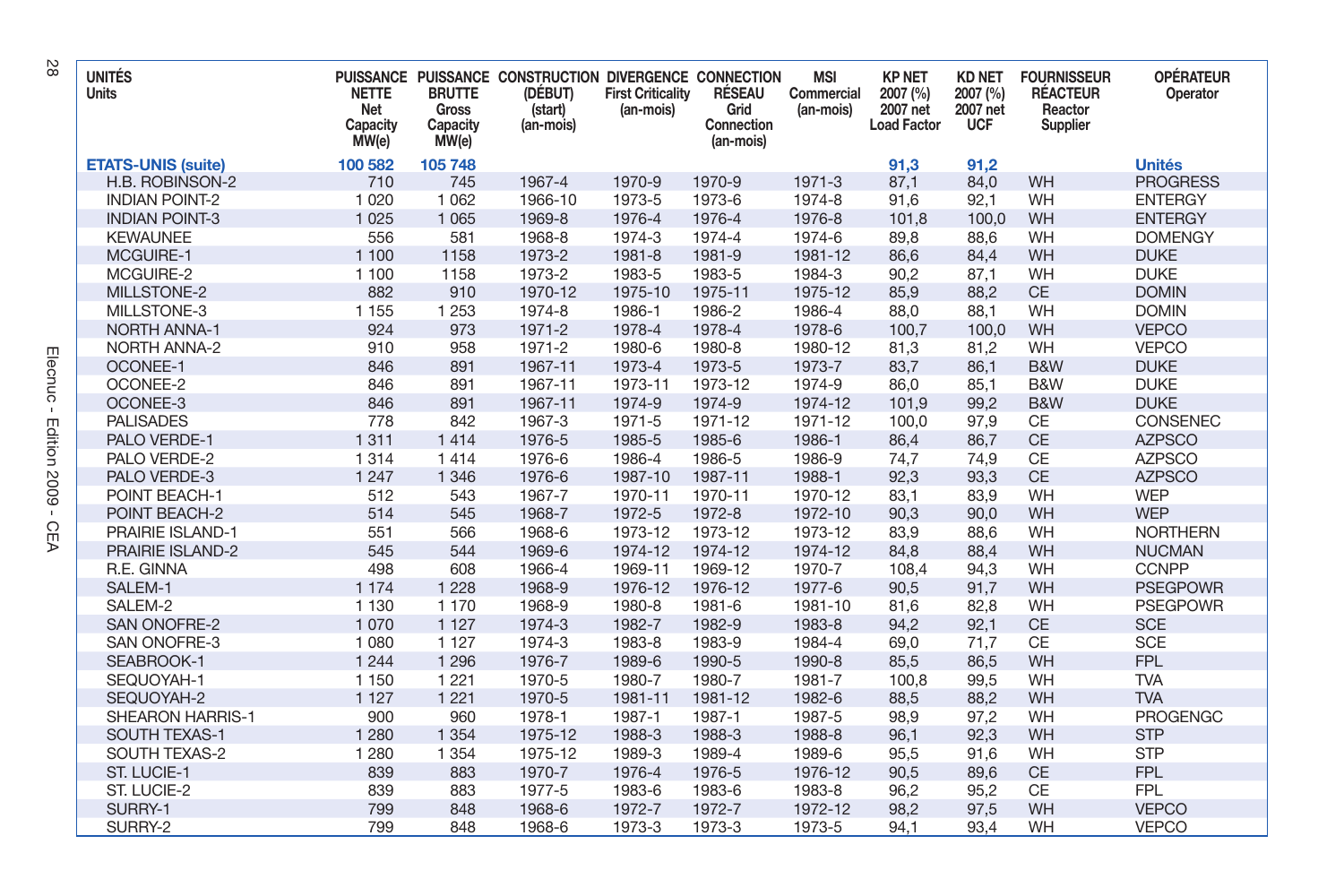| <b>UNITÉS</b><br>Units    | <b>NETTE</b><br>Net<br>Capacity<br>MW(e) | <b>BRUTTE</b><br>Gross<br>Capacity<br>MW(e) | PUISSANCE PUISSANCE CONSTRUCTION DIVERGENCE CONNECTION<br>(DÉBUT)<br>(start)<br>(an-mois) | <b>First Criticality</b><br>(an-mois) | RÉSEAU<br>Grid<br>Connection<br>(an-mois) | <b>MSI</b><br>Commercial<br>(an-mois) | <b>KP NET</b><br>2007 (%)<br>2007 net<br><b>Load Factor</b> | <b>KD NET</b><br>2007 (%)<br>2007 net<br><b>UCF</b> | <b>FOURNISSEUR</b><br><b>RÉACTEUR</b><br>Reactor<br>Supplier | <b>OPÉRATEUR</b><br>Operator |
|---------------------------|------------------------------------------|---------------------------------------------|-------------------------------------------------------------------------------------------|---------------------------------------|-------------------------------------------|---------------------------------------|-------------------------------------------------------------|-----------------------------------------------------|--------------------------------------------------------------|------------------------------|
| <b>ETATS-UNIS (suite)</b> | 100 582                                  | 105 748                                     |                                                                                           |                                       |                                           |                                       | 91,3                                                        | 91,2                                                |                                                              | <b>Unités</b>                |
| H.B. ROBINSON-2           | 710                                      | 745                                         | 1967-4                                                                                    | 1970-9                                | 1970-9                                    | 1971-3                                | 87,1                                                        | 84,0                                                | <b>WH</b>                                                    | <b>PROGRESS</b>              |
| <b>INDIAN POINT-2</b>     | 1 0 2 0                                  | 1 0 6 2                                     | 1966-10                                                                                   | 1973-5                                | 1973-6                                    | 1974-8                                | 91.6                                                        | 92.1                                                | WH                                                           | <b>ENTERGY</b>               |
| <b>INDIAN POINT-3</b>     | 1 0 2 5                                  | 1 0 6 5                                     | 1969-8                                                                                    | 1976-4                                | 1976-4                                    | 1976-8                                | 101,8                                                       | 100,0                                               | WH                                                           | <b>ENTERGY</b>               |
| <b>KEWAUNEE</b>           | 556                                      | 581                                         | 1968-8                                                                                    | 1974-3                                | 1974-4                                    | 1974-6                                | 89,8                                                        | 88,6                                                | WH                                                           | <b>DOMENGY</b>               |
| MCGUIRE-1                 | 1 100                                    | 1158                                        | 1973-2                                                                                    | 1981-8                                | 1981-9                                    | 1981-12                               | 86,6                                                        | 84,4                                                | WH                                                           | <b>DUKE</b>                  |
| MCGUIRE-2                 | 1 100                                    | 1158                                        | 1973-2                                                                                    | 1983-5                                | 1983-5                                    | 1984-3                                | 90,2                                                        | 87,1                                                | WH                                                           | <b>DUKE</b>                  |
| MILLSTONE-2               | 882                                      | 910                                         | 1970-12                                                                                   | 1975-10                               | 1975-11                                   | 1975-12                               | 85,9                                                        | 88,2                                                | <b>CE</b>                                                    | <b>DOMIN</b>                 |
| MILLSTONE-3               | 1 1 5 5                                  | 1 2 5 3                                     | 1974-8                                                                                    | 1986-1                                | 1986-2                                    | 1986-4                                | 88,0                                                        | 88,1                                                | WH                                                           | <b>DOMIN</b>                 |
| <b>NORTH ANNA-1</b>       | 924                                      | 973                                         | 1971-2                                                                                    | 1978-4                                | 1978-4                                    | 1978-6                                | 100.7                                                       | 100,0                                               | WH                                                           | <b>VEPCO</b>                 |
| <b>NORTH ANNA-2</b>       | 910                                      | 958                                         | 1971-2                                                                                    | 1980-6                                | 1980-8                                    | 1980-12                               | 81,3                                                        | 81,2                                                | WH                                                           | <b>VEPCO</b>                 |
| <b>OCONEE-1</b>           | 846                                      | 891                                         | 1967-11                                                                                   | 1973-4                                | 1973-5                                    | 1973-7                                | 83,7                                                        | 86,1                                                | B&W                                                          | <b>DUKE</b>                  |
| OCONEE-2                  | 846                                      | 891                                         | 1967-11                                                                                   | 1973-11                               | 1973-12                                   | 1974-9                                | 86,0                                                        | 85,1                                                | B&W                                                          | <b>DUKE</b>                  |
| OCONEE-3                  | 846                                      | 891                                         | 1967-11                                                                                   | 1974-9                                | 1974-9                                    | 1974-12                               | 101,9                                                       | 99,2                                                | B&W                                                          | <b>DUKE</b>                  |
| <b>PALISADES</b>          | 778                                      | 842                                         | 1967-3                                                                                    | 1971-5                                | 1971-12                                   | 1971-12                               | 100,0                                                       | 97,9                                                | CE                                                           | CONSENEC                     |
| PALO VERDE-1              | 1 3 1 1                                  | 1414                                        | 1976-5                                                                                    | 1985-5                                | 1985-6                                    | 1986-1                                | 86,4                                                        | 86,7                                                | <b>CE</b>                                                    | <b>AZPSCO</b>                |
| PALO VERDE-2              | 1 3 1 4                                  | 1414                                        | 1976-6                                                                                    | 1986-4                                | 1986-5                                    | 1986-9                                | 74,7                                                        | 74,9                                                | CE                                                           | <b>AZPSCO</b>                |
| PALO VERDE-3              | 1 2 4 7                                  | 1 3 4 6                                     | 1976-6                                                                                    | 1987-10                               | 1987-11                                   | 1988-1                                | 92,3                                                        | 93,3                                                | <b>CE</b>                                                    | <b>AZPSCO</b>                |
| POINT BEACH-1             | 512                                      | 543                                         | 1967-7                                                                                    | 1970-11                               | 1970-11                                   | 1970-12                               | 83.1                                                        | 83.9                                                | WH                                                           | <b>WEP</b>                   |
| POINT BEACH-2             | 514                                      | 545                                         | 1968-7                                                                                    | 1972-5                                | 1972-8                                    | 1972-10                               | 90.3                                                        | 90.0                                                | WH                                                           | <b>WEP</b>                   |
| <b>PRAIRIE ISLAND-1</b>   | 551                                      | 566                                         | 1968-6                                                                                    | 1973-12                               | 1973-12                                   | 1973-12                               | 83,9                                                        | 88,6                                                | WH                                                           | <b>NORTHERN</b>              |
| PRAIRIE ISLAND-2          | 545                                      | 544                                         | 1969-6                                                                                    | 1974-12                               | 1974-12                                   | 1974-12                               | 84,8                                                        | 88,4                                                | WH                                                           | <b>NUCMAN</b>                |
| R.E. GINNA                | 498                                      | 608                                         | 1966-4                                                                                    | 1969-11                               | 1969-12                                   | 1970-7                                | 108.4                                                       | 94,3                                                | WH                                                           | <b>CCNPP</b>                 |
| SALEM-1                   | 1 1 7 4                                  | 1 2 2 8                                     | 1968-9                                                                                    | 1976-12                               | 1976-12                                   | 1977-6                                | 90,5                                                        | 91,7                                                | WH                                                           | <b>PSEGPOWR</b>              |
| SALEM-2                   | 1 1 3 0                                  | 1 170                                       | 1968-9                                                                                    | 1980-8                                | 1981-6                                    | 1981-10                               | 81,6                                                        | 82,8                                                | WH                                                           | <b>PSEGPOWR</b>              |
| <b>SAN ONOFRE-2</b>       | 1 0 7 0                                  | 1 1 2 7                                     | 1974-3                                                                                    | 1982-7                                | 1982-9                                    | 1983-8                                | 94,2                                                        | 92,1                                                | <b>CE</b>                                                    | <b>SCE</b>                   |
| <b>SAN ONOFRE-3</b>       | 1 0 8 0                                  | 1 1 2 7                                     | 1974-3                                                                                    | 1983-8                                | 1983-9                                    | 1984-4                                | 69,0                                                        | 71,7                                                | CE                                                           | <b>SCE</b>                   |
| SEABROOK-1                | 1 2 4 4                                  | 1 2 9 6                                     | 1976-7                                                                                    | 1989-6                                | 1990-5                                    | 1990-8                                | 85,5                                                        | 86,5                                                | WH                                                           | <b>FPL</b>                   |
| SEQUOYAH-1                | 1 1 5 0                                  | 1 2 2 1                                     | 1970-5                                                                                    | 1980-7                                | 1980-7                                    | 1981-7                                | 100.8                                                       | 99.5                                                | WH                                                           | <b>TVA</b>                   |
| SEQUOYAH-2                | 1 1 2 7                                  | 1 2 2 1                                     | 1970-5                                                                                    | 1981-11                               | 1981-12                                   | 1982-6                                | 88,5                                                        | 88,2                                                | WH                                                           | <b>TVA</b>                   |
| SHEARON HARRIS-1          | 900                                      | 960                                         | 1978-1                                                                                    | 1987-1                                | 1987-1                                    | 1987-5                                | 98,9                                                        | 97,2                                                | WH                                                           | <b>PROGENGC</b>              |
| SOUTH TEXAS-1             | 1 2 8 0                                  | 1 3 5 4                                     | 1975-12                                                                                   | 1988-3                                | 1988-3                                    | 1988-8                                | 96,1                                                        | 92,3                                                | WH                                                           | <b>STP</b>                   |
| SOUTH TEXAS-2             | 1 2 8 0                                  | 1 3 5 4                                     | 1975-12                                                                                   | 1989-3                                | 1989-4                                    | 1989-6                                | 95,5                                                        | 91,6                                                | WH                                                           | <b>STP</b>                   |
| ST. LUCIE-1               | 839                                      | 883                                         | 1970-7                                                                                    | 1976-4                                | 1976-5                                    | 1976-12                               | 90,5                                                        | 89,6                                                | <b>CE</b>                                                    | <b>FPL</b>                   |
| ST. LUCIE-2               | 839                                      | 883                                         | 1977-5                                                                                    | 1983-6                                | 1983-6                                    | 1983-8                                | 96,2                                                        | 95,2                                                | <b>CE</b>                                                    | <b>FPL</b>                   |
| SURRY-1                   | 799                                      | 848                                         | 1968-6                                                                                    | 1972-7                                | 1972-7                                    | 1972-12                               | 98,2                                                        | 97,5                                                | WH                                                           | <b>VEPCO</b>                 |
| SURRY-2                   | 799                                      | 848                                         | 1968-6                                                                                    | 1973-3                                | 1973-3                                    | 1973-5                                | 94.1                                                        | 93.4                                                | WH                                                           | <b>VEPCO</b>                 |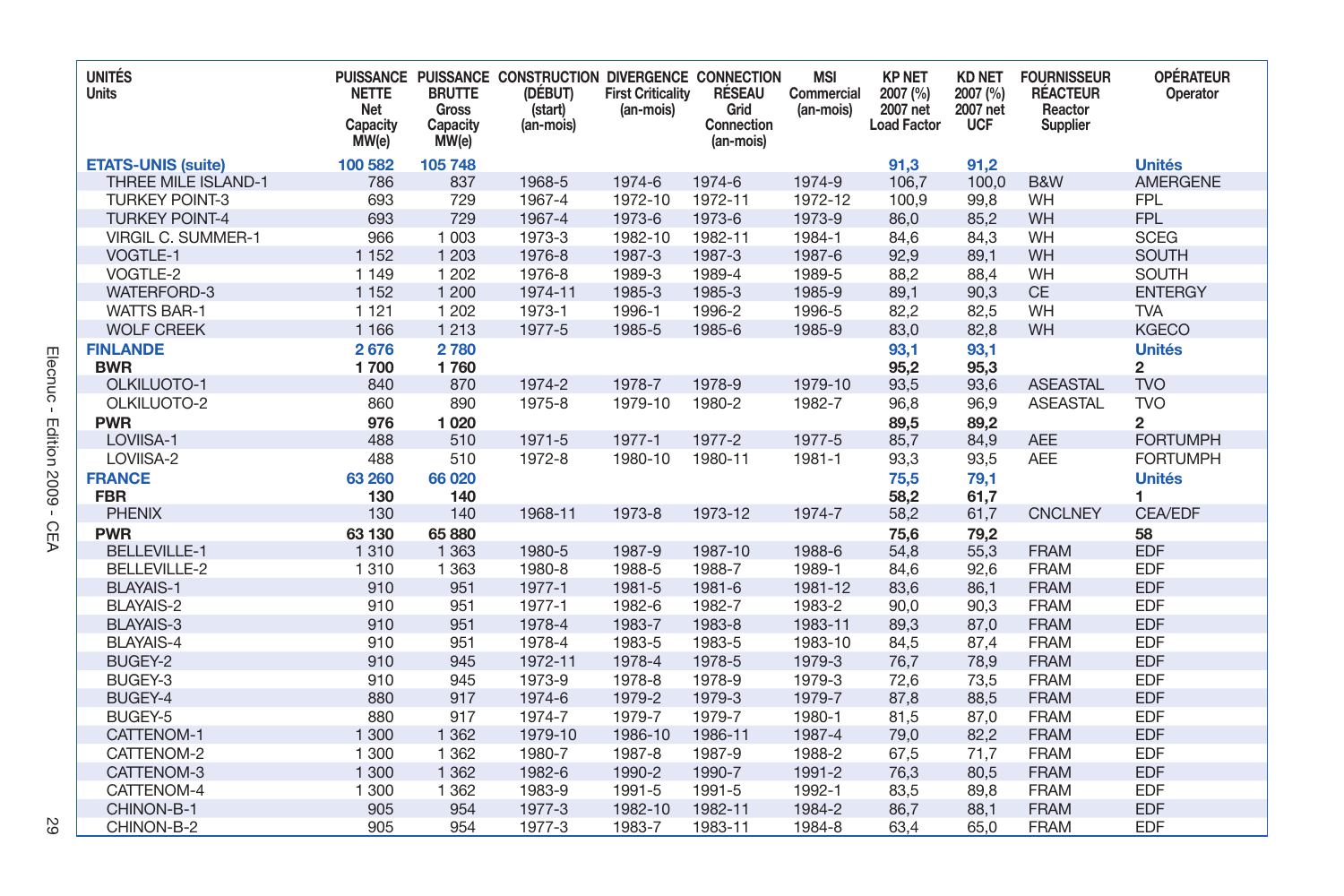| <b>UNITÉS</b><br>Units    | <b>NETTE</b><br>Net<br>Capacity<br>MW(e) | <b>BRUTTE</b><br>Gross<br>Capacity<br>MW(e) | PUISSANCE PUISSANCE CONSTRUCTION DIVERGENCE CONNECTION<br>(DÉBUT)<br>(start)<br>(an-mois) | <b>First Criticality</b><br>(an-mois) | RÉSEAU<br>Grid<br>Connection<br>(an-mois) | <b>MSI</b><br>Commercial<br>(an-mois) | <b>KP NET</b><br>2007 (%)<br>2007 net<br><b>Load Factor</b> | <b>KD NET</b><br>2007 (%)<br>2007 net<br><b>UCF</b> | <b>FOURNISSEUR</b><br><b>RÉACTEUR</b><br>Reactor<br>Supplier | <b>OPÉRATEUR</b><br>Operator |
|---------------------------|------------------------------------------|---------------------------------------------|-------------------------------------------------------------------------------------------|---------------------------------------|-------------------------------------------|---------------------------------------|-------------------------------------------------------------|-----------------------------------------------------|--------------------------------------------------------------|------------------------------|
| <b>ETATS-UNIS (suite)</b> | 100 582                                  | 105 748                                     |                                                                                           |                                       |                                           |                                       | 91,3                                                        | 91,2                                                |                                                              | <b>Unités</b>                |
| THREE MILE ISLAND-1       | 786                                      | 837                                         | 1968-5                                                                                    | 1974-6                                | 1974-6                                    | 1974-9                                | 106,7                                                       | 100,0                                               | B&W                                                          | <b>AMERGENE</b>              |
| <b>TURKEY POINT-3</b>     | 693                                      | 729                                         | 1967-4                                                                                    | 1972-10                               | 1972-11                                   | 1972-12                               | 100,9                                                       | 99,8                                                | WH                                                           | <b>FPL</b>                   |
| <b>TURKEY POINT-4</b>     | 693                                      | 729                                         | 1967-4                                                                                    | 1973-6                                | 1973-6                                    | 1973-9                                | 86,0                                                        | 85,2                                                | WH                                                           | <b>FPL</b>                   |
| <b>VIRGIL C. SUMMER-1</b> | 966                                      | 1 0 0 3                                     | 1973-3                                                                                    | 1982-10                               | 1982-11                                   | 1984-1                                | 84,6                                                        | 84,3                                                | WH                                                           | <b>SCEG</b>                  |
| VOGTLE-1                  | 1 1 5 2                                  | 1 2 0 3                                     | 1976-8                                                                                    | 1987-3                                | 1987-3                                    | 1987-6                                | 92,9                                                        | 89,1                                                | WH                                                           | <b>SOUTH</b>                 |
| VOGTLE-2                  | 1 1 4 9                                  | 1 2 0 2                                     | 1976-8                                                                                    | 1989-3                                | 1989-4                                    | 1989-5                                | 88,2                                                        | 88,4                                                | WH                                                           | <b>SOUTH</b>                 |
| <b>WATERFORD-3</b>        | 1 1 5 2                                  | 1 200                                       | 1974-11                                                                                   | 1985-3                                | 1985-3                                    | 1985-9                                | 89,1                                                        | 90,3                                                | CE                                                           | <b>ENTERGY</b>               |
| <b>WATTS BAR-1</b>        | 1 1 2 1                                  | 1 2 0 2                                     | 1973-1                                                                                    | 1996-1                                | 1996-2                                    | 1996-5                                | 82,2                                                        | 82,5                                                | WH                                                           | <b>TVA</b>                   |
| <b>WOLF CREEK</b>         | 1 1 6 6                                  | 1 2 1 3                                     | 1977-5                                                                                    | 1985-5                                | 1985-6                                    | 1985-9                                | 83,0                                                        | 82,8                                                | WH                                                           | <b>KGECO</b>                 |
| <b>FINLANDE</b>           | 2676                                     | 2780                                        |                                                                                           |                                       |                                           |                                       | 93,1                                                        | 93,1                                                |                                                              | <b>Unités</b>                |
| <b>BWR</b>                | 1700                                     | 1760                                        |                                                                                           |                                       |                                           |                                       | 95,2                                                        | 95,3                                                |                                                              | 2                            |
| OLKILUOTO-1               | 840                                      | 870                                         | 1974-2                                                                                    | 1978-7                                | 1978-9                                    | 1979-10                               | 93,5                                                        | 93,6                                                | <b>ASEASTAL</b>                                              | <b>TVO</b>                   |
| OLKILUOTO-2               | 860                                      | 890                                         | 1975-8                                                                                    | 1979-10                               | 1980-2                                    | 1982-7                                | 96,8                                                        | 96,9                                                | <b>ASEASTAL</b>                                              | <b>TVO</b>                   |
| <b>PWR</b>                | 976                                      | 1 0 2 0                                     |                                                                                           |                                       |                                           |                                       | 89.5                                                        | 89.2                                                |                                                              | $\overline{2}$               |
| LOVIISA-1                 | 488                                      | 510                                         | 1971-5                                                                                    | 1977-1                                | 1977-2                                    | 1977-5                                | 85,7                                                        | 84,9                                                | <b>AEE</b>                                                   | <b>FORTUMPH</b>              |
| LOVIISA-2                 | 488                                      | 510                                         | 1972-8                                                                                    | 1980-10                               | 1980-11                                   | 1981-1                                | 93,3                                                        | 93,5                                                | <b>AEE</b>                                                   | <b>FORTUMPH</b>              |
| <b>FRANCE</b>             | 63 260                                   | 66 020                                      |                                                                                           |                                       |                                           |                                       | 75,5                                                        | 79,1                                                |                                                              | <b>Unités</b>                |
| <b>FBR</b>                | 130                                      | 140                                         |                                                                                           |                                       |                                           |                                       | 58,2                                                        | 61,7                                                |                                                              | 1                            |
| <b>PHENIX</b>             | 130                                      | 140                                         | 1968-11                                                                                   | 1973-8                                | 1973-12                                   | 1974-7                                | 58,2                                                        | 61,7                                                | <b>CNCLNEY</b>                                               | CEA/EDF                      |
| <b>PWR</b>                | 63 130                                   | 65 880                                      |                                                                                           |                                       |                                           |                                       | 75,6                                                        | 79,2                                                |                                                              | 58                           |
| <b>BELLEVILLE-1</b>       | 1 3 1 0                                  | 1 3 6 3                                     | 1980-5                                                                                    | 1987-9                                | 1987-10                                   | 1988-6                                | 54,8                                                        | 55,3                                                | <b>FRAM</b>                                                  | <b>EDF</b>                   |
| <b>BELLEVILLE-2</b>       | 1 3 1 0                                  | 1 3 6 3                                     | 1980-8                                                                                    | 1988-5                                | 1988-7                                    | 1989-1                                | 84,6                                                        | 92,6                                                | <b>FRAM</b>                                                  | <b>EDF</b>                   |
| <b>BLAYAIS-1</b>          | 910                                      | 951                                         | 1977-1                                                                                    | 1981-5                                | 1981-6                                    | 1981-12                               | 83,6                                                        | 86,1                                                | <b>FRAM</b>                                                  | <b>EDF</b>                   |
| <b>BLAYAIS-2</b>          | 910                                      | 951                                         | 1977-1                                                                                    | 1982-6                                | 1982-7                                    | 1983-2                                | 90,0                                                        | 90,3                                                | <b>FRAM</b>                                                  | <b>EDF</b>                   |
| <b>BLAYAIS-3</b>          | 910                                      | 951                                         | 1978-4                                                                                    | 1983-7                                | 1983-8                                    | 1983-11                               | 89,3                                                        | 87,0                                                | <b>FRAM</b>                                                  | <b>EDF</b>                   |
| <b>BLAYAIS-4</b>          | 910                                      | 951                                         | 1978-4                                                                                    | 1983-5                                | 1983-5                                    | 1983-10                               | 84,5                                                        | 87,4                                                | <b>FRAM</b>                                                  | <b>EDF</b>                   |
| BUGEY-2                   | 910                                      | 945                                         | 1972-11                                                                                   | 1978-4                                | 1978-5                                    | 1979-3                                | 76,7                                                        | 78,9                                                | <b>FRAM</b>                                                  | <b>EDF</b>                   |
| BUGEY-3                   | 910                                      | 945                                         | 1973-9                                                                                    | 1978-8                                | 1978-9                                    | 1979-3                                | 72.6                                                        | 73.5                                                | <b>FRAM</b>                                                  | <b>EDF</b>                   |
| BUGEY-4                   | 880                                      | 917                                         | 1974-6                                                                                    | 1979-2                                | 1979-3                                    | 1979-7                                | 87,8                                                        | 88,5                                                | <b>FRAM</b>                                                  | <b>EDF</b>                   |
| BUGEY-5                   | 880                                      | 917                                         | 1974-7                                                                                    | 1979-7                                | 1979-7                                    | 1980-1                                | 81,5                                                        | 87,0                                                | <b>FRAM</b>                                                  | <b>EDF</b>                   |
| CATTENOM-1                | 1 300                                    | 1 3 6 2                                     | 1979-10                                                                                   | 1986-10                               | 1986-11                                   | 1987-4                                | 79,0                                                        | 82,2                                                | <b>FRAM</b>                                                  | <b>EDF</b>                   |
| CATTENOM-2                | 1 300                                    | 1 3 6 2                                     | 1980-7                                                                                    | 1987-8                                | 1987-9                                    | 1988-2                                | 67,5                                                        | 71,7                                                | <b>FRAM</b>                                                  | <b>EDF</b>                   |
| CATTENOM-3                | 1 300                                    | 1 3 6 2                                     | 1982-6                                                                                    | 1990-2                                | 1990-7                                    | 1991-2                                | 76,3                                                        | 80,5                                                | <b>FRAM</b>                                                  | <b>EDF</b>                   |
| CATTENOM-4                | 1 300                                    | 1 3 6 2                                     | 1983-9                                                                                    | 1991-5                                | 1991-5                                    | 1992-1                                | 83,5                                                        | 89,8                                                | <b>FRAM</b>                                                  | <b>EDF</b>                   |
| CHINON-B-1                | 905                                      | 954                                         | 1977-3                                                                                    | 1982-10                               | 1982-11                                   | 1984-2                                | 86,7                                                        | 88,1                                                | <b>FRAM</b>                                                  | <b>EDF</b>                   |
| CHINON-B-2                | 905                                      | 954                                         | 1977-3                                                                                    | 1983-7                                | 1983-11                                   | 1984-8                                | 63,4                                                        | 65,0                                                | <b>FRAM</b>                                                  | <b>EDF</b>                   |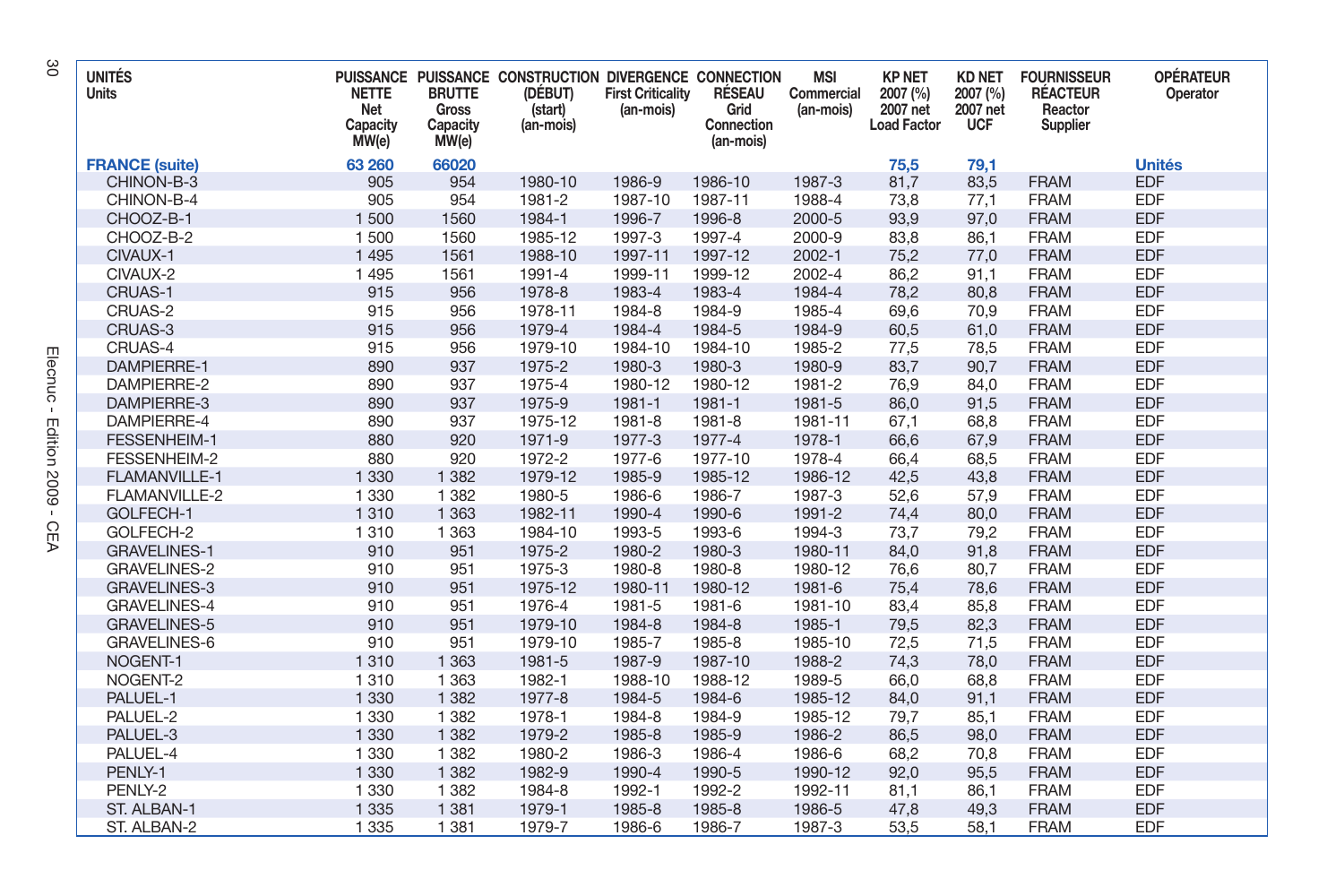| <b>UNITÉS</b><br>Units | <b>NETTE</b><br>Net<br>Capacity<br>MW(e) | <b>BRUTTE</b><br>Gross<br>Capacity<br>MW(e) | PUISSANCE PUISSANCE CONSTRUCTION DIVERGENCE CONNECTION<br>(DÉBUT)<br>(start)<br>(an-mois) | <b>First Criticality</b><br>(an-mois) | RÉSEAU<br>Grid<br>Connection<br>(an-mois) | <b>MSI</b><br>Commercial<br>(an-mois) | <b>KP NET</b><br>2007 (%)<br>2007 net<br><b>Load Factor</b> | <b>KD NET</b><br>2007 (%)<br>2007 net<br><b>UCF</b> | <b>FOURNISSEUR</b><br><b>RÉACTEUR</b><br>Reactor<br>Supplier | <b>OPÉRATEUR</b><br>Operator |
|------------------------|------------------------------------------|---------------------------------------------|-------------------------------------------------------------------------------------------|---------------------------------------|-------------------------------------------|---------------------------------------|-------------------------------------------------------------|-----------------------------------------------------|--------------------------------------------------------------|------------------------------|
| <b>FRANCE (suite)</b>  | 63 260                                   | 66020                                       |                                                                                           |                                       |                                           |                                       | 75,5                                                        | 79,1                                                |                                                              | <b>Unités</b>                |
| CHINON-B-3             | 905                                      | 954                                         | 1980-10                                                                                   | 1986-9                                | 1986-10                                   | 1987-3                                | 81,7                                                        | 83,5                                                | <b>FRAM</b>                                                  | <b>EDF</b>                   |
| CHINON-B-4             | 905                                      | 954                                         | 1981-2                                                                                    | 1987-10                               | 1987-11                                   | 1988-4                                | 73,8                                                        | 77,1                                                | <b>FRAM</b>                                                  | <b>EDF</b>                   |
| CHOOZ-B-1              | 1 500                                    | 1560                                        | 1984-1                                                                                    | 1996-7                                | 1996-8                                    | 2000-5                                | 93,9                                                        | 97,0                                                | <b>FRAM</b>                                                  | <b>EDF</b>                   |
| CHOOZ-B-2              | 1500                                     | 1560                                        | 1985-12                                                                                   | 1997-3                                | 1997-4                                    | 2000-9                                | 83,8                                                        | 86,1                                                | <b>FRAM</b>                                                  | <b>EDF</b>                   |
| CIVAUX-1               | 1 4 9 5                                  | 1561                                        | 1988-10                                                                                   | 1997-11                               | 1997-12                                   | $2002 - 1$                            | 75,2                                                        | 77,0                                                | <b>FRAM</b>                                                  | <b>EDF</b>                   |
| CIVAUX-2               | 1 4 9 5                                  | 1561                                        | 1991-4                                                                                    | 1999-11                               | 1999-12                                   | 2002-4                                | 86,2                                                        | 91,1                                                | <b>FRAM</b>                                                  | <b>EDF</b>                   |
| CRUAS-1                | 915                                      | 956                                         | 1978-8                                                                                    | 1983-4                                | 1983-4                                    | 1984-4                                | 78,2                                                        | 80,8                                                | <b>FRAM</b>                                                  | <b>EDF</b>                   |
| CRUAS-2                | 915                                      | 956                                         | 1978-11                                                                                   | 1984-8                                | 1984-9                                    | 1985-4                                | 69,6                                                        | 70,9                                                | <b>FRAM</b>                                                  | <b>EDF</b>                   |
| CRUAS-3                | 915                                      | 956                                         | 1979-4                                                                                    | 1984-4                                | 1984-5                                    | 1984-9                                | 60,5                                                        | 61,0                                                | <b>FRAM</b>                                                  | <b>EDF</b>                   |
| CRUAS-4                | 915                                      | 956                                         | 1979-10                                                                                   | 1984-10                               | 1984-10                                   | 1985-2                                | 77,5                                                        | 78,5                                                | <b>FRAM</b>                                                  | <b>EDF</b>                   |
| <b>DAMPIERRE-1</b>     | 890                                      | 937                                         | 1975-2                                                                                    | 1980-3                                | 1980-3                                    | 1980-9                                | 83,7                                                        | 90,7                                                | <b>FRAM</b>                                                  | <b>EDF</b>                   |
| DAMPIERRE-2            | 890                                      | 937                                         | 1975-4                                                                                    | 1980-12                               | 1980-12                                   | 1981-2                                | 76,9                                                        | 84,0                                                | <b>FRAM</b>                                                  | <b>EDF</b>                   |
| DAMPIERRE-3            | 890                                      | 937                                         | 1975-9                                                                                    | 1981-1                                | 1981-1                                    | 1981-5                                | 86,0                                                        | 91,5                                                | <b>FRAM</b>                                                  | <b>EDF</b>                   |
| DAMPIERRE-4            | 890                                      | 937                                         | 1975-12                                                                                   | 1981-8                                | 1981-8                                    | 1981-11                               | 67,1                                                        | 68,8                                                | <b>FRAM</b>                                                  | <b>EDF</b>                   |
| FESSENHEIM-1           | 880                                      | 920                                         | 1971-9                                                                                    | 1977-3                                | 1977-4                                    | 1978-1                                | 66,6                                                        | 67,9                                                | <b>FRAM</b>                                                  | <b>EDF</b>                   |
| FESSENHEIM-2           | 880                                      | 920                                         | 1972-2                                                                                    | 1977-6                                | 1977-10                                   | 1978-4                                | 66,4                                                        | 68,5                                                | <b>FRAM</b>                                                  | <b>EDF</b>                   |
| <b>FLAMANVILLE-1</b>   | 1 3 3 0                                  | 1 3 8 2                                     | 1979-12                                                                                   | 1985-9                                | 1985-12                                   | 1986-12                               | 42,5                                                        | 43,8                                                | <b>FRAM</b>                                                  | <b>EDF</b>                   |
| FLAMANVILLE-2          | 1 3 3 0                                  | 1 3 8 2                                     | 1980-5                                                                                    | 1986-6                                | 1986-7                                    | 1987-3                                | 52.6                                                        | 57,9                                                | <b>FRAM</b>                                                  | <b>EDF</b>                   |
| GOLFECH-1              | 1 3 1 0                                  | 1 3 6 3                                     | 1982-11                                                                                   | 1990-4                                | 1990-6                                    | 1991-2                                | 74,4                                                        | 80,0                                                | <b>FRAM</b>                                                  | <b>EDF</b>                   |
| GOLFECH-2              | 1 3 1 0                                  | 1 3 6 3                                     | 1984-10                                                                                   | 1993-5                                | 1993-6                                    | 1994-3                                | 73,7                                                        | 79,2                                                | <b>FRAM</b>                                                  | <b>EDF</b>                   |
| <b>GRAVELINES-1</b>    | 910                                      | 951                                         | 1975-2                                                                                    | 1980-2                                | 1980-3                                    | 1980-11                               | 84,0                                                        | 91,8                                                | <b>FRAM</b>                                                  | <b>EDF</b>                   |
| <b>GRAVELINES-2</b>    | 910                                      | 951                                         | 1975-3                                                                                    | 1980-8                                | 1980-8                                    | 1980-12                               | 76,6                                                        | 80,7                                                | <b>FRAM</b>                                                  | <b>EDF</b>                   |
| <b>GRAVELINES-3</b>    | 910                                      | 951                                         | 1975-12                                                                                   | 1980-11                               | 1980-12                                   | 1981-6                                | 75,4                                                        | 78,6                                                | <b>FRAM</b>                                                  | <b>EDF</b>                   |
| <b>GRAVELINES-4</b>    | 910                                      | 951                                         | 1976-4                                                                                    | 1981-5                                | 1981-6                                    | 1981-10                               | 83,4                                                        | 85,8                                                | <b>FRAM</b>                                                  | <b>EDF</b>                   |
| <b>GRAVELINES-5</b>    | 910                                      | 951                                         | 1979-10                                                                                   | 1984-8                                | 1984-8                                    | 1985-1                                | 79,5                                                        | 82,3                                                | <b>FRAM</b>                                                  | <b>EDF</b>                   |
| GRAVELINES-6           | 910                                      | 951                                         | 1979-10                                                                                   | 1985-7                                | 1985-8                                    | 1985-10                               | 72,5                                                        | 71,5                                                | <b>FRAM</b>                                                  | <b>EDF</b>                   |
| NOGENT-1               | 1 3 1 0                                  | 1 3 6 3                                     | 1981-5                                                                                    | 1987-9                                | 1987-10                                   | 1988-2                                | 74,3                                                        | 78,0                                                | <b>FRAM</b>                                                  | <b>EDF</b>                   |
| NOGENT-2               | 1 3 1 0                                  | 1 3 6 3                                     | 1982-1                                                                                    | 1988-10                               | 1988-12                                   | 1989-5                                | 66,0                                                        | 68,8                                                | <b>FRAM</b>                                                  | <b>EDF</b>                   |
| PALUEL-1               | 1 3 3 0                                  | 1 3 8 2                                     | 1977-8                                                                                    | 1984-5                                | 1984-6                                    | 1985-12                               | 84,0                                                        | 91,1                                                | <b>FRAM</b>                                                  | <b>EDF</b>                   |
| PALUEL-2               | 1 3 3 0                                  | 1 3 8 2                                     | 1978-1                                                                                    | 1984-8                                | 1984-9                                    | 1985-12                               | 79,7                                                        | 85,1                                                | <b>FRAM</b>                                                  | <b>EDF</b>                   |
| PALUEL-3               | 1 3 3 0                                  | 1 3 8 2                                     | 1979-2                                                                                    | 1985-8                                | 1985-9                                    | 1986-2                                | 86,5                                                        | 98,0                                                | <b>FRAM</b>                                                  | <b>EDF</b>                   |
| PALUEL-4               | 1 3 3 0                                  | 1 3 8 2                                     | 1980-2                                                                                    | 1986-3                                | 1986-4                                    | 1986-6                                | 68,2                                                        | 70,8                                                | <b>FRAM</b>                                                  | <b>EDF</b>                   |
| PENLY-1                | 1 3 3 0                                  | 1 3 8 2                                     | 1982-9                                                                                    | 1990-4                                | 1990-5                                    | 1990-12                               | 92,0                                                        | 95,5                                                | <b>FRAM</b>                                                  | <b>EDF</b>                   |
| PENLY-2                | 1 3 3 0                                  | 1 3 8 2                                     | 1984-8                                                                                    | 1992-1                                | 1992-2                                    | 1992-11                               | 81,1                                                        | 86,1                                                | <b>FRAM</b>                                                  | <b>EDF</b>                   |
| ST. ALBAN-1            | 1 3 3 5                                  | 1 3 8 1                                     | 1979-1                                                                                    | 1985-8                                | 1985-8                                    | 1986-5                                | 47,8                                                        | 49,3                                                | <b>FRAM</b>                                                  | <b>EDF</b>                   |
| ST. ALBAN-2            | 1 3 3 5                                  | 1 3 8 1                                     | 1979-7                                                                                    | 1986-6                                | 1986-7                                    | 1987-3                                | 53.5                                                        | 58.1                                                | <b>FRAM</b>                                                  | <b>EDF</b>                   |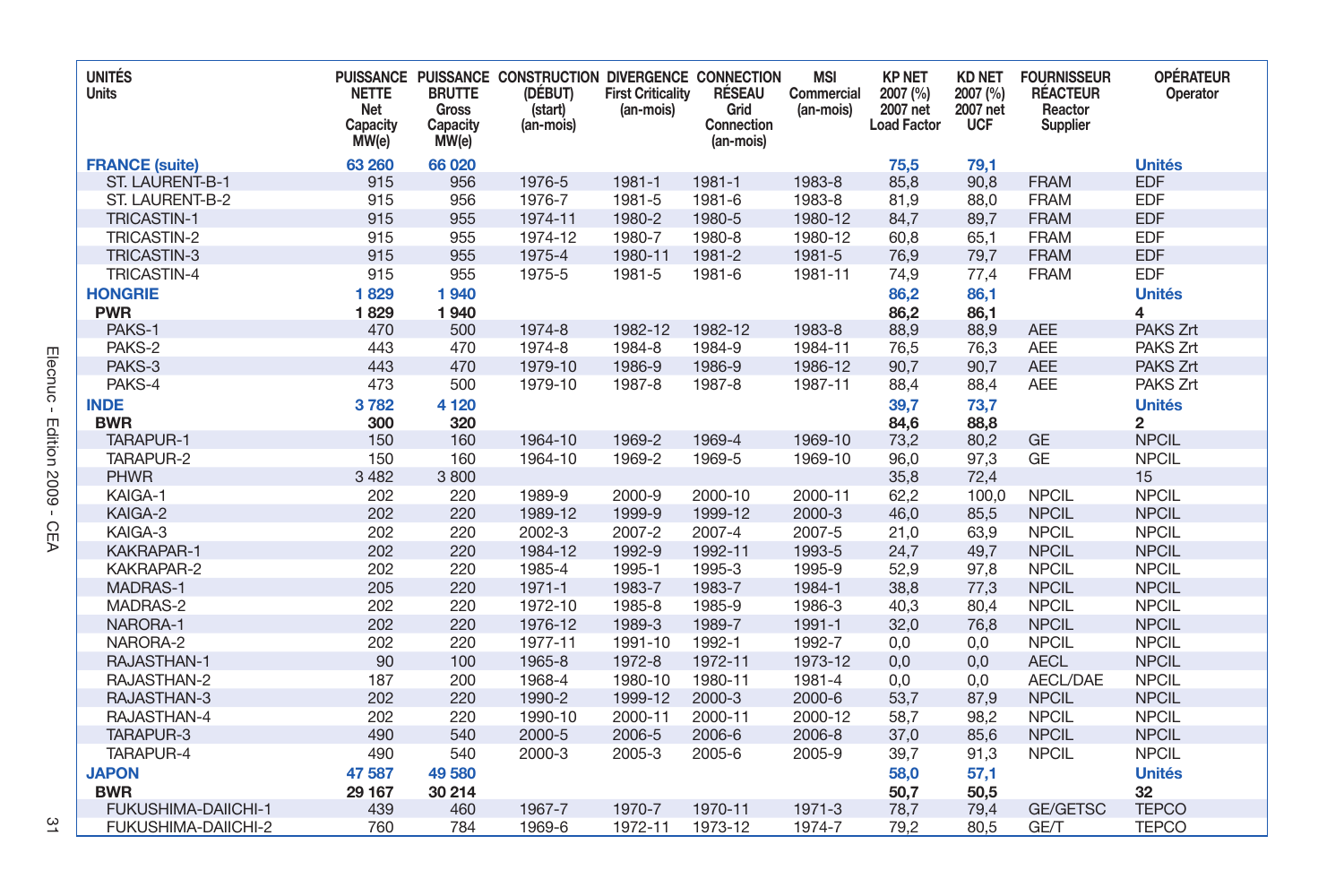| <b>UNITÉS</b><br>Units     | <b>NETTE</b><br>Net<br>Capacity<br>MW(e) | <b>BRUTTE</b><br>Gross<br>Capacity<br>MW(e) | PUISSANCE PUISSANCE CONSTRUCTION DIVERGENCE CONNECTION<br>(DÉBUT)<br>(start)<br>(an-mois) | <b>First Criticality</b><br>(an-mois) | RÉSEAU<br>Grid<br>Connection<br>(an-mois) | <b>MSI</b><br>Commercial<br>(an-mois) | <b>KP NET</b><br>2007 (%)<br>2007 net<br><b>Load Factor</b> | <b>KD NET</b><br>2007 (%)<br>2007 net<br><b>UCF</b> | <b>FOURNISSEUR</b><br><b>RÉACTEUR</b><br>Reactor<br>Supplier | <b>OPÉRATEUR</b><br>Operator |
|----------------------------|------------------------------------------|---------------------------------------------|-------------------------------------------------------------------------------------------|---------------------------------------|-------------------------------------------|---------------------------------------|-------------------------------------------------------------|-----------------------------------------------------|--------------------------------------------------------------|------------------------------|
| <b>FRANCE (suite)</b>      | 63 260                                   | 66 020                                      |                                                                                           |                                       |                                           |                                       | 75,5                                                        | 79,1                                                |                                                              | <b>Unités</b>                |
| ST. LAURENT-B-1            | 915                                      | 956                                         | 1976-5                                                                                    | 1981-1                                | 1981-1                                    | 1983-8                                | 85,8                                                        | 90,8                                                | <b>FRAM</b>                                                  | <b>EDF</b>                   |
| ST. LAURENT-B-2            | 915                                      | 956                                         | 1976-7                                                                                    | 1981-5                                | 1981-6                                    | 1983-8                                | 81,9                                                        | 88,0                                                | <b>FRAM</b>                                                  | <b>EDF</b>                   |
| <b>TRICASTIN-1</b>         | 915                                      | 955                                         | 1974-11                                                                                   | 1980-2                                | 1980-5                                    | 1980-12                               | 84,7                                                        | 89,7                                                | <b>FRAM</b>                                                  | <b>EDF</b>                   |
| <b>TRICASTIN-2</b>         | 915                                      | 955                                         | 1974-12                                                                                   | 1980-7                                | 1980-8                                    | 1980-12                               | 60.8                                                        | 65.1                                                | <b>FRAM</b>                                                  | <b>EDF</b>                   |
| <b>TRICASTIN-3</b>         | 915                                      | 955                                         | 1975-4                                                                                    | 1980-11                               | 1981-2                                    | 1981-5                                | 76,9                                                        | 79,7                                                | <b>FRAM</b>                                                  | <b>EDF</b>                   |
| <b>TRICASTIN-4</b>         | 915                                      | 955                                         | 1975-5                                                                                    | 1981-5                                | 1981-6                                    | 1981-11                               | 74,9                                                        | 77,4                                                | <b>FRAM</b>                                                  | <b>EDF</b>                   |
| <b>HONGRIE</b>             | 1829                                     | 1940                                        |                                                                                           |                                       |                                           |                                       | 86,2                                                        | 86,1                                                |                                                              | <b>Unités</b>                |
| <b>PWR</b>                 | 1829                                     | 1940                                        |                                                                                           |                                       |                                           |                                       | 86,2                                                        | 86,1                                                |                                                              | 4                            |
| PAKS-1                     | 470                                      | 500                                         | 1974-8                                                                                    | 1982-12                               | 1982-12                                   | 1983-8                                | 88,9                                                        | 88,9                                                | <b>AEE</b>                                                   | PAKS Zrt                     |
| PAKS-2                     | 443                                      | 470                                         | 1974-8                                                                                    | 1984-8                                | 1984-9                                    | 1984-11                               | 76,5                                                        | 76,3                                                | <b>AEE</b>                                                   | PAKS Zrt                     |
| PAKS-3                     | 443                                      | 470                                         | 1979-10                                                                                   | 1986-9                                | 1986-9                                    | 1986-12                               | 90,7                                                        | 90,7                                                | <b>AEE</b>                                                   | PAKS Zrt                     |
| PAKS-4                     | 473                                      | 500                                         | 1979-10                                                                                   | 1987-8                                | 1987-8                                    | 1987-11                               | 88,4                                                        | 88,4                                                | <b>AEE</b>                                                   | PAKS Zrt                     |
| <b>INDE</b>                | 3782                                     | 4 1 2 0                                     |                                                                                           |                                       |                                           |                                       | 39,7                                                        | 73,7                                                |                                                              | <b>Unités</b>                |
| <b>BWR</b>                 | 300                                      | 320                                         |                                                                                           |                                       |                                           |                                       | 84,6                                                        | 88.8                                                |                                                              | $\overline{2}$               |
| <b>TARAPUR-1</b>           | 150                                      | 160                                         | 1964-10                                                                                   | 1969-2                                | 1969-4                                    | 1969-10                               | 73,2                                                        | 80,2                                                | <b>GE</b>                                                    | <b>NPCIL</b>                 |
| TARAPUR-2                  | 150                                      | 160                                         | 1964-10                                                                                   | 1969-2                                | 1969-5                                    | 1969-10                               | 96,0                                                        | 97,3                                                | GE                                                           | <b>NPCIL</b>                 |
| <b>PHWR</b>                | 3 4 8 2                                  | 3800                                        |                                                                                           |                                       |                                           |                                       | 35,8                                                        | 72,4                                                |                                                              | 15                           |
| KAIGA-1                    | 202                                      | 220                                         | 1989-9                                                                                    | 2000-9                                | 2000-10                                   | 2000-11                               | 62,2                                                        | 100,0                                               | <b>NPCIL</b>                                                 | <b>NPCIL</b>                 |
| KAIGA-2                    | 202                                      | 220                                         | 1989-12                                                                                   | 1999-9                                | 1999-12                                   | 2000-3                                | 46,0                                                        | 85,5                                                | <b>NPCIL</b>                                                 | <b>NPCIL</b>                 |
| KAIGA-3                    | 202                                      | 220                                         | 2002-3                                                                                    | 2007-2                                | 2007-4                                    | 2007-5                                | 21,0                                                        | 63,9                                                | <b>NPCIL</b>                                                 | <b>NPCIL</b>                 |
| KAKRAPAR-1                 | 202                                      | 220                                         | 1984-12                                                                                   | 1992-9                                | 1992-11                                   | 1993-5                                | 24,7                                                        | 49,7                                                | <b>NPCIL</b>                                                 | <b>NPCIL</b>                 |
| KAKRAPAR-2                 | 202                                      | 220                                         | 1985-4                                                                                    | 1995-1                                | 1995-3                                    | 1995-9                                | 52,9                                                        | 97,8                                                | <b>NPCIL</b>                                                 | <b>NPCIL</b>                 |
| MADRAS-1                   | 205                                      | 220                                         | 1971-1                                                                                    | 1983-7                                | 1983-7                                    | 1984-1                                | 38,8                                                        | 77,3                                                | <b>NPCIL</b>                                                 | <b>NPCIL</b>                 |
| MADRAS-2                   | 202                                      | 220                                         | 1972-10                                                                                   | 1985-8                                | 1985-9                                    | 1986-3                                | 40,3                                                        | 80,4                                                | <b>NPCIL</b>                                                 | <b>NPCIL</b>                 |
| NARORA-1                   | 202                                      | 220                                         | 1976-12                                                                                   | 1989-3                                | 1989-7                                    | 1991-1                                | 32.0                                                        | 76,8                                                | <b>NPCIL</b>                                                 | <b>NPCIL</b>                 |
| NARORA-2                   | 202                                      | 220                                         | 1977-11                                                                                   | 1991-10                               | 1992-1                                    | 1992-7                                | 0,0                                                         | 0,0                                                 | <b>NPCIL</b>                                                 | <b>NPCIL</b>                 |
| RAJASTHAN-1                | 90                                       | 100                                         | 1965-8                                                                                    | 1972-8                                | 1972-11                                   | 1973-12                               | 0,0                                                         | 0,0                                                 | <b>AECL</b>                                                  | <b>NPCIL</b>                 |
| RAJASTHAN-2                | 187                                      | 200                                         | 1968-4                                                                                    | 1980-10                               | 1980-11                                   | 1981-4                                | 0,0                                                         | 0,0                                                 | AECL/DAE                                                     | <b>NPCIL</b>                 |
| RAJASTHAN-3                | 202                                      | 220                                         | 1990-2                                                                                    | 1999-12                               | 2000-3                                    | 2000-6                                | 53,7                                                        | 87,9                                                | <b>NPCIL</b>                                                 | <b>NPCIL</b>                 |
| RAJASTHAN-4                | 202                                      | 220                                         | 1990-10                                                                                   | 2000-11                               | 2000-11                                   | 2000-12                               | 58.7                                                        | 98,2                                                | <b>NPCIL</b>                                                 | <b>NPCIL</b>                 |
| <b>TARAPUR-3</b>           | 490                                      | 540                                         | 2000-5                                                                                    | 2006-5                                | 2006-6                                    | 2006-8                                | 37,0                                                        | 85,6                                                | <b>NPCIL</b>                                                 | <b>NPCIL</b>                 |
| TARAPUR-4                  | 490                                      | 540                                         | 2000-3                                                                                    | 2005-3                                | 2005-6                                    | 2005-9                                | 39,7                                                        | 91,3                                                | <b>NPCIL</b>                                                 | <b>NPCIL</b>                 |
| <b>JAPON</b>               | 47 587                                   | 49 580                                      |                                                                                           |                                       |                                           |                                       | 58,0                                                        | 57,1                                                |                                                              | <b>Unités</b>                |
| <b>BWR</b>                 | 29 167                                   | 30 214                                      |                                                                                           |                                       |                                           |                                       | 50,7                                                        | 50,5                                                |                                                              | 32                           |
| <b>FUKUSHIMA-DAIICHI-1</b> | 439                                      | 460                                         | 1967-7                                                                                    | 1970-7                                | 1970-11                                   | 1971-3                                | 78,7                                                        | 79,4                                                | <b>GE/GETSC</b>                                              | <b>TEPCO</b>                 |
| FUKUSHIMA-DAIICHI-2        | 760                                      | 784                                         | 1969-6                                                                                    | 1972-11                               | 1973-12                                   | 1974-7                                | 79,2                                                        | 80,5                                                | GE/T                                                         | <b>TEPCO</b>                 |

 $\overline{\mathbf{z}}$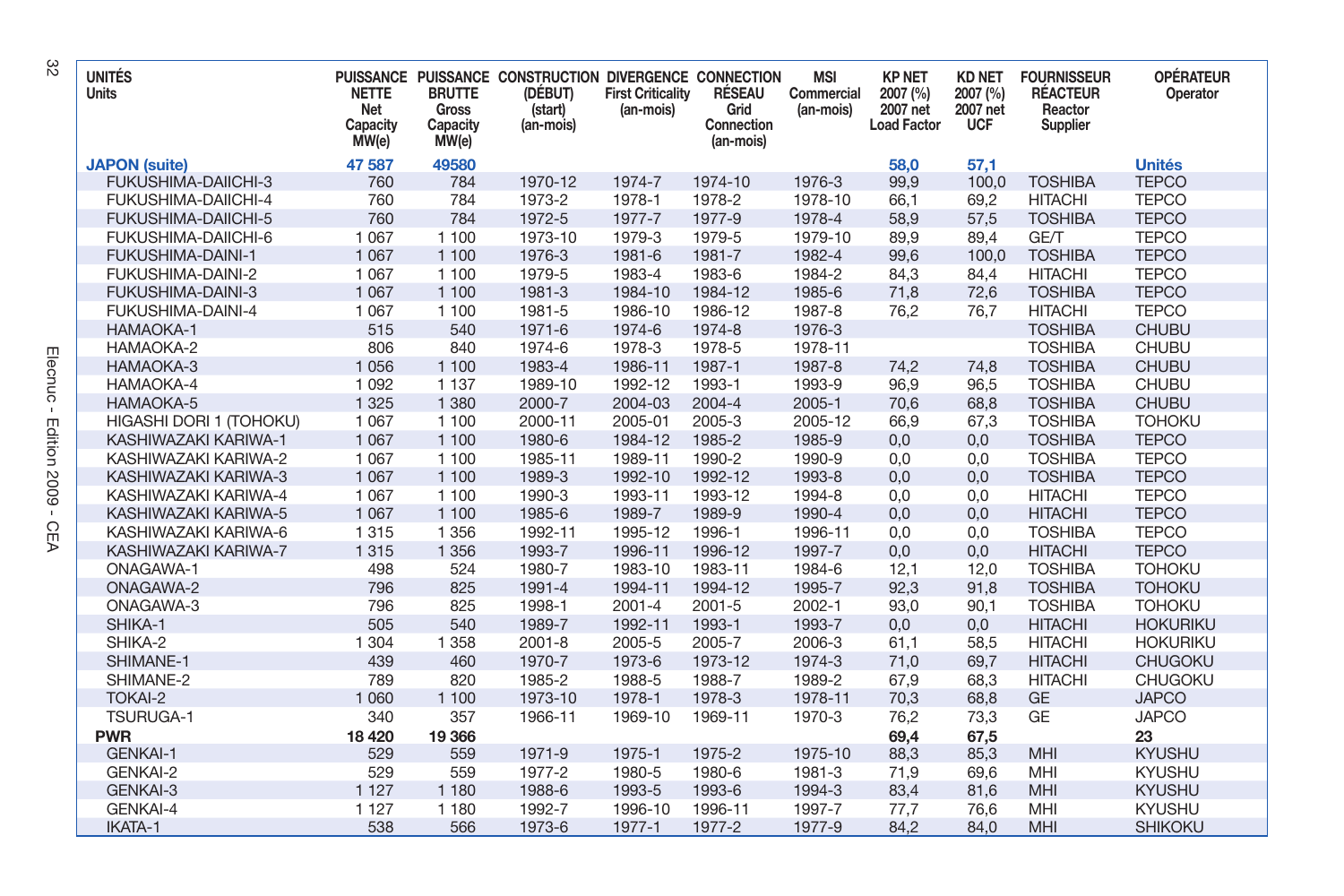| <b>UNITÉS</b><br>Units     | <b>NETTE</b><br>Net<br>Capacity<br>MW(e) | <b>BRUTTE</b><br>Gross<br>Capacity<br>MW(e) | PUISSANCE PUISSANCE CONSTRUCTION DIVERGENCE CONNECTION<br>(DÉBUT)<br>(start)<br>(an-mois) | <b>First Criticality</b><br>(an-mois) | RÉSEAU<br>Grid<br>Connection<br>(an-mois) | <b>MSI</b><br>Commercial<br>(an-mois) | <b>KP NET</b><br>2007 (%)<br>2007 net<br><b>Load Factor</b> | <b>KD NET</b><br>2007 (%)<br>2007 net<br><b>UCF</b> | <b>FOURNISSEUR</b><br><b>RÉACTEUR</b><br>Reactor<br>Supplier | <b>OPÉRATEUR</b><br>Operator |
|----------------------------|------------------------------------------|---------------------------------------------|-------------------------------------------------------------------------------------------|---------------------------------------|-------------------------------------------|---------------------------------------|-------------------------------------------------------------|-----------------------------------------------------|--------------------------------------------------------------|------------------------------|
| <b>JAPON</b> (suite)       | 47 587                                   | 49580                                       |                                                                                           |                                       |                                           |                                       | 58.0                                                        | 57,1                                                |                                                              | <b>Unités</b>                |
| FUKUSHIMA-DAIICHI-3        | 760                                      | 784                                         | 1970-12                                                                                   | 1974-7                                | 1974-10                                   | 1976-3                                | 99,9                                                        | 100,0                                               | <b>TOSHIBA</b>                                               | <b>TEPCO</b>                 |
| FUKUSHIMA-DAIICHI-4        | 760                                      | 784                                         | 1973-2                                                                                    | 1978-1                                | 1978-2                                    | 1978-10                               | 66,1                                                        | 69,2                                                | <b>HITACHI</b>                                               | <b>TEPCO</b>                 |
| <b>FUKUSHIMA-DAIICHI-5</b> | 760                                      | 784                                         | 1972-5                                                                                    | 1977-7                                | 1977-9                                    | 1978-4                                | 58,9                                                        | 57,5                                                | <b>TOSHIBA</b>                                               | <b>TEPCO</b>                 |
| FUKUSHIMA-DAIICHI-6        | 1 0 6 7                                  | 1 100                                       | 1973-10                                                                                   | 1979-3                                | 1979-5                                    | 1979-10                               | 89.9                                                        | 89,4                                                | GE/T                                                         | <b>TEPCO</b>                 |
| <b>FUKUSHIMA-DAINI-1</b>   | 1 0 6 7                                  | 1 100                                       | 1976-3                                                                                    | 1981-6                                | 1981-7                                    | 1982-4                                | 99.6                                                        | 100.0                                               | <b>TOSHIBA</b>                                               | <b>TEPCO</b>                 |
| FUKUSHIMA-DAINI-2          | 1 0 6 7                                  | 1 100                                       | 1979-5                                                                                    | 1983-4                                | 1983-6                                    | 1984-2                                | 84,3                                                        | 84,4                                                | <b>HITACHI</b>                                               | <b>TEPCO</b>                 |
| <b>FUKUSHIMA-DAINI-3</b>   | 1 0 6 7                                  | 1 100                                       | 1981-3                                                                                    | 1984-10                               | 1984-12                                   | 1985-6                                | 71,8                                                        | 72,6                                                | <b>TOSHIBA</b>                                               | <b>TEPCO</b>                 |
| FUKUSHIMA-DAINI-4          | 1 0 6 7                                  | 1 100                                       | 1981-5                                                                                    | 1986-10                               | 1986-12                                   | 1987-8                                | 76,2                                                        | 76,7                                                | <b>HITACHI</b>                                               | <b>TEPCO</b>                 |
| HAMAOKA-1                  | 515                                      | 540                                         | 1971-6                                                                                    | 1974-6                                | 1974-8                                    | 1976-3                                |                                                             |                                                     | <b>TOSHIBA</b>                                               | <b>CHUBU</b>                 |
| HAMAOKA-2                  | 806                                      | 840                                         | 1974-6                                                                                    | 1978-3                                | 1978-5                                    | 1978-11                               |                                                             |                                                     | <b>TOSHIBA</b>                                               | <b>CHUBU</b>                 |
| HAMAOKA-3                  | 1 0 5 6                                  | 1 100                                       | 1983-4                                                                                    | 1986-11                               | 1987-1                                    | 1987-8                                | 74,2                                                        | 74,8                                                | <b>TOSHIBA</b>                                               | <b>CHUBU</b>                 |
| HAMAOKA-4                  | 1 0 9 2                                  | 1 1 3 7                                     | 1989-10                                                                                   | 1992-12                               | 1993-1                                    | 1993-9                                | 96.9                                                        | 96.5                                                | <b>TOSHIBA</b>                                               | <b>CHUBU</b>                 |
| HAMAOKA-5                  | 1 3 2 5                                  | 1 3 8 0                                     | 2000-7                                                                                    | 2004-03                               | 2004-4                                    | $2005 - 1$                            | 70.6                                                        | 68.8                                                | <b>TOSHIBA</b>                                               | <b>CHUBU</b>                 |
| HIGASHI DORI 1 (TOHOKU)    | 1 0 6 7                                  | 1 100                                       | 2000-11                                                                                   | 2005-01                               | 2005-3                                    | 2005-12                               | 66.9                                                        | 67,3                                                | <b>TOSHIBA</b>                                               | <b>TOHOKU</b>                |
| KASHIWAZAKI KARIWA-1       | 1 0 6 7                                  | 1 100                                       | 1980-6                                                                                    | 1984-12                               | 1985-2                                    | 1985-9                                | 0,0                                                         | 0,0                                                 | <b>TOSHIBA</b>                                               | <b>TEPCO</b>                 |
| KASHIWAZAKI KARIWA-2       | 1 0 6 7                                  | 1 100                                       | 1985-11                                                                                   | 1989-11                               | 1990-2                                    | 1990-9                                | 0,0                                                         | 0,0                                                 | <b>TOSHIBA</b>                                               | <b>TEPCO</b>                 |
| KASHIWAZAKI KARIWA-3       | 1 0 6 7                                  | 1 100                                       | 1989-3                                                                                    | 1992-10                               | 1992-12                                   | 1993-8                                | 0,0                                                         | 0,0                                                 | <b>TOSHIBA</b>                                               | <b>TEPCO</b>                 |
| KASHIWAZAKI KARIWA-4       | 1 0 6 7                                  | 1 100                                       | 1990-3                                                                                    | 1993-11                               | 1993-12                                   | 1994-8                                | 0.0                                                         | 0,0                                                 | <b>HITACHI</b>                                               | <b>TEPCO</b>                 |
| KASHIWAZAKI KARIWA-5       | 1 0 6 7                                  | 1 100                                       | 1985-6                                                                                    | 1989-7                                | 1989-9                                    | 1990-4                                | 0.0                                                         | 0.0                                                 | <b>HITACHI</b>                                               | <b>TEPCO</b>                 |
| KASHIWAZAKI KARIWA-6       | 1 3 1 5                                  | 1 3 5 6                                     | 1992-11                                                                                   | 1995-12                               | 1996-1                                    | 1996-11                               | 0,0                                                         | 0,0                                                 | <b>TOSHIBA</b>                                               | <b>TEPCO</b>                 |
| KASHIWAZAKI KARIWA-7       | 1 3 1 5                                  | 1 3 5 6                                     | 1993-7                                                                                    | 1996-11                               | 1996-12                                   | 1997-7                                | 0,0                                                         | 0,0                                                 | <b>HITACHI</b>                                               | <b>TEPCO</b>                 |
| <b>ONAGAWA-1</b>           | 498                                      | 524                                         | 1980-7                                                                                    | 1983-10                               | 1983-11                                   | 1984-6                                | 12,1                                                        | 12,0                                                | <b>TOSHIBA</b>                                               | <b>TOHOKU</b>                |
| <b>ONAGAWA-2</b>           | 796                                      | 825                                         | 1991-4                                                                                    | 1994-11                               | 1994-12                                   | 1995-7                                | 92,3                                                        | 91,8                                                | <b>TOSHIBA</b>                                               | <b>TOHOKU</b>                |
| ONAGAWA-3                  | 796                                      | 825                                         | 1998-1                                                                                    | $2001 - 4$                            | $2001 - 5$                                | 2002-1                                | 93,0                                                        | 90,1                                                | <b>TOSHIBA</b>                                               | <b>TOHOKU</b>                |
| SHIKA-1                    | 505                                      | 540                                         | 1989-7                                                                                    | 1992-11                               | 1993-1                                    | 1993-7                                | 0,0                                                         | 0,0                                                 | <b>HITACHI</b>                                               | <b>HOKURIKU</b>              |
| SHIKA-2                    | 1 3 0 4                                  | 1 3 5 8                                     | $2001 - 8$                                                                                | 2005-5                                | 2005-7                                    | 2006-3                                | 61.1                                                        | 58,5                                                | <b>HITACHI</b>                                               | <b>HOKURIKU</b>              |
| SHIMANE-1                  | 439                                      | 460                                         | 1970-7                                                                                    | 1973-6                                | 1973-12                                   | 1974-3                                | 71.0                                                        | 69.7                                                | <b>HITACHI</b>                                               | <b>CHUGOKU</b>               |
| SHIMANE-2                  | 789                                      | 820                                         | 1985-2                                                                                    | 1988-5                                | 1988-7                                    | 1989-2                                | 67.9                                                        | 68.3                                                | <b>HITACHI</b>                                               | <b>CHUGOKU</b>               |
| <b>TOKAI-2</b>             | 1 0 6 0                                  | 1 100                                       | 1973-10                                                                                   | 1978-1                                | 1978-3                                    | 1978-11                               | 70,3                                                        | 68,8                                                | <b>GE</b>                                                    | <b>JAPCO</b>                 |
| <b>TSURUGA-1</b>           | 340                                      | 357                                         | 1966-11                                                                                   | 1969-10                               | 1969-11                                   | 1970-3                                | 76,2                                                        | 73,3                                                | <b>GE</b>                                                    | <b>JAPCO</b>                 |
| <b>PWR</b>                 | 18 4 20                                  | 19 366                                      |                                                                                           |                                       |                                           |                                       | 69,4                                                        | 67,5                                                |                                                              | 23                           |
| <b>GENKAI-1</b>            | 529                                      | 559                                         | 1971-9                                                                                    | 1975-1                                | 1975-2                                    | 1975-10                               | 88,3                                                        | 85,3                                                | MHI                                                          | <b>KYUSHU</b>                |
| <b>GENKAI-2</b>            | 529                                      | 559                                         | 1977-2                                                                                    | 1980-5                                | 1980-6                                    | 1981-3                                | 71,9                                                        | 69,6                                                | MHI                                                          | <b>KYUSHU</b>                |
| <b>GENKAI-3</b>            | 1 1 2 7                                  | 1 1 8 0                                     | 1988-6                                                                                    | 1993-5                                | 1993-6                                    | 1994-3                                | 83,4                                                        | 81,6                                                | MHI                                                          | <b>KYUSHU</b>                |
| GENKAI-4                   | 1 1 2 7                                  | 1 1 8 0                                     | 1992-7                                                                                    | 1996-10                               | 1996-11                                   | 1997-7                                | 77,7                                                        | 76,6                                                | MHI                                                          | <b>KYUSHU</b>                |
| IKATA-1                    | 538                                      | 566                                         | 1973-6                                                                                    | 1977-1                                | 1977-2                                    | 1977-9                                | 84,2                                                        | 84,0                                                | MHI                                                          | <b>SHIKOKU</b>               |

 $\approx$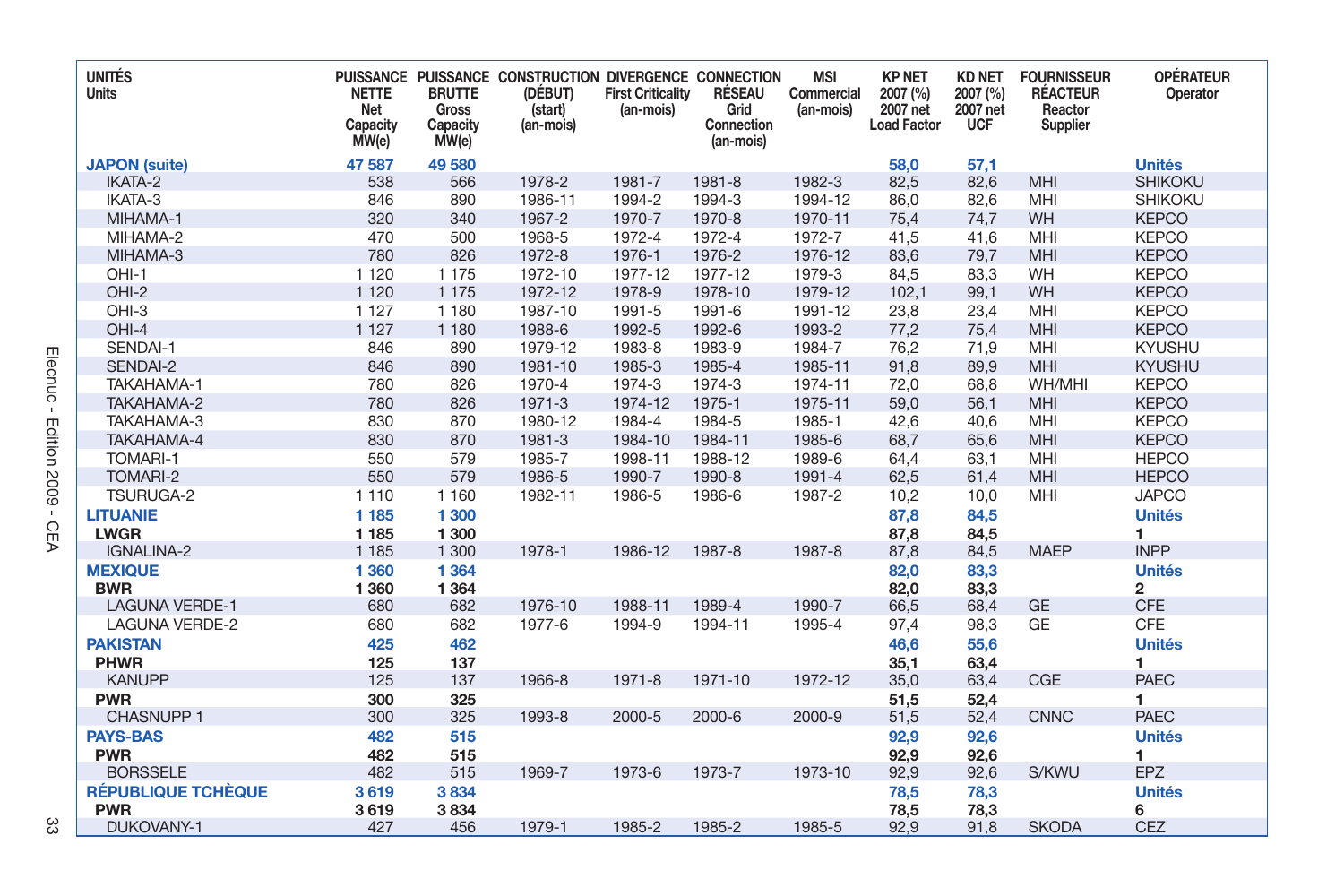| <b>UNITÉS</b><br><b>Units</b> | <b>NETTE</b><br>Net<br>Capacity<br>MW(e) | <b>BRUTTE</b><br>Gross<br>Capacity<br>MW(e) | PUISSANCE PUISSANCE CONSTRUCTION DIVERGENCE CONNECTION<br>(DÉBUT)<br>(start)<br>(an-mois) | <b>First Criticality</b><br>(an-mois) | RÉSEAU<br>Grid<br>Connection<br>(an-mois) | <b>MSI</b><br>Commercial<br>(an-mois) | <b>KP NET</b><br>2007 (%)<br>2007 net<br><b>Load Factor</b> | <b>KD NET</b><br>2007 (%)<br>2007 net<br><b>UCF</b> | <b>FOURNISSEUR</b><br><b>RÉACTEUR</b><br>Reactor<br>Supplier | <b>OPÉRATEUR</b><br>Operator |
|-------------------------------|------------------------------------------|---------------------------------------------|-------------------------------------------------------------------------------------------|---------------------------------------|-------------------------------------------|---------------------------------------|-------------------------------------------------------------|-----------------------------------------------------|--------------------------------------------------------------|------------------------------|
| <b>JAPON</b> (suite)          | 47 587                                   | 49 580                                      |                                                                                           |                                       |                                           |                                       | 58,0                                                        | 57,1                                                |                                                              | <b>Unités</b>                |
| <b>IKATA-2</b>                | 538                                      | 566                                         | 1978-2                                                                                    | 1981-7                                | 1981-8                                    | 1982-3                                | 82,5                                                        | 82,6                                                | MHI                                                          | <b>SHIKOKU</b>               |
| IKATA-3                       | 846                                      | 890                                         | 1986-11                                                                                   | 1994-2                                | 1994-3                                    | 1994-12                               | 86,0                                                        | 82,6                                                | MHI                                                          | <b>SHIKOKU</b>               |
| MIHAMA-1                      | 320                                      | 340                                         | 1967-2                                                                                    | 1970-7                                | 1970-8                                    | 1970-11                               | 75,4                                                        | 74,7                                                | WH                                                           | <b>KEPCO</b>                 |
| MIHAMA-2                      | 470                                      | 500                                         | 1968-5                                                                                    | 1972-4                                | 1972-4                                    | 1972-7                                | 41.5                                                        | 41,6                                                | MHI                                                          | <b>KEPCO</b>                 |
| MIHAMA-3                      | 780                                      | 826                                         | 1972-8                                                                                    | 1976-1                                | 1976-2                                    | 1976-12                               | 83.6                                                        | 79,7                                                | <b>MHI</b>                                                   | <b>KEPCO</b>                 |
| OHI-1                         | 1 1 2 0                                  | 1 1 7 5                                     | 1972-10                                                                                   | 1977-12                               | 1977-12                                   | 1979-3                                | 84,5                                                        | 83.3                                                | <b>WH</b>                                                    | <b>KEPCO</b>                 |
| OHI-2                         | 1 1 2 0                                  | 1 1 7 5                                     | 1972-12                                                                                   | 1978-9                                | 1978-10                                   | 1979-12                               | 102,1                                                       | 99,1                                                | WH                                                           | <b>KEPCO</b>                 |
| OHI-3                         | 1 1 2 7                                  | 1 1 8 0                                     | 1987-10                                                                                   | 1991-5                                | 1991-6                                    | 1991-12                               | 23,8                                                        | 23,4                                                | MHI                                                          | <b>KEPCO</b>                 |
| $OHI-4$                       | 1 1 2 7                                  | 1 1 8 0                                     | 1988-6                                                                                    | 1992-5                                | 1992-6                                    | 1993-2                                | 77,2                                                        | 75,4                                                | <b>MHI</b>                                                   | <b>KEPCO</b>                 |
| SENDAI-1                      | 846                                      | 890                                         | 1979-12                                                                                   | 1983-8                                | 1983-9                                    | 1984-7                                | 76,2                                                        | 71,9                                                | MHI                                                          | <b>KYUSHU</b>                |
| SENDAI-2                      | 846                                      | 890                                         | 1981-10                                                                                   | 1985-3                                | 1985-4                                    | 1985-11                               | 91,8                                                        | 89,9                                                | <b>MHI</b>                                                   | <b>KYUSHU</b>                |
| TAKAHAMA-1                    | 780                                      | 826                                         | 1970-4                                                                                    | 1974-3                                | 1974-3                                    | 1974-11                               | 72,0                                                        | 68,8                                                | WH/MHI                                                       | <b>KEPCO</b>                 |
| TAKAHAMA-2                    | 780                                      | 826                                         | 1971-3                                                                                    | 1974-12                               | 1975-1                                    | 1975-11                               | 59,0                                                        | 56,1                                                | <b>MHI</b>                                                   | <b>KEPCO</b>                 |
| TAKAHAMA-3                    | 830                                      | 870                                         | 1980-12                                                                                   | 1984-4                                | 1984-5                                    | 1985-1                                | 42,6                                                        | 40,6                                                | MHI                                                          | <b>KEPCO</b>                 |
| TAKAHAMA-4                    | 830                                      | 870                                         | 1981-3                                                                                    | 1984-10                               | 1984-11                                   | 1985-6                                | 68.7                                                        | 65.6                                                | <b>MHI</b>                                                   | <b>KEPCO</b>                 |
| <b>TOMARI-1</b>               | 550                                      | 579                                         | 1985-7                                                                                    | 1998-11                               | 1988-12                                   | 1989-6                                | 64,4                                                        | 63,1                                                | MHI                                                          | <b>HEPCO</b>                 |
| TOMARI-2                      | 550                                      | 579                                         | 1986-5                                                                                    | 1990-7                                | 1990-8                                    | 1991-4                                | 62,5                                                        | 61,4                                                | MHI                                                          | <b>HEPCO</b>                 |
| <b>TSURUGA-2</b>              | 1 1 1 0                                  | 1 1 6 0                                     | 1982-11                                                                                   | 1986-5                                | 1986-6                                    | 1987-2                                | 10,2                                                        | 10,0                                                | MHI                                                          | <b>JAPCO</b>                 |
| <b>LITUANIE</b>               | 1 1 8 5                                  | 1 300                                       |                                                                                           |                                       |                                           |                                       | 87,8                                                        | 84,5                                                |                                                              | <b>Unités</b>                |
| <b>LWGR</b>                   | 1 1 8 5                                  | 1 300                                       |                                                                                           |                                       |                                           |                                       | 87,8                                                        | 84,5                                                |                                                              | 1                            |
| <b>IGNALINA-2</b>             | 1 1 8 5                                  | 1 300                                       | 1978-1                                                                                    | 1986-12                               | 1987-8                                    | 1987-8                                | 87,8                                                        | 84,5                                                | <b>MAEP</b>                                                  | <b>INPP</b>                  |
| <b>MEXIQUE</b>                | 1 3 6 0                                  | 1 3 6 4                                     |                                                                                           |                                       |                                           |                                       | 82,0                                                        | 83,3                                                |                                                              | <b>Unités</b>                |
| <b>BWR</b>                    | 1 3 6 0                                  | 1 3 6 4                                     |                                                                                           |                                       |                                           |                                       | 82,0                                                        | 83,3                                                |                                                              | $\overline{2}$               |
| <b>LAGUNA VERDE-1</b>         | 680                                      | 682                                         | 1976-10                                                                                   | 1988-11                               | 1989-4                                    | 1990-7                                | 66,5                                                        | 68,4                                                | <b>GE</b>                                                    | <b>CFE</b>                   |
| <b>LAGUNA VERDE-2</b>         | 680                                      | 682                                         | 1977-6                                                                                    | 1994-9                                | 1994-11                                   | 1995-4                                | 97,4                                                        | 98,3                                                | GE                                                           | <b>CFE</b>                   |
| <b>PAKISTAN</b>               | 425                                      | 462                                         |                                                                                           |                                       |                                           |                                       | 46,6                                                        | 55,6                                                |                                                              | <b>Unités</b>                |
| <b>PHWR</b>                   | 125                                      | 137                                         |                                                                                           |                                       |                                           |                                       | 35,1                                                        | 63,4                                                |                                                              | 1                            |
| <b>KANUPP</b>                 | 125                                      | 137                                         | 1966-8                                                                                    | 1971-8                                | 1971-10                                   | 1972-12                               | 35,0                                                        | 63,4                                                | CGE                                                          | <b>PAEC</b>                  |
| <b>PWR</b>                    | 300                                      | 325                                         |                                                                                           |                                       |                                           |                                       | 51,5                                                        | 52,4                                                |                                                              | 1                            |
| <b>CHASNUPP 1</b>             | 300                                      | 325                                         | 1993-8                                                                                    | 2000-5                                | 2000-6                                    | 2000-9                                | 51,5                                                        | 52,4                                                | <b>CNNC</b>                                                  | <b>PAEC</b>                  |
| <b>PAYS-BAS</b>               | 482                                      | 515                                         |                                                                                           |                                       |                                           |                                       | 92,9                                                        | 92,6                                                |                                                              | <b>Unités</b>                |
| <b>PWR</b>                    | 482                                      | 515                                         |                                                                                           |                                       |                                           |                                       | 92,9                                                        | 92,6                                                |                                                              | 1                            |
| <b>BORSSELE</b>               | 482                                      | 515                                         | 1969-7                                                                                    | 1973-6                                | 1973-7                                    | 1973-10                               | 92,9                                                        | 92,6                                                | S/KWU                                                        | <b>EPZ</b>                   |
| <b>RÉPUBLIQUE TCHÈQUE</b>     | 3619                                     | 3834                                        |                                                                                           |                                       |                                           |                                       | 78,5                                                        | 78,3                                                |                                                              | <b>Unités</b>                |
| <b>PWR</b>                    | 3619                                     | 3834                                        |                                                                                           |                                       |                                           |                                       | 78,5                                                        | 78,3                                                |                                                              | 6                            |
| DUKOVANY-1                    | 427                                      | 456                                         | 1979-1                                                                                    | 1985-2                                | 1985-2                                    | 1985-5                                | 92,9                                                        | 91,8                                                | <b>SKODA</b>                                                 | <b>CEZ</b>                   |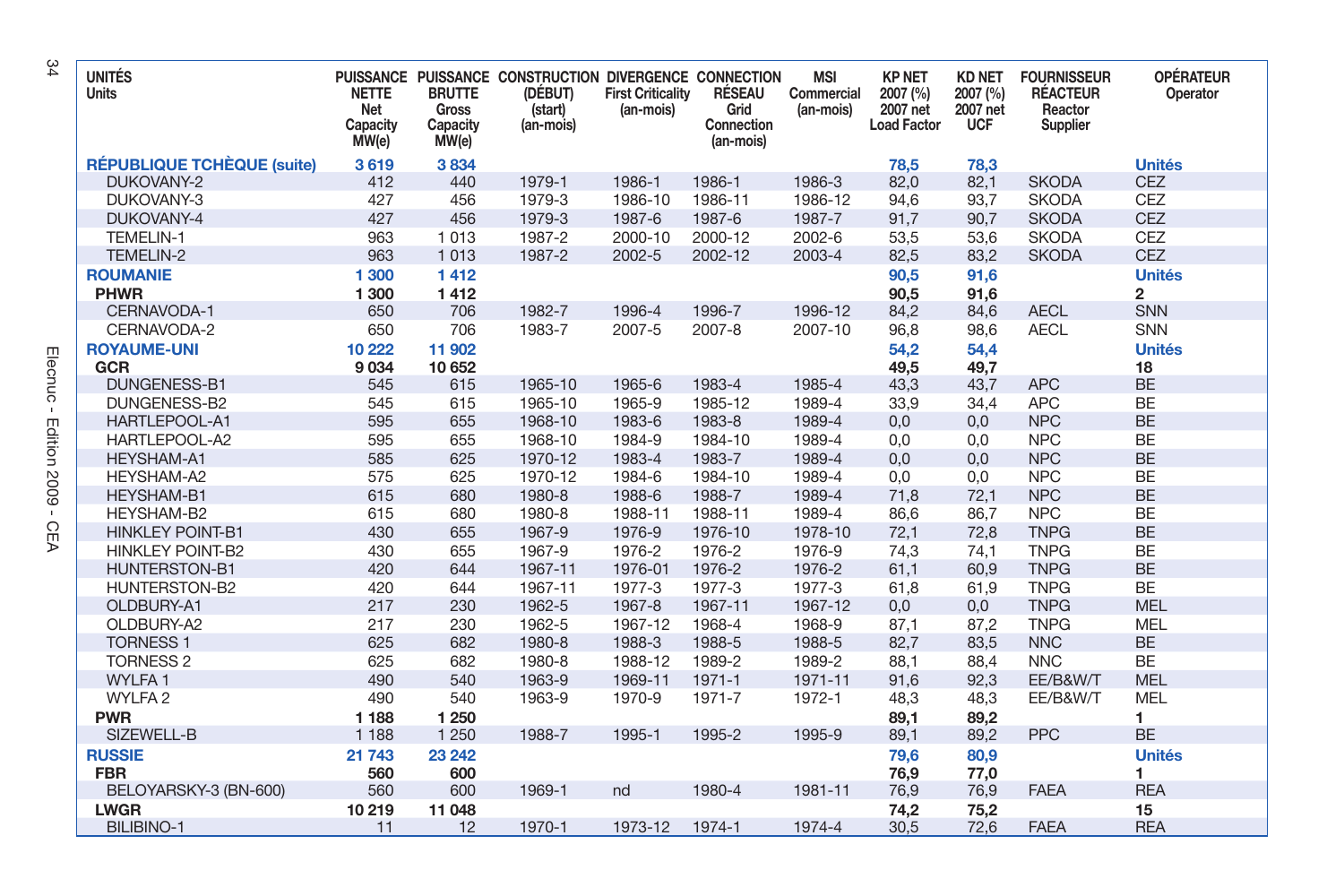| <b>UNITÉS</b><br><b>Units</b>     | <b>NETTE</b><br>Net<br>Capacity<br>MW(e) | <b>BRUTTE</b><br><b>Gross</b><br>Capacity<br>MW(e) | PUISSANCE PUISSANCE CONSTRUCTION DIVERGENCE CONNECTION<br>(DÉBUT)<br>(start)<br>(an-mois) | <b>First Criticality</b><br>(an-mois) | RÉSEAU<br>Grid<br>Connection<br>(an-mois) | <b>MSI</b><br>Commercial<br>(an-mois) | <b>KP NET</b><br>2007 (%)<br>2007 net<br><b>Load Factor</b> | <b>KD NET</b><br>2007 (%)<br>2007 net<br><b>UCF</b> | <b>FOURNISSEUR</b><br><b>RÉACTEUR</b><br>Reactor<br>Supplier | <b>OPÉRATEUR</b><br>Operator |
|-----------------------------------|------------------------------------------|----------------------------------------------------|-------------------------------------------------------------------------------------------|---------------------------------------|-------------------------------------------|---------------------------------------|-------------------------------------------------------------|-----------------------------------------------------|--------------------------------------------------------------|------------------------------|
| <b>RÉPUBLIQUE TCHÈQUE (suite)</b> | 3619                                     | 3834                                               |                                                                                           |                                       |                                           |                                       | 78,5                                                        | 78,3                                                |                                                              | <b>Unités</b>                |
| DUKOVANY-2                        | 412                                      | 440                                                | 1979-1                                                                                    | 1986-1                                | 1986-1                                    | 1986-3                                | 82,0                                                        | 82,1                                                | <b>SKODA</b>                                                 | <b>CEZ</b>                   |
| DUKOVANY-3                        | 427                                      | 456                                                | 1979-3                                                                                    | 1986-10                               | 1986-11                                   | 1986-12                               | 94,6                                                        | 93,7                                                | <b>SKODA</b>                                                 | <b>CEZ</b>                   |
| DUKOVANY-4                        | 427                                      | 456                                                | 1979-3                                                                                    | 1987-6                                | 1987-6                                    | 1987-7                                | 91.7                                                        | 90.7                                                | <b>SKODA</b>                                                 | <b>CEZ</b>                   |
| <b>TEMELIN-1</b>                  | 963                                      | 1013                                               | 1987-2                                                                                    | 2000-10                               | 2000-12                                   | 2002-6                                | 53,5                                                        | 53,6                                                | <b>SKODA</b>                                                 | CEZ                          |
| TEMELIN-2                         | 963                                      | 1013                                               | 1987-2                                                                                    | 2002-5                                | 2002-12                                   | 2003-4                                | 82,5                                                        | 83,2                                                | <b>SKODA</b>                                                 | CEZ                          |
| <b>ROUMANIE</b>                   | 1 300                                    | 1412                                               |                                                                                           |                                       |                                           |                                       | 90,5                                                        | 91,6                                                |                                                              | <b>Unités</b>                |
| <b>PHWR</b>                       | 1 300                                    | 1412                                               |                                                                                           |                                       |                                           |                                       | 90,5                                                        | 91,6                                                |                                                              | $\overline{2}$               |
| CERNAVODA-1                       | 650                                      | 706                                                | 1982-7                                                                                    | 1996-4                                | 1996-7                                    | 1996-12                               | 84,2                                                        | 84,6                                                | <b>AECL</b>                                                  | SNN                          |
| CERNAVODA-2                       | 650                                      | 706                                                | 1983-7                                                                                    | 2007-5                                | 2007-8                                    | 2007-10                               | 96,8                                                        | 98,6                                                | <b>AECL</b>                                                  | SNN                          |
| <b>ROYAUME-UNI</b>                | 10 222                                   | 11 902                                             |                                                                                           |                                       |                                           |                                       | 54,2                                                        | 54,4                                                |                                                              | <b>Unités</b>                |
| GCR                               | 9 0 34                                   | 10 652                                             |                                                                                           |                                       |                                           |                                       | 49,5                                                        | 49.7                                                |                                                              | 18                           |
| DUNGENESS-B1                      | 545                                      | 615                                                | 1965-10                                                                                   | 1965-6                                | 1983-4                                    | 1985-4                                | 43,3                                                        | 43,7                                                | <b>APC</b>                                                   | <b>BE</b>                    |
| DUNGENESS-B2                      | 545                                      | 615                                                | 1965-10                                                                                   | 1965-9                                | 1985-12                                   | 1989-4                                | 33.9                                                        | 34,4                                                | <b>APC</b>                                                   | <b>BE</b>                    |
| HARTLEPOOL-A1                     | 595                                      | 655                                                | 1968-10                                                                                   | 1983-6                                | 1983-8                                    | 1989-4                                | 0,0                                                         | 0.0                                                 | <b>NPC</b>                                                   | <b>BE</b>                    |
| HARTLEPOOL-A2                     | 595                                      | 655                                                | 1968-10                                                                                   | 1984-9                                | 1984-10                                   | 1989-4                                | 0,0                                                         | 0,0                                                 | <b>NPC</b>                                                   | <b>BE</b>                    |
| <b>HEYSHAM-A1</b>                 | 585                                      | 625                                                | 1970-12                                                                                   | 1983-4                                | 1983-7                                    | 1989-4                                | 0,0                                                         | 0,0                                                 | <b>NPC</b>                                                   | <b>BE</b>                    |
| <b>HEYSHAM-A2</b>                 | 575                                      | 625                                                | 1970-12                                                                                   | 1984-6                                | 1984-10                                   | 1989-4                                | 0,0                                                         | 0,0                                                 | <b>NPC</b>                                                   | <b>BE</b>                    |
| <b>HEYSHAM-B1</b>                 | 615                                      | 680                                                | 1980-8                                                                                    | 1988-6                                | 1988-7                                    | 1989-4                                | 71.8                                                        | 72,1                                                | <b>NPC</b>                                                   | <b>BE</b>                    |
| <b>HEYSHAM-B2</b>                 | 615                                      | 680                                                | 1980-8                                                                                    | 1988-11                               | 1988-11                                   | 1989-4                                | 86,6                                                        | 86,7                                                | <b>NPC</b>                                                   | <b>BE</b>                    |
| <b>HINKLEY POINT-B1</b>           | 430                                      | 655                                                | 1967-9                                                                                    | 1976-9                                | 1976-10                                   | 1978-10                               | 72,1                                                        | 72,8                                                | <b>TNPG</b>                                                  | <b>BE</b>                    |
| <b>HINKLEY POINT-B2</b>           | 430                                      | 655                                                | 1967-9                                                                                    | 1976-2                                | 1976-2                                    | 1976-9                                | 74,3                                                        | 74,1                                                | <b>TNPG</b>                                                  | <b>BE</b>                    |
| <b>HUNTERSTON-B1</b>              | 420                                      | 644                                                | 1967-11                                                                                   | 1976-01                               | 1976-2                                    | 1976-2                                | 61,1                                                        | 60,9                                                | <b>TNPG</b>                                                  | <b>BE</b>                    |
| HUNTERSTON-B2                     | 420                                      | 644                                                | 1967-11                                                                                   | 1977-3                                | 1977-3                                    | 1977-3                                | 61,8                                                        | 61,9                                                | <b>TNPG</b>                                                  | <b>BE</b>                    |
| OLDBURY-A1                        | 217                                      | 230                                                | 1962-5                                                                                    | 1967-8                                | 1967-11                                   | 1967-12                               | 0.0                                                         | 0.0                                                 | <b>TNPG</b>                                                  | <b>MEL</b>                   |
| OLDBURY-A2                        | 217                                      | 230                                                | 1962-5                                                                                    | 1967-12                               | 1968-4                                    | 1968-9                                | 87.1                                                        | 87.2                                                | <b>TNPG</b>                                                  | <b>MEL</b>                   |
| <b>TORNESS1</b>                   | 625                                      | 682                                                | 1980-8                                                                                    | 1988-3                                | 1988-5                                    | 1988-5                                | 82,7                                                        | 83,5                                                | <b>NNC</b>                                                   | <b>BE</b>                    |
| <b>TORNESS 2</b>                  | 625                                      | 682                                                | 1980-8                                                                                    | 1988-12                               | 1989-2                                    | 1989-2                                | 88,1                                                        | 88,4                                                | <b>NNC</b>                                                   | <b>BE</b>                    |
| <b>WYLFA1</b>                     | 490                                      | 540                                                | 1963-9                                                                                    | 1969-11                               | 1971-1                                    | 1971-11                               | 91.6                                                        | 92,3                                                | EE/B&W/T                                                     | <b>MEL</b>                   |
| WYLFA <sub>2</sub>                | 490                                      | 540                                                | 1963-9                                                                                    | 1970-9                                | 1971-7                                    | 1972-1                                | 48,3                                                        | 48,3                                                | EE/B&W/T                                                     | <b>MEL</b>                   |
| <b>PWR</b>                        | 1 1 8 8                                  | 1 2 5 0                                            |                                                                                           |                                       |                                           |                                       | 89,1                                                        | 89,2                                                |                                                              | 1                            |
| SIZEWELL-B                        | 1 1 8 8                                  | 1 2 5 0                                            | 1988-7                                                                                    | 1995-1                                | 1995-2                                    | 1995-9                                | 89.1                                                        | 89.2                                                | <b>PPC</b>                                                   | <b>BE</b>                    |
| <b>RUSSIE</b>                     | 21 743                                   | 23 24 2                                            |                                                                                           |                                       |                                           |                                       | 79,6                                                        | 80,9                                                |                                                              | <b>Unités</b>                |
| <b>FBR</b>                        | 560                                      | 600                                                |                                                                                           |                                       |                                           |                                       | 76,9                                                        | 77,0                                                |                                                              | 1                            |
| BELOYARSKY-3 (BN-600)             | 560                                      | 600                                                | 1969-1                                                                                    | nd                                    | 1980-4                                    | 1981-11                               | 76,9                                                        | 76,9                                                | <b>FAEA</b>                                                  | <b>REA</b>                   |
| <b>LWGR</b>                       | 10 219                                   | 11 048                                             |                                                                                           |                                       |                                           |                                       | 74,2                                                        | 75,2                                                |                                                              | 15                           |
| <b>BILIBINO-1</b>                 | 11                                       | 12                                                 | 1970-1                                                                                    | 1973-12                               | 1974-1                                    | 1974-4                                | 30,5                                                        | 72,6                                                | <b>FAEA</b>                                                  | <b>REA</b>                   |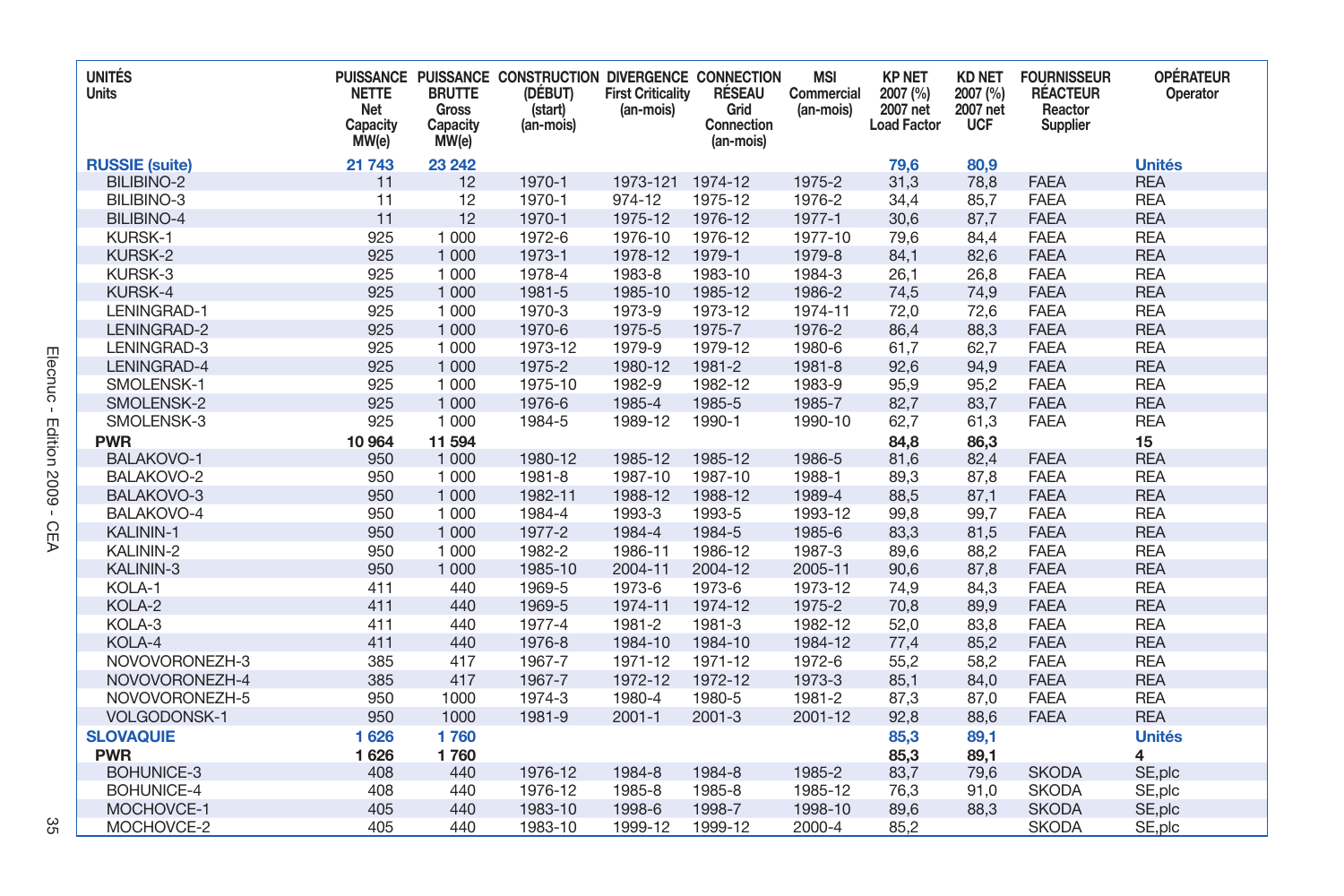| <b>UNITÉS</b><br>Units | <b>NETTE</b><br>Net<br>Capacity<br>MW(e) | <b>BRUTTE</b><br><b>Gross</b><br>Capacity<br>MW(e) | PUISSANCE PUISSANCE CONSTRUCTION DIVERGENCE CONNECTION<br>(DÉBUT)<br>(start)<br>(an-mois) | <b>First Criticality</b><br>(an-mois) | RÉSEAU<br>Grid<br>Connection<br>(an-mois) | <b>MSI</b><br>Commercial<br>(an-mois) | <b>KP NET</b><br>2007 (%)<br>2007 net<br><b>Load Factor</b> | <b>KD NET</b><br>2007 (%)<br>2007 net<br><b>UCF</b> | <b>FOURNISSEUR</b><br><b>RÉACTEUR</b><br>Reactor<br>Supplier | <b>OPÉRATEUR</b><br>Operator |
|------------------------|------------------------------------------|----------------------------------------------------|-------------------------------------------------------------------------------------------|---------------------------------------|-------------------------------------------|---------------------------------------|-------------------------------------------------------------|-----------------------------------------------------|--------------------------------------------------------------|------------------------------|
| <b>RUSSIE</b> (suite)  | 21 743                                   | 23 24 2                                            |                                                                                           |                                       |                                           |                                       | 79,6                                                        | 80,9                                                |                                                              | <b>Unités</b>                |
| <b>BILIBINO-2</b>      | 11                                       | 12                                                 | 1970-1                                                                                    | 1973-121                              | 1974-12                                   | 1975-2                                | 31,3                                                        | 78,8                                                | <b>FAEA</b>                                                  | <b>REA</b>                   |
| BILIBINO-3             | 11                                       | 12                                                 | 1970-1                                                                                    | 974-12                                | 1975-12                                   | 1976-2                                | 34,4                                                        | 85,7                                                | <b>FAEA</b>                                                  | <b>REA</b>                   |
| <b>BILIBINO-4</b>      | 11                                       | 12                                                 | 1970-1                                                                                    | 1975-12                               | 1976-12                                   | 1977-1                                | 30,6                                                        | 87,7                                                | <b>FAEA</b>                                                  | <b>REA</b>                   |
| KURSK-1                | 925                                      | 1 000                                              | 1972-6                                                                                    | 1976-10                               | 1976-12                                   | 1977-10                               | 79,6                                                        | 84,4                                                | <b>FAEA</b>                                                  | <b>REA</b>                   |
| KURSK-2                | 925                                      | 1 0 0 0                                            | 1973-1                                                                                    | 1978-12                               | 1979-1                                    | 1979-8                                | 84,1                                                        | 82,6                                                | <b>FAEA</b>                                                  | <b>REA</b>                   |
| KURSK-3                | 925                                      | 1 000                                              | 1978-4                                                                                    | 1983-8                                | 1983-10                                   | 1984-3                                | 26,1                                                        | 26,8                                                | <b>FAEA</b>                                                  | <b>REA</b>                   |
| KURSK-4                | 925                                      | 1 000                                              | 1981-5                                                                                    | 1985-10                               | 1985-12                                   | 1986-2                                | 74,5                                                        | 74,9                                                | <b>FAEA</b>                                                  | <b>REA</b>                   |
| LENINGRAD-1            | 925                                      | 1 0 0 0                                            | 1970-3                                                                                    | 1973-9                                | 1973-12                                   | 1974-11                               | 72,0                                                        | 72,6                                                | <b>FAEA</b>                                                  | <b>REA</b>                   |
| LENINGRAD-2            | 925                                      | 1 0 0 0                                            | 1970-6                                                                                    | 1975-5                                | 1975-7                                    | 1976-2                                | 86,4                                                        | 88,3                                                | <b>FAEA</b>                                                  | <b>REA</b>                   |
| LENINGRAD-3            | 925                                      | 1 0 0 0                                            | 1973-12                                                                                   | 1979-9                                | 1979-12                                   | 1980-6                                | 61,7                                                        | 62,7                                                | <b>FAEA</b>                                                  | <b>REA</b>                   |
| LENINGRAD-4            | 925                                      | 1 0 0 0                                            | 1975-2                                                                                    | 1980-12                               | 1981-2                                    | 1981-8                                | 92,6                                                        | 94,9                                                | <b>FAEA</b>                                                  | <b>REA</b>                   |
| SMOLENSK-1             | 925                                      | 1 0 0 0                                            | 1975-10                                                                                   | 1982-9                                | 1982-12                                   | 1983-9                                | 95.9                                                        | 95,2                                                | <b>FAEA</b>                                                  | <b>REA</b>                   |
| SMOLENSK-2             | 925                                      | 1 0 0 0                                            | 1976-6                                                                                    | 1985-4                                | 1985-5                                    | 1985-7                                | 82,7                                                        | 83,7                                                | <b>FAEA</b>                                                  | <b>REA</b>                   |
| SMOLENSK-3             | 925                                      | 1 0 0 0                                            | 1984-5                                                                                    | 1989-12                               | 1990-1                                    | 1990-10                               | 62,7                                                        | 61,3                                                | <b>FAEA</b>                                                  | <b>REA</b>                   |
| <b>PWR</b>             | 10 964                                   | 11 594                                             |                                                                                           |                                       |                                           |                                       | 84,8                                                        | 86,3                                                |                                                              | 15                           |
| BALAKOVO-1             | 950                                      | 1 0 0 0                                            | 1980-12                                                                                   | 1985-12                               | 1985-12                                   | 1986-5                                | 81,6                                                        | 82,4                                                | <b>FAEA</b>                                                  | <b>REA</b>                   |
| BALAKOVO-2             | 950                                      | 1 0 0 0                                            | 1981-8                                                                                    | 1987-10                               | 1987-10                                   | 1988-1                                | 89,3                                                        | 87,8                                                | <b>FAEA</b>                                                  | <b>REA</b>                   |
| BALAKOVO-3             | 950                                      | 1 0 0 0                                            | 1982-11                                                                                   | 1988-12                               | 1988-12                                   | 1989-4                                | 88,5                                                        | 87,1                                                | <b>FAEA</b>                                                  | <b>REA</b>                   |
| BALAKOVO-4             | 950                                      | 1 0 0 0                                            | 1984-4                                                                                    | 1993-3                                | 1993-5                                    | 1993-12                               | 99,8                                                        | 99,7                                                | <b>FAEA</b>                                                  | <b>REA</b>                   |
| KALININ-1              | 950                                      | 1 0 0 0                                            | 1977-2                                                                                    | 1984-4                                | 1984-5                                    | 1985-6                                | 83,3                                                        | 81,5                                                | <b>FAEA</b>                                                  | <b>REA</b>                   |
| KALININ-2              | 950                                      | 1 000                                              | 1982-2                                                                                    | 1986-11                               | 1986-12                                   | 1987-3                                | 89,6                                                        | 88,2                                                | <b>FAEA</b>                                                  | <b>REA</b>                   |
| KALININ-3              | 950                                      | 1 000                                              | 1985-10                                                                                   | 2004-11                               | 2004-12                                   | 2005-11                               | 90,6                                                        | 87,8                                                | <b>FAEA</b>                                                  | <b>REA</b>                   |
| KOLA-1                 | 411                                      | 440                                                | 1969-5                                                                                    | 1973-6                                | 1973-6                                    | 1973-12                               | 74,9                                                        | 84,3                                                | <b>FAEA</b>                                                  | <b>REA</b>                   |
| KOLA-2                 | 411                                      | 440                                                | 1969-5                                                                                    | 1974-11                               | 1974-12                                   | 1975-2                                | 70,8                                                        | 89,9                                                | <b>FAEA</b>                                                  | <b>REA</b>                   |
| KOLA-3                 | 411                                      | 440                                                | 1977-4                                                                                    | 1981-2                                | 1981-3                                    | 1982-12                               | 52,0                                                        | 83,8                                                | <b>FAEA</b>                                                  | <b>REA</b>                   |
| KOLA-4                 | 411                                      | 440                                                | 1976-8                                                                                    | 1984-10                               | 1984-10                                   | 1984-12                               | 77,4                                                        | 85,2                                                | <b>FAEA</b>                                                  | <b>REA</b>                   |
| NOVOVORONEZH-3         | 385                                      | 417                                                | 1967-7                                                                                    | 1971-12                               | 1971-12                                   | 1972-6                                | 55,2                                                        | 58,2                                                | <b>FAEA</b>                                                  | <b>REA</b>                   |
| NOVOVORONEZH-4         | 385                                      | 417                                                | 1967-7                                                                                    | 1972-12                               | 1972-12                                   | 1973-3                                | 85,1                                                        | 84,0                                                | <b>FAEA</b>                                                  | <b>REA</b>                   |
| NOVOVORONEZH-5         | 950                                      | 1000                                               | 1974-3                                                                                    | 1980-4                                | 1980-5                                    | 1981-2                                | 87,3                                                        | 87,0                                                | <b>FAEA</b>                                                  | <b>REA</b>                   |
| VOLGODONSK-1           | 950                                      | 1000                                               | 1981-9                                                                                    | $2001 - 1$                            | $2001 - 3$                                | 2001-12                               | 92,8                                                        | 88,6                                                | <b>FAEA</b>                                                  | <b>REA</b>                   |
| <b>SLOVAQUIE</b>       | 1626                                     | 1760                                               |                                                                                           |                                       |                                           |                                       | 85,3                                                        | 89,1                                                |                                                              | <b>Unités</b>                |
| <b>PWR</b>             | 1626                                     | 1760                                               |                                                                                           |                                       |                                           |                                       | 85,3                                                        | 89,1                                                |                                                              | 4                            |
| <b>BOHUNICE-3</b>      | 408                                      | 440                                                | 1976-12                                                                                   | 1984-8                                | 1984-8                                    | 1985-2                                | 83,7                                                        | 79,6                                                | <b>SKODA</b>                                                 | SE, plc                      |
| <b>BOHUNICE-4</b>      | 408                                      | 440                                                | 1976-12                                                                                   | 1985-8                                | 1985-8                                    | 1985-12                               | 76,3                                                        | 91,0                                                | <b>SKODA</b>                                                 | SE, plc                      |
| MOCHOVCE-1             | 405                                      | 440                                                | 1983-10                                                                                   | 1998-6                                | 1998-7                                    | 1998-10                               | 89,6                                                        | 88,3                                                | <b>SKODA</b>                                                 | SE, plc                      |
| MOCHOVCE-2             | 405                                      | 440                                                | 1983-10                                                                                   | 1999-12                               | 1999-12                                   | 2000-4                                | 85,2                                                        |                                                     | <b>SKODA</b>                                                 | SE, plc                      |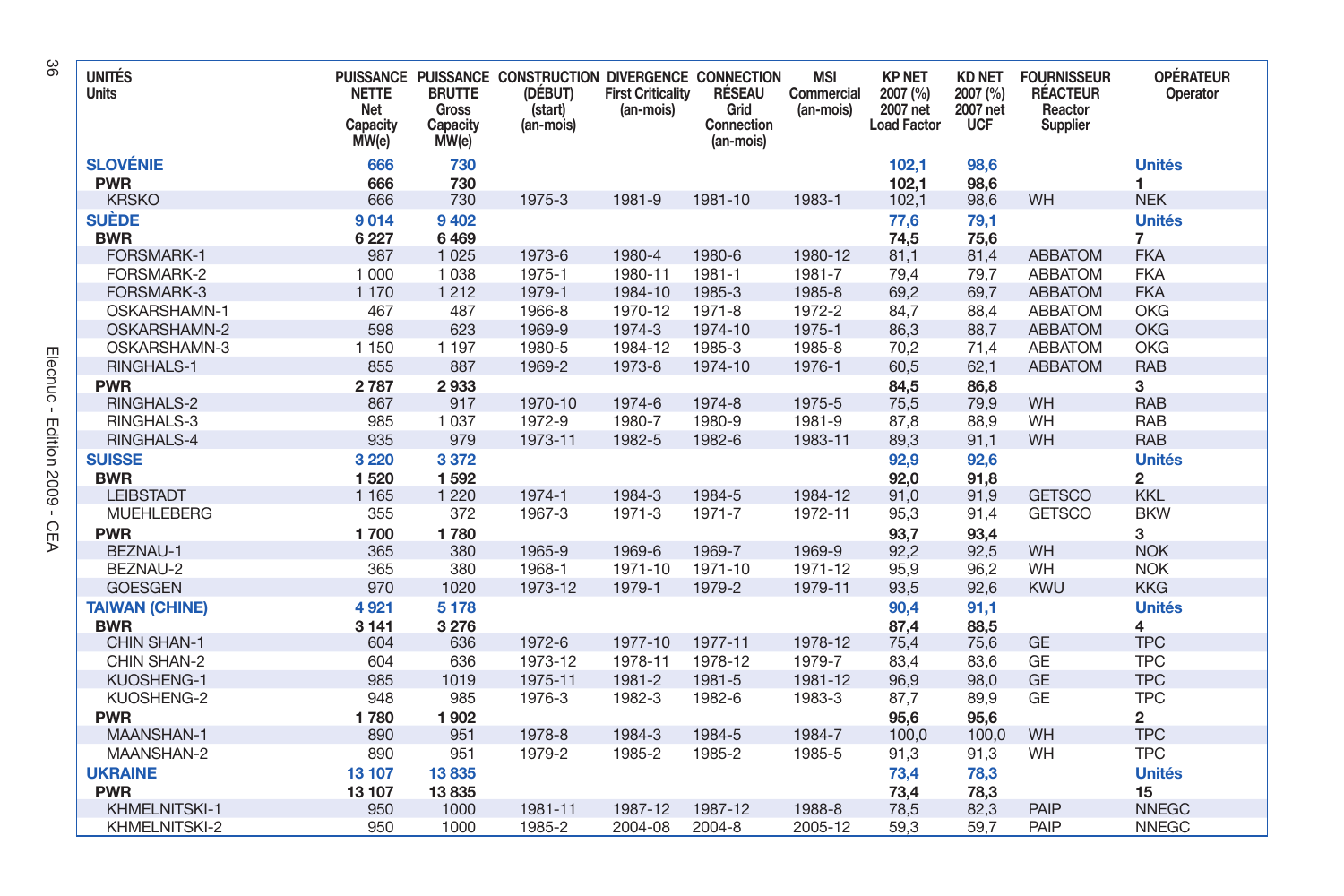| <b>UNITÉS</b><br>Units | <b>NETTE</b><br>Net<br>Capacity<br>MW(e) | <b>BRUTTE</b><br><b>Gross</b><br>Capacity<br>MW(e) | PUISSANCE PUISSANCE CONSTRUCTION DIVERGENCE CONNECTION<br>(DÉBUT)<br>(start)<br>(an-mois) | <b>First Criticality</b><br>(an-mois) | RÉSEAU<br>Grid<br>Connection<br>(an-mois) | <b>MSI</b><br>Commercial<br>(an-mois) | <b>KP NET</b><br>2007 (%)<br>2007 net<br><b>Load Factor</b> | <b>KD NET</b><br>2007 (%)<br>2007 net<br><b>UCF</b> | <b>FOURNISSEUR</b><br><b>RÉACTEUR</b><br>Reactor<br>Supplier | <b>OPÉRATEUR</b><br>Operator |
|------------------------|------------------------------------------|----------------------------------------------------|-------------------------------------------------------------------------------------------|---------------------------------------|-------------------------------------------|---------------------------------------|-------------------------------------------------------------|-----------------------------------------------------|--------------------------------------------------------------|------------------------------|
| <b>SLOVÉNIE</b>        | 666                                      | 730                                                |                                                                                           |                                       |                                           |                                       | 102,1                                                       | 98,6                                                |                                                              | <b>Unités</b>                |
| <b>PWR</b>             | 666                                      | 730                                                |                                                                                           |                                       |                                           |                                       | 102,1                                                       | 98,6                                                |                                                              | 1                            |
| <b>KRSKO</b>           | 666                                      | 730                                                | 1975-3                                                                                    | 1981-9                                | 1981-10                                   | 1983-1                                | 102,1                                                       | 98,6                                                | WH                                                           | <b>NEK</b>                   |
| SUÈDE                  | 9014                                     | 9 4 0 2                                            |                                                                                           |                                       |                                           |                                       | 77,6                                                        | 79,1                                                |                                                              | <b>Unités</b>                |
| <b>BWR</b>             | 6 2 2 7                                  | 6469                                               |                                                                                           |                                       |                                           |                                       | 74,5                                                        | 75,6                                                |                                                              | $\overline{7}$               |
| FORSMARK-1             | 987                                      | 1 0 2 5                                            | 1973-6                                                                                    | 1980-4                                | 1980-6                                    | 1980-12                               | 81,1                                                        | 81,4                                                | <b>ABBATOM</b>                                               | <b>FKA</b>                   |
| FORSMARK-2             | 1 0 0 0                                  | 1 0 3 8                                            | 1975-1                                                                                    | 1980-11                               | 1981-1                                    | 1981-7                                | 79,4                                                        | 79,7                                                | <b>ABBATOM</b>                                               | <b>FKA</b>                   |
| FORSMARK-3             | 1 1 7 0                                  | 1 2 1 2                                            | 1979-1                                                                                    | 1984-10                               | 1985-3                                    | 1985-8                                | 69,2                                                        | 69,7                                                | <b>ABBATOM</b>                                               | <b>FKA</b>                   |
| OSKARSHAMN-1           | 467                                      | 487                                                | 1966-8                                                                                    | 1970-12                               | 1971-8                                    | 1972-2                                | 84,7                                                        | 88,4                                                | <b>ABBATOM</b>                                               | <b>OKG</b>                   |
| OSKARSHAMN-2           | 598                                      | 623                                                | 1969-9                                                                                    | 1974-3                                | 1974-10                                   | 1975-1                                | 86,3                                                        | 88,7                                                | <b>ABBATOM</b>                                               | <b>OKG</b>                   |
| OSKARSHAMN-3           | 1 1 5 0                                  | 1 1 9 7                                            | 1980-5                                                                                    | 1984-12                               | 1985-3                                    | 1985-8                                | 70.2                                                        | 71,4                                                | <b>ABBATOM</b>                                               | <b>OKG</b>                   |
| <b>RINGHALS-1</b>      | 855                                      | 887                                                | 1969-2                                                                                    | 1973-8                                | 1974-10                                   | 1976-1                                | 60,5                                                        | 62,1                                                | <b>ABBATOM</b>                                               | <b>RAB</b>                   |
| <b>PWR</b>             | 2787                                     | 2933                                               |                                                                                           |                                       |                                           |                                       | 84,5                                                        | 86,8                                                |                                                              | 3                            |
| RINGHALS-2             | 867                                      | 917                                                | 1970-10                                                                                   | 1974-6                                | 1974-8                                    | 1975-5                                | 75,5                                                        | 79,9                                                | WH                                                           | <b>RAB</b>                   |
| RINGHALS-3             | 985                                      | 1 0 3 7                                            | 1972-9                                                                                    | 1980-7                                | 1980-9                                    | 1981-9                                | 87,8                                                        | 88,9                                                | WH                                                           | <b>RAB</b>                   |
| <b>RINGHALS-4</b>      | 935                                      | 979                                                | 1973-11                                                                                   | 1982-5                                | 1982-6                                    | 1983-11                               | 89,3                                                        | 91,1                                                | WH                                                           | <b>RAB</b>                   |
| <b>SUISSE</b>          | 3 2 2 0                                  | 3372                                               |                                                                                           |                                       |                                           |                                       | 92,9                                                        | 92,6                                                |                                                              | <b>Unités</b>                |
| <b>BWR</b>             | 1520                                     | 1592                                               |                                                                                           |                                       |                                           |                                       | 92,0                                                        | 91,8                                                |                                                              | $\overline{2}$               |
| <b>LEIBSTADT</b>       | 1 1 6 5                                  | 1 2 2 0                                            | 1974-1                                                                                    | 1984-3                                | 1984-5                                    | 1984-12                               | 91,0                                                        | 91,9                                                | <b>GETSCO</b>                                                | <b>KKL</b>                   |
| <b>MUEHLEBERG</b>      | 355                                      | 372                                                | 1967-3                                                                                    | 1971-3                                | 1971-7                                    | 1972-11                               | 95,3                                                        | 91,4                                                | <b>GETSCO</b>                                                | <b>BKW</b>                   |
| <b>PWR</b>             | 1700                                     | 1780                                               |                                                                                           |                                       |                                           |                                       | 93,7                                                        | 93,4                                                |                                                              | 3                            |
| BEZNAU-1               | 365                                      | 380                                                | 1965-9                                                                                    | 1969-6                                | 1969-7                                    | 1969-9                                | 92,2                                                        | 92,5                                                | WH                                                           | <b>NOK</b>                   |
| BEZNAU-2               | 365                                      | 380                                                | 1968-1                                                                                    | 1971-10                               | 1971-10                                   | 1971-12                               | 95.9                                                        | 96.2                                                | WH                                                           | <b>NOK</b>                   |
| <b>GOESGEN</b>         | 970                                      | 1020                                               | 1973-12                                                                                   | 1979-1                                | 1979-2                                    | 1979-11                               | 93,5                                                        | 92,6                                                | <b>KWU</b>                                                   | <b>KKG</b>                   |
| <b>TAIWAN (CHINE)</b>  | 4921                                     | 5 1 7 8                                            |                                                                                           |                                       |                                           |                                       | 90,4                                                        | 91,1                                                |                                                              | <b>Unités</b>                |
| <b>BWR</b>             | 3 1 4 1                                  | 3 2 7 6                                            |                                                                                           |                                       |                                           |                                       | 87,4                                                        | 88,5                                                |                                                              | 4                            |
| CHIN SHAN-1            | 604                                      | 636                                                | 1972-6                                                                                    | 1977-10                               | 1977-11                                   | 1978-12                               | 75,4                                                        | 75,6                                                | GE                                                           | <b>TPC</b>                   |
| CHIN SHAN-2            | 604                                      | 636                                                | 1973-12                                                                                   | 1978-11                               | 1978-12                                   | 1979-7                                | 83,4                                                        | 83,6                                                | GE                                                           | <b>TPC</b>                   |
| <b>KUOSHENG-1</b>      | 985                                      | 1019                                               | 1975-11                                                                                   | 1981-2                                | 1981-5                                    | 1981-12                               | 96,9                                                        | 98,0                                                | <b>GE</b>                                                    | <b>TPC</b>                   |
| KUOSHENG-2             | 948                                      | 985                                                | 1976-3                                                                                    | 1982-3                                | 1982-6                                    | 1983-3                                | 87,7                                                        | 89,9                                                | GE                                                           | <b>TPC</b>                   |
| <b>PWR</b>             | 1780                                     | 1902                                               |                                                                                           |                                       |                                           |                                       | 95.6                                                        | 95,6                                                |                                                              | $\overline{2}$               |
| <b>MAANSHAN-1</b>      | 890                                      | 951                                                | 1978-8                                                                                    | 1984-3                                | 1984-5                                    | 1984-7                                | 100.0                                                       | 100,0                                               | WH                                                           | <b>TPC</b>                   |
| MAANSHAN-2             | 890                                      | 951                                                | 1979-2                                                                                    | 1985-2                                | 1985-2                                    | 1985-5                                | 91,3                                                        | 91,3                                                | WH                                                           | <b>TPC</b>                   |
| <b>UKRAINE</b>         | 13 107                                   | 13835                                              |                                                                                           |                                       |                                           |                                       | 73,4                                                        | 78,3                                                |                                                              | <b>Unités</b>                |
| <b>PWR</b>             | 13 107                                   | 13835                                              |                                                                                           |                                       |                                           |                                       | 73,4                                                        | 78,3                                                |                                                              | 15                           |
| <b>KHMELNITSKI-1</b>   | 950                                      | 1000                                               | 1981-11                                                                                   | 1987-12                               | 1987-12                                   | 1988-8                                | 78,5                                                        | 82,3                                                | <b>PAIP</b>                                                  | <b>NNEGC</b>                 |
| KHMELNITSKI-2          | 950                                      | 1000                                               | 1985-2                                                                                    | 2004-08                               | 2004-8                                    | 2005-12                               | 59,3                                                        | 59,7                                                | PAIP                                                         | <b>NNEGC</b>                 |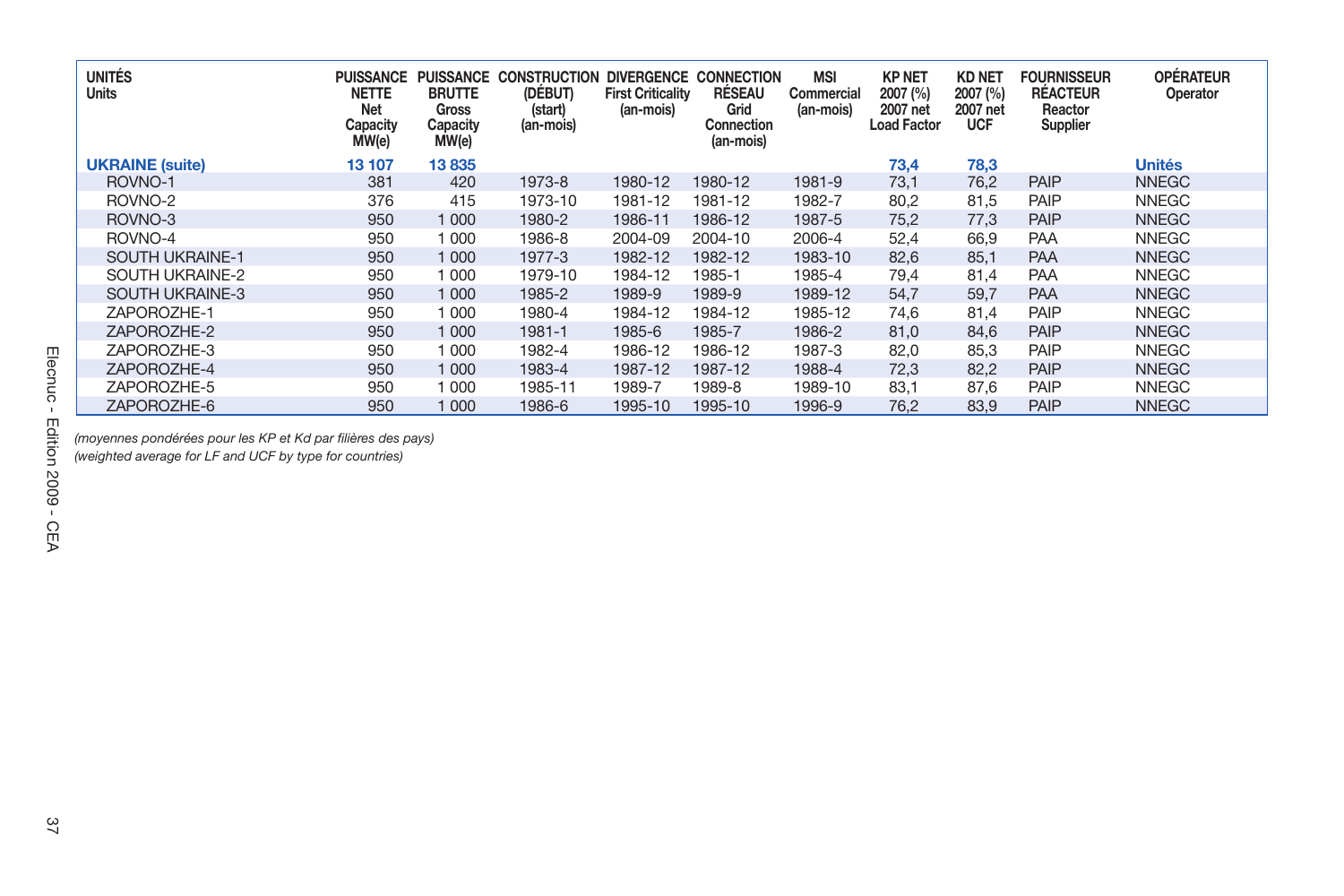| <b>UNITÉS</b><br>Units | <b>PUISSANCE</b><br><b>NETTE</b><br><b>Net</b><br>Capacity<br>MW(e) | <b>PUISSANCE</b><br><b>BRUTTE</b><br>Gross<br>Capacity<br>MW(e) | <b>CONSTRUCTION</b><br>(DÉBUT)<br>(start)<br>(an-mois) | <b>DIVERGENCE</b><br><b>First Criticality</b><br>(an-mois) | <b>CONNECTION</b><br>RÉSEAU<br>Grid<br>Connection<br>(an-mois) | <b>MSI</b><br>Commercial<br>(an-mois) | <b>KP NET</b><br>2007 (%)<br>2007 net<br><b>Load Factor</b> | <b>KD NET</b><br>2007 (%)<br>2007 net<br><b>UCF</b> | <b>FOURNISSEUR</b><br><b>RÉACTEUR</b><br>Reactor<br>Supplier | <b>OPÉRATEUR</b><br>Operator |
|------------------------|---------------------------------------------------------------------|-----------------------------------------------------------------|--------------------------------------------------------|------------------------------------------------------------|----------------------------------------------------------------|---------------------------------------|-------------------------------------------------------------|-----------------------------------------------------|--------------------------------------------------------------|------------------------------|
| <b>UKRAINE</b> (suite) | 13 107                                                              | 13835                                                           |                                                        |                                                            |                                                                |                                       | 73,4                                                        | 78,3                                                |                                                              | <b>Unités</b>                |
| ROVNO-1                | 381                                                                 | 420                                                             | 1973-8                                                 | 1980-12                                                    | 1980-12                                                        | 1981-9                                | 73,1                                                        | 76.2                                                | <b>PAIP</b>                                                  | <b>NNEGC</b>                 |
| ROVNO-2                | 376                                                                 | 415                                                             | 1973-10                                                | 1981-12                                                    | 1981-12                                                        | 1982-7                                | 80,2                                                        | 81,5                                                | PAIP                                                         | <b>NNEGC</b>                 |
| ROVNO-3                | 950                                                                 | 1 000                                                           | 1980-2                                                 | 1986-11                                                    | 1986-12                                                        | 1987-5                                | 75,2                                                        | 77.3                                                | PAIP                                                         | <b>NNEGC</b>                 |
| ROVNO-4                | 950                                                                 | 1 000                                                           | 1986-8                                                 | 2004-09                                                    | 2004-10                                                        | 2006-4                                | 52,4                                                        | 66.9                                                | <b>PAA</b>                                                   | <b>NNEGC</b>                 |
| <b>SOUTH UKRAINE-1</b> | 950                                                                 | 1 000                                                           | 1977-3                                                 | 1982-12                                                    | 1982-12                                                        | 1983-10                               | 82,6                                                        | 85.1                                                | <b>PAA</b>                                                   | <b>NNEGC</b>                 |
| SOUTH UKRAINE-2        | 950                                                                 | 1 000                                                           | 1979-10                                                | 1984-12                                                    | 1985-1                                                         | 1985-4                                | 79.4                                                        | 81.4                                                | PAA                                                          | <b>NNEGC</b>                 |
| <b>SOUTH UKRAINE-3</b> | 950                                                                 | 1 0 0 0                                                         | 1985-2                                                 | 1989-9                                                     | 1989-9                                                         | 1989-12                               | 54,7                                                        | 59,7                                                | <b>PAA</b>                                                   | <b>NNEGC</b>                 |
| ZAPOROZHE-1            | 950                                                                 | 1 000                                                           | 1980-4                                                 | 1984-12                                                    | 1984-12                                                        | 1985-12                               | 74,6                                                        | 81.4                                                | PAIP                                                         | <b>NNEGC</b>                 |
| ZAPOROZHE-2            | 950                                                                 | 1 0 0 0                                                         | 1981-1                                                 | 1985-6                                                     | 1985-7                                                         | 1986-2                                | 81,0                                                        | 84.6                                                | PAIP                                                         | <b>NNEGC</b>                 |
| ZAPOROZHE-3            | 950                                                                 | 1 000                                                           | 1982-4                                                 | 1986-12                                                    | 1986-12                                                        | 1987-3                                | 82,0                                                        | 85.3                                                | PAIP                                                         | <b>NNEGC</b>                 |
| ZAPOROZHE-4            | 950                                                                 | 1 000                                                           | 1983-4                                                 | 1987-12                                                    | 1987-12                                                        | 1988-4                                | 72,3                                                        | 82,2                                                | PAIP                                                         | <b>NNEGC</b>                 |
| ZAPOROZHE-5            | 950                                                                 | 1 000                                                           | 1985-11                                                | 1989-7                                                     | 1989-8                                                         | 1989-10                               | 83,1                                                        | 87,6                                                | PAIP                                                         | <b>NNEGC</b>                 |
| ZAPOROZHE-6            | 950                                                                 | 1000                                                            | 1986-6                                                 | 1995-10                                                    | 1995-10                                                        | 1996-9                                | 76,2                                                        | 83.9                                                | <b>PAIP</b>                                                  | <b>NNEGC</b>                 |

*(moyennes pondérées pour les KP et Kd par fi lières des pays)*

*(weighted average for LF and UCF by type for countries)*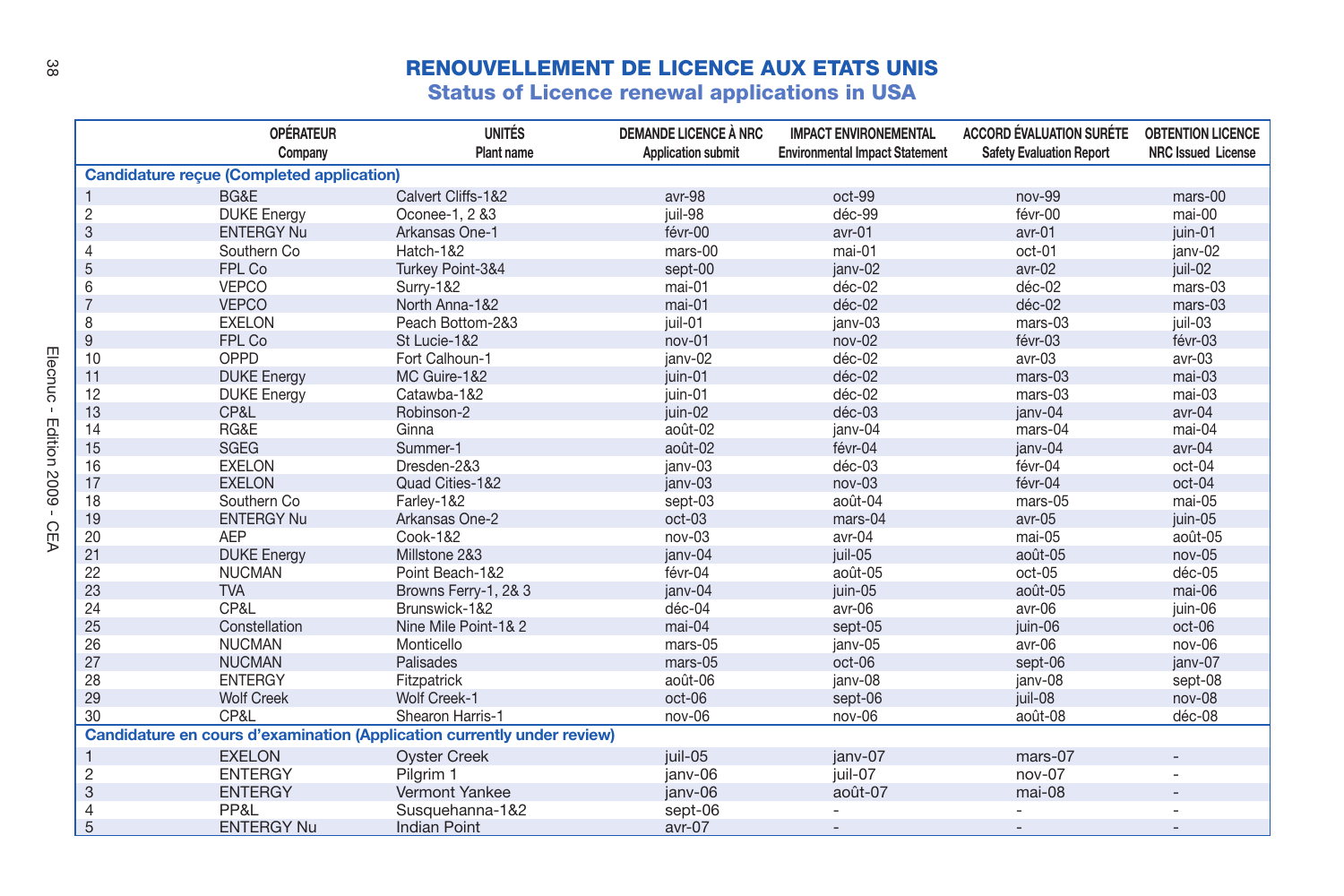## **RENOUVELLEMENT DE LICENCE AUX ETATS UNIS**

**Status of Licence renewal applications in USA**

|                         | <b>OPÉRATEUR</b>                                 | <b>UNITÉS</b>                                                           | <b>DEMANDE LICENCE À NRC</b> | <b>IMPACT ENVIRONEMENTAL</b>          | <b>ACCORD ÉVALUATION SURÉTE</b> | <b>OBTENTION LICENCE</b>  |
|-------------------------|--------------------------------------------------|-------------------------------------------------------------------------|------------------------------|---------------------------------------|---------------------------------|---------------------------|
|                         | Company                                          | Plant name                                                              | <b>Application submit</b>    | <b>Environmental Impact Statement</b> | <b>Safety Evaluation Report</b> | <b>NRC Issued License</b> |
|                         | <b>Candidature recue (Completed application)</b> |                                                                         |                              |                                       |                                 |                           |
|                         | BG&E                                             | Calvert Cliffs-1&2                                                      | avr-98                       | oct-99                                | $nov-99$                        | mars-00                   |
| 2                       | <b>DUKE</b> Energy                               | Oconee-1, 2 &3                                                          | juil-98                      | déc-99                                | févr-00                         | mai-00                    |
| 3                       | <b>ENTERGY Nu</b>                                | Arkansas One-1                                                          | févr-00                      | avr-01                                | avr-01                          | iuin-01                   |
| 4                       | Southern Co.                                     | Hatch-1&2                                                               | $mars-00$                    | $mai-01$                              | $oct-01$                        | ianv-02                   |
| 5                       | FPL Co                                           | Turkey Point-3&4                                                        | sept-00                      | janv-02                               | $avr-02$                        | iuil-02                   |
| 6                       | <b>VEPCO</b>                                     | Surry-1&2                                                               | mai-01                       | déc-02                                | déc-02                          | mars-03                   |
| $\overline{7}$          | <b>VEPCO</b>                                     | North Anna-1&2                                                          | mai-01                       | déc-02                                | déc-02                          | mars-03                   |
| 8                       | <b>EXELON</b>                                    | Peach Bottom-2&3                                                        | juil-01                      | ianv-03                               | mars-03                         | iuil-03                   |
| 9                       | FPL Co                                           | St Lucie-1&2                                                            | nov-01                       | nov-02                                | févr-03                         | févr-03                   |
| 10                      | OPPD                                             | Fort Calhoun-1                                                          | ianv-02                      | déc-02                                | avr-03                          | avr-03                    |
| 11                      | <b>DUKE</b> Energy                               | MC Guire-1&2                                                            | iuin-01                      | déc-02                                | mars-03                         | mai-03                    |
| 12                      | <b>DUKE</b> Energy                               | Catawba-1&2                                                             | iuin-01                      | déc-02                                | $mars-03$                       | $mai-03$                  |
| 13                      | CP&L                                             | Robinson-2                                                              | juin-02                      | déc-03                                | ianv-04                         | avr-04                    |
| 14                      | RG&E                                             | Ginna                                                                   | août-02                      | janv-04                               | mars-04                         | mai-04                    |
| 15                      | <b>SGEG</b>                                      | Summer-1                                                                | août-02                      | févr-04                               | ianv-04                         | avr-04                    |
| 16                      | <b>EXELON</b>                                    | Dresden-2&3                                                             | ianv-03                      | déc-03                                | févr-04                         | oct-04                    |
| 17                      | <b>EXELON</b>                                    | Quad Cities-1&2                                                         | ianv-03                      | $nov-03$                              | févr-04                         | oct-04                    |
| 18                      | Southern Co.                                     | Farley-1&2                                                              | sept-03                      | août-04                               | mars-05                         | mai-05                    |
| 19                      | <b>ENTERGY Nu</b>                                | Arkansas One-2                                                          | $oct-03$                     | mars-04                               | avr-05                          | juin-05                   |
| 20                      | <b>AEP</b>                                       | Cook-1&2                                                                | nov-03                       | avr-04                                | mai-05                          | août-05                   |
| 21                      | <b>DUKE</b> Energy                               | Millstone 2&3                                                           | ianv-04                      | juil-05                               | août-05                         | $nov-05$                  |
| 22                      | <b>NUCMAN</b>                                    | Point Beach-1&2                                                         | févr-04                      | août-05                               | oct-05                          | déc-05                    |
| 23                      | <b>TVA</b>                                       | Browns Ferry-1, 2& 3                                                    | ianv-04                      | juin-05                               | août-05                         | mai-06                    |
| 24                      | CP&L                                             | Brunswick-1&2                                                           | déc-04                       | avr-06                                | avr-06                          | juin-06                   |
| 25                      | Constellation                                    | Nine Mile Point-1& 2                                                    | mai-04                       | sept-05                               | juin-06                         | oct-06                    |
| 26                      | <b>NUCMAN</b>                                    | Monticello                                                              | mars-05                      | janv-05                               | avr-06                          | nov-06                    |
| 27                      | <b>NUCMAN</b>                                    | Palisades                                                               | mars-05                      | oct-06                                | sept-06                         | ianv-07                   |
| 28                      | <b>ENTERGY</b>                                   | Fitzpatrick                                                             | août-06                      | janv-08                               | janv-08                         | sept-08                   |
| 29                      | <b>Wolf Creek</b>                                | Wolf Creek-1                                                            | oct-06                       | sept-06                               | iuil-08                         | nov-08                    |
| 30                      | CP&L                                             | Shearon Harris-1                                                        | nov-06                       | nov-06                                | août-08                         | déc-08                    |
|                         |                                                  | Candidature en cours d'examination (Application currently under review) |                              |                                       |                                 |                           |
| $\mathbf{1}$            | <b>EXELON</b>                                    | <b>Oyster Creek</b>                                                     | juil-05                      | ianv-07                               | mars-07                         |                           |
| $\overline{\mathbf{c}}$ | <b>ENTERGY</b>                                   | Pilgrim 1                                                               | janv-06                      | juil-07                               | nov-07                          | ٠                         |
| 3                       | <b>ENTERGY</b>                                   | Vermont Yankee                                                          | ianv-06                      | août-07                               | mai-08                          | $\overline{a}$            |
| 4                       | PP&L                                             | Susquehanna-1&2                                                         | sept-06                      |                                       |                                 |                           |
| 5                       | <b>ENTERGY Nu</b>                                | <b>Indian Point</b>                                                     | avr-07                       |                                       |                                 |                           |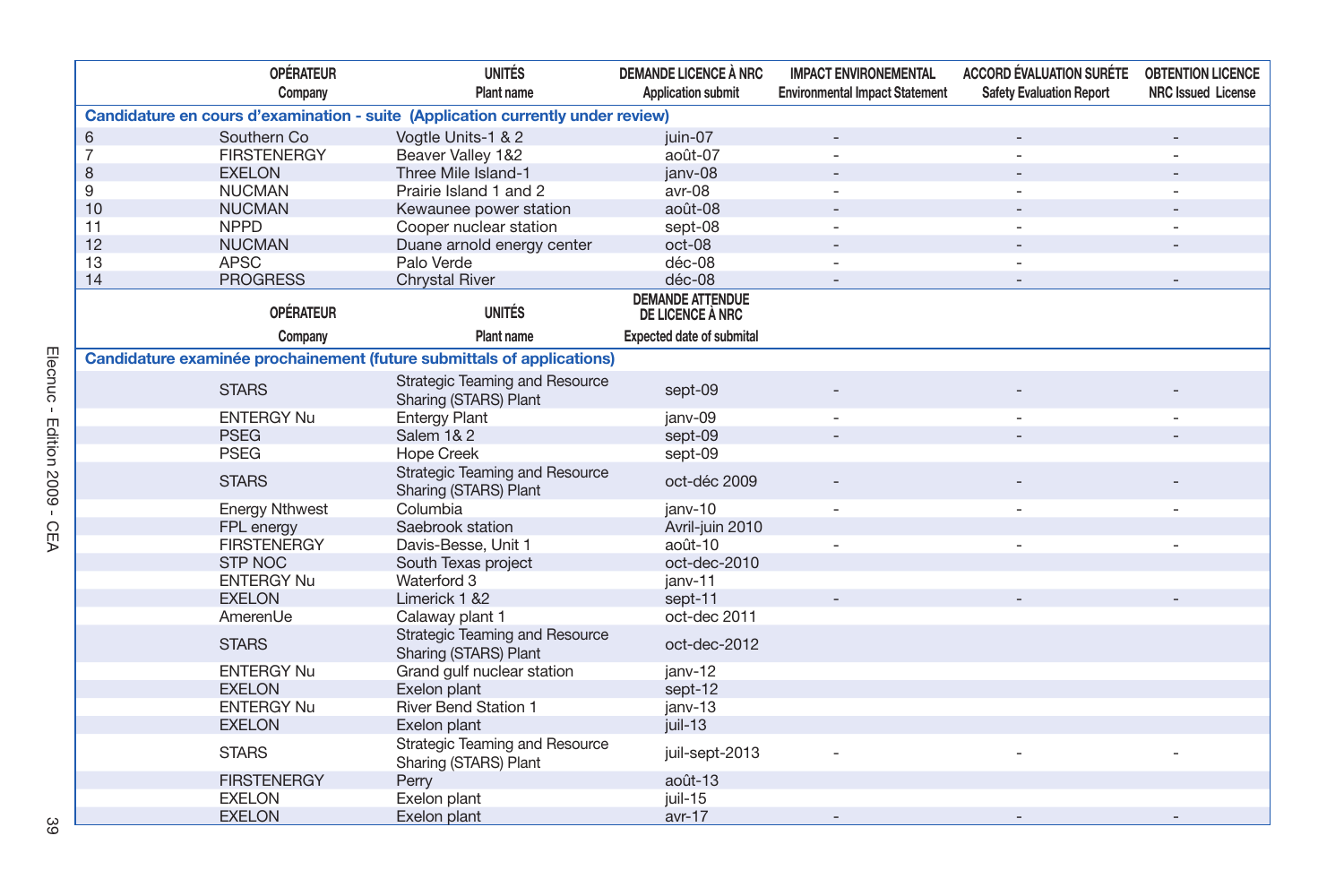|    | <b>OPÉRATEUR</b>      | <b>UNITÉS</b>                                                                   | <b>DEMANDE LICENCE À NRC</b>                | <b>IMPACT ENVIRONEMENTAL</b>          | <b>ACCORD ÉVALUATION SURÉTE</b> | <b>OBTENTION LICENCE</b>  |
|----|-----------------------|---------------------------------------------------------------------------------|---------------------------------------------|---------------------------------------|---------------------------------|---------------------------|
|    | Company               | Plant name                                                                      | <b>Application submit</b>                   | <b>Environmental Impact Statement</b> | <b>Safety Evaluation Report</b> | <b>NRC Issued License</b> |
|    |                       | Candidature en cours d'examination - suite (Application currently under review) |                                             |                                       |                                 |                           |
| 6  | Southern Co           | Vogtle Units-1 & 2                                                              | iuin-07                                     |                                       |                                 |                           |
| 7  | <b>FIRSTENERGY</b>    | Beaver Valley 1&2                                                               | août-07                                     |                                       | ÷,                              |                           |
| 8  | <b>EXELON</b>         | Three Mile Island-1                                                             | janv-08                                     |                                       |                                 |                           |
| 9  | <b>NUCMAN</b>         | Prairie Island 1 and 2                                                          | avr-08                                      |                                       |                                 |                           |
| 10 | <b>NUCMAN</b>         | Kewaunee power station                                                          | août-08                                     |                                       |                                 |                           |
| 11 | <b>NPPD</b>           | Cooper nuclear station                                                          | sept-08                                     |                                       |                                 |                           |
| 12 | <b>NUCMAN</b>         | Duane arnold energy center                                                      | oct-08                                      |                                       |                                 |                           |
| 13 | <b>APSC</b>           | Palo Verde                                                                      | déc-08                                      |                                       |                                 |                           |
| 14 | <b>PROGRESS</b>       | <b>Chrystal River</b>                                                           | déc-08                                      |                                       |                                 |                           |
|    | <b>OPÉRATEUR</b>      | <b>UNITÉS</b>                                                                   | <b>DEMANDE ATTENDUE</b><br>DE LICENCE À NRC |                                       |                                 |                           |
|    | Company               | Plant name                                                                      | <b>Expected date of submital</b>            |                                       |                                 |                           |
|    |                       | Candidature examinée prochainement (future submittals of applications)          |                                             |                                       |                                 |                           |
|    | <b>STARS</b>          | Strategic Teaming and Resource<br>Sharing (STARS) Plant                         | sept-09                                     |                                       |                                 |                           |
|    | <b>ENTERGY Nu</b>     | <b>Entergy Plant</b>                                                            | janv-09                                     |                                       |                                 |                           |
|    | <b>PSEG</b>           | Salem 1& 2                                                                      | sept-09                                     |                                       |                                 |                           |
|    | <b>PSEG</b>           | <b>Hope Creek</b>                                                               | sept-09                                     |                                       |                                 |                           |
|    | <b>STARS</b>          | Strategic Teaming and Resource<br>Sharing (STARS) Plant                         | oct-déc 2009                                |                                       |                                 |                           |
|    | <b>Energy Nthwest</b> | Columbia                                                                        | janv-10                                     |                                       |                                 |                           |
|    | FPL energy            | Saebrook station                                                                | Avril-juin 2010                             |                                       |                                 |                           |
|    | <b>FIRSTENERGY</b>    | Davis-Besse, Unit 1                                                             | août-10                                     |                                       |                                 |                           |
|    | <b>STP NOC</b>        | South Texas project                                                             | oct-dec-2010                                |                                       |                                 |                           |
|    | <b>ENTERGY Nu</b>     | Waterford 3                                                                     | janv-11                                     |                                       |                                 |                           |
|    | <b>EXELON</b>         | Limerick 1 &2                                                                   | sept-11                                     |                                       |                                 |                           |
|    | AmerenUe              | Calaway plant 1                                                                 | oct-dec 2011                                |                                       |                                 |                           |
|    | <b>STARS</b>          | Strategic Teaming and Resource<br>Sharing (STARS) Plant                         | oct-dec-2012                                |                                       |                                 |                           |
|    | <b>ENTERGY Nu</b>     | Grand gulf nuclear station                                                      | janv-12                                     |                                       |                                 |                           |
|    | <b>EXELON</b>         | Exelon plant                                                                    | sept-12                                     |                                       |                                 |                           |
|    | <b>ENTERGY Nu</b>     | <b>River Bend Station 1</b>                                                     | janv-13                                     |                                       |                                 |                           |
|    | <b>EXELON</b>         | Exelon plant                                                                    | juil-13                                     |                                       |                                 |                           |
|    | <b>STARS</b>          | Strategic Teaming and Resource<br>Sharing (STARS) Plant                         | juil-sept-2013                              |                                       |                                 |                           |
|    | <b>FIRSTENERGY</b>    | Perry                                                                           | août-13                                     |                                       |                                 |                           |
|    | <b>EXELON</b>         | Exelon plant                                                                    | juil-15                                     |                                       |                                 |                           |
|    | <b>EXELON</b>         | Exelon plant                                                                    | $avr-17$                                    |                                       |                                 |                           |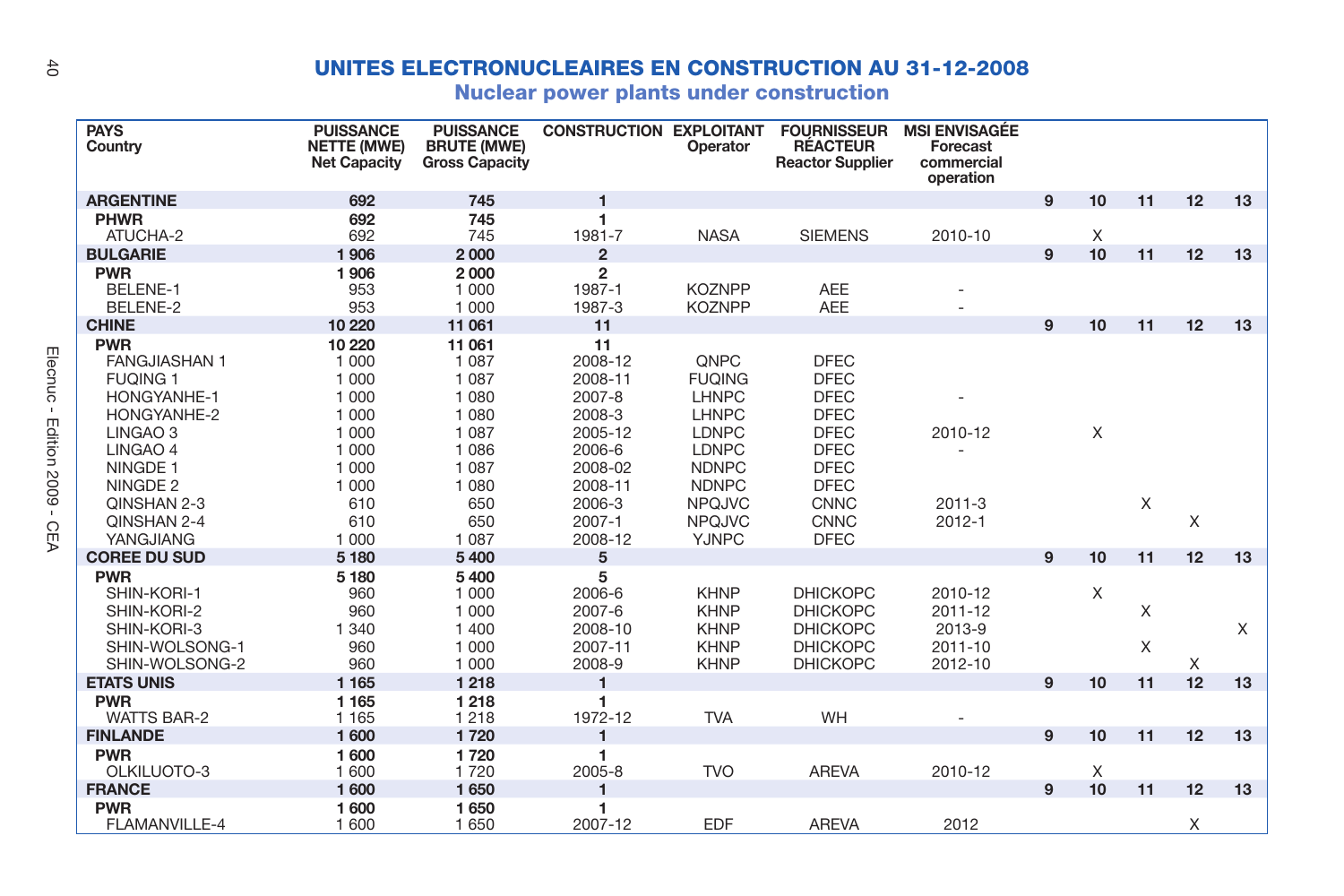## **UNITES ELECTRONUCLEAIRES EN CONSTRUCTION AU 31-12-2008**

**Nuclear power plants under construction**

| <b>PAYS</b><br>Country                                                                                                                                                                        | <b>PUISSANCE</b><br><b>NETTE (MWE)</b><br><b>Net Capacity</b>                                           | <b>PUISSANCE</b><br><b>BRUTE (MWE)</b><br><b>Gross Capacity</b>                                              | <b>CONSTRUCTION EXPLOITANT</b>                                                                              | Operator                                                                                                                                  | <b>FOURNISSEUR</b><br><b>RÉACTEUR</b><br><b>Reactor Supplier</b>                                                                                   | <b>MSI ENVISAGÉE</b><br>Forecast<br>commercial<br>operation |   |    |        |    |    |
|-----------------------------------------------------------------------------------------------------------------------------------------------------------------------------------------------|---------------------------------------------------------------------------------------------------------|--------------------------------------------------------------------------------------------------------------|-------------------------------------------------------------------------------------------------------------|-------------------------------------------------------------------------------------------------------------------------------------------|----------------------------------------------------------------------------------------------------------------------------------------------------|-------------------------------------------------------------|---|----|--------|----|----|
| <b>ARGENTINE</b>                                                                                                                                                                              | 692                                                                                                     | 745                                                                                                          | $\mathbf{1}$                                                                                                |                                                                                                                                           |                                                                                                                                                    |                                                             | 9 | 10 | 11     | 12 | 13 |
| <b>PHWR</b><br>ATUCHA-2                                                                                                                                                                       | 692<br>692                                                                                              | 745<br>745                                                                                                   | 1<br>1981-7                                                                                                 | <b>NASA</b>                                                                                                                               | <b>SIEMENS</b>                                                                                                                                     | 2010-10                                                     |   | X  |        |    |    |
| <b>BULGARIE</b>                                                                                                                                                                               | 1906                                                                                                    | 2000                                                                                                         | 2                                                                                                           |                                                                                                                                           |                                                                                                                                                    |                                                             | 9 | 10 | 11     | 12 | 13 |
| <b>PWR</b><br>BELENE-1<br>BELENE-2                                                                                                                                                            | 1906<br>953<br>953                                                                                      | 2000<br>1 0 0 0<br>1 000                                                                                     | $\overline{2}$<br>1987-1<br>1987-3                                                                          | <b>KOZNPP</b><br><b>KOZNPP</b>                                                                                                            | <b>AEE</b><br><b>AEE</b>                                                                                                                           |                                                             |   |    |        |    |    |
| <b>CHINE</b>                                                                                                                                                                                  | 10 2 20                                                                                                 | 11 061                                                                                                       | 11                                                                                                          |                                                                                                                                           |                                                                                                                                                    |                                                             | 9 | 10 | 11     | 12 | 13 |
| <b>PWR</b><br><b>FANGJIASHAN1</b><br><b>FUQING 1</b><br><b>HONGYANHE-1</b><br>HONGYANHE-2<br>LINGAO <sub>3</sub><br>LINGAO 4<br>NINGDE <sub>1</sub><br>NINGDE 2<br>QINSHAN 2-3<br>QINSHAN 2-4 | 10 2 20<br>1 0 0 0<br>1 0 0 0<br>1 000<br>1 0 0 0<br>1 0 0 0<br>1 000<br>1 000<br>1 0 0 0<br>610<br>610 | 11 061<br>1 0 8 7<br>1 0 8 7<br>1 0 8 0<br>1 0 8 0<br>1 0 8 7<br>1 0 8 6<br>1 0 8 7<br>1 0 8 0<br>650<br>650 | 11<br>2008-12<br>2008-11<br>2007-8<br>2008-3<br>2005-12<br>2006-6<br>2008-02<br>2008-11<br>2006-3<br>2007-1 | QNPC<br><b>FUQING</b><br>LHNPC<br><b>LHNPC</b><br><b>LDNPC</b><br>LDNPC<br><b>NDNPC</b><br><b>NDNPC</b><br><b>NPQJVC</b><br><b>NPQJVC</b> | <b>DFEC</b><br><b>DFEC</b><br><b>DFEC</b><br><b>DFEC</b><br><b>DFEC</b><br><b>DFEC</b><br><b>DFEC</b><br><b>DFEC</b><br><b>CNNC</b><br><b>CNNC</b> | 2010-12<br>$2011 - 3$<br>$2012 - 1$                         |   | X  | X      | X  |    |
| YANGJIANG                                                                                                                                                                                     | 1 0 0 0                                                                                                 | 1 0 8 7                                                                                                      | 2008-12                                                                                                     | <b>YJNPC</b>                                                                                                                              | <b>DFEC</b>                                                                                                                                        |                                                             |   |    |        |    |    |
| <b>COREE DU SUD</b>                                                                                                                                                                           | 5 1 8 0                                                                                                 | 5400                                                                                                         | 5                                                                                                           |                                                                                                                                           |                                                                                                                                                    |                                                             | 9 | 10 | 11     | 12 | 13 |
| <b>PWR</b><br>SHIN-KORI-1<br>SHIN-KORI-2<br>SHIN-KORI-3<br>SHIN-WOLSONG-1<br>SHIN-WOLSONG-2                                                                                                   | 5 1 8 0<br>960<br>960<br>1 3 4 0<br>960<br>960                                                          | 5400<br>1 0 0 0<br>1 0 0 0<br>1 400<br>1 0 0 0<br>1 0 0 0                                                    | 5<br>2006-6<br>2007-6<br>2008-10<br>2007-11<br>2008-9                                                       | <b>KHNP</b><br><b>KHNP</b><br><b>KHNP</b><br><b>KHNP</b><br><b>KHNP</b>                                                                   | <b>DHICKOPC</b><br><b>DHICKOPC</b><br><b>DHICKOPC</b><br><b>DHICKOPC</b><br><b>DHICKOPC</b>                                                        | 2010-12<br>2011-12<br>2013-9<br>2011-10<br>2012-10          |   | X  | X<br>X | X  | X  |
| <b>ETATS UNIS</b>                                                                                                                                                                             | 1 1 6 5                                                                                                 | 1218                                                                                                         | $\mathbf{1}$                                                                                                |                                                                                                                                           |                                                                                                                                                    |                                                             | 9 | 10 | 11     | 12 | 13 |
| <b>PWR</b><br><b>WATTS BAR-2</b>                                                                                                                                                              | 1 1 6 5<br>1 1 6 5                                                                                      | 1218<br>1 2 1 8                                                                                              | 1<br>1972-12                                                                                                | <b>TVA</b>                                                                                                                                | WH                                                                                                                                                 |                                                             |   |    |        |    |    |
| <b>FINLANDE</b>                                                                                                                                                                               | 1600                                                                                                    | 1720                                                                                                         | $\mathbf{1}$                                                                                                |                                                                                                                                           |                                                                                                                                                    |                                                             | 9 | 10 | 11     | 12 | 13 |
| <b>PWR</b><br>OLKILUOTO-3                                                                                                                                                                     | 1600<br>1 600                                                                                           | 1720<br>1720                                                                                                 | 1<br>2005-8                                                                                                 | <b>TVO</b>                                                                                                                                | <b>AREVA</b>                                                                                                                                       | 2010-12                                                     |   | X  |        |    |    |
| <b>FRANCE</b>                                                                                                                                                                                 | 1600                                                                                                    | 1650                                                                                                         |                                                                                                             |                                                                                                                                           |                                                                                                                                                    |                                                             | 9 | 10 | 11     | 12 | 13 |
| <b>PWR</b><br>FLAMANVILLE-4                                                                                                                                                                   | 1600<br>1 600                                                                                           | 1650<br>1650                                                                                                 | 1<br>2007-12                                                                                                | <b>EDF</b>                                                                                                                                | <b>AREVA</b>                                                                                                                                       | 2012                                                        |   |    |        | X  |    |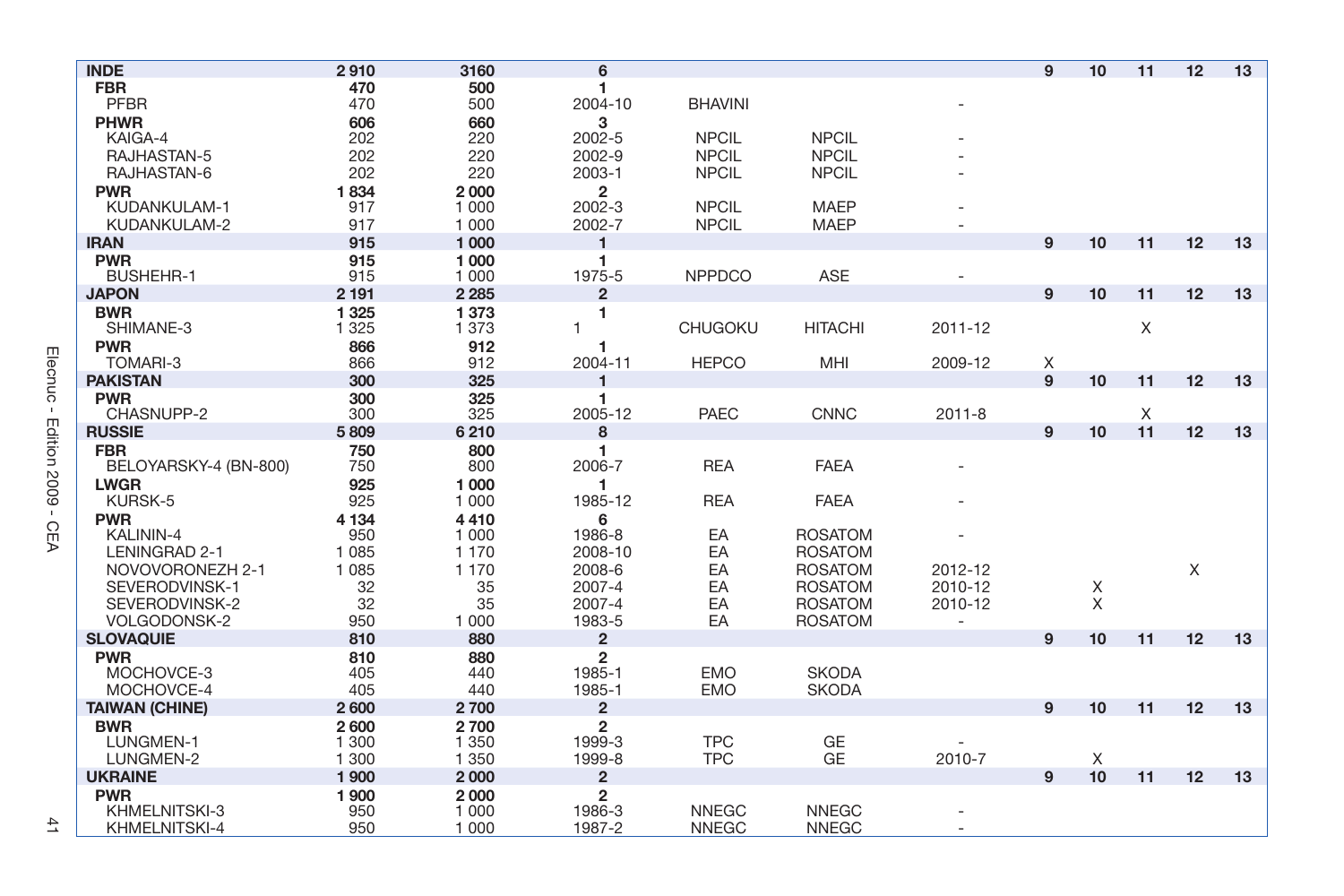| <b>INDE</b>           | 2910    | 3160    | 6                       |                |                |            | 9 | 10 | 11 | 12 | 13 |
|-----------------------|---------|---------|-------------------------|----------------|----------------|------------|---|----|----|----|----|
| <b>FBR</b>            | 470     | 500     | 1                       |                |                |            |   |    |    |    |    |
| <b>PFBR</b>           | 470     | 500     | 2004-10                 | <b>BHAVINI</b> |                |            |   |    |    |    |    |
| <b>PHWR</b>           | 606     | 660     | 3                       |                |                |            |   |    |    |    |    |
| KAIGA-4               | 202     | 220     | 2002-5                  | <b>NPCIL</b>   | <b>NPCIL</b>   |            |   |    |    |    |    |
| RAJHASTAN-5           | 202     | 220     | 2002-9                  | <b>NPCIL</b>   | <b>NPCIL</b>   |            |   |    |    |    |    |
| RAJHASTAN-6           | 202     | 220     | 2003-1                  | <b>NPCIL</b>   | <b>NPCIL</b>   |            |   |    |    |    |    |
| <b>PWR</b>            | 1834    | 2000    | $\overline{2}$          |                |                |            |   |    |    |    |    |
| KUDANKULAM-1          | 917     | 1 0 0 0 | 2002-3                  | <b>NPCIL</b>   | <b>MAEP</b>    |            |   |    |    |    |    |
| KUDANKULAM-2          | 917     | 1 0 0 0 | 2002-7                  | <b>NPCIL</b>   | <b>MAEP</b>    |            |   |    |    |    |    |
| <b>IRAN</b>           | 915     | 1 0 0 0 | 1                       |                |                |            | 9 | 10 | 11 | 12 | 13 |
| <b>PWR</b>            | 915     | 1 000   | 1                       |                |                |            |   |    |    |    |    |
| <b>BUSHEHR-1</b>      | 915     | 1 0 0 0 | 1975-5                  | <b>NPPDCO</b>  | ASE            |            |   |    |    |    |    |
| <b>JAPON</b>          | 2 1 9 1 | 2 2 8 5 | $\overline{\mathbf{c}}$ |                |                |            | 9 | 10 | 11 | 12 | 13 |
| <b>BWR</b>            | 1325    | 1373    | 1                       |                |                |            |   |    |    |    |    |
| SHIMANE-3             | 1 3 2 5 | 1 3 7 3 | 1                       | <b>CHUGOKU</b> | <b>HITACHI</b> | 2011-12    |   |    | X  |    |    |
| <b>PWR</b>            | 866     | 912     | 1                       |                |                |            |   |    |    |    |    |
| TOMARI-3              | 866     | 912     | 2004-11                 | <b>HEPCO</b>   | MHI            | 2009-12    | X |    |    |    |    |
| <b>PAKISTAN</b>       | 300     | 325     | 1                       |                |                |            | 9 | 10 | 11 | 12 | 13 |
| <b>PWR</b>            | 300     | 325     |                         |                |                |            |   |    |    |    |    |
| CHASNUPP-2            | 300     | 325     | 2005-12                 | <b>PAEC</b>    | <b>CNNC</b>    | $2011 - 8$ |   |    | X  |    |    |
| <b>RUSSIE</b>         | 5809    | 6210    | 8                       |                |                |            | 9 | 10 | 11 | 12 | 13 |
| <b>FBR</b>            | 750     | 800     | 1                       |                |                |            |   |    |    |    |    |
| BELOYARSKY-4 (BN-800) | 750     | 800     | 2006-7                  | <b>REA</b>     | <b>FAEA</b>    |            |   |    |    |    |    |
| <b>LWGR</b>           | 925     | 1 000   | 1                       |                |                |            |   |    |    |    |    |
| KURSK-5               | 925     | 1 000   | 1985-12                 | <b>REA</b>     | <b>FAEA</b>    |            |   |    |    |    |    |
| <b>PWR</b>            | 4 1 3 4 | 4410    | 6                       |                |                |            |   |    |    |    |    |
| KALININ-4             | 950     | 1 0 0 0 | 1986-8                  | EA             | <b>ROSATOM</b> |            |   |    |    |    |    |
| LENINGRAD 2-1         | 1 0 8 5 | 1 1 7 0 | 2008-10                 | EA             | <b>ROSATOM</b> |            |   |    |    |    |    |
| NOVOVORONEZH 2-1      | 1 0 8 5 | 1 1 7 0 | 2008-6                  | EA             | <b>ROSATOM</b> | 2012-12    |   |    |    | X  |    |
| SEVERODVINSK-1        | 32      | 35      | 2007-4                  | EA             | <b>ROSATOM</b> | 2010-12    |   | Χ  |    |    |    |
| SEVERODVINSK-2        | 32      | 35      | 2007-4                  | EA             | <b>ROSATOM</b> | 2010-12    |   | X  |    |    |    |
| VOLGODONSK-2          | 950     | 1 000   | 1983-5                  | EA             | <b>ROSATOM</b> |            |   |    |    |    |    |
| <b>SLOVAQUIE</b>      | 810     | 880     | $\overline{2}$          |                |                |            | 9 | 10 | 11 | 12 | 13 |
| <b>PWR</b>            | 810     | 880     | $\overline{2}$          |                |                |            |   |    |    |    |    |
| MOCHOVCE-3            | 405     | 440     | 1985-1                  | <b>EMO</b>     | <b>SKODA</b>   |            |   |    |    |    |    |
| MOCHOVCE-4            | 405     | 440     | 1985-1                  | <b>EMO</b>     | <b>SKODA</b>   |            |   |    |    |    |    |
| <b>TAIWAN (CHINE)</b> | 2600    | 2700    | $\overline{2}$          |                |                |            | 9 | 10 | 11 | 12 | 13 |
| <b>BWR</b>            | 2600    | 2700    | 2                       |                |                |            |   |    |    |    |    |
| LUNGMEN-1             | 1 300   | 1 350   | 1999-3                  | <b>TPC</b>     | GE             |            |   |    |    |    |    |
| LUNGMEN-2             | 1 300   | 1 3 5 0 | 1999-8                  | <b>TPC</b>     | GE             | 2010-7     |   | X  |    |    |    |
| <b>UKRAINE</b>        | 1900    | 2000    | $\overline{\mathbf{c}}$ |                |                |            | 9 | 10 | 11 | 12 | 13 |
| <b>PWR</b>            | 1900    | 2000    | $\overline{2}$          |                |                |            |   |    |    |    |    |
| KHMELNITSKI-3         | 950     | 1 0 0 0 | 1986-3                  | <b>NNEGC</b>   | <b>NNEGC</b>   |            |   |    |    |    |    |
| KHMELNITSKI-4         | 950     | 1 0 0 0 | 1987-2                  | <b>NNEGC</b>   | <b>NNEGC</b>   |            |   |    |    |    |    |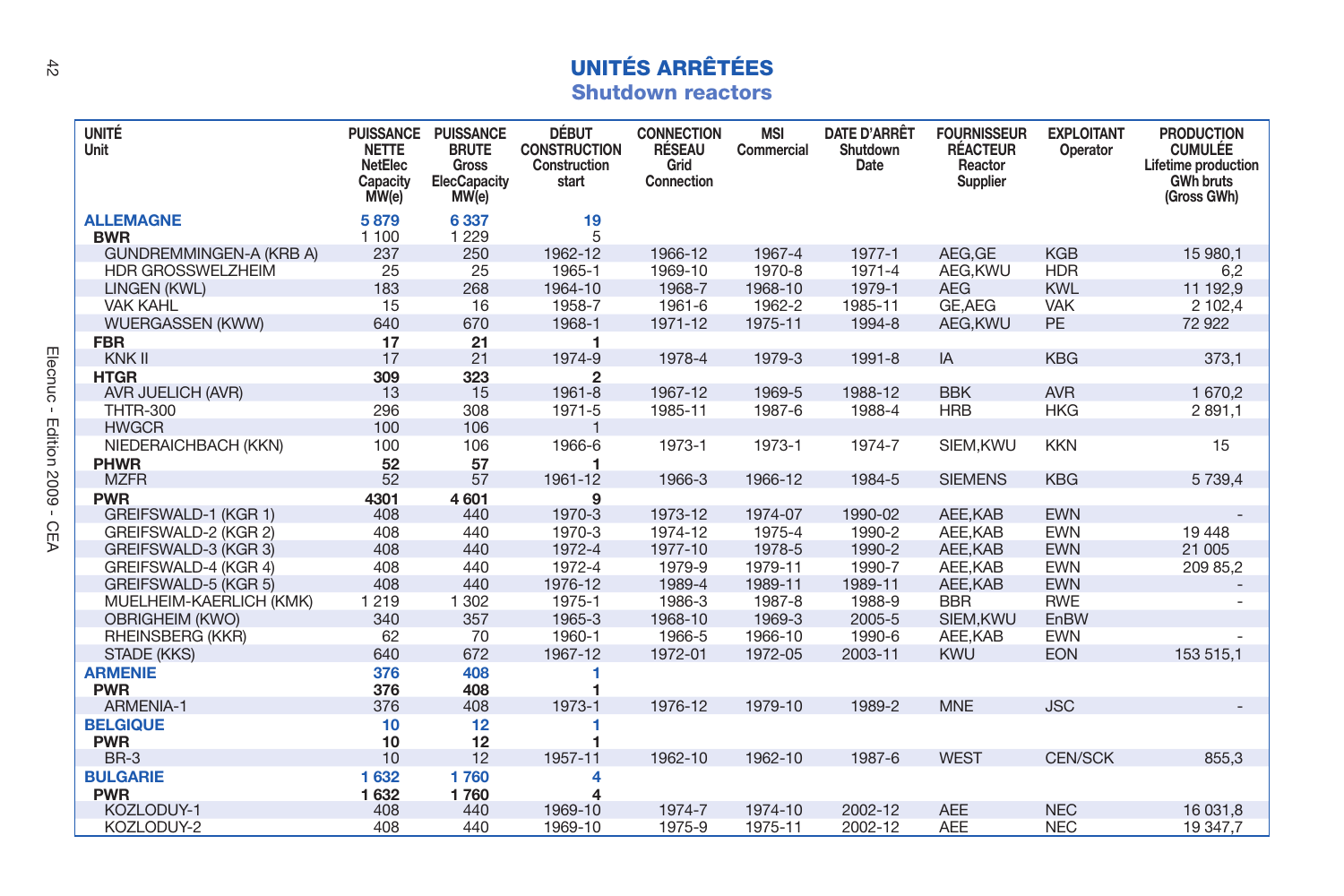## **UNITÉS ARRÊTÉES Shutdown reactors**

| <b>UNITÉ</b><br>Unit           | <b>PUISSANCE</b><br><b>NETTE</b><br>NetElec<br>Capacity<br>MW(e) | <b>PUISSANCE</b><br><b>BRUTE</b><br>Gross<br><b>ElecCapacity</b><br>MW(e) | <b>DÉBUT</b><br><b>CONSTRUCTION</b><br>Construction<br>start | <b>CONNECTION</b><br><b>RÉSEAU</b><br>Grid<br>Connection | <b>MSI</b><br>Commercial | DATE D'ARRÊT<br>Shutdown<br>Date | <b>FOURNISSEUR</b><br><b>RÉACTEUR</b><br>Reactor<br>Supplier | <b>EXPLOITANT</b><br>Operator | <b>PRODUCTION</b><br><b>CUMULÉE</b><br>Lifetime production<br><b>GWh bruts</b><br>(Gross GWh) |
|--------------------------------|------------------------------------------------------------------|---------------------------------------------------------------------------|--------------------------------------------------------------|----------------------------------------------------------|--------------------------|----------------------------------|--------------------------------------------------------------|-------------------------------|-----------------------------------------------------------------------------------------------|
| <b>ALLEMAGNE</b><br><b>BWR</b> | 5879<br>1 100                                                    | 6337<br>1 2 2 9                                                           | 19<br>5                                                      |                                                          |                          |                                  |                                                              |                               |                                                                                               |
| GUNDREMMINGEN-A (KRB A)        | 237                                                              | 250                                                                       | 1962-12                                                      | 1966-12                                                  | 1967-4                   | 1977-1                           | AEG.GE                                                       | <b>KGB</b>                    | 15 980.1                                                                                      |
| <b>HDR GROSSWELZHEIM</b>       | 25                                                               | 25                                                                        | 1965-1                                                       | 1969-10                                                  | 1970-8                   | 1971-4                           | AEG.KWU                                                      | <b>HDR</b>                    | 6,2                                                                                           |
| LINGEN (KWL)                   | 183                                                              | 268                                                                       | 1964-10                                                      | 1968-7                                                   | 1968-10                  | 1979-1                           | <b>AEG</b>                                                   | <b>KWL</b>                    | 11 192,9                                                                                      |
| <b>VAK KAHL</b>                | 15                                                               | 16                                                                        | 1958-7                                                       | 1961-6                                                   | 1962-2                   | 1985-11                          | GE, AEG                                                      | <b>VAK</b>                    | 2 102,4                                                                                       |
| <b>WUERGASSEN (KWW)</b>        | 640                                                              | 670                                                                       | 1968-1                                                       | 1971-12                                                  | 1975-11                  | 1994-8                           | AEG, KWU                                                     | <b>PE</b>                     | 72 922                                                                                        |
| <b>FBR</b>                     | 17                                                               | 21                                                                        | 1                                                            |                                                          |                          |                                  |                                                              |                               |                                                                                               |
| KNK II                         | 17                                                               | 21                                                                        | 1974-9                                                       | 1978-4                                                   | 1979-3                   | 1991-8                           | IA                                                           | <b>KBG</b>                    | 373.1                                                                                         |
| <b>HTGR</b>                    | 309                                                              | 323                                                                       | $\overline{2}$                                               |                                                          |                          |                                  |                                                              |                               |                                                                                               |
| AVR JUELICH (AVR)              | 13                                                               | 15                                                                        | 1961-8                                                       | 1967-12                                                  | 1969-5                   | 1988-12                          | <b>BBK</b>                                                   | <b>AVR</b>                    | 1 670.2                                                                                       |
| <b>THTR-300</b>                | 296                                                              | 308                                                                       | 1971-5                                                       | 1985-11                                                  | 1987-6                   | 1988-4                           | <b>HRB</b>                                                   | <b>HKG</b>                    | 2 891,1                                                                                       |
| <b>HWGCR</b>                   | 100                                                              | 106                                                                       | $\mathbf{1}$                                                 |                                                          |                          |                                  |                                                              |                               |                                                                                               |
| NIEDERAICHBACH (KKN)           | 100                                                              | 106                                                                       | 1966-6                                                       | 1973-1                                                   | 1973-1                   | 1974-7                           | SIEM.KWU                                                     | <b>KKN</b>                    | 15                                                                                            |
| <b>PHWR</b>                    | 52                                                               | 57                                                                        | 1                                                            |                                                          |                          |                                  |                                                              |                               |                                                                                               |
| <b>MZFR</b>                    | 52                                                               | 57                                                                        | 1961-12                                                      | 1966-3                                                   | 1966-12                  | 1984-5                           | <b>SIEMENS</b>                                               | <b>KBG</b>                    | 5 7 3 9.4                                                                                     |
| <b>PWR</b>                     | 4301                                                             | 4601                                                                      | 9                                                            |                                                          |                          |                                  |                                                              |                               |                                                                                               |
| GREIFSWALD-1 (KGR 1)           | 408                                                              | 440                                                                       | 1970-3                                                       | 1973-12                                                  | 1974-07                  | 1990-02                          | AEE.KAB                                                      | <b>EWN</b>                    |                                                                                               |
| GREIFSWALD-2 (KGR 2)           | 408                                                              | 440                                                                       | 1970-3                                                       | 1974-12                                                  | 1975-4                   | 1990-2                           | AEE.KAB                                                      | <b>EWN</b>                    | 19 4 48                                                                                       |
| GREIFSWALD-3 (KGR 3)           | 408                                                              | 440                                                                       | 1972-4                                                       | 1977-10                                                  | 1978-5                   | 1990-2                           | AEE.KAB                                                      | <b>EWN</b>                    | 21 005                                                                                        |
| GREIFSWALD-4 (KGR 4)           | 408                                                              | 440                                                                       | 1972-4                                                       | 1979-9                                                   | 1979-11                  | 1990-7                           | AEE.KAB                                                      | <b>EWN</b>                    | 209 85.2                                                                                      |
| GREIFSWALD-5 (KGR 5)           | 408                                                              | 440                                                                       | 1976-12                                                      | 1989-4                                                   | 1989-11                  | 1989-11                          | AEE.KAB                                                      | <b>EWN</b>                    |                                                                                               |
| MUELHEIM-KAERLICH (KMK)        | 1 2 1 9                                                          | 1 3 0 2                                                                   | 1975-1                                                       | 1986-3                                                   | 1987-8                   | 1988-9                           | <b>BBR</b>                                                   | <b>RWE</b>                    |                                                                                               |
| <b>OBRIGHEIM (KWO)</b>         | 340                                                              | 357                                                                       | 1965-3                                                       | 1968-10                                                  | 1969-3                   | 2005-5                           | SIEM, KWU                                                    | EnBW                          |                                                                                               |
| RHEINSBERG (KKR)               | 62                                                               | 70                                                                        | 1960-1                                                       | 1966-5                                                   | 1966-10                  | 1990-6                           | AEE.KAB                                                      | <b>EWN</b>                    |                                                                                               |
| STADE (KKS)                    | 640                                                              | 672                                                                       | 1967-12                                                      | 1972-01                                                  | 1972-05                  | 2003-11                          | <b>KWU</b>                                                   | <b>EON</b>                    | 153 515,1                                                                                     |
| <b>ARMENIE</b>                 | 376                                                              | 408                                                                       | 1                                                            |                                                          |                          |                                  |                                                              |                               |                                                                                               |
| <b>PWR</b>                     | 376                                                              | 408                                                                       |                                                              |                                                          |                          |                                  |                                                              |                               |                                                                                               |
| ARMENIA-1                      | 376                                                              | 408                                                                       | 1973-1                                                       | 1976-12                                                  | 1979-10                  | 1989-2                           | <b>MNE</b>                                                   | <b>JSC</b>                    |                                                                                               |
| <b>BELGIQUE</b>                | 10                                                               | 12                                                                        | 1                                                            |                                                          |                          |                                  |                                                              |                               |                                                                                               |
| <b>PWR</b>                     | 10                                                               | 12                                                                        | 1                                                            |                                                          |                          |                                  |                                                              |                               |                                                                                               |
| $BR-3$                         | 10                                                               | 12                                                                        | 1957-11                                                      | 1962-10                                                  | 1962-10                  | 1987-6                           | <b>WEST</b>                                                  | <b>CEN/SCK</b>                | 855,3                                                                                         |
| <b>BULGARIE</b>                | 1632                                                             | 1760                                                                      | 4                                                            |                                                          |                          |                                  |                                                              |                               |                                                                                               |
| <b>PWR</b>                     | 1632                                                             | 1760                                                                      | 4                                                            |                                                          |                          |                                  |                                                              |                               |                                                                                               |
| KOZLODUY-1                     | 408                                                              | 440                                                                       | 1969-10                                                      | 1974-7                                                   | 1974-10                  | 2002-12                          | <b>AEE</b>                                                   | <b>NEC</b>                    | 16 031.8                                                                                      |
| KOZLODUY-2                     | 408                                                              | 440                                                                       | 1969-10                                                      | 1975-9                                                   | 1975-11                  | 2002-12                          | <b>AEE</b>                                                   | <b>NEC</b>                    | 19 347,7                                                                                      |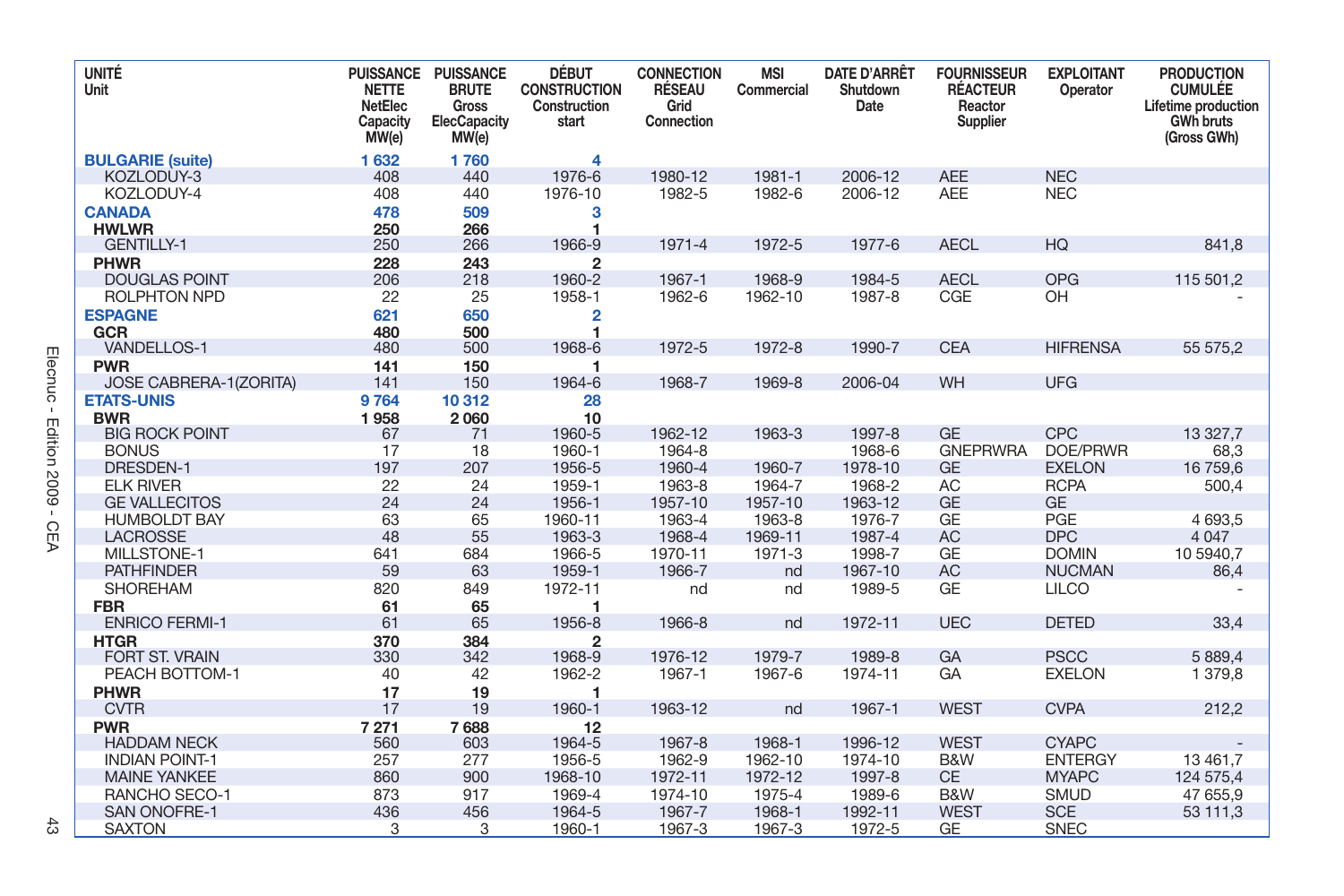| <b>UNITÉ</b><br>Unit      | <b>NETTE</b><br>NetElec<br>Capacity<br>MW(e) | PUISSANCE PUISSANCE<br><b>BRUTE</b><br>Gross<br><b>ElecCapacity</b><br>MW(e) | <b>DÉBUT</b><br><b>CONSTRUCTION</b><br>Construction<br>start | <b>CONNECTION</b><br><b>RÉSEAU</b><br>Grid<br>Connection | <b>MSI</b><br>Commercial | <b>DATE D'ARRÊT</b><br>Shutdown<br>Date | <b>FOURNISSEUR</b><br><b>RÉACTEUR</b><br>Reactor<br>Supplier | <b>EXPLOITANT</b><br>Operator | <b>PRODUCTION</b><br><b>CUMULÉE</b><br>Lifetime production<br><b>GWh bruts</b><br>(Gross GWh) |
|---------------------------|----------------------------------------------|------------------------------------------------------------------------------|--------------------------------------------------------------|----------------------------------------------------------|--------------------------|-----------------------------------------|--------------------------------------------------------------|-------------------------------|-----------------------------------------------------------------------------------------------|
| <b>BULGARIE (suite)</b>   | 1632                                         | 1760                                                                         | 4                                                            |                                                          |                          |                                         |                                                              |                               |                                                                                               |
| KOZLODŮY-3                | 408                                          | 440                                                                          | 1976-6                                                       | 1980-12                                                  | 1981-1                   | 2006-12                                 | <b>AEE</b>                                                   | <b>NEC</b>                    |                                                                                               |
| KOZLODUY-4                | 408                                          | 440                                                                          | 1976-10                                                      | 1982-5                                                   | 1982-6                   | 2006-12                                 | <b>AEE</b>                                                   | <b>NEC</b>                    |                                                                                               |
| <b>CANADA</b>             | 478                                          | 509                                                                          | 3                                                            |                                                          |                          |                                         |                                                              |                               |                                                                                               |
| <b>HWLWR</b>              | 250                                          | 266                                                                          | 1                                                            |                                                          |                          |                                         |                                                              |                               |                                                                                               |
| <b>GENTILLY-1</b>         | 250                                          | 266                                                                          | 1966-9                                                       | 1971-4                                                   | 1972-5                   | 1977-6                                  | <b>AECL</b>                                                  | HQ                            | 841.8                                                                                         |
| PHWR                      | 228                                          | 243                                                                          | $\overline{2}$                                               |                                                          |                          |                                         |                                                              |                               |                                                                                               |
| <b>DOUGLAS POINT</b>      | 206                                          | 218                                                                          | 1960-2                                                       | 1967-1<br>1962-6                                         | 1968-9                   | 1984-5<br>1987-8                        | <b>AECL</b><br>CGE                                           | <b>OPG</b><br>OH              | 115 501,2                                                                                     |
| <b>ROLPHTON NPD</b>       | 22                                           | 25                                                                           | 1958-1                                                       |                                                          | 1962-10                  |                                         |                                                              |                               |                                                                                               |
| <b>ESPAGNE</b>            | 621                                          | 650                                                                          | 2                                                            |                                                          |                          |                                         |                                                              |                               |                                                                                               |
| GCR<br><b>VANDELLOS-1</b> | 480<br>480                                   | 500<br>500                                                                   | 1968-6                                                       | 1972-5                                                   | 1972-8                   | 1990-7                                  | <b>CEA</b>                                                   | <b>HIFRENSA</b>               | 55 575.2                                                                                      |
| <b>PWR</b>                | 141                                          | 150                                                                          | 1                                                            |                                                          |                          |                                         |                                                              |                               |                                                                                               |
| JOSE CABRERA-1(ZORITA)    | 141                                          | 150                                                                          | 1964-6                                                       | 1968-7                                                   | 1969-8                   | 2006-04                                 | <b>WH</b>                                                    | <b>UFG</b>                    |                                                                                               |
| <b>ETATS-UNIS</b>         | 9764                                         | 10312                                                                        | 28                                                           |                                                          |                          |                                         |                                                              |                               |                                                                                               |
| <b>BWR</b>                | 1958                                         | 2060                                                                         | 10                                                           |                                                          |                          |                                         |                                                              |                               |                                                                                               |
| <b>BIG ROCK POINT</b>     | 67                                           | 71                                                                           | 1960-5                                                       | 1962-12                                                  | 1963-3                   | 1997-8                                  | <b>GE</b>                                                    | <b>CPC</b>                    | 13 327,7                                                                                      |
| <b>BONUS</b>              | 17                                           | 18                                                                           | 1960-1                                                       | 1964-8                                                   |                          | 1968-6                                  | <b>GNEPRWRA</b>                                              | DOE/PRWR                      | 68,3                                                                                          |
| <b>DRESDEN-1</b>          | 197                                          | 207                                                                          | 1956-5                                                       | 1960-4                                                   | 1960-7                   | 1978-10                                 | <b>GE</b>                                                    | <b>EXELON</b>                 | 16 759,6                                                                                      |
| <b>ELK RIVER</b>          | 22                                           | 24                                                                           | 1959-1                                                       | 1963-8                                                   | 1964-7                   | 1968-2                                  | <b>AC</b>                                                    | <b>RCPA</b>                   | 500.4                                                                                         |
| <b>GE VALLECITOS</b>      | 24                                           | 24                                                                           | 1956-1                                                       | 1957-10                                                  | 1957-10                  | 1963-12                                 | <b>GE</b>                                                    | <b>GE</b>                     |                                                                                               |
| <b>HUMBOLDT BAY</b>       | 63                                           | 65                                                                           | 1960-11                                                      | 1963-4                                                   | 1963-8                   | 1976-7                                  | GE                                                           | PGE                           | 4 693.5                                                                                       |
| <b>LACROSSE</b>           | 48                                           | 55                                                                           | 1963-3                                                       | 1968-4                                                   | 1969-11                  | 1987-4                                  | <b>AC</b>                                                    | <b>DPC</b>                    | 4 0 4 7                                                                                       |
| MILLSTONE-1               | 641                                          | 684                                                                          | 1966-5                                                       | 1970-11                                                  | 1971-3                   | 1998-7                                  | GE                                                           | <b>DOMIN</b>                  | 10 5940.7                                                                                     |
| <b>PATHFINDER</b>         | 59                                           | 63                                                                           | 1959-1                                                       | 1966-7                                                   | nd                       | 1967-10                                 | <b>AC</b>                                                    | <b>NUCMAN</b>                 | 86,4                                                                                          |
| SHOREHAM                  | 820                                          | 849                                                                          | 1972-11                                                      | nd                                                       | nd                       | 1989-5                                  | GE                                                           | <b>LILCO</b>                  |                                                                                               |
| <b>FBR</b>                | 61                                           | 65                                                                           | 1                                                            |                                                          |                          |                                         |                                                              |                               |                                                                                               |
| <b>ENRICO FERMI-1</b>     | 61                                           | 65                                                                           | 1956-8                                                       | 1966-8                                                   | nd                       | 1972-11                                 | <b>UEC</b>                                                   | <b>DETED</b>                  | 33,4                                                                                          |
| <b>HTGR</b>               | 370                                          | 384                                                                          | $\overline{2}$                                               |                                                          |                          |                                         |                                                              |                               |                                                                                               |
| <b>FORT ST. VRAIN</b>     | 330                                          | 342                                                                          | 1968-9                                                       | 1976-12                                                  | 1979-7                   | 1989-8                                  | GA                                                           | <b>PSCC</b>                   | 5 889.4                                                                                       |
| PEACH BOTTOM-1            | 40                                           | 42                                                                           | 1962-2                                                       | 1967-1                                                   | 1967-6                   | 1974-11                                 | GA                                                           | <b>EXELON</b>                 | 1 379.8                                                                                       |
| PHWR                      | 17                                           | 19                                                                           | 1                                                            |                                                          |                          |                                         |                                                              |                               |                                                                                               |
| <b>CVTR</b>               | 17                                           | 19                                                                           | 1960-1                                                       | 1963-12                                                  | nd                       | 1967-1                                  | <b>WEST</b>                                                  | <b>CVPA</b>                   | 212,2                                                                                         |
| <b>PWR</b>                | 7 2 7 1                                      | 7688                                                                         | 12                                                           |                                                          |                          |                                         |                                                              |                               |                                                                                               |
| <b>HADDAM NECK</b>        | 560                                          | 603                                                                          | 1964-5                                                       | 1967-8                                                   | 1968-1                   | 1996-12                                 | <b>WEST</b>                                                  | <b>CYAPC</b>                  |                                                                                               |
| <b>INDIAN POINT-1</b>     | 257                                          | 277                                                                          | 1956-5                                                       | 1962-9                                                   | 1962-10                  | 1974-10                                 | B&W                                                          | <b>ENTERGY</b>                | 13 461,7                                                                                      |
| <b>MAINE YANKEE</b>       | 860                                          | 900                                                                          | 1968-10                                                      | 1972-11                                                  | 1972-12                  | 1997-8                                  | <b>CE</b>                                                    | <b>MYAPC</b>                  | 124 575.4                                                                                     |
| RANCHO SECO-1             | 873                                          | 917                                                                          | 1969-4                                                       | 1974-10                                                  | 1975-4                   | 1989-6                                  | B&W                                                          | <b>SMUD</b>                   | 47 655,9                                                                                      |
| <b>SAN ONOFRE-1</b>       | 436                                          | 456                                                                          | 1964-5                                                       | 1967-7                                                   | 1968-1                   | 1992-11                                 | <b>WEST</b>                                                  | <b>SCE</b>                    | 53 111.3                                                                                      |
| <b>SAXTON</b>             | 3                                            | 3                                                                            | 1960-1                                                       | 1967-3                                                   | 1967-3                   | 1972-5                                  | <b>GE</b>                                                    | <b>SNEC</b>                   |                                                                                               |

 $\ddot{\mathbb{S}}$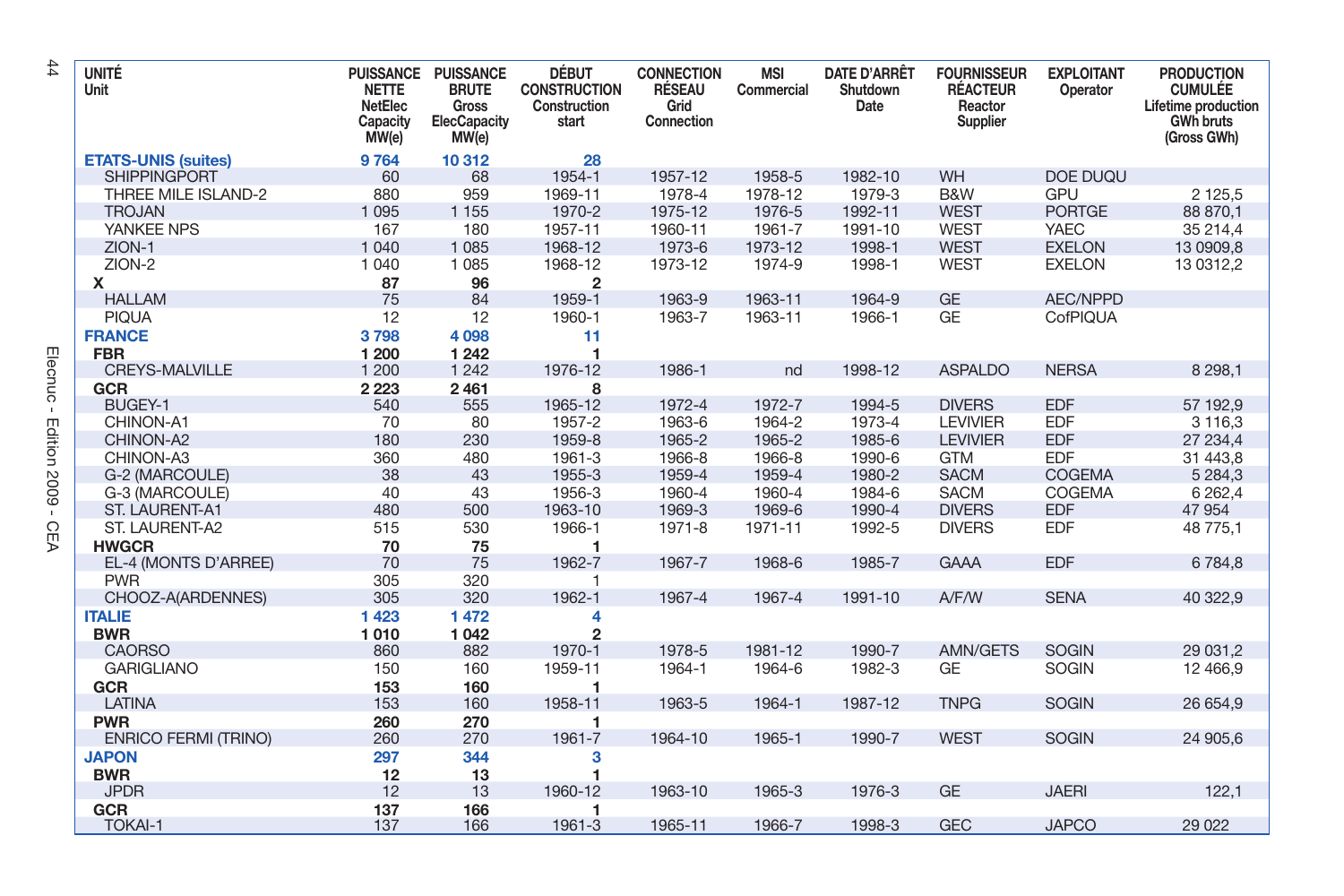| <b>UNITÉ</b><br>Unit        | <b>PUISSANCE</b><br><b>NETTE</b><br>NetElec<br>Capacity<br>MW(e) | <b>PUISSANCE</b><br><b>BRUTE</b><br>Gross<br>ElecCapacity<br>MW(e) | <b>DÉBUT</b><br><b>CONSTRUCTION</b><br>Construction<br>start | <b>CONNECTION</b><br><b>RÉSEAU</b><br>Grid<br>Connection | <b>MSI</b><br>Commercial | <b>DATE D'ARRÊT</b><br>Shutdown<br>Date | <b>FOURNISSEUR</b><br><b>RÉACTEUR</b><br>Reactor<br>Supplier | <b>EXPLOITANT</b><br>Operator | <b>PRODUCTION</b><br><b>CUMULÉE</b><br>Lifetime production<br><b>GWh bruts</b><br>(Gross GWh) |
|-----------------------------|------------------------------------------------------------------|--------------------------------------------------------------------|--------------------------------------------------------------|----------------------------------------------------------|--------------------------|-----------------------------------------|--------------------------------------------------------------|-------------------------------|-----------------------------------------------------------------------------------------------|
| <b>ETATS-UNIS (suites)</b>  | 9764                                                             | 10312                                                              | 28                                                           |                                                          |                          |                                         |                                                              |                               |                                                                                               |
| <b>SHIPPINGPORT</b>         | 60                                                               | 68                                                                 | 1954-1                                                       | 1957-12                                                  | 1958-5                   | 1982-10                                 | WH                                                           | DOE DUQU                      |                                                                                               |
| THREE MILE ISLAND-2         | 880                                                              | 959                                                                | 1969-11                                                      | 1978-4                                                   | 1978-12                  | 1979-3                                  | B&W                                                          | <b>GPU</b>                    | 2 125,5                                                                                       |
| <b>TROJAN</b>               | 1 0 9 5                                                          | 1 1 5 5                                                            | 1970-2                                                       | 1975-12                                                  | 1976-5                   | 1992-11                                 | <b>WEST</b>                                                  | <b>PORTGE</b>                 | 88 870,1                                                                                      |
| YANKEE NPS                  | 167                                                              | 180                                                                | 1957-11                                                      | 1960-11                                                  | 1961-7                   | 1991-10                                 | <b>WEST</b>                                                  | <b>YAEC</b>                   | 35 214,4                                                                                      |
| ZION-1                      | 1 0 4 0                                                          | 1 0 8 5                                                            | 1968-12                                                      | 1973-6                                                   | 1973-12                  | 1998-1                                  | <b>WEST</b>                                                  | <b>EXELON</b>                 | 13 0909,8                                                                                     |
| ZION-2                      | 1 0 4 0                                                          | 1 0 8 5                                                            | 1968-12                                                      | 1973-12                                                  | 1974-9                   | 1998-1                                  | <b>WEST</b>                                                  | <b>EXELON</b>                 | 13 0312,2                                                                                     |
| x                           | 87                                                               | 96                                                                 | $\overline{2}$                                               |                                                          |                          |                                         |                                                              |                               |                                                                                               |
| <b>HALLAM</b>               | 75                                                               | 84                                                                 | 1959-1                                                       | 1963-9                                                   | 1963-11                  | 1964-9                                  | <b>GE</b>                                                    | AEC/NPPD                      |                                                                                               |
| <b>PIQUA</b>                | 12                                                               | 12                                                                 | 1960-1                                                       | 1963-7                                                   | 1963-11                  | 1966-1                                  | <b>GE</b>                                                    | CofPIQUA                      |                                                                                               |
| <b>FRANCE</b>               | 3798                                                             | 4 0 98                                                             | 11                                                           |                                                          |                          |                                         |                                                              |                               |                                                                                               |
| <b>FBR</b>                  | 1 200                                                            | 1 2 4 2                                                            |                                                              |                                                          |                          |                                         |                                                              |                               |                                                                                               |
| <b>CREYS-MALVILLE</b>       | 1 200                                                            | 1 2 4 2                                                            | 1976-12                                                      | 1986-1                                                   | nd                       | 1998-12                                 | <b>ASPALDO</b>                                               | <b>NERSA</b>                  | 8 2 9 8 1                                                                                     |
| <b>GCR</b>                  | 2 2 2 3                                                          | 2461                                                               | 8                                                            |                                                          |                          |                                         |                                                              |                               |                                                                                               |
| BUGEY-1                     | 540                                                              | 555                                                                | 1965-12                                                      | 1972-4                                                   | 1972-7                   | 1994-5                                  | <b>DIVERS</b>                                                | <b>EDF</b>                    | 57 192,9                                                                                      |
| CHINON-A1                   | 70                                                               | 80                                                                 | 1957-2                                                       | 1963-6                                                   | 1964-2                   | 1973-4                                  | <b>LEVIVIER</b>                                              | <b>EDF</b>                    | 3 1 1 6, 3                                                                                    |
| CHINON-A2                   | 180                                                              | 230                                                                | 1959-8                                                       | 1965-2                                                   | 1965-2                   | 1985-6                                  | <b>LEVIVIER</b>                                              | <b>EDF</b>                    | 27 234,4                                                                                      |
| CHINON-A3                   | 360                                                              | 480                                                                | 1961-3                                                       | 1966-8                                                   | 1966-8                   | 1990-6                                  | <b>GTM</b>                                                   | <b>EDF</b>                    | 31 443,8                                                                                      |
| G-2 (MARCOULE)              | 38                                                               | 43                                                                 | 1955-3                                                       | 1959-4                                                   | 1959-4                   | 1980-2                                  | <b>SACM</b>                                                  | <b>COGEMA</b>                 | 5 2 8 4 3                                                                                     |
| G-3 (MARCOULE)              | 40                                                               | 43                                                                 | 1956-3                                                       | 1960-4                                                   | 1960-4                   | 1984-6                                  | <b>SACM</b>                                                  | COGEMA                        | 6 2 6 2, 4                                                                                    |
| <b>ST. LAURENT-A1</b>       | 480                                                              | 500                                                                | 1963-10                                                      | 1969-3                                                   | 1969-6                   | 1990-4                                  | <b>DIVERS</b>                                                | <b>EDF</b>                    | 47 954                                                                                        |
| ST. LAURENT-A2              | 515                                                              | 530                                                                | 1966-1                                                       | 1971-8                                                   | 1971-11                  | 1992-5                                  | <b>DIVERS</b>                                                | <b>EDF</b>                    | 48 775,1                                                                                      |
| <b>HWGCR</b>                | 70                                                               | 75                                                                 | 1                                                            |                                                          |                          |                                         |                                                              |                               |                                                                                               |
| EL-4 (MONTS D'ARREE)        | 70                                                               | 75                                                                 | 1962-7                                                       | 1967-7                                                   | 1968-6                   | 1985-7                                  | <b>GAAA</b>                                                  | <b>EDF</b>                    | 6784,8                                                                                        |
| <b>PWR</b>                  | 305                                                              | 320                                                                | 1                                                            |                                                          |                          |                                         |                                                              |                               |                                                                                               |
| CHOOZ-A(ARDENNES)           | 305                                                              | 320                                                                | 1962-1                                                       | 1967-4                                                   | 1967-4                   | 1991-10                                 | A/F/W                                                        | <b>SENA</b>                   | 40 322,9                                                                                      |
| <b>ITALIE</b>               | 1423                                                             | 1472                                                               | 4                                                            |                                                          |                          |                                         |                                                              |                               |                                                                                               |
| <b>BWR</b>                  | 1010                                                             | 1042                                                               | $\overline{2}$                                               |                                                          |                          |                                         |                                                              |                               |                                                                                               |
| <b>CAORSO</b>               | 860                                                              | 882                                                                | 1970-1                                                       | 1978-5                                                   | 1981-12                  | 1990-7                                  | <b>AMN/GETS</b>                                              | <b>SOGIN</b>                  | 29 031.2                                                                                      |
| <b>GARIGLIANO</b>           | 150                                                              | 160                                                                | 1959-11                                                      | 1964-1                                                   | 1964-6                   | 1982-3                                  | <b>GE</b>                                                    | <b>SOGIN</b>                  | 12 466,9                                                                                      |
| <b>GCR</b>                  | 153                                                              | 160                                                                | 1                                                            |                                                          |                          |                                         |                                                              |                               |                                                                                               |
| LATINA                      | 153                                                              | 160                                                                | 1958-11                                                      | 1963-5                                                   | 1964-1                   | 1987-12                                 | <b>TNPG</b>                                                  | <b>SOGIN</b>                  | 26 654,9                                                                                      |
| <b>PWR</b>                  | 260                                                              | 270                                                                | 1                                                            |                                                          |                          |                                         |                                                              |                               |                                                                                               |
| <b>ENRICO FERMI (TRINO)</b> | 260                                                              | 270                                                                | 1961-7                                                       | 1964-10                                                  | 1965-1                   | 1990-7                                  | <b>WEST</b>                                                  | <b>SOGIN</b>                  | 24 905.6                                                                                      |
| <b>JAPON</b>                | 297                                                              | 344                                                                | 3                                                            |                                                          |                          |                                         |                                                              |                               |                                                                                               |
| <b>BWR</b>                  | 12                                                               | 13                                                                 | 1                                                            |                                                          |                          |                                         | <b>GE</b>                                                    | <b>JAERI</b>                  |                                                                                               |
| <b>JPDR</b>                 | 12                                                               | 13                                                                 | 1960-12                                                      | 1963-10                                                  | 1965-3                   | 1976-3                                  |                                                              |                               | 122,1                                                                                         |
| <b>GCR</b>                  | 137                                                              | 166                                                                | 1                                                            |                                                          |                          |                                         | <b>GEC</b>                                                   | <b>JAPCO</b>                  |                                                                                               |
| <b>TOKAI-1</b>              | 137                                                              | 166                                                                | 1961-3                                                       | 1965-11                                                  | 1966-7                   | 1998-3                                  |                                                              |                               | 29 0 22                                                                                       |

 $\ddot{4}$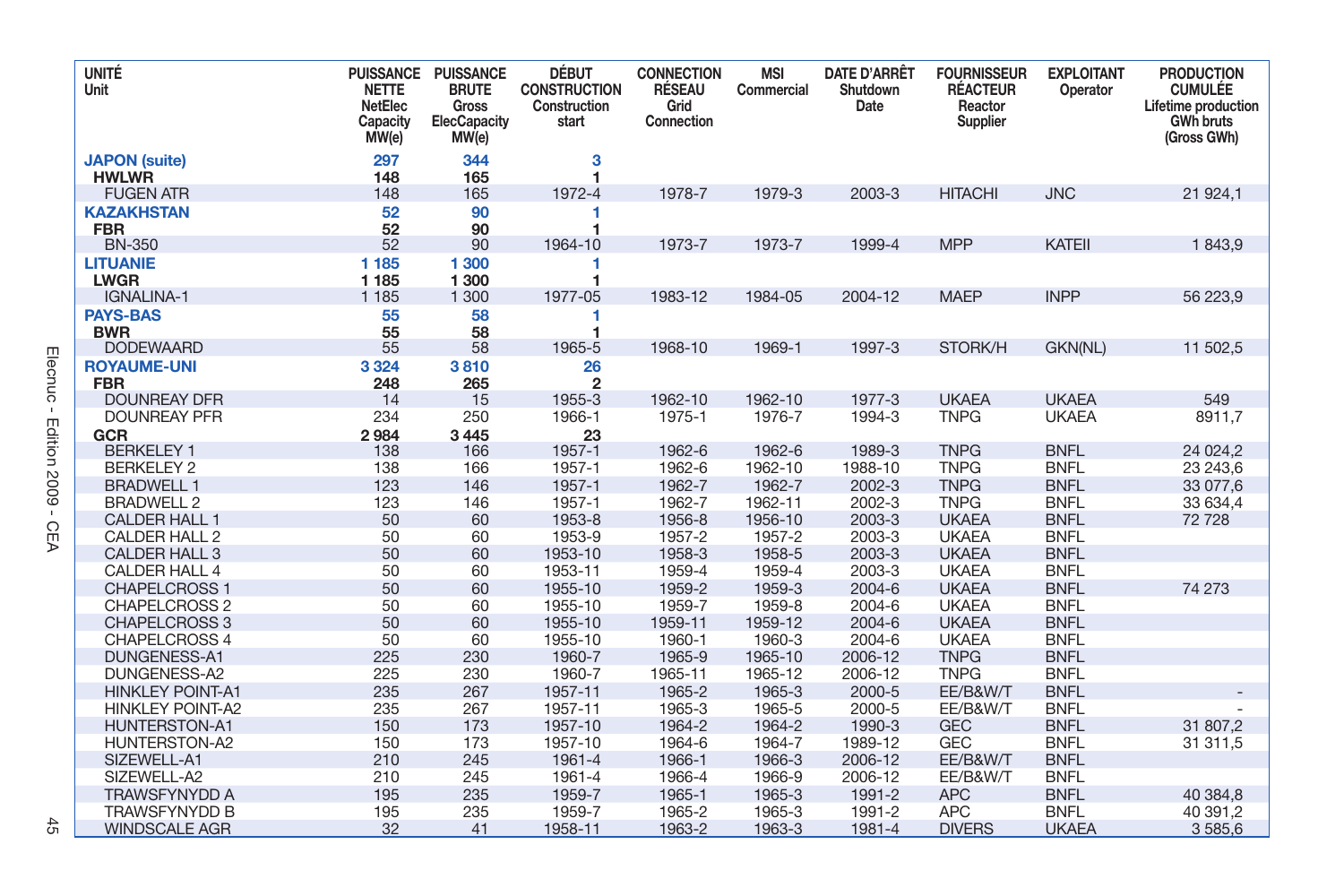| <b>UNITÉ</b><br>Unit                         | <b>PUISSANCE</b><br><b>NETTE</b><br>NetElec<br>Capacity<br>MW(e) | <b>PUISSANCE</b><br><b>BRUTE</b><br>Gross<br><b>ElecCapacity</b><br>MW(e) | <b>DÉBUT</b><br><b>CONSTRUCTION</b><br>Construction<br>start | <b>CONNECTION</b><br><b>RÉSEAU</b><br>Grid<br>Connection | <b>MSI</b><br>Commercial | <b>DATE D'ARRÊT</b><br>Shutdown<br>Date | <b>FOURNISSEUR</b><br><b>RÉACTEUR</b><br>Reactor<br>Supplier | <b>EXPLOITANT</b><br>Operator | <b>PRODUCTION</b><br><b>CUMULÉE</b><br>Lifetime production<br><b>GWh bruts</b><br>(Gross GWh) |
|----------------------------------------------|------------------------------------------------------------------|---------------------------------------------------------------------------|--------------------------------------------------------------|----------------------------------------------------------|--------------------------|-----------------------------------------|--------------------------------------------------------------|-------------------------------|-----------------------------------------------------------------------------------------------|
| <b>JAPON</b> (suite)<br><b>HWLWR</b>         | 297<br>148                                                       | 344<br>165                                                                | 3<br>1                                                       |                                                          |                          |                                         |                                                              |                               |                                                                                               |
| <b>FUGEN ATR</b>                             | 148                                                              | 165                                                                       | 1972-4                                                       | 1978-7                                                   | 1979-3                   | 2003-3                                  | <b>HITACHI</b>                                               | <b>JNC</b>                    | 21 924,1                                                                                      |
| <b>KAZAKHSTAN</b><br><b>FBR</b>              | 52<br>52                                                         | 90<br>90                                                                  | 1<br>1                                                       |                                                          |                          |                                         |                                                              |                               |                                                                                               |
| <b>BN-350</b>                                | 52                                                               | 90                                                                        | 1964-10                                                      | 1973-7                                                   | 1973-7                   | 1999-4                                  | <b>MPP</b>                                                   | <b>KATEII</b>                 | 1843,9                                                                                        |
| <b>LITUANIE</b><br><b>LWGR</b>               | 1 1 8 5<br>1 1 8 5                                               | 1 300<br>1 300                                                            | 1<br>1                                                       |                                                          |                          |                                         |                                                              |                               |                                                                                               |
| IGNALINA-1                                   | 1 1 8 5                                                          | 1 300                                                                     | 1977-05                                                      | 1983-12                                                  | 1984-05                  | 2004-12                                 | <b>MAEP</b>                                                  | <b>INPP</b>                   | 56 223,9                                                                                      |
| <b>PAYS-BAS</b><br><b>BWR</b>                | 55<br>55                                                         | 58<br>58                                                                  | 1<br>1                                                       |                                                          |                          |                                         |                                                              |                               |                                                                                               |
| <b>DODEWAARD</b>                             | 55                                                               | 58                                                                        | 1965-5                                                       | 1968-10                                                  | 1969-1                   | 1997-3                                  | STORK/H                                                      | GKN(NL)                       | 11 502,5                                                                                      |
| <b>ROYAUME-UNI</b><br><b>FBR</b>             | 3 3 2 4<br>248                                                   | 3810<br>265                                                               | 26<br>$\overline{2}$                                         |                                                          |                          |                                         |                                                              |                               |                                                                                               |
| <b>DOUNREAY DFR</b>                          | 14                                                               | 15                                                                        | 1955-3                                                       | 1962-10                                                  | 1962-10                  | 1977-3                                  | <b>UKAEA</b>                                                 | <b>UKAEA</b>                  | 549                                                                                           |
| <b>DOUNREAY PFR</b><br>GCR                   | 234<br>2984                                                      | 250<br>3445                                                               | 1966-1<br>23                                                 | 1975-1                                                   | 1976-7                   | 1994-3                                  | <b>TNPG</b>                                                  | <b>UKAEA</b>                  | 8911.7                                                                                        |
| <b>BERKELEY 1</b>                            | 138                                                              | 166                                                                       | 1957-1                                                       | 1962-6                                                   | 1962-6                   | 1989-3                                  | <b>TNPG</b>                                                  | <b>BNFL</b>                   | 24 0 24, 2                                                                                    |
| <b>BERKELEY 2</b>                            | 138                                                              | 166                                                                       | 1957-1                                                       | 1962-6                                                   | 1962-10                  | 1988-10                                 | <b>TNPG</b>                                                  | <b>BNFL</b>                   | 23 243,6                                                                                      |
| <b>BRADWELL 1</b>                            | 123                                                              | 146                                                                       | 1957-1                                                       | 1962-7                                                   | 1962-7                   | 2002-3                                  | <b>TNPG</b>                                                  | <b>BNFL</b>                   | 33 077,6                                                                                      |
| <b>BRADWELL 2</b>                            | 123                                                              | 146                                                                       | 1957-1                                                       | 1962-7                                                   | 1962-11                  | 2002-3                                  | <b>TNPG</b>                                                  | <b>BNFL</b>                   | 33 634,4                                                                                      |
| CALDER HALL 1                                | 50                                                               | 60                                                                        | 1953-8                                                       | 1956-8                                                   | 1956-10                  | 2003-3                                  | <b>UKAEA</b>                                                 | <b>BNFL</b>                   | 72 728                                                                                        |
| CALDER HALL 2                                | 50                                                               | 60                                                                        | 1953-9                                                       | 1957-2                                                   | 1957-2                   | 2003-3                                  | <b>UKAEA</b>                                                 | <b>BNFL</b>                   |                                                                                               |
| <b>CALDER HALL 3</b>                         | 50                                                               | 60                                                                        | 1953-10                                                      | 1958-3                                                   | 1958-5                   | 2003-3                                  | <b>UKAEA</b>                                                 | <b>BNFL</b>                   |                                                                                               |
| CALDER HALL 4                                | 50                                                               | 60                                                                        | 1953-11                                                      | 1959-4                                                   | 1959-4                   | 2003-3                                  | <b>UKAEA</b>                                                 | <b>BNFL</b>                   |                                                                                               |
| <b>CHAPELCROSS 1</b>                         | 50                                                               | 60                                                                        | 1955-10                                                      | 1959-2                                                   | 1959-3                   | 2004-6                                  | <b>UKAEA</b>                                                 | <b>BNFL</b>                   | 74 273                                                                                        |
| CHAPELCROSS 2                                | 50                                                               | 60                                                                        | 1955-10                                                      | 1959-7                                                   | 1959-8                   | 2004-6                                  | <b>UKAEA</b>                                                 | <b>BNFL</b>                   |                                                                                               |
| CHAPELCROSS 3                                | 50                                                               | 60                                                                        | 1955-10                                                      | 1959-11                                                  | 1959-12                  | 2004-6                                  | <b>UKAEA</b>                                                 | <b>BNFL</b>                   |                                                                                               |
| <b>CHAPELCROSS 4</b>                         | 50                                                               | 60                                                                        | 1955-10                                                      | 1960-1                                                   | 1960-3                   | 2004-6                                  | <b>UKAEA</b>                                                 | <b>BNFL</b>                   |                                                                                               |
| <b>DUNGENESS-A1</b>                          | 225                                                              | 230                                                                       | 1960-7                                                       | 1965-9                                                   | 1965-10                  | 2006-12                                 | <b>TNPG</b>                                                  | <b>BNFL</b>                   |                                                                                               |
| DUNGENESS-A2                                 | 225                                                              | 230                                                                       | 1960-7                                                       | 1965-11                                                  | 1965-12                  | 2006-12                                 | <b>TNPG</b>                                                  | <b>BNFL</b>                   |                                                                                               |
| <b>HINKLEY POINT-A1</b>                      | 235                                                              | 267                                                                       | 1957-11                                                      | 1965-2                                                   | 1965-3                   | 2000-5                                  | EE/B&W/T                                                     | <b>BNFL</b>                   |                                                                                               |
| <b>HINKLEY POINT-A2</b>                      | 235                                                              | 267                                                                       | 1957-11                                                      | 1965-3                                                   | 1965-5                   | 2000-5                                  | EE/B&W/T                                                     | <b>BNFL</b>                   |                                                                                               |
| HUNTERSTON-A1                                | 150                                                              | 173                                                                       | 1957-10                                                      | 1964-2                                                   | 1964-2                   | 1990-3                                  | <b>GEC</b>                                                   | <b>BNFL</b>                   | 31 807,2                                                                                      |
| HUNTERSTON-A2                                | 150                                                              | 173                                                                       | 1957-10                                                      | 1964-6                                                   | 1964-7                   | 1989-12                                 | <b>GEC</b>                                                   | <b>BNFL</b>                   | 31 311,5                                                                                      |
| SIZEWELL-A1                                  | 210                                                              | 245                                                                       | 1961-4                                                       | 1966-1                                                   | 1966-3                   | 2006-12                                 | EE/B&W/T                                                     | <b>BNFL</b>                   |                                                                                               |
| SIZEWELL-A2                                  | 210<br>195                                                       | 245                                                                       | 1961-4                                                       | 1966-4<br>1965-1                                         | 1966-9<br>1965-3         | 2006-12<br>1991-2                       | EE/B&W/T<br><b>APC</b>                                       | <b>BNFL</b>                   |                                                                                               |
| <b>TRAWSFYNYDD A</b><br><b>TRAWSFYNYDD B</b> | 195                                                              | 235<br>235                                                                | 1959-7<br>1959-7                                             | 1965-2                                                   | 1965-3                   | 1991-2                                  | <b>APC</b>                                                   | <b>BNFL</b><br><b>BNFL</b>    | 40 384,8<br>40 391,2                                                                          |
| <b>WINDSCALE AGR</b>                         | 32                                                               | 41                                                                        | 1958-11                                                      | 1963-2                                                   | 1963-3                   | 1981-4                                  | <b>DIVERS</b>                                                | <b>UKAEA</b>                  | 3 5 8 5, 6                                                                                    |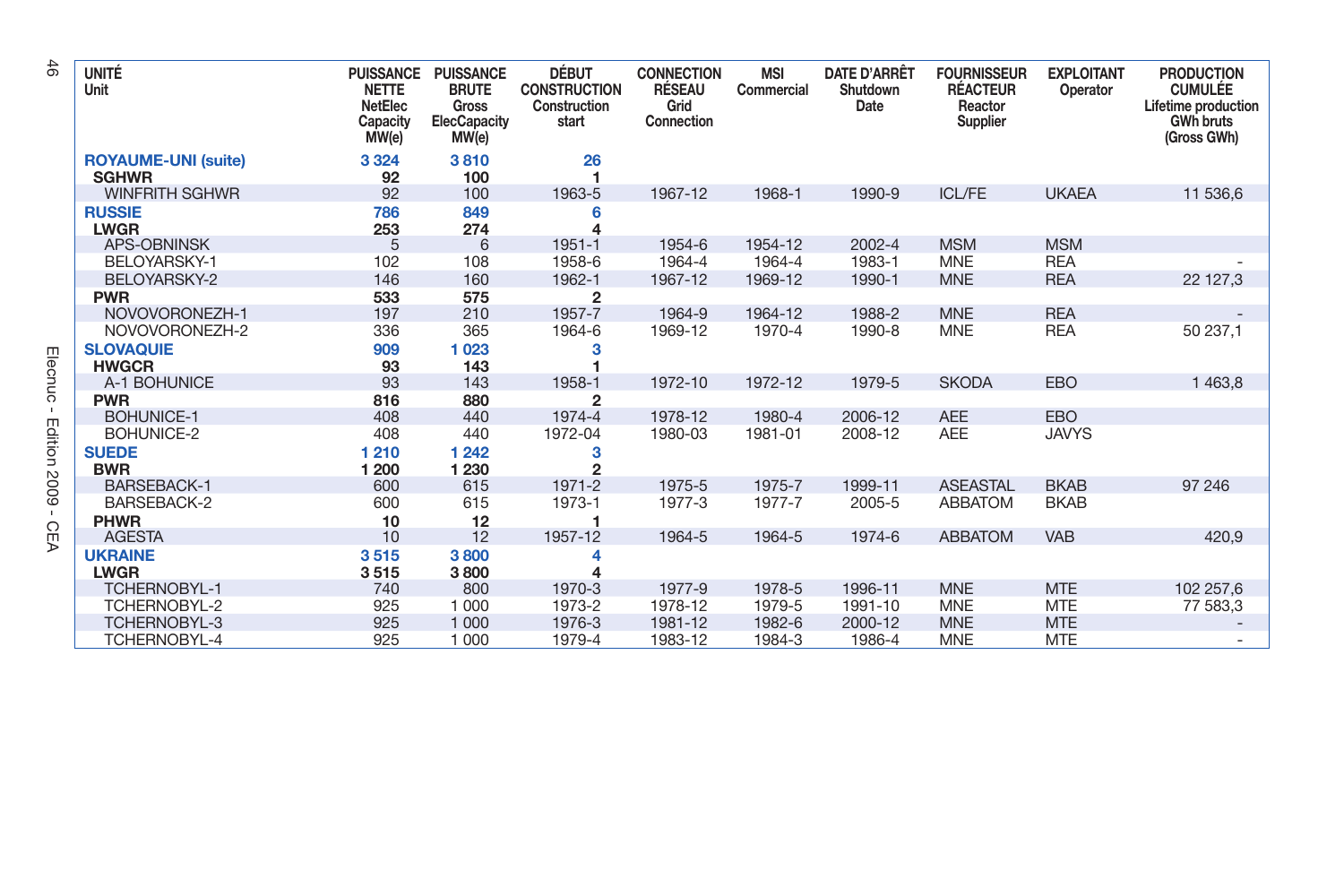| UNITÉ<br>Unit                              | <b>PUISSANCE</b><br><b>NETTE</b><br>NetElec<br>Capacity<br>MW(e) | <b>PUISSANCE</b><br><b>BRUTE</b><br>Gross<br>ElecCapacity<br>MW(e) | DÉBUT<br><b>CONSTRUCTION</b><br>Construction<br>start | <b>CONNECTION</b><br><b>RÉSEAU</b><br>Grid<br>Connection | <b>MSI</b><br>Commercial | <b>DATE D'ARRÊT</b><br>Shutdown<br>Date | <b>FOURNISSEUR</b><br><b>RÉACTEUR</b><br>Reactor<br>Supplier | <b>EXPLOITANT</b><br>Operator | <b>PRODUCTION</b><br><b>CUMULÉE</b><br>Lifetime production<br><b>GWh bruts</b><br>(Gross GWh) |
|--------------------------------------------|------------------------------------------------------------------|--------------------------------------------------------------------|-------------------------------------------------------|----------------------------------------------------------|--------------------------|-----------------------------------------|--------------------------------------------------------------|-------------------------------|-----------------------------------------------------------------------------------------------|
| <b>ROYAUME-UNI (suite)</b><br><b>SGHWR</b> | 3 3 2 4<br>92                                                    | 3810<br>100                                                        | 26<br>1                                               |                                                          |                          |                                         |                                                              |                               |                                                                                               |
| <b>WINFRITH SGHWR</b>                      | 92                                                               | 100                                                                | 1963-5                                                | 1967-12                                                  | 1968-1                   | 1990-9                                  | <b>ICL/FE</b>                                                | <b>UKAEA</b>                  | 11 536.6                                                                                      |
| <b>RUSSIE</b><br><b>LWGR</b>               | 786<br>253                                                       | 849<br>274                                                         | 6                                                     |                                                          |                          |                                         |                                                              |                               |                                                                                               |
| <b>APS-OBNINSK</b>                         | 5                                                                | 6                                                                  | 1951-1                                                | 1954-6                                                   | 1954-12                  | 2002-4                                  | <b>MSM</b>                                                   | <b>MSM</b>                    |                                                                                               |
| BELOYARSKY-1                               | 102                                                              | 108                                                                | 1958-6                                                | 1964-4                                                   | 1964-4                   | 1983-1                                  | <b>MNE</b>                                                   | <b>REA</b>                    |                                                                                               |
| BELOYARSKY-2                               | 146                                                              | 160                                                                | 1962-1                                                | 1967-12                                                  | 1969-12                  | 1990-1                                  | <b>MNE</b>                                                   | <b>REA</b>                    | 22 127,3                                                                                      |
| <b>PWR</b>                                 | 533                                                              | 575                                                                | $\overline{2}$                                        |                                                          |                          |                                         |                                                              |                               |                                                                                               |
| NOVOVORONEZH-1                             | 197                                                              | 210                                                                | 1957-7                                                | 1964-9                                                   | 1964-12                  | 1988-2                                  | <b>MNE</b>                                                   | <b>REA</b>                    |                                                                                               |
| NOVOVORONEZH-2                             | 336                                                              | 365                                                                | 1964-6                                                | 1969-12                                                  | 1970-4                   | 1990-8                                  | <b>MNE</b>                                                   | <b>REA</b>                    | 50 237,1                                                                                      |
| <b>SLOVAQUIE</b><br><b>HWGCR</b>           | 909<br>93                                                        | 1023<br>143                                                        |                                                       |                                                          |                          |                                         |                                                              |                               |                                                                                               |
| A-1 BOHUNICE                               | 93                                                               | 143                                                                | 1958-1                                                | 1972-10                                                  | 1972-12                  | 1979-5                                  | <b>SKODA</b>                                                 | <b>EBO</b>                    | 1 463,8                                                                                       |
| <b>PWR</b>                                 | 816                                                              | 880                                                                | $\mathbf{2}$                                          |                                                          |                          |                                         |                                                              |                               |                                                                                               |
| BOHUNICE-1                                 | 408                                                              | 440                                                                | 1974-4                                                | 1978-12                                                  | 1980-4                   | 2006-12                                 | <b>AEE</b>                                                   | <b>EBO</b>                    |                                                                                               |
| BOHUNICE-2                                 | 408                                                              | 440                                                                | 1972-04                                               | 1980-03                                                  | 1981-01                  | 2008-12                                 | <b>AEE</b>                                                   | <b>JAVYS</b>                  |                                                                                               |
| <b>SUEDE</b>                               | 1 2 1 0                                                          | 1242                                                               | з                                                     |                                                          |                          |                                         |                                                              |                               |                                                                                               |
| <b>BWR</b>                                 | 1 200                                                            | 1 2 3 0                                                            | $\overline{c}$                                        |                                                          |                          |                                         |                                                              |                               |                                                                                               |
| <b>BARSEBACK-1</b>                         | 600                                                              | 615                                                                | 1971-2                                                | 1975-5                                                   | 1975-7                   | 1999-11                                 | <b>ASEASTAL</b>                                              | <b>BKAB</b>                   | 97 246                                                                                        |
| <b>BARSEBACK-2</b>                         | 600                                                              | 615                                                                | 1973-1                                                | 1977-3                                                   | 1977-7                   | 2005-5                                  | <b>ABBATOM</b>                                               | <b>BKAB</b>                   |                                                                                               |
| <b>PHWR</b>                                | 10                                                               | 12                                                                 |                                                       |                                                          |                          |                                         |                                                              |                               |                                                                                               |
| <b>AGESTA</b>                              | 10                                                               | 12                                                                 | 1957-12                                               | 1964-5                                                   | 1964-5                   | 1974-6                                  | <b>ABBATOM</b>                                               | <b>VAB</b>                    | 420,9                                                                                         |
| <b>UKRAINE</b>                             | 3515                                                             | 3800                                                               |                                                       |                                                          |                          |                                         |                                                              |                               |                                                                                               |
| <b>LWGR</b>                                | 3515                                                             | 3800                                                               |                                                       |                                                          |                          |                                         |                                                              |                               |                                                                                               |
| <b>TCHERNOBYL-1</b>                        | 740                                                              | 800                                                                | 1970-3                                                | 1977-9                                                   | 1978-5                   | 1996-11                                 | <b>MNE</b>                                                   | <b>MTE</b>                    | 102 257,6                                                                                     |
| TCHERNOBYL-2                               | 925                                                              | 1 0 0 0                                                            | 1973-2                                                | 1978-12                                                  | 1979-5                   | 1991-10                                 | <b>MNE</b>                                                   | <b>MTE</b>                    | 77 583,3                                                                                      |
| <b>TCHERNOBYL-3</b>                        | 925                                                              | 1 0 0 0                                                            | 1976-3                                                | 1981-12                                                  | 1982-6                   | 2000-12                                 | <b>MNE</b>                                                   | <b>MTE</b>                    |                                                                                               |
| TCHERNOBYL-4                               | 925                                                              | 1 000                                                              | 1979-4                                                | 1983-12                                                  | 1984-3                   | 1986-4                                  | <b>MNE</b>                                                   | <b>MTE</b>                    |                                                                                               |

 $\frac{4}{6}$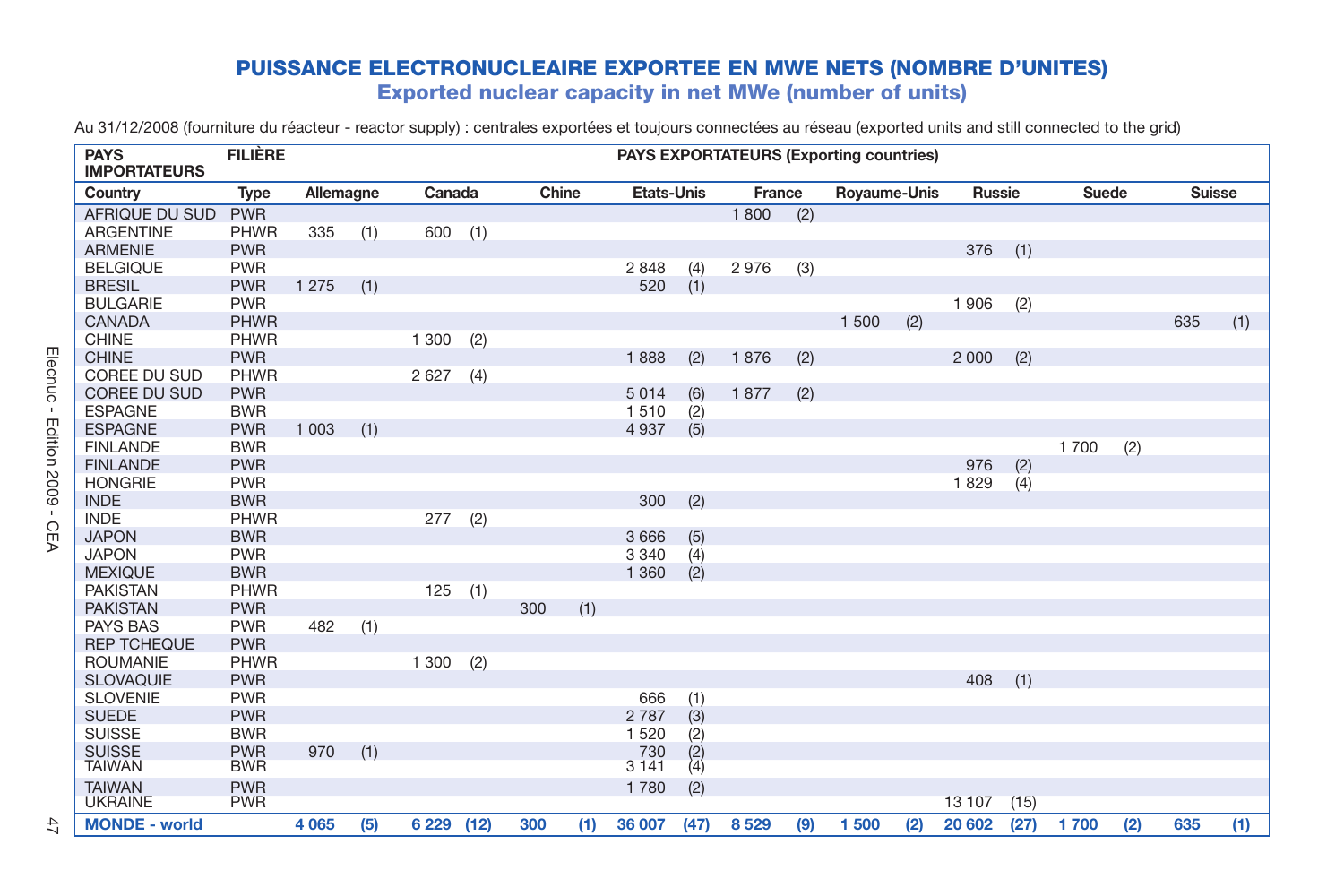## **PUISSANCE ELECTRONUCLEAIRE EXPORTEE EN MWE NETS (NOMBRE D'UNITES) Exported nuclear capacity in net MWe (number of units)**

Au 31/12/2008 (fourniture du réacteur - reactor supply) : centrales exportées et toujours connectées au réseau (exported units and still connected to the grid)

| <b>PAYS</b><br><b>IMPORTATEURS</b> | <b>FILIÈRE</b> |           |     |         |      |       |     |                   |     |        |     | <b>PAYS EXPORTATEURS (Exporting countries)</b> |     |         |      |       |     |               |     |
|------------------------------------|----------------|-----------|-----|---------|------|-------|-----|-------------------|-----|--------|-----|------------------------------------------------|-----|---------|------|-------|-----|---------------|-----|
| Country                            | Type           | Allemagne |     | Canada  |      | Chine |     | <b>Etats-Unis</b> |     | France |     | Royaume-Unis                                   |     | Russie  |      | Suede |     | <b>Suisse</b> |     |
| AFRIQUE DU SUD                     | <b>PWR</b>     |           |     |         |      |       |     |                   |     | 1800   | (2) |                                                |     |         |      |       |     |               |     |
| <b>ARGENTINE</b>                   | <b>PHWR</b>    | 335       | (1) | 600(1)  |      |       |     |                   |     |        |     |                                                |     |         |      |       |     |               |     |
| <b>ARMENIE</b>                     | <b>PWR</b>     |           |     |         |      |       |     |                   |     |        |     |                                                |     | 376     | (1)  |       |     |               |     |
| <b>BELGIQUE</b>                    | <b>PWR</b>     |           |     |         |      |       |     | 2 8 4 8           | (4) | 2976   | (3) |                                                |     |         |      |       |     |               |     |
| <b>BRESIL</b>                      | <b>PWR</b>     | 1 2 7 5   | (1) |         |      |       |     | 520               | (1) |        |     |                                                |     |         |      |       |     |               |     |
| <b>BULGARIE</b>                    | <b>PWR</b>     |           |     |         |      |       |     |                   |     |        |     |                                                |     | 1906    | (2)  |       |     |               |     |
| CANADA                             | <b>PHWR</b>    |           |     |         |      |       |     |                   |     |        |     | 1 500                                          | (2) |         |      |       |     | 635           | (1) |
| <b>CHINE</b>                       | <b>PHWR</b>    |           |     | 1 300   | (2)  |       |     |                   |     |        |     |                                                |     |         |      |       |     |               |     |
| <b>CHINE</b>                       | <b>PWR</b>     |           |     |         |      |       |     | 1888              | (2) | 1876   | (2) |                                                |     | 2 0 0 0 | (2)  |       |     |               |     |
| COREE DU SUD                       | <b>PHWR</b>    |           |     | 2 6 2 7 | (4)  |       |     |                   |     |        |     |                                                |     |         |      |       |     |               |     |
| <b>COREE DU SUD</b>                | <b>PWR</b>     |           |     |         |      |       |     | 5014              | (6) | 1877   | (2) |                                                |     |         |      |       |     |               |     |
| <b>ESPAGNE</b>                     | <b>BWR</b>     |           |     |         |      |       |     | 1510              | (2) |        |     |                                                |     |         |      |       |     |               |     |
| <b>ESPAGNE</b>                     | <b>PWR</b>     | 1 0 0 3   | (1) |         |      |       |     | 4 9 3 7           | (5) |        |     |                                                |     |         |      |       |     |               |     |
| <b>FINLANDE</b>                    | <b>BWR</b>     |           |     |         |      |       |     |                   |     |        |     |                                                |     |         |      | 1700  | (2) |               |     |
| <b>FINLANDE</b>                    | <b>PWR</b>     |           |     |         |      |       |     |                   |     |        |     |                                                |     | 976     | (2)  |       |     |               |     |
| <b>HONGRIE</b>                     | <b>PWR</b>     |           |     |         |      |       |     |                   |     |        |     |                                                |     | 1829    | (4)  |       |     |               |     |
| <b>INDE</b>                        | <b>BWR</b>     |           |     |         |      |       |     | 300               | (2) |        |     |                                                |     |         |      |       |     |               |     |
| <b>INDE</b>                        | <b>PHWR</b>    |           |     | 277     | (2)  |       |     |                   |     |        |     |                                                |     |         |      |       |     |               |     |
| <b>JAPON</b>                       | <b>BWR</b>     |           |     |         |      |       |     | 3 6 6 6           | (5) |        |     |                                                |     |         |      |       |     |               |     |
| <b>JAPON</b>                       | <b>PWR</b>     |           |     |         |      |       |     | 3 3 4 0           | (4) |        |     |                                                |     |         |      |       |     |               |     |
| <b>MEXIQUE</b>                     | <b>BWR</b>     |           |     |         |      |       |     | 1 3 6 0           | (2) |        |     |                                                |     |         |      |       |     |               |     |
| <b>PAKISTAN</b>                    | <b>PHWR</b>    |           |     | 125     | (1)  |       |     |                   |     |        |     |                                                |     |         |      |       |     |               |     |
| <b>PAKISTAN</b>                    | <b>PWR</b>     |           |     |         |      | 300   | (1) |                   |     |        |     |                                                |     |         |      |       |     |               |     |
| PAYS BAS                           | <b>PWR</b>     | 482       | (1) |         |      |       |     |                   |     |        |     |                                                |     |         |      |       |     |               |     |
| <b>REP TCHEQUE</b>                 | <b>PWR</b>     |           |     |         |      |       |     |                   |     |        |     |                                                |     |         |      |       |     |               |     |
| <b>ROUMANIE</b>                    | <b>PHWR</b>    |           |     | 1 300   | (2)  |       |     |                   |     |        |     |                                                |     |         |      |       |     |               |     |
| <b>SLOVAQUIE</b>                   | <b>PWR</b>     |           |     |         |      |       |     |                   |     |        |     |                                                |     | 408     | (1)  |       |     |               |     |
| <b>SLOVENIE</b>                    | <b>PWR</b>     |           |     |         |      |       |     | 666               | (1) |        |     |                                                |     |         |      |       |     |               |     |
| <b>SUEDE</b>                       | <b>PWR</b>     |           |     |         |      |       |     | 2 7 8 7           | (3) |        |     |                                                |     |         |      |       |     |               |     |
| <b>SUISSE</b>                      | <b>BWR</b>     |           |     |         |      |       |     | 1 5 2 0           | (2) |        |     |                                                |     |         |      |       |     |               |     |
| <b>SUISSE</b>                      | <b>PWR</b>     | 970       | (1) |         |      |       |     | 730               | (2) |        |     |                                                |     |         |      |       |     |               |     |
| <b>TAIWAN</b>                      | <b>BWR</b>     |           |     |         |      |       |     | 3 1 4 1           | (4) |        |     |                                                |     |         |      |       |     |               |     |
| <b>TAIWAN</b>                      | <b>PWR</b>     |           |     |         |      |       |     | 1780              | (2) |        |     |                                                |     |         |      |       |     |               |     |
| <b>UKRAINE</b>                     | <b>PWR</b>     |           |     |         |      |       |     |                   |     |        |     |                                                |     | 13 107  | (15) |       |     |               |     |
| <b>MONDE - world</b>               |                | 4 0 6 5   | (5) | 6 2 2 9 | (12) | 300   | (1) | 36 007 (47)       |     | 8529   | (9) | 1500                                           | (2) | 20 602  | (27) | 1700  | (2) | 635           | (1) |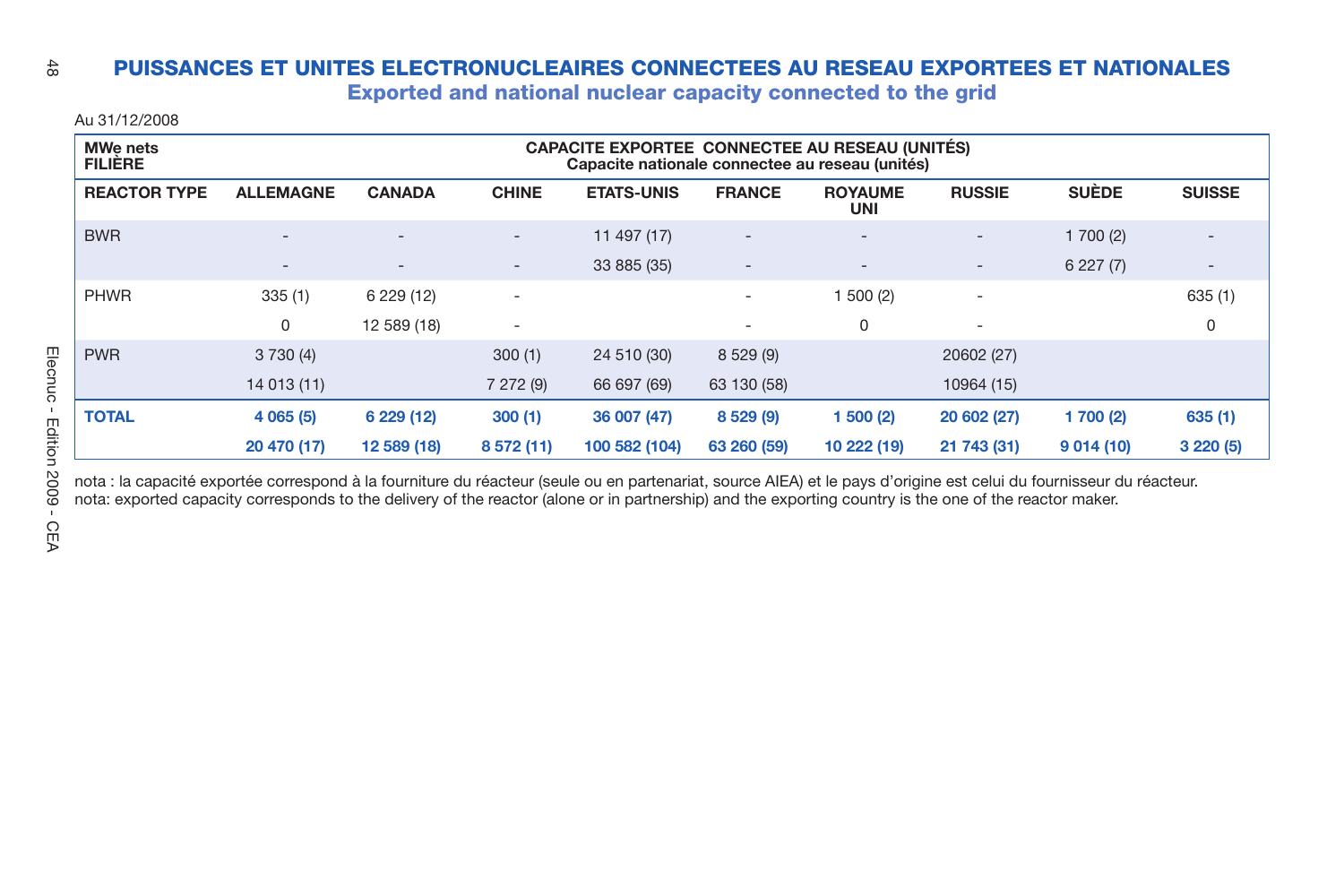### $\frac{4}{50}$ **PUISSANCES ET UNITES ELECTRONUCLEAIRES CONNECTEES AU RESEAU EXPORTEES ET NATIONALES**

**Exported and national nuclear capacity connected to the grid**

Au 31/12/2008

| <b>MWe nets</b><br><b>FILIÈRE</b> | CAPACITE EXPORTEE CONNECTEE AU RESEAU (UNITÉS)<br>Capacite nationale connectee au reseau (unités) |                          |                          |                   |                          |                              |                          |              |                              |  |  |
|-----------------------------------|---------------------------------------------------------------------------------------------------|--------------------------|--------------------------|-------------------|--------------------------|------------------------------|--------------------------|--------------|------------------------------|--|--|
| <b>REACTOR TYPE</b>               | <b>ALLEMAGNE</b>                                                                                  | <b>CANADA</b>            | <b>CHINE</b>             | <b>ETATS-UNIS</b> | <b>FRANCE</b>            | <b>ROYAUME</b><br><b>UNI</b> | <b>RUSSIE</b>            | <b>SUÈDE</b> | <b>SUISSE</b>                |  |  |
| <b>BWR</b>                        | $\overline{\phantom{0}}$                                                                          | $\overline{\phantom{a}}$ | $\overline{\phantom{0}}$ | 11 497 (17)       | $\overline{\phantom{a}}$ | $\overline{\phantom{0}}$     | $\overline{\phantom{a}}$ | 1700(2)      | $\qquad \qquad \blacksquare$ |  |  |
|                                   | $\overline{a}$                                                                                    | $\overline{\phantom{a}}$ | $\overline{\phantom{0}}$ | 33 885 (35)       | ٠                        | $\qquad \qquad \blacksquare$ | $\overline{\phantom{a}}$ | 6227(7)      | $\qquad \qquad \blacksquare$ |  |  |
| <b>PHWR</b>                       | 335(1)                                                                                            | 6 229 (12)               | $\overline{\phantom{a}}$ |                   | ٠                        | 500(2)                       | $\overline{\phantom{a}}$ |              | 635(1)                       |  |  |
|                                   | 0                                                                                                 | 12 589 (18)              | $\overline{\phantom{a}}$ |                   | ٠                        | 0                            | $\overline{\phantom{a}}$ |              | $\Omega$                     |  |  |
| <b>PWR</b>                        | 3730(4)                                                                                           |                          | 300(1)                   | 24 510 (30)       | 8 529 (9)                |                              | 20602 (27)               |              |                              |  |  |
|                                   | 14 013 (11)                                                                                       |                          | 7 272 (9)                | 66 697 (69)       | 63 130 (58)              |                              | 10964 (15)               |              |                              |  |  |
| <b>TOTAL</b>                      | 4 065 (5)                                                                                         | 6 229 (12)               | 300(1)                   | 36 007 (47)       | 8 5 29 (9)               | 500(2)                       | 20 602 (27)              | 1 700 (2)    | 635(1)                       |  |  |
|                                   | 20 470 (17)                                                                                       | 12 589 (18)              | 8 572 (11)               | 100 582 (104)     | 63 260 (59)              | 10 222 (19)                  | 21 743 (31)              | 9014(10)     | 3220(5)                      |  |  |

nota : la capacité exportée correspond à la fourniture du réacteur (seule ou en partenariat, source AIEA) et le pays d'origine est celui du fournisseur du réacteur. nota: exported capacity corresponds to the delivery of the reactor (alone or in partnership) and the exporting country is the one of the reactor maker.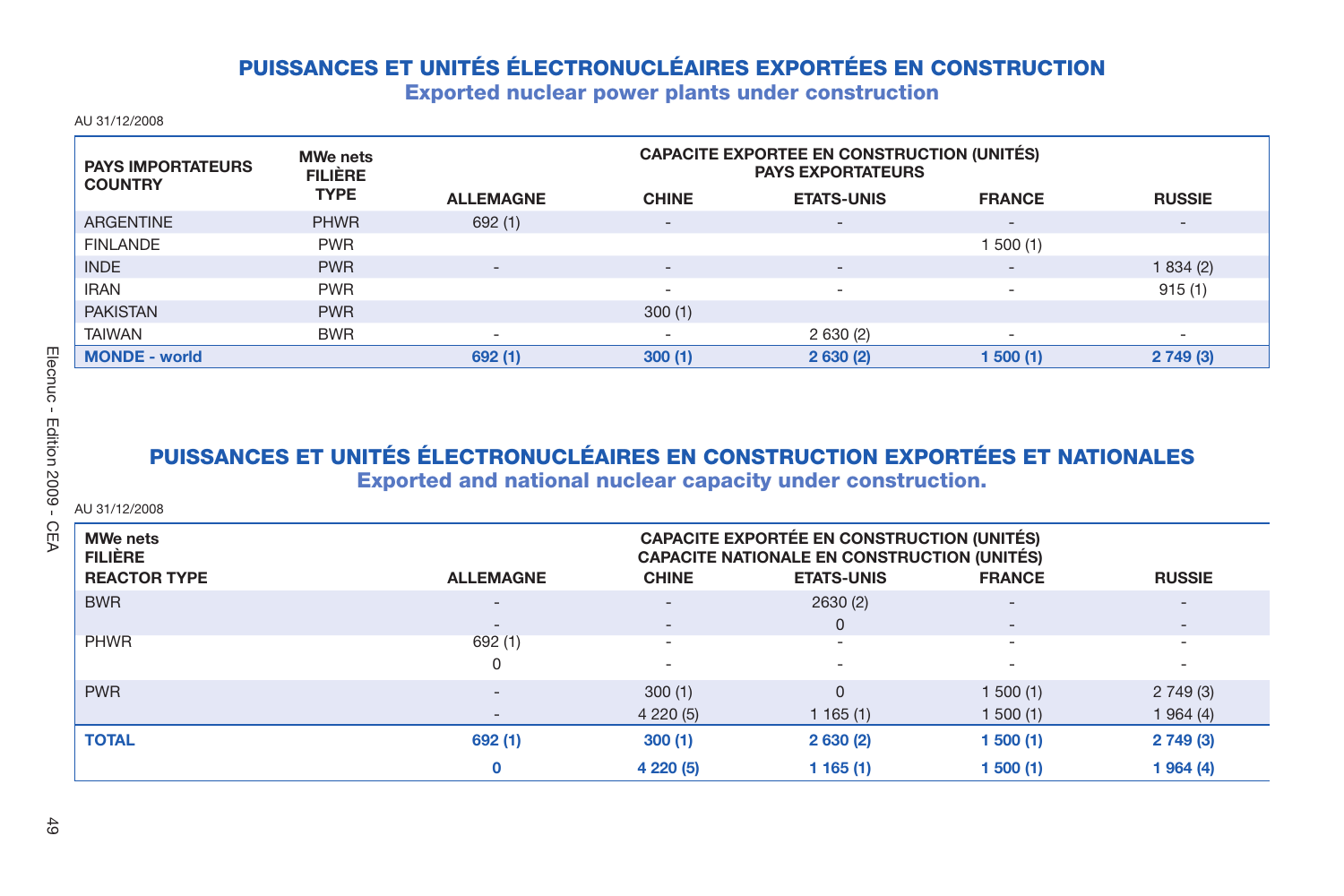## **PUISSANCES ET UNITÉS ÉLECTRONUCLÉAIRES EXPORTÉES EN CONSTRUCTION**

**Exported nuclear power plants under construction**

AU 31/12/2008

| <b>PAYS IMPORTATEURS</b><br><b>COUNTRY</b> | <b>MWe nets</b><br><b>FILIÈRE</b> | <b>CAPACITE EXPORTEE EN CONSTRUCTION (UNITÉS)</b><br><b>PAYS EXPORTATEURS</b> |                          |                          |                          |                          |
|--------------------------------------------|-----------------------------------|-------------------------------------------------------------------------------|--------------------------|--------------------------|--------------------------|--------------------------|
|                                            | <b>TYPE</b>                       | <b>ALLEMAGNE</b>                                                              | <b>CHINE</b>             | <b>ETATS-UNIS</b>        | <b>FRANCE</b>            | <b>RUSSIE</b>            |
| <b>ARGENTINE</b>                           | <b>PHWR</b>                       | 692(1)                                                                        | $\overline{\phantom{0}}$ | $\overline{\phantom{a}}$ | $\qquad \qquad$          | $\overline{\phantom{0}}$ |
| <b>FINLANDE</b>                            | <b>PWR</b>                        |                                                                               |                          |                          | 500 (1)                  |                          |
| <b>INDE</b>                                | <b>PWR</b>                        | $\overline{\phantom{a}}$                                                      | $\overline{\phantom{0}}$ | $\overline{\phantom{0}}$ | $\qquad \qquad$          | 1834(2)                  |
| <b>IRAN</b>                                | <b>PWR</b>                        |                                                                               | -                        | -                        | $\overline{\phantom{a}}$ | 915(1)                   |
| <b>PAKISTAN</b>                            | <b>PWR</b>                        |                                                                               | 300(1)                   |                          |                          |                          |
| <b>TAIWAN</b>                              | <b>BWR</b>                        | $\overline{\phantom{a}}$                                                      | $\overline{\phantom{a}}$ | 2630(2)                  | $\overline{\phantom{a}}$ | $\overline{\phantom{a}}$ |
| <b>MONDE - world</b>                       |                                   | 692(1)                                                                        | 300(1)                   | 2630(2)                  | 1 500 (1)                | 2749(3)                  |

## **PUISSANCES ET UNITÉS ÉLECTRONUCLÉAIRES EN CONSTRUCTION EXPORTÉES ET NATIONALES Exported and national nuclear capacity under construction.**

AU 31/12/2008

| <b>MWe nets</b><br><b>FILIÈRE</b><br><b>REACTOR TYPE</b> | <b>ALLEMAGNE</b>         | <b>CHINE</b>             | CAPACITE EXPORTÉE EN CONSTRUCTION (UNITÉS)<br>CAPACITE NATIONALE EN CONSTRUCTION (UNITÉS)<br><b>ETATS-UNIS</b> | <b>FRANCE</b>            | <b>RUSSIE</b>            |
|----------------------------------------------------------|--------------------------|--------------------------|----------------------------------------------------------------------------------------------------------------|--------------------------|--------------------------|
| <b>BWR</b>                                               | $\overline{\phantom{a}}$ | -                        | 2630(2)                                                                                                        | $\overline{\phantom{a}}$ | $\overline{\phantom{0}}$ |
|                                                          | $\overline{\phantom{m}}$ | $\overline{\phantom{0}}$ | $\Omega$                                                                                                       | $\overline{\phantom{a}}$ | $\overline{\phantom{0}}$ |
| <b>PHWR</b>                                              | 692(1)                   | $\overline{\phantom{a}}$ | $\sim$                                                                                                         | $\overline{\phantom{a}}$ | $\overline{\phantom{a}}$ |
|                                                          | 0                        |                          | -                                                                                                              | $\overline{\phantom{a}}$ | $\overline{\phantom{a}}$ |
| <b>PWR</b>                                               | $\overline{\phantom{m}}$ | 300(1)                   | $\Omega$                                                                                                       | 1500(1)                  | 2749(3)                  |
|                                                          |                          | 4 2 2 0 (5)              | 1165(1)                                                                                                        | 1500(1)                  | 1964(4)                  |
| <b>TOTAL</b>                                             | 692(1)                   | 300(1)                   | 2630(2)                                                                                                        | 1500(1)                  | 2749(3)                  |
|                                                          | $\mathbf{0}$             | 4 2 2 0 (5)              | 1 165 (1)                                                                                                      | 1 500 (1)                | 1964(4)                  |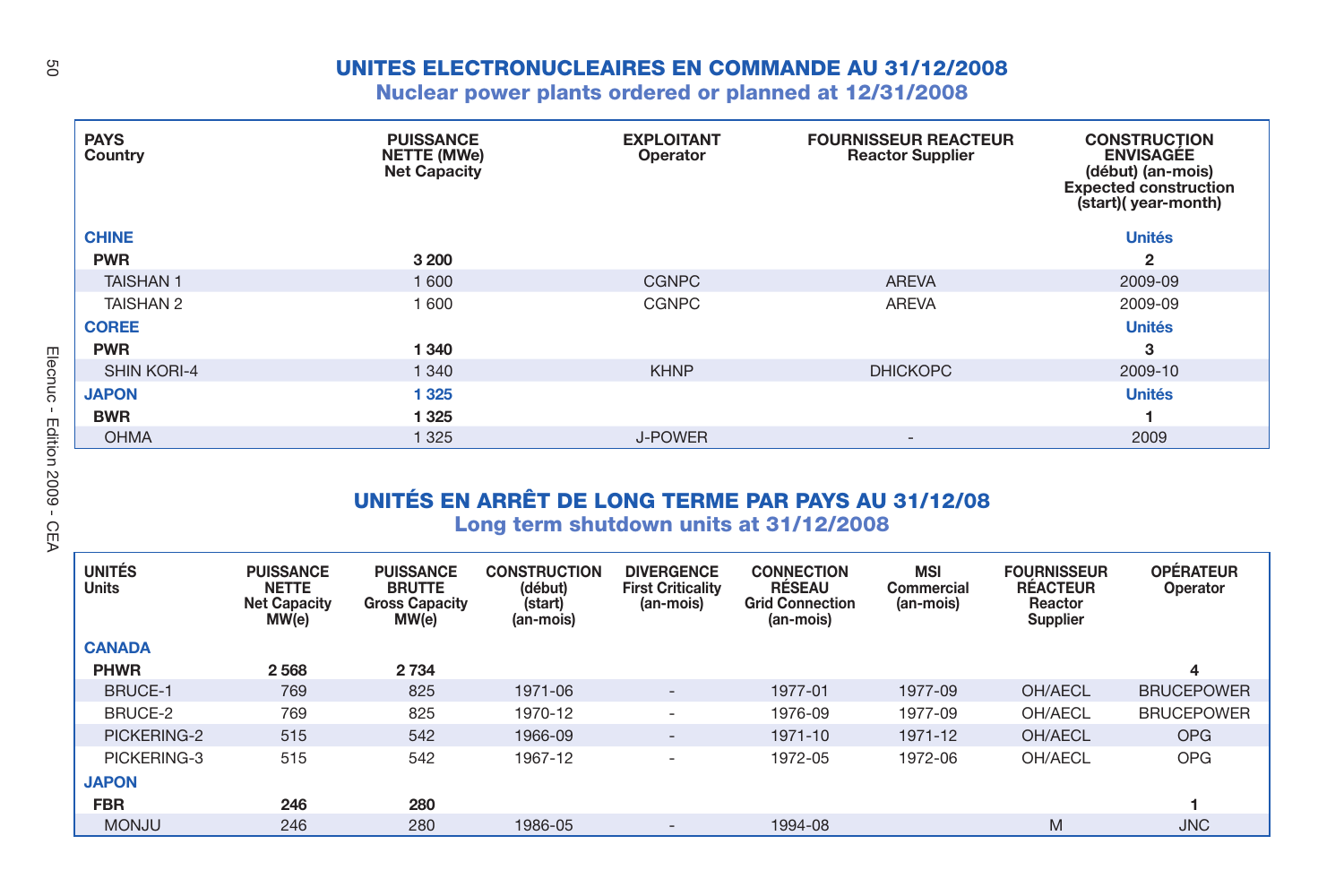## **UNITES ELECTRONUCLEAIRES EN COMMANDE AU 31/12/2008**

## **Nuclear power plants ordered or planned at 12/31/2008**

| <b>PAYS</b><br>Country | <b>PUISSANCE</b><br><b>NETTE (MWe)</b><br><b>Net Capacity</b> | <b>EXPLOITANT</b><br>Operator | <b>FOURNISSEUR REACTEUR</b><br><b>Reactor Supplier</b> | <b>CONSTRUCTION</b><br><b>ENVISAGÉE</b><br>(début) (an-mois)<br><b>Expected construction</b><br>(start)(year-month) |
|------------------------|---------------------------------------------------------------|-------------------------------|--------------------------------------------------------|---------------------------------------------------------------------------------------------------------------------|
| <b>CHINE</b>           |                                                               |                               |                                                        | <b>Unités</b>                                                                                                       |
| <b>PWR</b>             | 3 2 0 0                                                       |                               |                                                        | 2                                                                                                                   |
| <b>TAISHAN1</b>        | 1 600                                                         | <b>CGNPC</b>                  | <b>AREVA</b>                                           | 2009-09                                                                                                             |
| <b>TAISHAN 2</b>       | 1 600                                                         | <b>CGNPC</b>                  | <b>AREVA</b>                                           | 2009-09                                                                                                             |
| <b>COREE</b>           |                                                               |                               |                                                        | <b>Unités</b>                                                                                                       |
| <b>PWR</b>             | 1 3 4 0                                                       |                               |                                                        | 3                                                                                                                   |
| <b>SHIN KORI-4</b>     | 1 3 4 0                                                       | <b>KHNP</b>                   | <b>DHICKOPC</b>                                        | 2009-10                                                                                                             |
| <b>JAPON</b>           | 1 3 2 5                                                       |                               |                                                        | <b>Unités</b>                                                                                                       |
| <b>BWR</b>             | 1 3 2 5                                                       |                               |                                                        |                                                                                                                     |
| <b>OHMA</b>            | 1 3 2 5                                                       | J-POWER                       | $\qquad \qquad -$                                      | 2009                                                                                                                |

## **UNITÉS EN ARRÊT DE LONG TERME PAR PAYS AU 31/12/08**

**Long term shutdown units at 31/12/2008**

| <b>UNITÉS</b><br><b>Units</b> | <b>PUISSANCE</b><br><b>NETTE</b><br><b>Net Capacity</b><br>MW(e) | <b>PUISSANCE</b><br><b>BRUTTE</b><br><b>Gross Capacity</b><br>MW(e) | <b>CONSTRUCTION</b><br>(début)<br>(start)<br>(an-mois) | <b>DIVERGENCE</b><br><b>First Criticality</b><br>(an-mois) | <b>CONNECTION</b><br><b>RESEAU</b><br><b>Grid Connection</b><br>(an-mois) | <b>MSI</b><br>Commercial<br>(an-mois) | <b>FOURNISSEUR</b><br><b>RÉACTEUR</b><br>Reactor<br>Supplier | <b>OPÉRATEUR</b><br>Operator |
|-------------------------------|------------------------------------------------------------------|---------------------------------------------------------------------|--------------------------------------------------------|------------------------------------------------------------|---------------------------------------------------------------------------|---------------------------------------|--------------------------------------------------------------|------------------------------|
| <b>CANADA</b>                 |                                                                  |                                                                     |                                                        |                                                            |                                                                           |                                       |                                                              |                              |
| <b>PHWR</b>                   | 2568                                                             | 2 7 3 4                                                             |                                                        |                                                            |                                                                           |                                       |                                                              | 4                            |
| <b>BRUCE-1</b>                | 769                                                              | 825                                                                 | 1971-06                                                | $\overline{\phantom{a}}$                                   | 1977-01                                                                   | 1977-09                               | OH/AECL                                                      | <b>BRUCEPOWER</b>            |
| BRUCE-2                       | 769                                                              | 825                                                                 | 1970-12                                                | $\overline{\phantom{a}}$                                   | 1976-09                                                                   | 1977-09                               | OH/AECL                                                      | <b>BRUCEPOWER</b>            |
| PICKERING-2                   | 515                                                              | 542                                                                 | 1966-09                                                | $\overline{\phantom{a}}$                                   | 1971-10                                                                   | 1971-12                               | OH/AECL                                                      | <b>OPG</b>                   |
| PICKERING-3                   | 515                                                              | 542                                                                 | 1967-12                                                | ۰                                                          | 1972-05                                                                   | 1972-06                               | OH/AECL                                                      | <b>OPG</b>                   |
| <b>JAPON</b>                  |                                                                  |                                                                     |                                                        |                                                            |                                                                           |                                       |                                                              |                              |
| <b>FBR</b>                    | 246                                                              | 280                                                                 |                                                        |                                                            |                                                                           |                                       |                                                              |                              |
| <b>MONJU</b>                  | 246                                                              | 280                                                                 | 1986-05                                                | $\overline{\phantom{0}}$                                   | 1994-08                                                                   |                                       | M                                                            | <b>JNC</b>                   |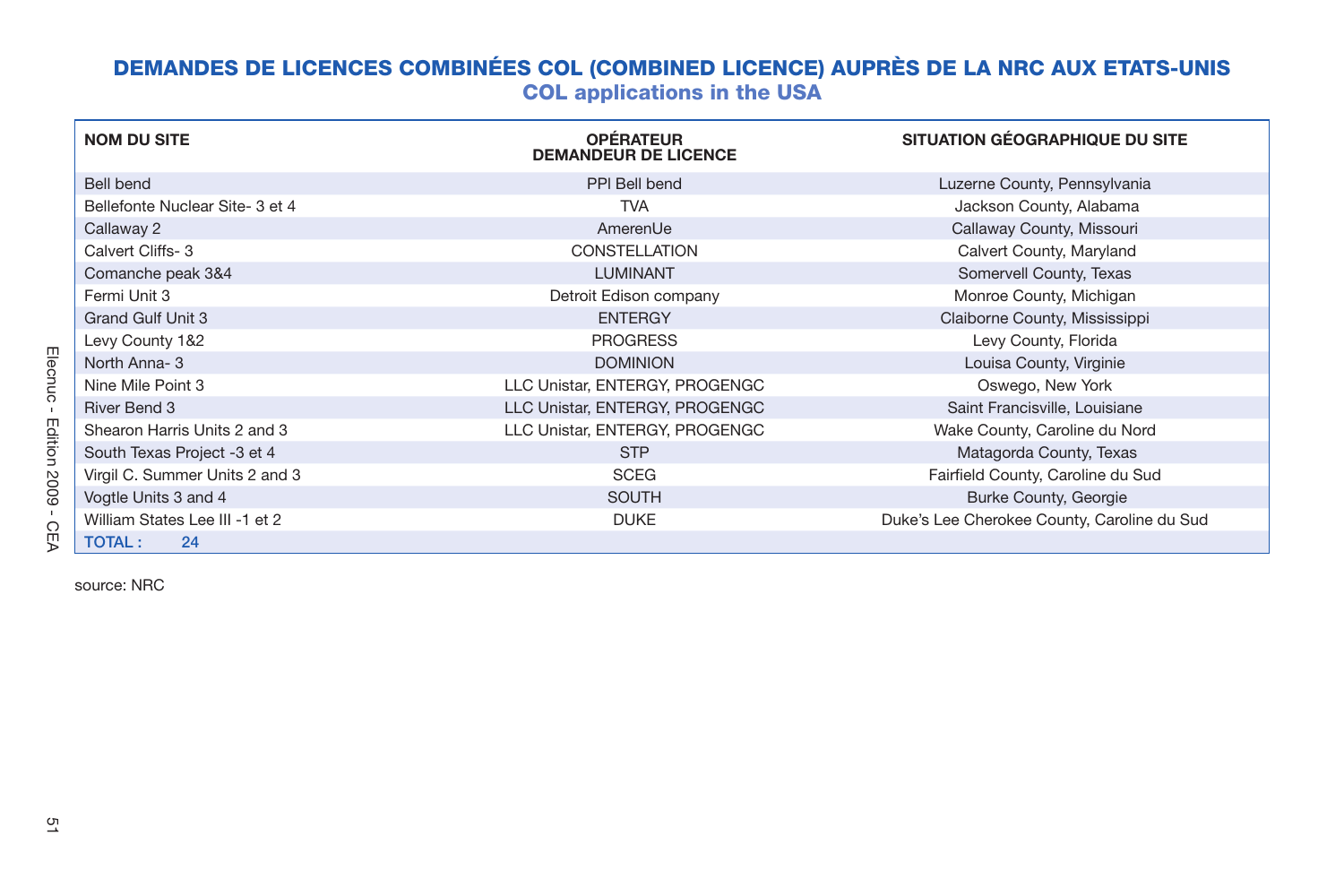## **DEMANDES DE LICENCES COMBINÉES COL (COMBINED LICENCE) AUPRÈS DE LA NRC AUX ETATS-UNIS COL applications in the USA**

| <b>NOM DU SITE</b>              | <b>OPÉRATEUR</b><br><b>DEMANDEUR DE LICENCE</b> | SITUATION GÉOGRAPHIQUE DU SITE              |
|---------------------------------|-------------------------------------------------|---------------------------------------------|
| Bell bend                       | PPI Bell bend                                   | Luzerne County, Pennsylvania                |
| Bellefonte Nuclear Site- 3 et 4 | <b>TVA</b>                                      | Jackson County, Alabama                     |
| Callaway 2                      | AmerenUe                                        | Callaway County, Missouri                   |
| Calvert Cliffs- 3               | <b>CONSTELLATION</b>                            | Calvert County, Maryland                    |
| Comanche peak 3&4               | <b>LUMINANT</b>                                 | Somervell County, Texas                     |
| Fermi Unit 3                    | Detroit Edison company                          | Monroe County, Michigan                     |
| <b>Grand Gulf Unit 3</b>        | <b>ENTERGY</b>                                  | Claiborne County, Mississippi               |
| Levy County 1&2                 | <b>PROGRESS</b>                                 | Levy County, Florida                        |
| North Anna-3                    | <b>DOMINION</b>                                 | Louisa County, Virginie                     |
| Nine Mile Point 3               | LLC Unistar, ENTERGY, PROGENGC                  | Oswego, New York                            |
| River Bend 3                    | LLC Unistar, ENTERGY, PROGENGC                  | Saint Francisville, Louisiane               |
| Shearon Harris Units 2 and 3    | LLC Unistar, ENTERGY, PROGENGC                  | Wake County, Caroline du Nord               |
| South Texas Project -3 et 4     | <b>STP</b>                                      | Matagorda County, Texas                     |
| Virgil C. Summer Units 2 and 3  | <b>SCEG</b>                                     | Fairfield County, Caroline du Sud           |
| Vogtle Units 3 and 4            | <b>SOUTH</b>                                    | <b>Burke County, Georgie</b>                |
| William States Lee III -1 et 2  | <b>DUKE</b>                                     | Duke's Lee Cherokee County, Caroline du Sud |
| 24<br><b>TOTAL:</b>             |                                                 |                                             |

source: NRC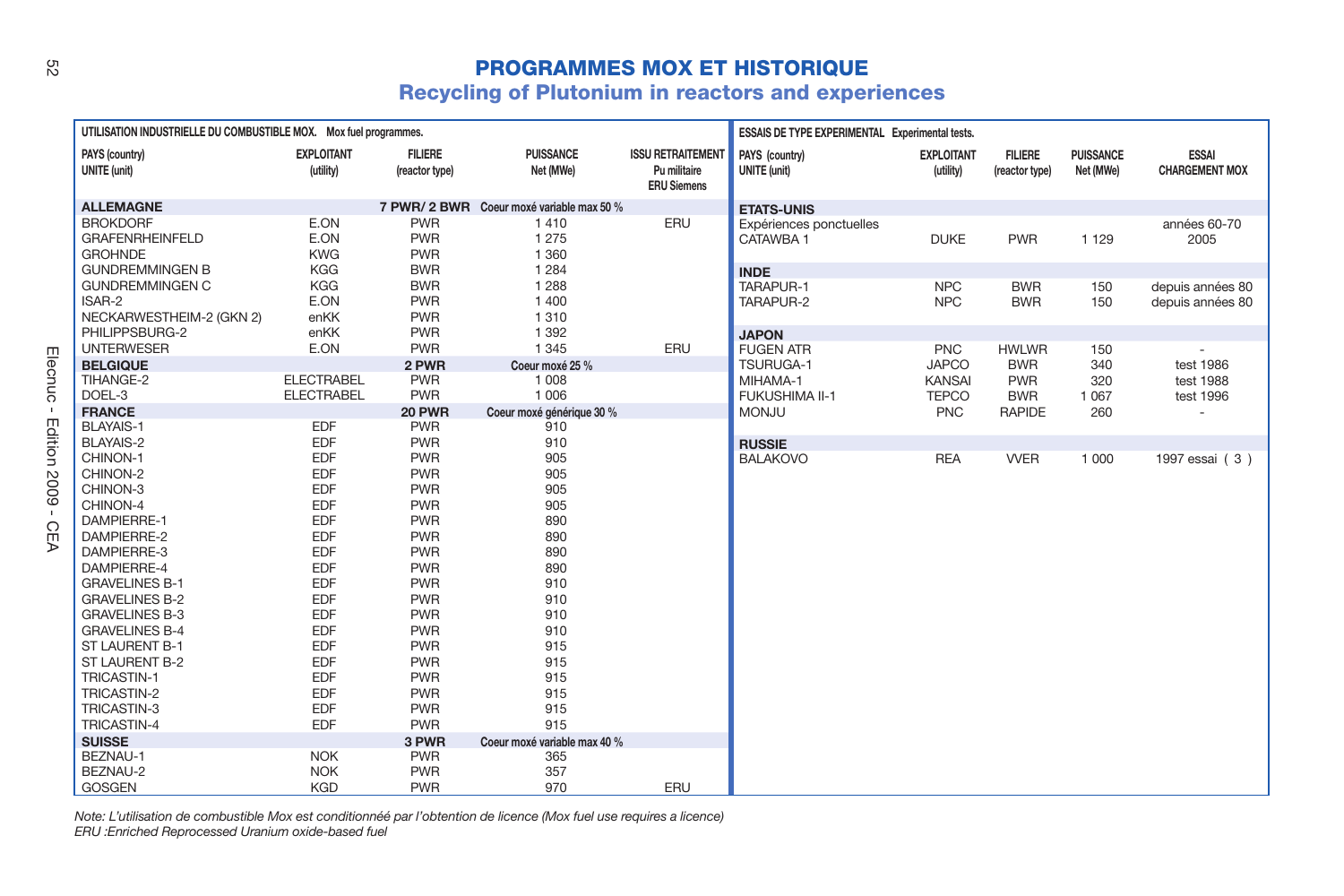## **PROGRAMMES MOX ET HISTORIQUE**

## **Recycling of Plutonium in reactors and experiences**

| UTILISATION INDUSTRIELLE DU COMBUSTIBLE MOX. Mox fuel programmes. |                                |                                  |                                           | ESSAIS DE TYPE EXPERIMENTAL Experimental tests.                |                                       |                                |                                  |                               |                                       |
|-------------------------------------------------------------------|--------------------------------|----------------------------------|-------------------------------------------|----------------------------------------------------------------|---------------------------------------|--------------------------------|----------------------------------|-------------------------------|---------------------------------------|
| PAYS (country)<br><b>UNITE</b> (unit)                             | <b>EXPLOITANT</b><br>(utility) | <b>FILIERE</b><br>(reactor type) | <b>PUISSANCE</b><br>Net (MWe)             | <b>ISSU RETRAITEMENT</b><br>Pu militaire<br><b>ERU Siemens</b> | PAYS (country)<br><b>UNITE</b> (unit) | <b>EXPLOITANT</b><br>(utility) | <b>FILIERE</b><br>(reactor type) | <b>PUISSANCE</b><br>Net (MWe) | <b>ESSAI</b><br><b>CHARGEMENT MOX</b> |
| <b>ALLEMAGNE</b>                                                  |                                |                                  | 7 PWR/ 2 BWR Coeur moxé variable max 50 % |                                                                | <b>ETATS-UNIS</b>                     |                                |                                  |                               |                                       |
| <b>BROKDORF</b>                                                   | E.ON                           | <b>PWR</b>                       | 1410                                      | ERU                                                            | Expériences ponctuelles               |                                |                                  |                               | années 60-70                          |
| <b>GRAFENRHEINFELD</b>                                            | E.ON                           | <b>PWR</b>                       | 1 2 7 5                                   |                                                                | CATAWBA 1                             | <b>DUKE</b>                    | <b>PWR</b>                       | 1 1 2 9                       | 2005                                  |
| <b>GROHNDE</b>                                                    | <b>KWG</b>                     | <b>PWR</b>                       | 1 3 6 0                                   |                                                                |                                       |                                |                                  |                               |                                       |
| <b>GUNDREMMINGEN B</b>                                            | <b>KGG</b>                     | <b>BWR</b>                       | 1 2 8 4                                   |                                                                | <b>INDE</b>                           |                                |                                  |                               |                                       |
| <b>GUNDREMMINGEN C</b>                                            | <b>KGG</b>                     | <b>BWR</b>                       | 1 2 8 8                                   |                                                                | TARAPUR-1                             | <b>NPC</b>                     | <b>BWR</b>                       | 150                           | depuis années 80                      |
| ISAR-2                                                            | E.ON                           | <b>PWR</b>                       | 1400                                      |                                                                | TARAPUR-2                             | <b>NPC</b>                     | <b>BWR</b>                       | 150                           | depuis années 80                      |
| NECKARWESTHEIM-2 (GKN 2)                                          | enKK                           | <b>PWR</b>                       | 1310                                      |                                                                |                                       |                                |                                  |                               |                                       |
| PHILIPPSBURG-2                                                    | enKK                           | <b>PWR</b>                       | 1 3 9 2                                   |                                                                | <b>JAPON</b>                          |                                |                                  |                               |                                       |
| <b>UNTERWESER</b>                                                 | E.ON                           | <b>PWR</b>                       | 1 3 4 5                                   | ERU                                                            | <b>FUGEN ATR</b>                      | <b>PNC</b>                     | <b>HWLWR</b>                     | 150                           |                                       |
| <b>BELGIQUE</b>                                                   |                                | 2 PWR                            | Coeur moxé 25 %                           |                                                                | <b>TSURUGA-1</b>                      | <b>JAPCO</b>                   | <b>BWR</b>                       | 340                           | test 1986                             |
| TIHANGE-2                                                         | <b>ELECTRABEL</b>              | <b>PWR</b>                       | 1 0 0 8                                   |                                                                | MIHAMA-1                              | <b>KANSAI</b>                  | <b>PWR</b>                       | 320                           | test 1988                             |
| DOEL-3                                                            | <b>ELECTRABEL</b>              | <b>PWR</b>                       | 1 0 0 6                                   |                                                                | FUKUSHIMA II-1                        | <b>TEPCO</b>                   | <b>BWR</b>                       | 1 0 6 7                       | test 1996                             |
| <b>FRANCE</b>                                                     |                                | 20 PWR                           | Coeur moxé générique 30 %                 |                                                                | <b>MONJU</b>                          | <b>PNC</b>                     | <b>RAPIDE</b>                    | 260                           |                                       |
| <b>BLAYAIS-1</b>                                                  | EDF                            | <b>PWR</b>                       | 910                                       |                                                                |                                       |                                |                                  |                               |                                       |
| BLAYAIS-2                                                         | <b>EDF</b>                     | <b>PWR</b>                       | 910                                       |                                                                | <b>RUSSIE</b>                         |                                |                                  |                               |                                       |
| CHINON-1                                                          | <b>FDF</b>                     | <b>PWR</b>                       | 905                                       |                                                                | <b>BALAKOVO</b>                       | <b>REA</b>                     | <b>WER</b>                       | 1 0 0 0                       | 1997 essai (3)                        |
| CHINON-2                                                          | EDF                            | <b>PWR</b>                       | 905                                       |                                                                |                                       |                                |                                  |                               |                                       |
| CHINON-3                                                          | <b>FDF</b>                     | <b>PWR</b>                       | 905                                       |                                                                |                                       |                                |                                  |                               |                                       |
| CHINON-4                                                          | EDF                            | <b>PWR</b>                       | 905                                       |                                                                |                                       |                                |                                  |                               |                                       |
| DAMPIERRE-1                                                       | EDF                            | <b>PWR</b>                       | 890                                       |                                                                |                                       |                                |                                  |                               |                                       |
| DAMPIERRE-2                                                       | EDF                            | <b>PWR</b>                       | 890                                       |                                                                |                                       |                                |                                  |                               |                                       |
| DAMPIERRE-3                                                       | EDF                            | <b>PWR</b>                       | 890                                       |                                                                |                                       |                                |                                  |                               |                                       |
| DAMPIERRE-4                                                       | EDF                            | <b>PWR</b>                       | 890                                       |                                                                |                                       |                                |                                  |                               |                                       |
| <b>GRAVELINES B-1</b>                                             | EDF                            | <b>PWR</b>                       | 910                                       |                                                                |                                       |                                |                                  |                               |                                       |
| <b>GRAVELINES B-2</b>                                             | EDF                            | <b>PWR</b>                       | 910                                       |                                                                |                                       |                                |                                  |                               |                                       |
| <b>GRAVELINES B-3</b>                                             | EDF                            | <b>PWR</b>                       | 910                                       |                                                                |                                       |                                |                                  |                               |                                       |
| <b>GRAVELINES B-4</b>                                             | EDF                            | <b>PWR</b>                       | 910                                       |                                                                |                                       |                                |                                  |                               |                                       |
| ST LAURENT B-1                                                    | EDF                            | <b>PWR</b>                       | 915                                       |                                                                |                                       |                                |                                  |                               |                                       |
| ST LAURENT B-2                                                    | <b>FDF</b>                     | <b>PWR</b>                       | 915                                       |                                                                |                                       |                                |                                  |                               |                                       |
| TRICASTIN-1                                                       | <b>FDF</b>                     | <b>PWR</b>                       | 915                                       |                                                                |                                       |                                |                                  |                               |                                       |
| TRICASTIN-2                                                       | <b>FDF</b>                     | <b>PWR</b>                       | 915                                       |                                                                |                                       |                                |                                  |                               |                                       |
| TRICASTIN-3                                                       | EDF                            | <b>PWR</b>                       | 915                                       |                                                                |                                       |                                |                                  |                               |                                       |
| TRICASTIN-4                                                       | EDF                            | <b>PWR</b>                       | 915                                       |                                                                |                                       |                                |                                  |                               |                                       |
| <b>SUISSE</b>                                                     |                                | 3 PWR                            | Coeur moxé variable max 40 %              |                                                                |                                       |                                |                                  |                               |                                       |
| BEZNAU-1                                                          | <b>NOK</b>                     | <b>PWR</b>                       | 365                                       |                                                                |                                       |                                |                                  |                               |                                       |
| BEZNAU-2                                                          | <b>NOK</b>                     | <b>PWR</b>                       | 357                                       |                                                                |                                       |                                |                                  |                               |                                       |
| GOSGEN                                                            | <b>KGD</b>                     | <b>PWR</b>                       | 970                                       | ERU                                                            |                                       |                                |                                  |                               |                                       |

*Note: L'utilisation de combustible Mox est conditionnéé par l'obtention de licence (Mox fuel use requires a licence) ERU :Enriched Reprocessed Uranium oxide-based fuel*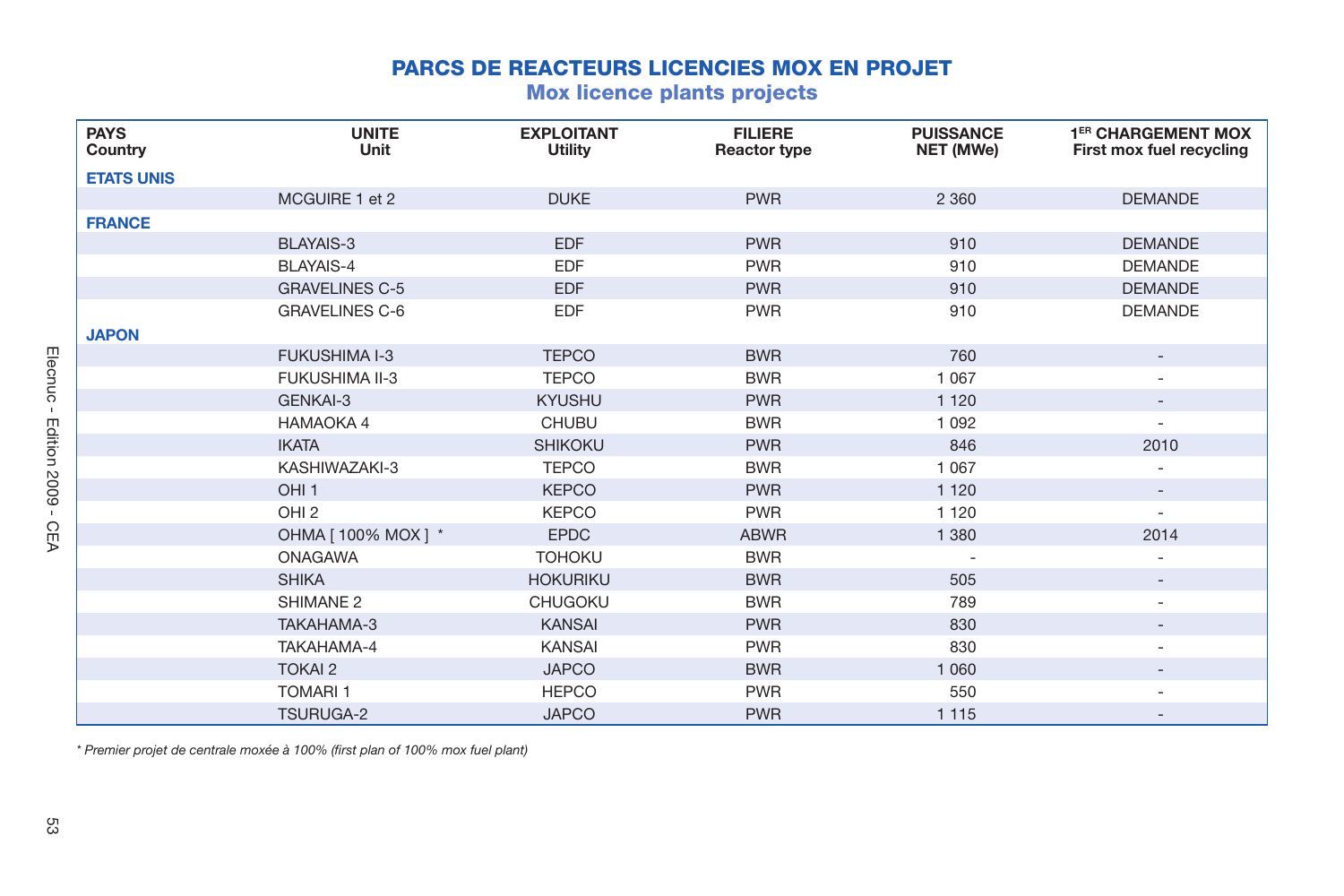## **PARCS DE REACTEURS LICENCIES MOX EN PROJET**

## **Mox licence plants projects**

| <b>PAYS</b><br>Country | <b>UNITE</b><br>Unit  | <b>EXPLOITANT</b><br><b>Utility</b> | <b>FILIERE</b><br>Reactor type | <b>PUISSANCE</b><br>NET (MWe) | 1 <sup>ER</sup> CHARGEMENT MOX<br>First mox fuel recycling |
|------------------------|-----------------------|-------------------------------------|--------------------------------|-------------------------------|------------------------------------------------------------|
| <b>ETATS UNIS</b>      |                       |                                     |                                |                               |                                                            |
|                        | MCGUIRE 1 et 2        | <b>DUKE</b>                         | <b>PWR</b>                     | 2 3 6 0                       | <b>DEMANDE</b>                                             |
| <b>FRANCE</b>          |                       |                                     |                                |                               |                                                            |
|                        | <b>BLAYAIS-3</b>      | <b>EDF</b>                          | <b>PWR</b>                     | 910                           | <b>DEMANDE</b>                                             |
|                        | BLAYAIS-4             | <b>EDF</b>                          | <b>PWR</b>                     | 910                           | <b>DEMANDE</b>                                             |
|                        | <b>GRAVELINES C-5</b> | <b>EDF</b>                          | <b>PWR</b>                     | 910                           | <b>DEMANDE</b>                                             |
|                        | <b>GRAVELINES C-6</b> | EDF                                 | <b>PWR</b>                     | 910                           | <b>DEMANDE</b>                                             |
| <b>JAPON</b>           |                       |                                     |                                |                               |                                                            |
|                        | <b>FUKUSHIMA I-3</b>  | <b>TEPCO</b>                        | <b>BWR</b>                     | 760                           | $\overline{\phantom{0}}$                                   |
|                        | <b>FUKUSHIMA II-3</b> | <b>TEPCO</b>                        | <b>BWR</b>                     | 1 0 6 7                       |                                                            |
|                        | GENKAI-3              | <b>KYUSHU</b>                       | <b>PWR</b>                     | 1 1 2 0                       |                                                            |
|                        | HAMAOKA 4             | <b>CHUBU</b>                        | <b>BWR</b>                     | 1 0 9 2                       | ۰.                                                         |
|                        | <b>IKATA</b>          | <b>SHIKOKU</b>                      | <b>PWR</b>                     | 846                           | 2010                                                       |
|                        | KASHIWAZAKI-3         | <b>TEPCO</b>                        | <b>BWR</b>                     | 1 0 6 7                       |                                                            |
|                        | OHI <sub>1</sub>      | <b>KEPCO</b>                        | <b>PWR</b>                     | 1 1 2 0                       |                                                            |
|                        | OHI <sub>2</sub>      | <b>KEPCO</b>                        | <b>PWR</b>                     | 1 1 2 0                       | ٠                                                          |
|                        | OHMA [ 100% MOX ] *   | <b>EPDC</b>                         | <b>ABWR</b>                    | 1 3 8 0                       | 2014                                                       |
|                        | <b>ONAGAWA</b>        | <b>TOHOKU</b>                       | <b>BWR</b>                     |                               |                                                            |
|                        | <b>SHIKA</b>          | <b>HOKURIKU</b>                     | <b>BWR</b>                     | 505                           |                                                            |
|                        | SHIMANE <sub>2</sub>  | <b>CHUGOKU</b>                      | <b>BWR</b>                     | 789                           |                                                            |
|                        | TAKAHAMA-3            | <b>KANSAI</b>                       | <b>PWR</b>                     | 830                           |                                                            |
|                        | TAKAHAMA-4            | <b>KANSAI</b>                       | <b>PWR</b>                     | 830                           |                                                            |
|                        | <b>TOKAI 2</b>        | <b>JAPCO</b>                        | <b>BWR</b>                     | 1 0 6 0                       |                                                            |
|                        | <b>TOMARI1</b>        | <b>HEPCO</b>                        | <b>PWR</b>                     | 550                           |                                                            |
|                        | <b>TSURUGA-2</b>      | <b>JAPCO</b>                        | <b>PWR</b>                     | 1 1 1 5                       |                                                            |

*\* Premier projet de centrale moxée à 100% (fi rst plan of 100% mox fuel plant)*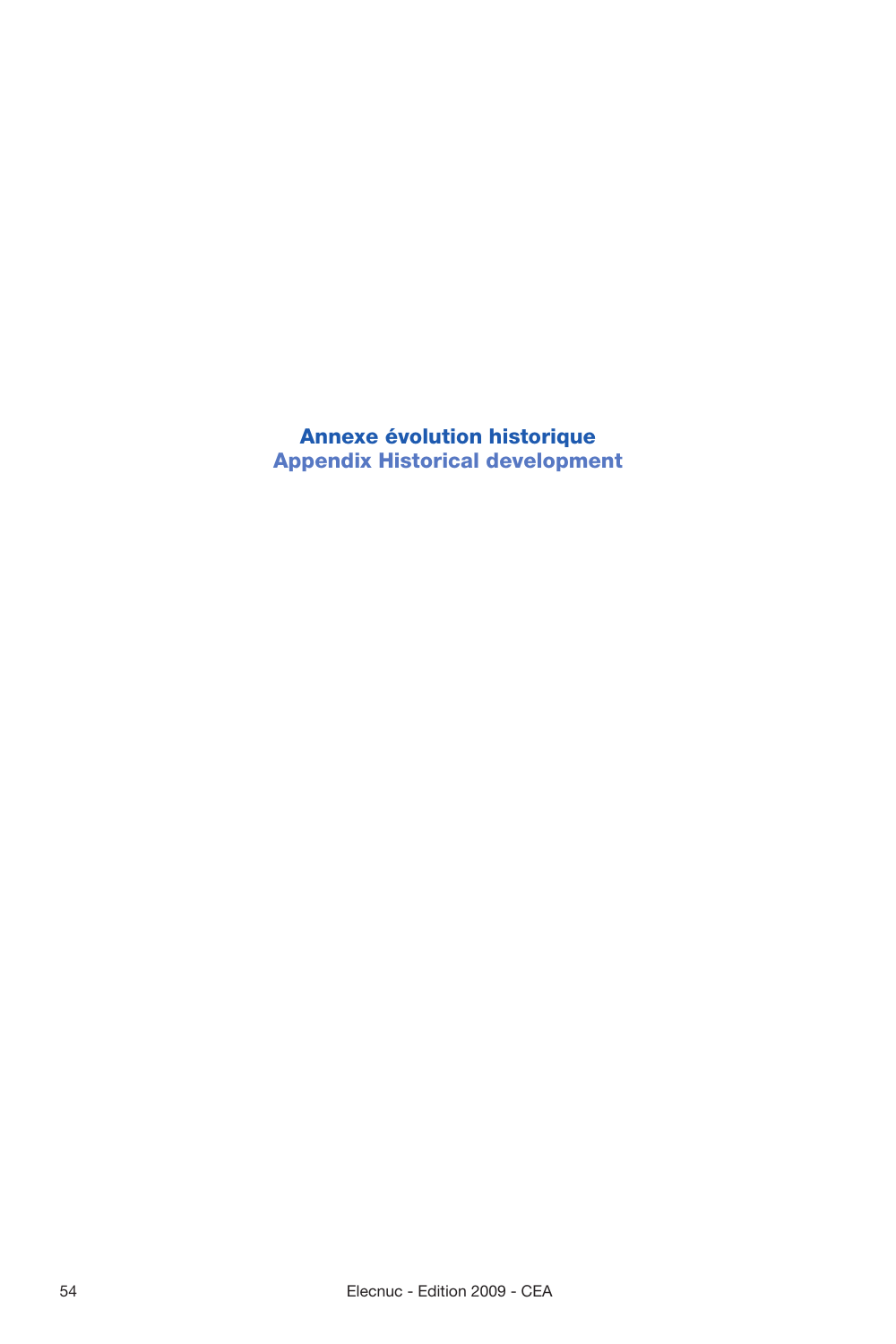**Annexe évolution historique Appendix Historical development**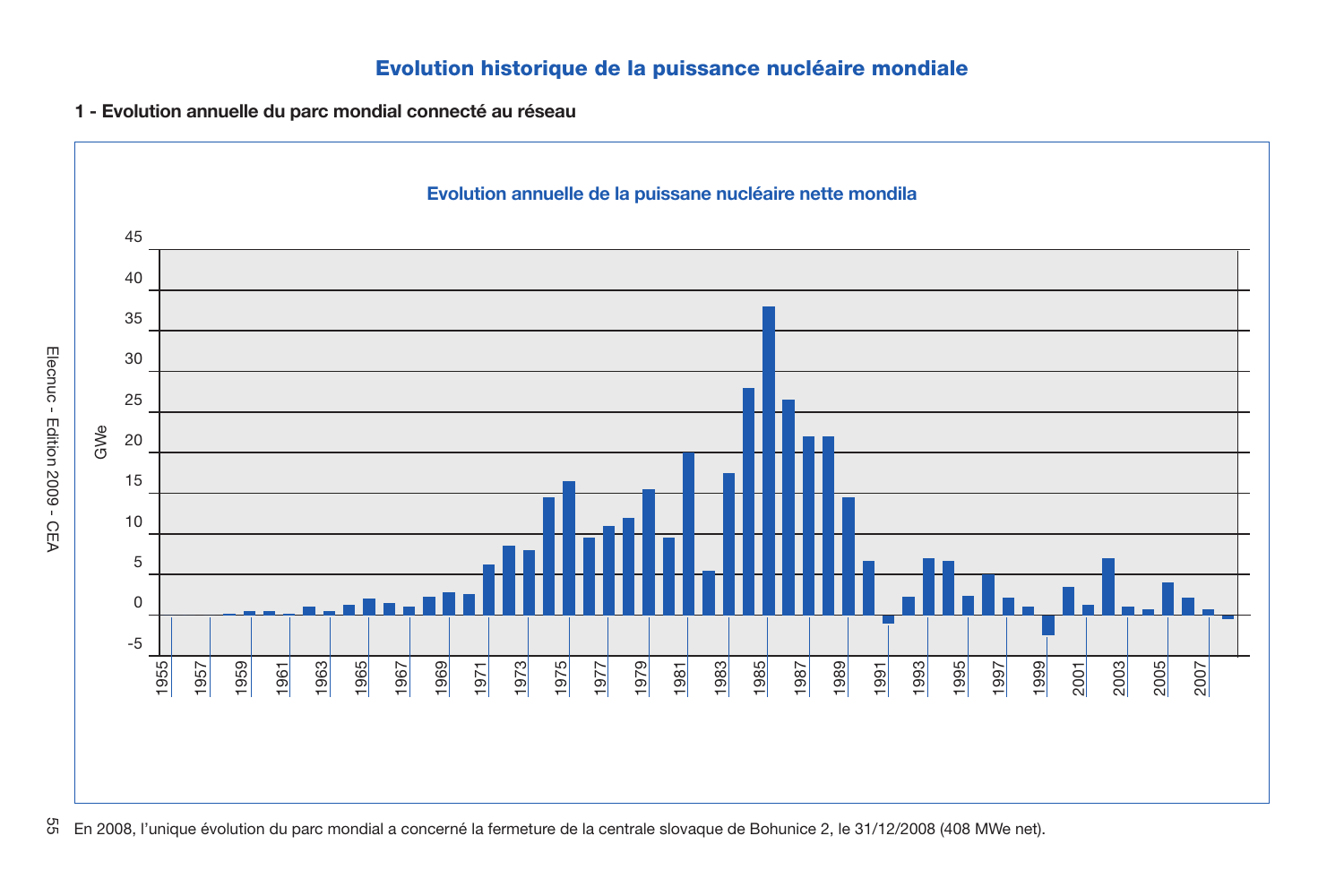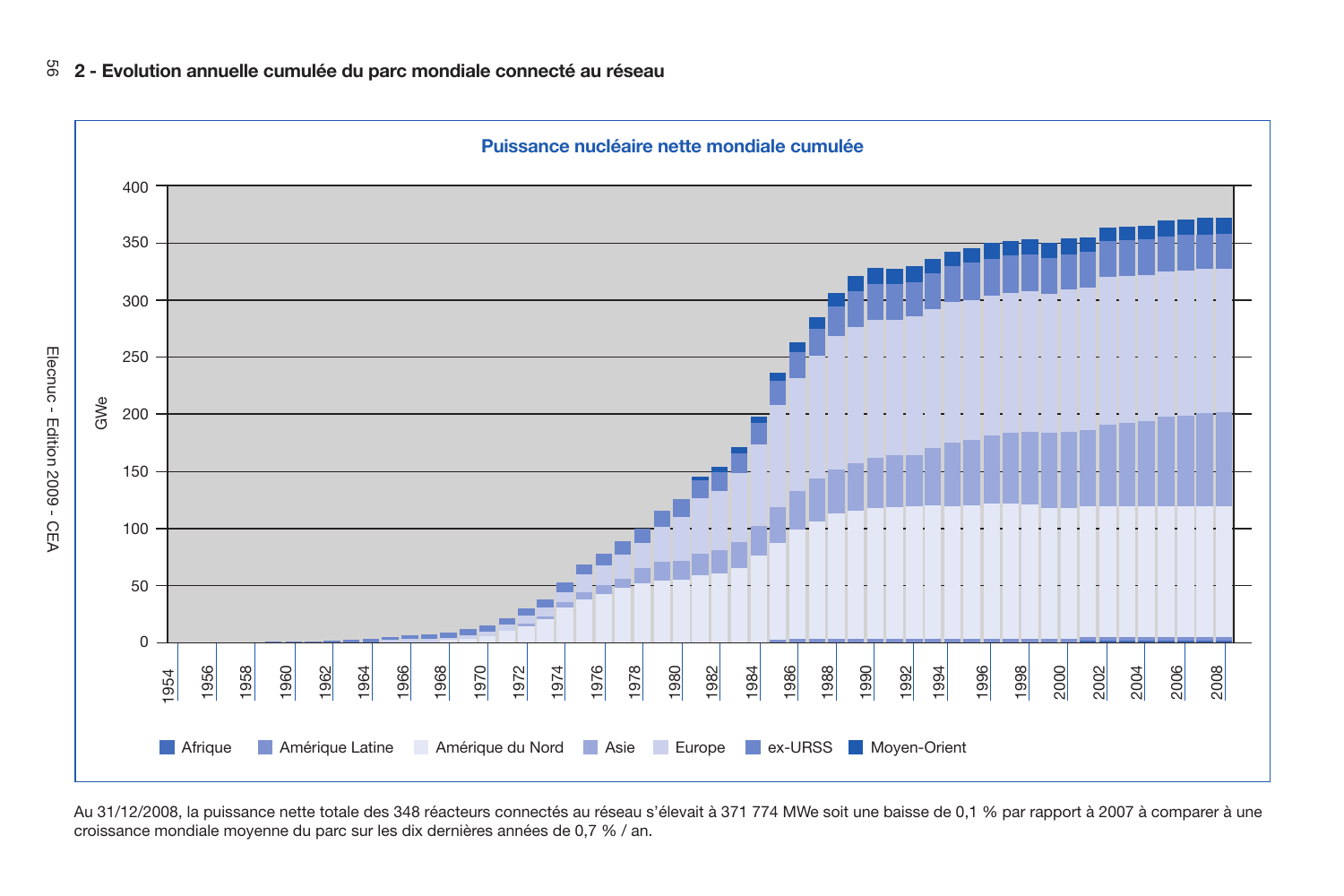

Au 31/12/2008, la puissance nette totale des 348 réacteurs connectés au réseau s'élevait à 371 774 MWe soit une baisse de 0,1 % par rapport à 2007 à comparer à une croissance mondiale moyenne du parc sur les dix dernières années de 0,7 % / an.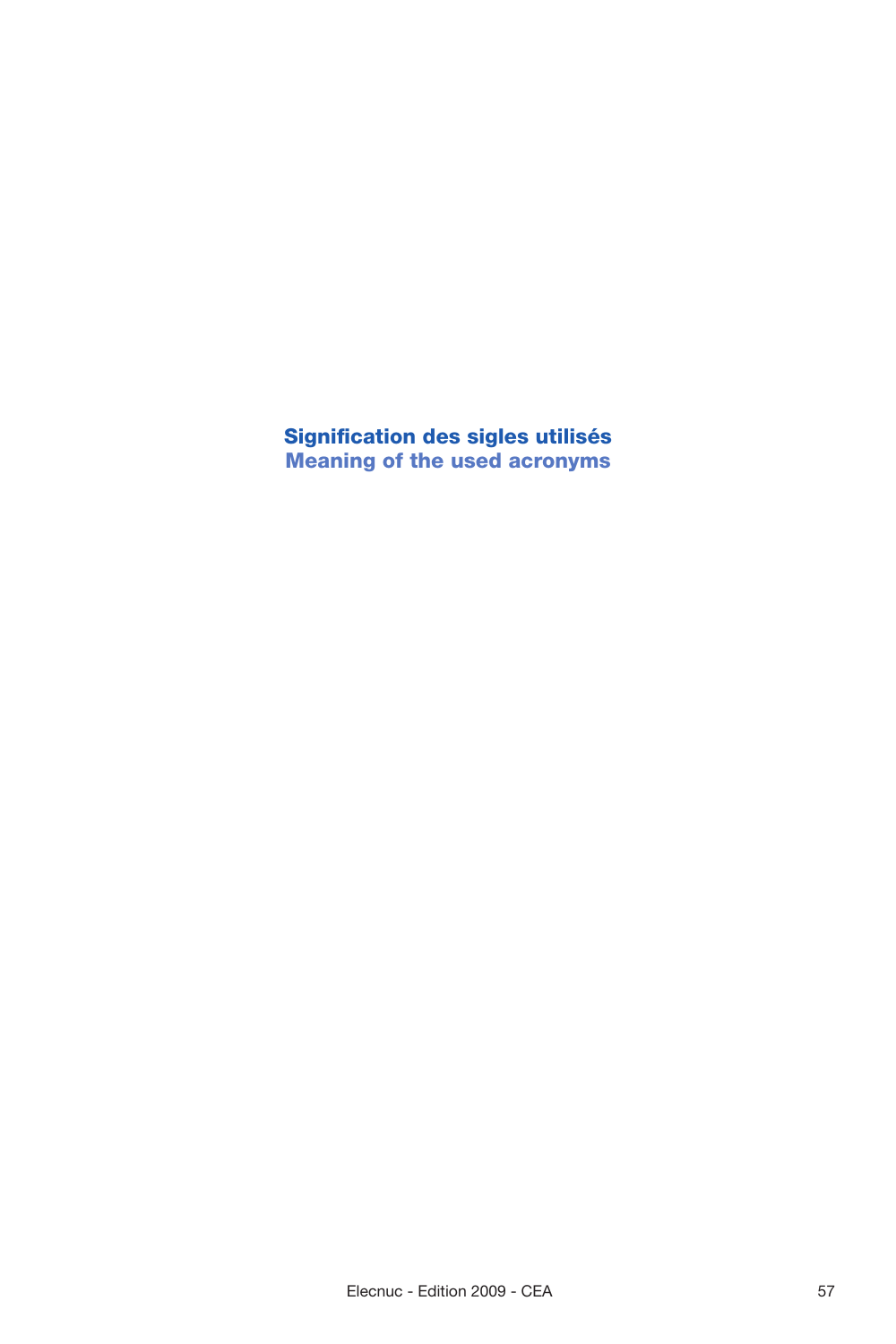**Signifi cation des sigles utilisés Meaning of the used acronyms**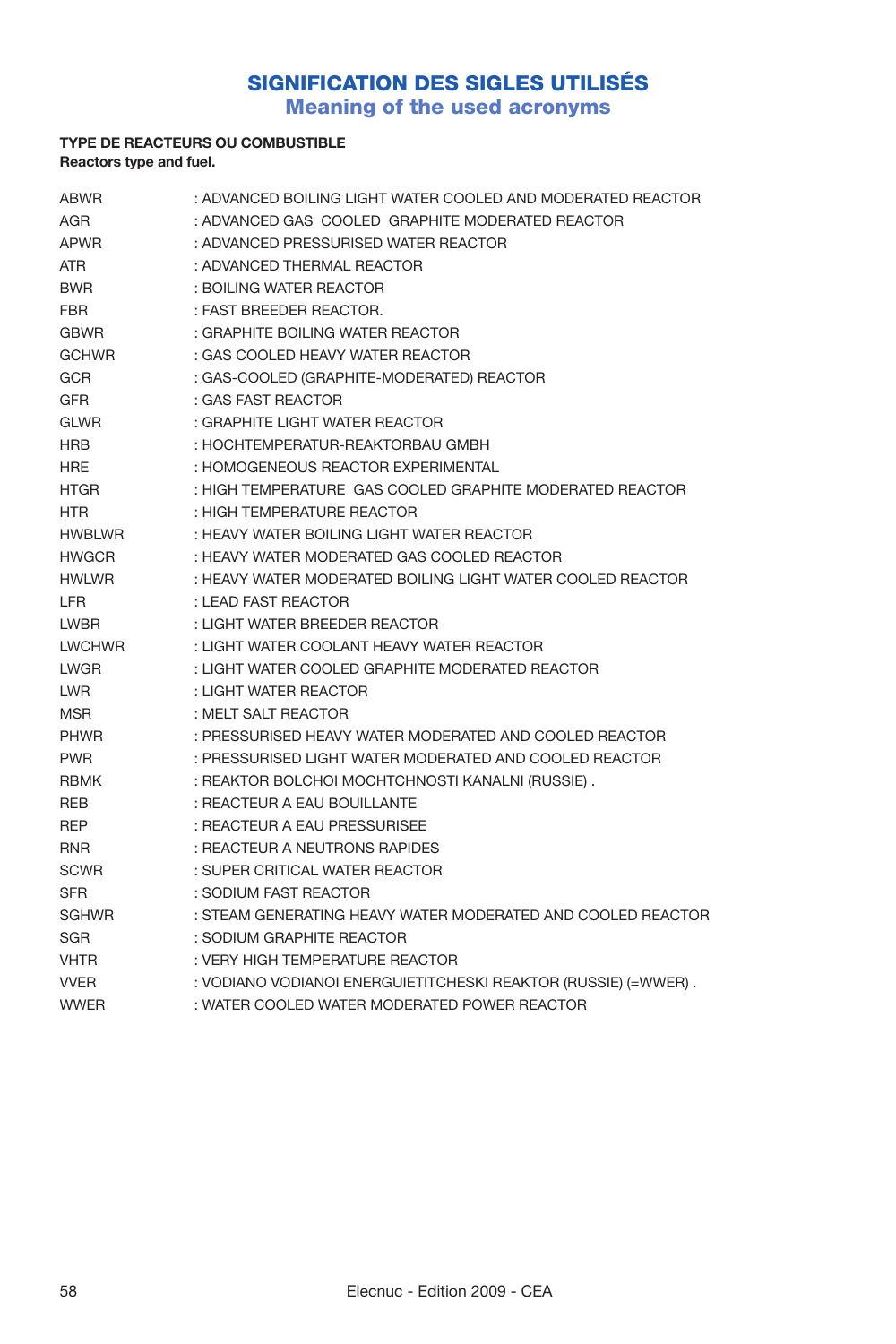# **SIGNIFICATION DES SIGLES UTILISÉS**

**Meaning of the used acronyms**

### **TYPE DE REACTEURS OU COMBUSTIBLE Reactors type and fuel.**

| <b>ABWR</b>   | : ADVANCED BOILING LIGHT WATER COOLED AND MODERATED REACTOR    |
|---------------|----------------------------------------------------------------|
| AGR           | : ADVANCED GAS COOLED GRAPHITE MODERATED REACTOR               |
| <b>APWR</b>   | : ADVANCED PRESSURISED WATER REACTOR                           |
| <b>ATR</b>    | : ADVANCED THERMAL REACTOR                                     |
| <b>BWR</b>    | : BOILING WATER REACTOR                                        |
| <b>FBR</b>    | : FAST BREEDER REACTOR.                                        |
| <b>GBWR</b>   | : GRAPHITE BOILING WATER REACTOR                               |
| <b>GCHWR</b>  | : GAS COOLED HEAVY WATER REACTOR                               |
| <b>GCR</b>    | : GAS-COOLED (GRAPHITE-MODERATED) REACTOR                      |
| <b>GFR</b>    | : GAS FAST REACTOR                                             |
| <b>GLWR</b>   | : GRAPHITE LIGHT WATER REACTOR                                 |
| <b>HRB</b>    | : HOCHTEMPERATUR-REAKTORBAU GMBH                               |
| <b>HRE</b>    | : HOMOGENEOUS REACTOR EXPERIMENTAL                             |
| HTGR          | : HIGH TEMPERATURE GAS COOLED GRAPHITE MODERATED REACTOR       |
| <b>HTR</b>    | : HIGH TEMPERATURE REACTOR                                     |
| <b>HWBLWR</b> | : HEAVY WATER BOILING LIGHT WATER REACTOR                      |
| <b>HWGCR</b>  | : HEAVY WATER MODERATED GAS COOLED REACTOR                     |
| <b>HWLWR</b>  | : HEAVY WATER MODERATED BOILING LIGHT WATER COOLED REACTOR     |
| <b>LFR</b>    | : LEAD FAST REACTOR                                            |
| <b>LWBR</b>   | : LIGHT WATER BREEDER REACTOR                                  |
| <b>LWCHWR</b> | : LIGHT WATER COOLANT HEAVY WATER REACTOR                      |
| <b>LWGR</b>   | : LIGHT WATER COOLED GRAPHITE MODERATED REACTOR                |
| LWR.          | : LIGHT WATER REACTOR                                          |
| <b>MSR</b>    | : MELT SALT REACTOR                                            |
| <b>PHWR</b>   | : PRESSURISED HEAVY WATER MODERATED AND COOLED REACTOR         |
| <b>PWR</b>    | : PRESSURISED LIGHT WATER MODERATED AND COOLED REACTOR         |
| <b>RBMK</b>   | : REAKTOR BOLCHOI MOCHTCHNOSTI KANALNI (RUSSIE).               |
| <b>REB</b>    | : REACTEUR A EAU BOUILLANTE                                    |
| <b>REP</b>    | : REACTEUR A EAU PRESSURISEE                                   |
| <b>RNR</b>    | : REACTEUR A NEUTRONS RAPIDES                                  |
| <b>SCWR</b>   | : SUPER CRITICAL WATER REACTOR                                 |
| <b>SFR</b>    | : SODIUM FAST REACTOR                                          |
| SGHWR         | : STEAM GENERATING HEAVY WATER MODERATED AND COOLED REACTOR    |
| <b>SGR</b>    | : SODIUM GRAPHITE REACTOR                                      |
| <b>VHTR</b>   | : VERY HIGH TEMPERATURE REACTOR                                |
| <b>VVER</b>   | : VODIANO VODIANOI ENERGUIETITCHESKI REAKTOR (RUSSIE) (=WWER). |
| <b>WWER</b>   | : WATER COOLED WATER MODERATED POWER REACTOR                   |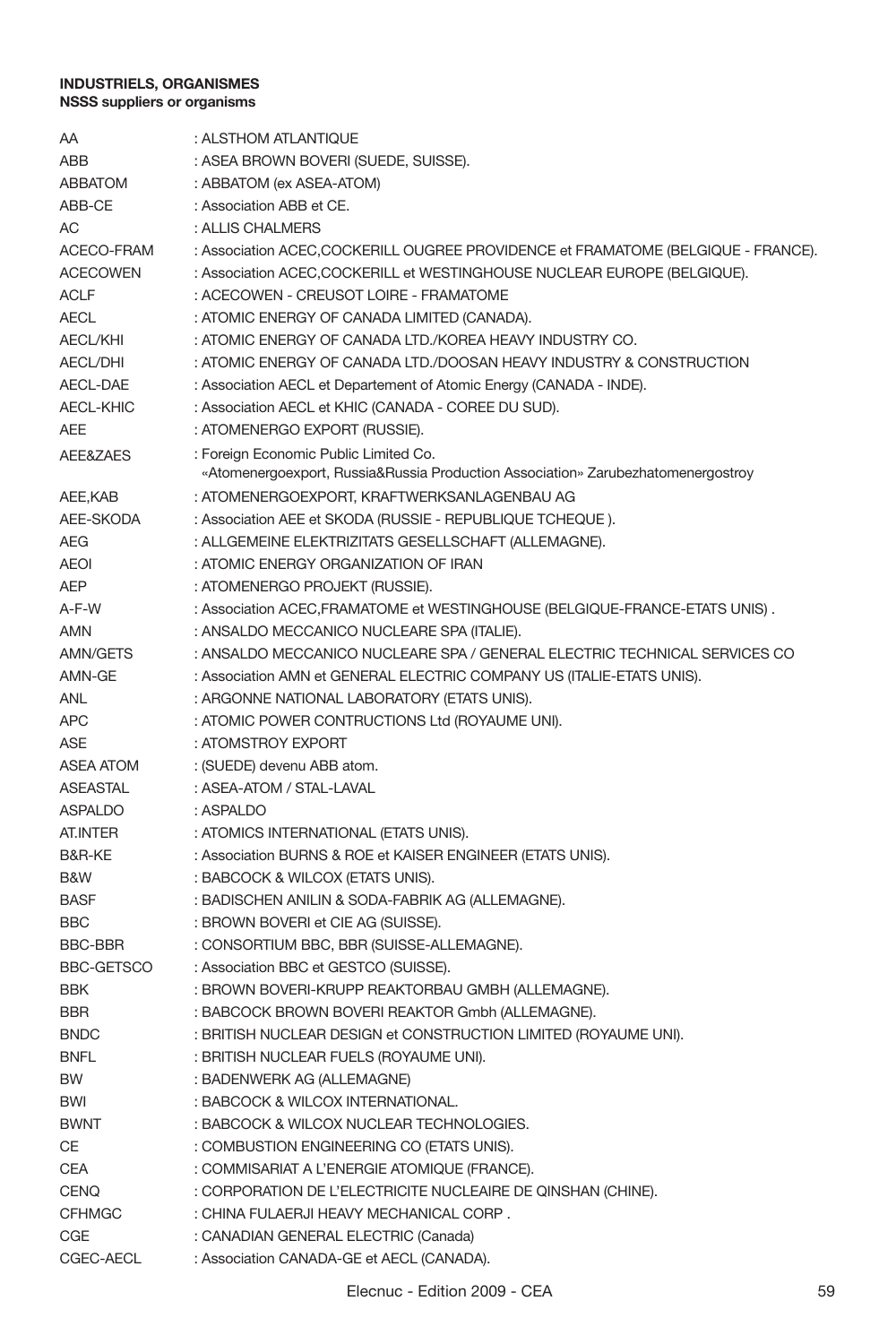| AΑ                | : ALSTHOM ATLANTIQUE                                                              |
|-------------------|-----------------------------------------------------------------------------------|
| ABB               | : ASEA BROWN BOVERI (SUEDE, SUISSE).                                              |
| <b>ABBATOM</b>    | : ABBATOM (ex ASEA-ATOM)                                                          |
| ABB-CE            | : Association ABB et CE.                                                          |
| АC                | : ALLIS CHALMERS                                                                  |
| ACECO-FRAM        | : Association ACEC, COCKERILL OUGREE PROVIDENCE et FRAMATOME (BELGIQUE - FRANCE). |
| <b>ACECOWEN</b>   | : Association ACEC, COCKERILL et WESTINGHOUSE NUCLEAR EUROPE (BELGIQUE).          |
| ACLF              | : ACECOWEN - CREUSOT LOIRE - FRAMATOME                                            |
| AECL              | : ATOMIC ENERGY OF CANADA LIMITED (CANADA).                                       |
| <b>AECL/KHI</b>   | : ATOMIC ENERGY OF CANADA LTD./KOREA HEAVY INDUSTRY CO.                           |
| <b>AECL/DHI</b>   | : ATOMIC ENERGY OF CANADA LTD./DOOSAN HEAVY INDUSTRY & CONSTRUCTION               |
| AECL-DAE          | : Association AECL et Departement of Atomic Energy (CANADA - INDE).               |
| <b>AECL-KHIC</b>  | : Association AECL et KHIC (CANADA - COREE DU SUD).                               |
| AEE               | : ATOMENERGO EXPORT (RUSSIE).                                                     |
| AEE&ZAES          | : Foreign Economic Public Limited Co.                                             |
|                   | «Atomenergoexport, Russia&Russia Production Association» Zarubezhatomenergostroy  |
| AEE,KAB           | : ATOMENERGOEXPORT, KRAFTWERKSANLAGENBAU AG                                       |
| AEE-SKODA         | : Association AEE et SKODA (RUSSIE - REPUBLIQUE TCHEQUE).                         |
| AEG               | : ALLGEMEINE ELEKTRIZITATS GESELLSCHAFT (ALLEMAGNE).                              |
| AEOI              | : ATOMIC ENERGY ORGANIZATION OF IRAN                                              |
| AEP               | : ATOMENERGO PROJEKT (RUSSIE).                                                    |
| A-F-W             | : Association ACEC, FRAMATOME et WESTINGHOUSE (BELGIQUE-FRANCE-ETATS UNIS).       |
| AMN               | : ANSALDO MECCANICO NUCLEARE SPA (ITALIE).                                        |
| AMN/GETS          | : ANSALDO MECCANICO NUCLEARE SPA / GENERAL ELECTRIC TECHNICAL SERVICES CO         |
| AMN-GE            | : Association AMN et GENERAL ELECTRIC COMPANY US (ITALIE-ETATS UNIS).             |
| ANL               | : ARGONNE NATIONAL LABORATORY (ETATS UNIS).                                       |
| <b>APC</b>        | : ATOMIC POWER CONTRUCTIONS Ltd (ROYAUME UNI).                                    |
| ASE               | : ATOMSTROY EXPORT                                                                |
| <b>ASEA ATOM</b>  | : (SUEDE) devenu ABB atom.                                                        |
| <b>ASEASTAL</b>   | : ASEA-ATOM / STAL-LAVAL                                                          |
| <b>ASPALDO</b>    | : ASPALDO                                                                         |
| AT.INTER          | : ATOMICS INTERNATIONAL (ETATS UNIS).                                             |
| B&R-KE            | : Association BURNS & ROE et KAISER ENGINEER (ETATS UNIS).                        |
| B&W               | : BABCOCK & WILCOX (ETATS UNIS).                                                  |
| <b>BASF</b>       | : BADISCHEN ANILIN & SODA-FABRIK AG (ALLEMAGNE).                                  |
| <b>BBC</b>        | : BROWN BOVERI et CIE AG (SUISSE).                                                |
| BBC-BBR           | : CONSORTIUM BBC, BBR (SUISSE-ALLEMAGNE).                                         |
| <b>BBC-GETSCO</b> | : Association BBC et GESTCO (SUISSE).                                             |
| BBK               | : BROWN BOVERI-KRUPP REAKTORBAU GMBH (ALLEMAGNE).                                 |
| BBR               | : BABCOCK BROWN BOVERI REAKTOR Gmbh (ALLEMAGNE).                                  |
| <b>BNDC</b>       | : BRITISH NUCLEAR DESIGN et CONSTRUCTION LIMITED (ROYAUME UNI).                   |
| BNFL              | : BRITISH NUCLEAR FUELS (ROYAUME UNI).                                            |
| BW                | : BADENWERK AG (ALLEMAGNE)                                                        |
| <b>BWI</b>        | : BABCOCK & WILCOX INTERNATIONAL.                                                 |
| <b>BWNT</b>       | : BABCOCK & WILCOX NUCLEAR TECHNOLOGIES.                                          |
| СE                | : COMBUSTION ENGINEERING CO (ETATS UNIS).                                         |
| <b>CEA</b>        | : COMMISARIAT A L'ENERGIE ATOMIQUE (FRANCE).                                      |
| <b>CENQ</b>       | : CORPORATION DE L'ELECTRICITE NUCLEAIRE DE QINSHAN (CHINE).                      |
| <b>CFHMGC</b>     | : CHINA FULAERJI HEAVY MECHANICAL CORP.                                           |
| CGE               | : CANADIAN GENERAL ELECTRIC (Canada)                                              |
| CGEC-AECL         | : Association CANADA-GE et AECL (CANADA).                                         |
|                   |                                                                                   |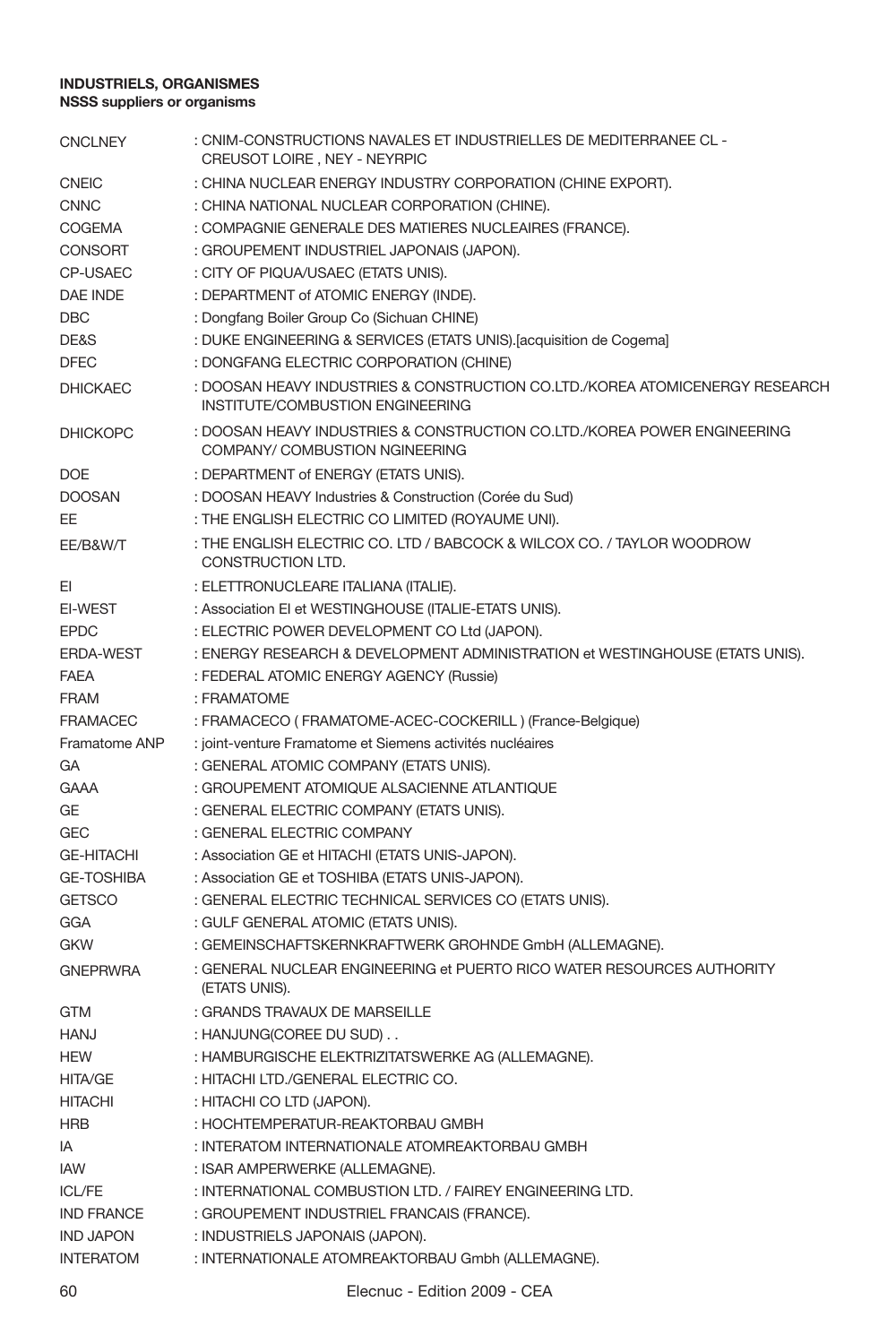| <b>CNCLNEY</b>    | : CNIM-CONSTRUCTIONS NAVALES ET INDUSTRIELLES DE MEDITERRANEE CL -<br>CREUSOT LOIRE, NEY - NEYRPIC               |
|-------------------|------------------------------------------------------------------------------------------------------------------|
| <b>CNEIC</b>      | : CHINA NUCLEAR ENERGY INDUSTRY CORPORATION (CHINE EXPORT).                                                      |
| <b>CNNC</b>       | : CHINA NATIONAL NUCLEAR CORPORATION (CHINE).                                                                    |
| COGEMA            | : COMPAGNIE GENERALE DES MATIERES NUCLEAIRES (FRANCE).                                                           |
| <b>CONSORT</b>    | : GROUPEMENT INDUSTRIEL JAPONAIS (JAPON).                                                                        |
| <b>CP-USAEC</b>   | : CITY OF PIQUA/USAEC (ETATS UNIS).                                                                              |
| <b>DAE INDE</b>   | : DEPARTMENT of ATOMIC ENERGY (INDE).                                                                            |
| <b>DBC</b>        | : Dongfang Boiler Group Co (Sichuan CHINE)                                                                       |
| DE&S              | : DUKE ENGINEERING & SERVICES (ETATS UNIS). [acquisition de Cogema]                                              |
| <b>DFEC</b>       | : DONGFANG ELECTRIC CORPORATION (CHINE)                                                                          |
| <b>DHICKAEC</b>   | : DOOSAN HEAVY INDUSTRIES & CONSTRUCTION CO.LTD./KOREA ATOMICENERGY RESEARCH<br>INSTITUTE/COMBUSTION ENGINEERING |
| <b>DHICKOPC</b>   | : DOOSAN HEAVY INDUSTRIES & CONSTRUCTION CO.LTD./KOREA POWER ENGINEERING<br>COMPANY/ COMBUSTION NGINEERING       |
| <b>DOE</b>        | : DEPARTMENT of ENERGY (ETATS UNIS).                                                                             |
| <b>DOOSAN</b>     | : DOOSAN HEAVY Industries & Construction (Corée du Sud)                                                          |
| EE                | : THE ENGLISH ELECTRIC CO LIMITED (ROYAUME UNI).                                                                 |
| EE/B&W/T          | : THE ENGLISH ELECTRIC CO. LTD / BABCOCK & WILCOX CO. / TAYLOR WOODROW<br>CONSTRUCTION LTD.                      |
| EI                | : ELETTRONUCLEARE ITALIANA (ITALIE).                                                                             |
| EI-WEST           | : Association El et WESTINGHOUSE (ITALIE-ETATS UNIS).                                                            |
| <b>EPDC</b>       | : ELECTRIC POWER DEVELOPMENT CO Ltd (JAPON).                                                                     |
| <b>ERDA-WEST</b>  | : ENERGY RESEARCH & DEVELOPMENT ADMINISTRATION et WESTINGHOUSE (ETATS UNIS).                                     |
| <b>FAEA</b>       | : FEDERAL ATOMIC ENERGY AGENCY (Russie)                                                                          |
| <b>FRAM</b>       | : FRAMATOME                                                                                                      |
| <b>FRAMACEC</b>   | : FRAMACECO (FRAMATOME-ACEC-COCKERILL) (France-Belgique)                                                         |
| Framatome ANP     | : joint-venture Framatome et Siemens activités nucléaires                                                        |
| GА                | : GENERAL ATOMIC COMPANY (ETATS UNIS).                                                                           |
| <b>GAAA</b>       | : GROUPEMENT ATOMIQUE ALSACIENNE ATLANTIQUE                                                                      |
| GE                | : GENERAL ELECTRIC COMPANY (ETATS UNIS).                                                                         |
| GEC               | : GENERAL ELECTRIC COMPANY                                                                                       |
| <b>GE-HITACHI</b> | : Association GE et HITACHI (ETATS UNIS-JAPON).                                                                  |
| <b>GE-TOSHIBA</b> | : Association GE et TOSHIBA (ETATS UNIS-JAPON).                                                                  |
| <b>GETSCO</b>     | : GENERAL ELECTRIC TECHNICAL SERVICES CO (ETATS UNIS).                                                           |
| GGA               | : GULF GENERAL ATOMIC (ETATS UNIS).                                                                              |
| <b>GKW</b>        | : GEMEINSCHAFTSKERNKRAFTWERK GROHNDE GmbH (ALLEMAGNE).                                                           |
| <b>GNEPRWRA</b>   | : GENERAL NUCLEAR ENGINEERING et PUERTO RICO WATER RESOURCES AUTHORITY<br>(ETATS UNIS).                          |
| <b>GTM</b>        | : GRANDS TRAVAUX DE MARSEILLE                                                                                    |
| <b>HANJ</b>       | : HANJUNG(COREE DU SUD)                                                                                          |
| <b>HEW</b>        | : HAMBURGISCHE ELEKTRIZITATSWERKE AG (ALLEMAGNE).                                                                |
| <b>HITA/GE</b>    | : HITACHI LTD./GENERAL ELECTRIC CO.                                                                              |
| <b>HITACHI</b>    | : HITACHI CO LTD (JAPON).                                                                                        |
| HRB               | : HOCHTEMPERATUR-REAKTORBAU GMBH                                                                                 |
| IA                | : INTERATOM INTERNATIONALE ATOMREAKTORBAU GMBH                                                                   |
| IAW               | : ISAR AMPERWERKE (ALLEMAGNE).                                                                                   |
| <b>ICL/FE</b>     | : INTERNATIONAL COMBUSTION LTD. / FAIREY ENGINEERING LTD.                                                        |
| <b>IND FRANCE</b> | : GROUPEMENT INDUSTRIEL FRANCAIS (FRANCE).                                                                       |
| <b>IND JAPON</b>  | : INDUSTRIELS JAPONAIS (JAPON).                                                                                  |
| <b>INTERATOM</b>  | : INTERNATIONALE ATOMREAKTORBAU Gmbh (ALLEMAGNE).                                                                |
|                   |                                                                                                                  |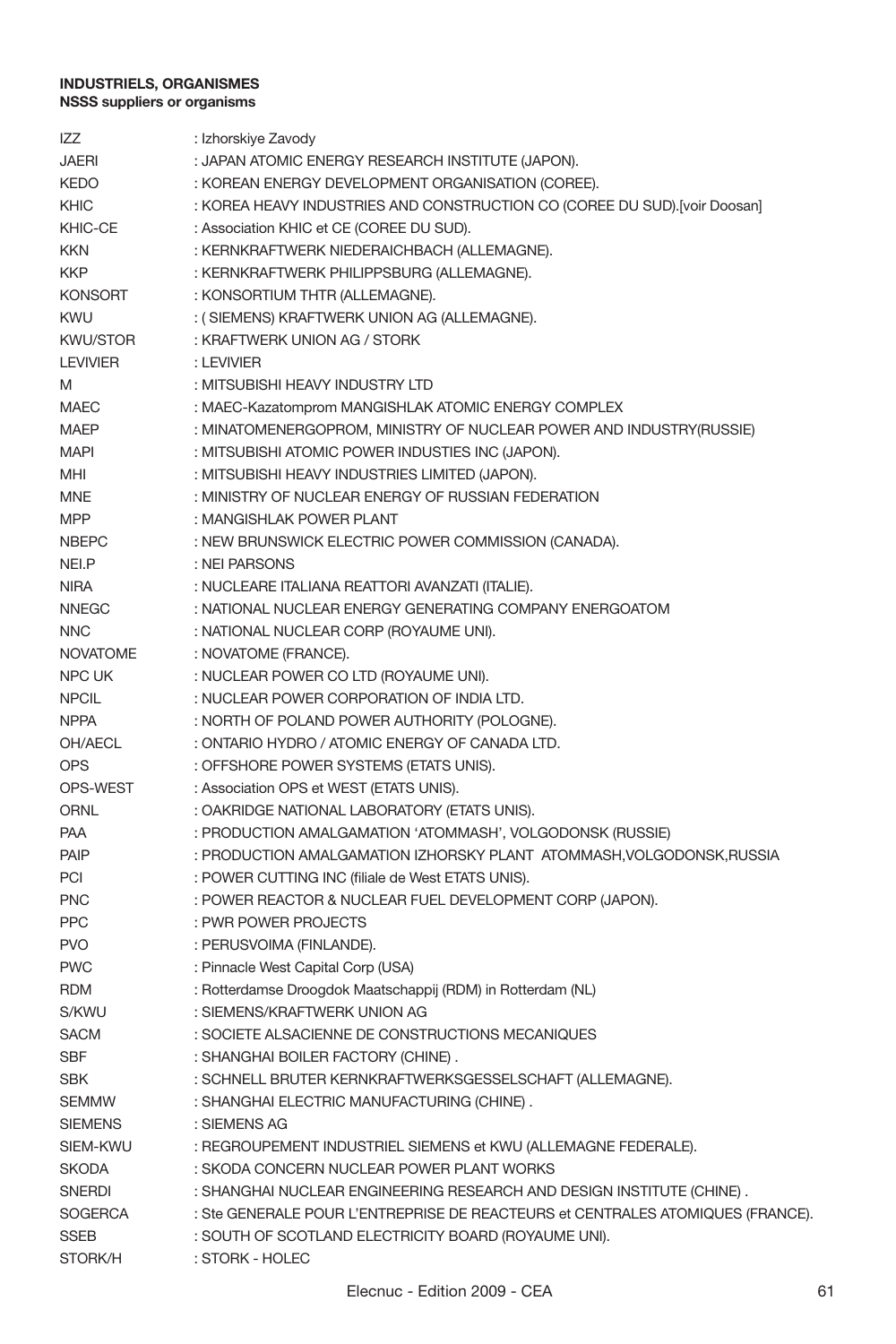| <b>IZZ</b>      | : Izhorskiye Zavody                                                           |
|-----------------|-------------------------------------------------------------------------------|
| <b>JAERI</b>    | : JAPAN ATOMIC ENERGY RESEARCH INSTITUTE (JAPON).                             |
| <b>KEDO</b>     | : KOREAN ENERGY DEVELOPMENT ORGANISATION (COREE).                             |
| KHIC            | : KOREA HEAVY INDUSTRIES AND CONSTRUCTION CO (COREE DU SUD).[voir Doosan]     |
| KHIC-CE         | : Association KHIC et CE (COREE DU SUD).                                      |
| <b>KKN</b>      | : KERNKRAFTWERK NIEDERAICHBACH (ALLEMAGNE).                                   |
| <b>KKP</b>      | : KERNKRAFTWERK PHILIPPSBURG (ALLEMAGNE).                                     |
| <b>KONSORT</b>  | : KONSORTIUM THTR (ALLEMAGNE).                                                |
| <b>KWU</b>      | : (SIEMENS) KRAFTWERK UNION AG (ALLEMAGNE).                                   |
| <b>KWU/STOR</b> | : KRAFTWERK UNION AG / STORK                                                  |
| <b>LEVIVIER</b> | : LEVIVIER                                                                    |
| M               | : MITSUBISHI HEAVY INDUSTRY LTD                                               |
| <b>MAEC</b>     | : MAEC-Kazatomprom MANGISHLAK ATOMIC ENERGY COMPLEX                           |
| MAEP            | : MINATOMENERGOPROM, MINISTRY OF NUCLEAR POWER AND INDUSTRY(RUSSIE)           |
| <b>MAPI</b>     | : MITSUBISHI ATOMIC POWER INDUSTIES INC (JAPON).                              |
| MHI             | : MITSUBISHI HEAVY INDUSTRIES LIMITED (JAPON).                                |
| MNE             | : MINISTRY OF NUCLEAR ENERGY OF RUSSIAN FEDERATION                            |
| <b>MPP</b>      | : MANGISHLAK POWER PLANT                                                      |
| <b>NBEPC</b>    | : NEW BRUNSWICK ELECTRIC POWER COMMISSION (CANADA).                           |
| NEI.P           | : NEI PARSONS                                                                 |
| <b>NIRA</b>     | : NUCLEARE ITALIANA REATTORI AVANZATI (ITALIE).                               |
| <b>NNEGC</b>    | : NATIONAL NUCLEAR ENERGY GENERATING COMPANY ENERGOATOM                       |
| <b>NNC</b>      | : NATIONAL NUCLEAR CORP (ROYAUME UNI).                                        |
| <b>NOVATOME</b> | : NOVATOME (FRANCE).                                                          |
| <b>NPC UK</b>   | : NUCLEAR POWER CO LTD (ROYAUME UNI).                                         |
| <b>NPCIL</b>    | : NUCLEAR POWER CORPORATION OF INDIA LTD.                                     |
| <b>NPPA</b>     | : NORTH OF POLAND POWER AUTHORITY (POLOGNE).                                  |
| OH/AECL         | : ONTARIO HYDRO / ATOMIC ENERGY OF CANADA LTD.                                |
| <b>OPS</b>      | : OFFSHORE POWER SYSTEMS (ETATS UNIS).                                        |
| OPS-WEST        | : Association OPS et WEST (ETATS UNIS).                                       |
| ORNL            | : OAKRIDGE NATIONAL LABORATORY (ETATS UNIS).                                  |
| PAA             | : PRODUCTION AMALGAMATION 'ATOMMASH', VOLGODONSK (RUSSIE)                     |
| PAIP            | : PRODUCTION AMALGAMATION IZHORSKY PLANT ATOMMASH, VOLGODONSK, RUSSIA         |
| PCI             | : POWER CUTTING INC (filiale de West ETATS UNIS).                             |
| <b>PNC</b>      | : POWER REACTOR & NUCLEAR FUEL DEVELOPMENT CORP (JAPON).                      |
| <b>PPC</b>      | : PWR POWER PROJECTS                                                          |
| <b>PVO</b>      | : PERUSVOIMA (FINLANDE).                                                      |
| <b>PWC</b>      | : Pinnacle West Capital Corp (USA)                                            |
| <b>RDM</b>      | : Rotterdamse Droogdok Maatschappij (RDM) in Rotterdam (NL)                   |
| S/KWU           | : SIEMENS/KRAFTWERK UNION AG                                                  |
| <b>SACM</b>     | : SOCIETE ALSACIENNE DE CONSTRUCTIONS MECANIQUES                              |
| <b>SBF</b>      | : SHANGHAI BOILER FACTORY (CHINE).                                            |
| <b>SBK</b>      | : SCHNELL BRUTER KERNKRAFTWERKSGESSELSCHAFT (ALLEMAGNE).                      |
| <b>SEMMW</b>    | : SHANGHAI ELECTRIC MANUFACTURING (CHINE).                                    |
| <b>SIEMENS</b>  | : SIEMENS AG                                                                  |
| SIEM-KWU        | : REGROUPEMENT INDUSTRIEL SIEMENS et KWU (ALLEMAGNE FEDERALE).                |
| <b>SKODA</b>    | : SKODA CONCERN NUCLEAR POWER PLANT WORKS                                     |
| <b>SNERDI</b>   | : SHANGHAI NUCLEAR ENGINEERING RESEARCH AND DESIGN INSTITUTE (CHINE).         |
| <b>SOGERCA</b>  | : Ste GENERALE POUR L'ENTREPRISE DE REACTEURS et CENTRALES ATOMIQUES (FRANCE) |
| <b>SSEB</b>     | : SOUTH OF SCOTLAND ELECTRICITY BOARD (ROYAUME UNI).                          |
| STORK/H         | : STORK - HOLEC                                                               |
|                 |                                                                               |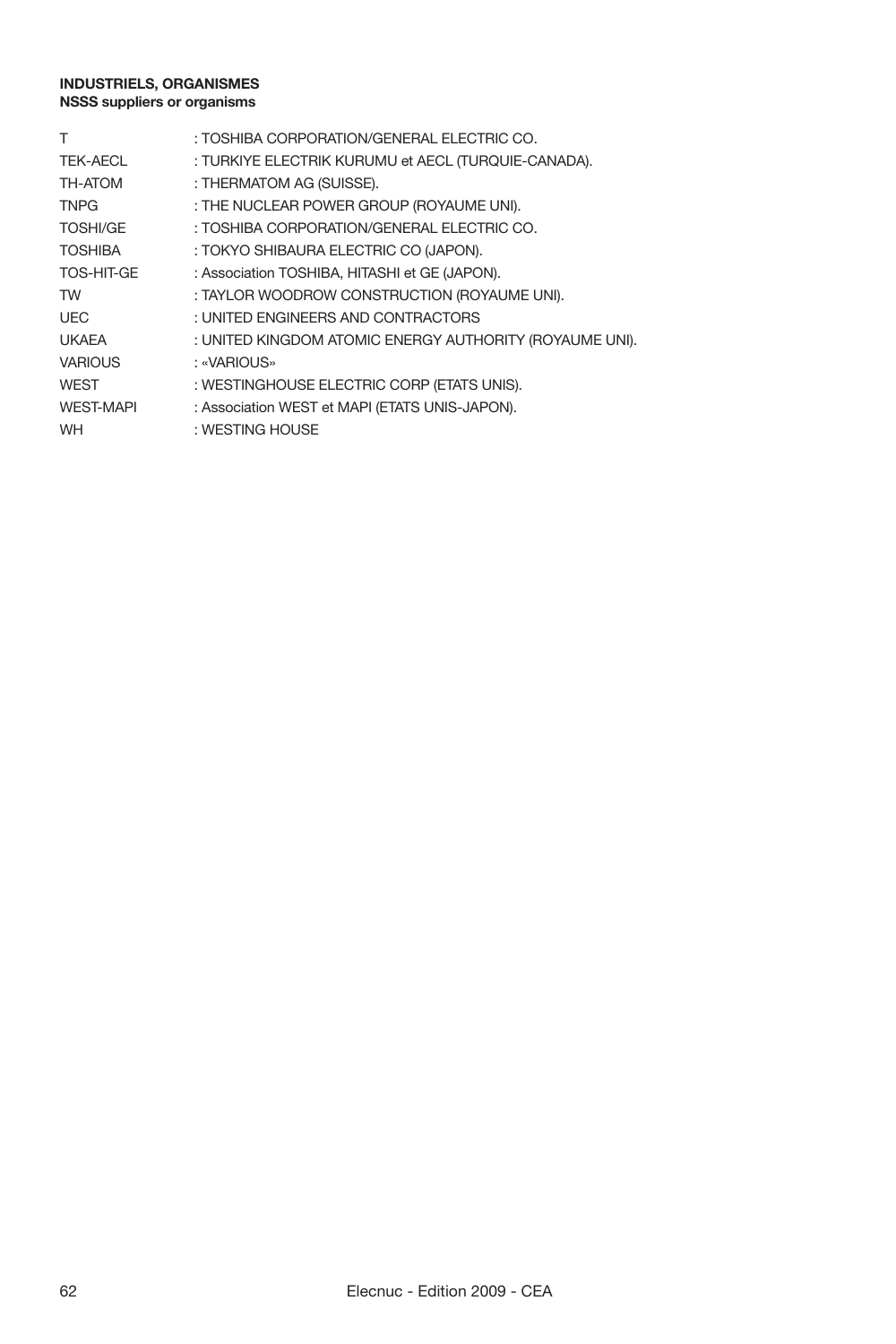| т                | : TOSHIBA CORPORATION/GENERAL ELECTRIC CO.              |
|------------------|---------------------------------------------------------|
| TEK-AECL         | : TURKIYE ELECTRIK KURUMU et AECL (TURQUIE-CANADA).     |
| TH-ATOM          | : THERMATOM AG (SUISSE).                                |
| <b>TNPG</b>      | : THE NUCLEAR POWER GROUP (ROYAUME UNI).                |
| <b>TOSHI/GE</b>  | : TOSHIBA CORPORATION/GENERAL ELECTRIC CO.              |
| <b>TOSHIBA</b>   | : TOKYO SHIBAURA ELECTRIC CO (JAPON).                   |
| TOS-HIT-GE       | : Association TOSHIBA. HITASHI et GE (JAPON).           |
| <b>TW</b>        | : TAYLOR WOODROW CONSTRUCTION (ROYAUME UNI).            |
| <b>UEC</b>       | : UNITED ENGINEERS AND CONTRACTORS                      |
| <b>UKAEA</b>     | : UNITED KINGDOM ATOMIC ENERGY AUTHORITY (ROYAUME UNI). |
| <b>VARIOUS</b>   | : «VARIOUS»                                             |
| WEST             | : WESTINGHOUSE ELECTRIC CORP (ETATS UNIS).              |
| <b>WEST-MAPI</b> | : Association WEST et MAPI (ETATS UNIS-JAPON).          |
| <b>WH</b>        | : WESTING HOUSE                                         |
|                  |                                                         |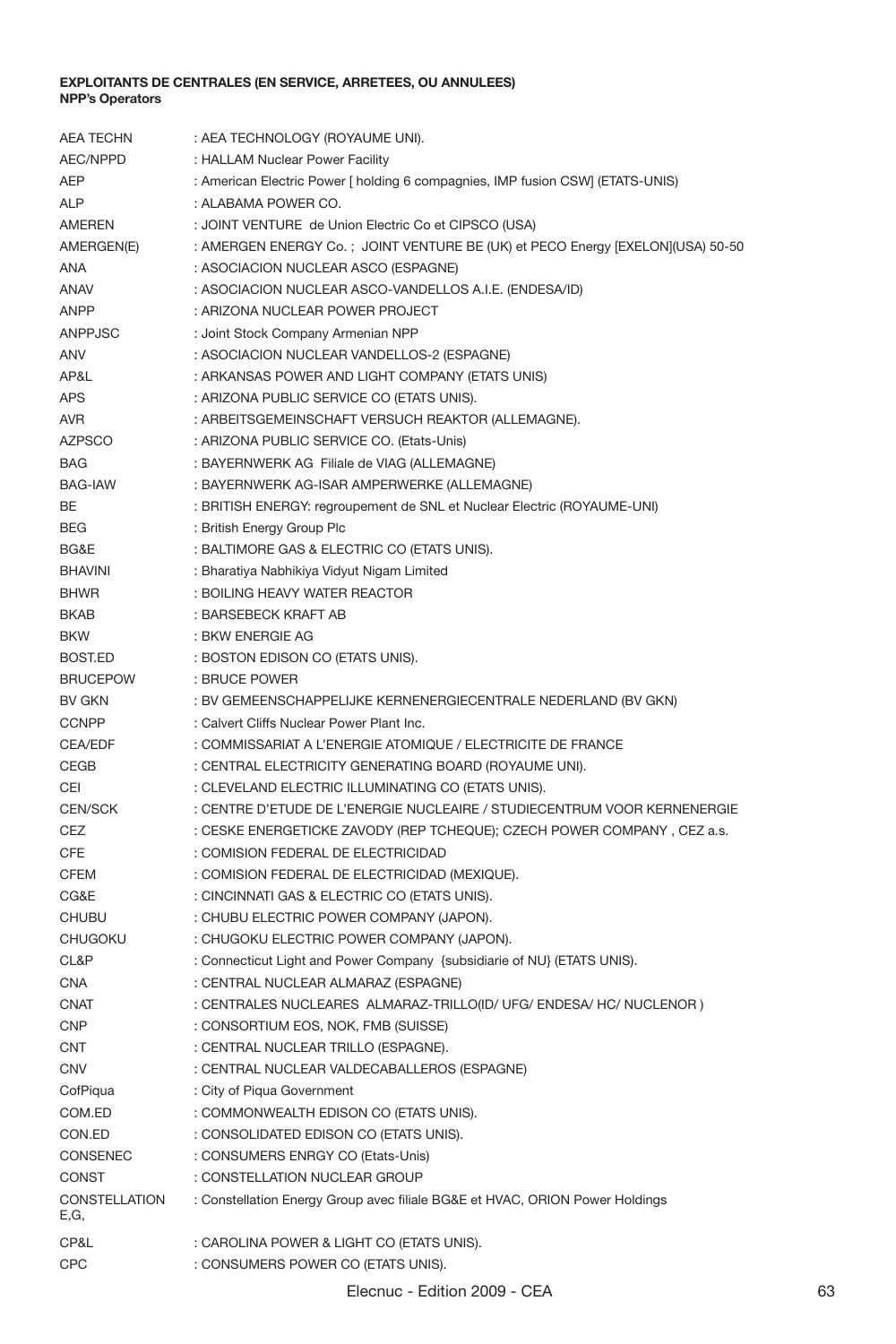| <b>AEA TECHN</b>      | : AEA TECHNOLOGY (ROYAUME UNI).                                                     |
|-----------------------|-------------------------------------------------------------------------------------|
| AEC/NPPD              | : HALLAM Nuclear Power Facility                                                     |
| AEP                   | : American Electric Power [ holding 6 compagnies, IMP fusion CSW] (ETATS-UNIS)      |
| <b>ALP</b>            | : ALABAMA POWER CO.                                                                 |
| AMEREN                | : JOINT VENTURE de Union Electric Co et CIPSCO (USA)                                |
| AMERGEN(E)            | : AMERGEN ENERGY Co. ; JOINT VENTURE BE (UK) et PECO Energy [EXELON](USA) 50-50     |
| ANA                   | : ASOCIACION NUCLEAR ASCO (ESPAGNE)                                                 |
| ANAV                  | : ASOCIACION NUCLEAR ASCO-VANDELLOS A.I.E. (ENDESA/ID)                              |
| <b>ANPP</b>           | : ARIZONA NUCLEAR POWER PROJECT                                                     |
| ANPPJSC               | : Joint Stock Company Armenian NPP                                                  |
| ANV                   | : ASOCIACION NUCLEAR VANDELLOS-2 (ESPAGNE)                                          |
| AP&L                  | : ARKANSAS POWER AND LIGHT COMPANY (ETATS UNIS)                                     |
| APS                   | : ARIZONA PUBLIC SERVICE CO (ETATS UNIS).                                           |
| AVR                   | : ARBEITSGEMEINSCHAFT VERSUCH REAKTOR (ALLEMAGNE).                                  |
| <b>AZPSCO</b>         | : ARIZONA PUBLIC SERVICE CO. (Etats-Unis)                                           |
| <b>BAG</b>            | : BAYERNWERK AG Filiale de VIAG (ALLEMAGNE)                                         |
| <b>BAG-IAW</b>        | : BAYERNWERK AG-ISAR AMPERWERKE (ALLEMAGNE)                                         |
| BE                    | : BRITISH ENERGY: regroupement de SNL et Nuclear Electric (ROYAUME-UNI)             |
| <b>BEG</b>            | : British Energy Group Plc                                                          |
| BG&F                  | : BALTIMORE GAS & ELECTRIC CO (ETATS UNIS).                                         |
| <b>BHAVINI</b>        | : Bharatiya Nabhikiya Vidyut Nigam Limited                                          |
| <b>BHWR</b>           | : BOILING HEAVY WATER REACTOR                                                       |
| <b>BKAB</b>           | : BARSEBECK KRAFT AB                                                                |
| <b>BKW</b>            | : BKW ENERGIE AG                                                                    |
| BOST.ED               | : BOSTON EDISON CO (ETATS UNIS).                                                    |
| <b>BRUCEPOW</b>       | : BRUCE POWER                                                                       |
| <b>BV GKN</b>         | : BV GEMEENSCHAPPELIJKE KERNENERGIECENTRALE NEDERLAND (BV GKN)                      |
| <b>CCNPP</b>          | : Calvert Cliffs Nuclear Power Plant Inc.                                           |
| CEA/EDF               | : COMMISSARIAT A L'ENERGIE ATOMIQUE / ELECTRICITE DE FRANCE                         |
| CEGB                  | : CENTRAL ELECTRICITY GENERATING BOARD (ROYAUME UNI).                               |
| CEI                   | : CLEVELAND ELECTRIC ILLUMINATING CO (ETATS UNIS).                                  |
| <b>CEN/SCK</b>        | : CENTRE D'ETUDE DE L'ENERGIE NUCLEAIRE / STUDIECENTRUM VOOR KERNENERGIE            |
| CEZ                   | : CESKE ENERGETICKE ZAVODY (REP TCHEQUE); CZECH POWER COMPANY, CEZ a.s.             |
| <b>CFE</b>            |                                                                                     |
|                       | : COMISION FEDERAL DE ELECTRICIDAD<br>: COMISION FEDERAL DE ELECTRICIDAD (MEXIQUE). |
| <b>CFEM</b>           |                                                                                     |
| CG&E                  | : CINCINNATI GAS & ELECTRIC CO (ETATS UNIS).                                        |
| CHUBU                 | : CHUBU ELECTRIC POWER COMPANY (JAPON).                                             |
| CHUGOKU               | : CHUGOKU ELECTRIC POWER COMPANY (JAPON).                                           |
| CL&P                  | : Connecticut Light and Power Company {subsidiarie of NU} (ETATS UNIS).             |
| <b>CNA</b>            | : CENTRAL NUCLEAR ALMARAZ (ESPAGNE)                                                 |
| CNAT                  | : CENTRALES NUCLEARES ALMARAZ-TRILLO(ID/ UFG/ ENDESA/ HC/ NUCLENOR)                 |
| CNP                   | : CONSORTIUM EOS, NOK, FMB (SUISSE)                                                 |
| <b>CNT</b>            | : CENTRAL NUCLEAR TRILLO (ESPAGNE).                                                 |
| <b>CNV</b>            | : CENTRAL NUCLEAR VALDECABALLEROS (ESPAGNE)                                         |
| CofPiqua              | : City of Piqua Government                                                          |
| COM.ED                | : COMMONWEALTH EDISON CO (ETATS UNIS).                                              |
| CON.ED                | : CONSOLIDATED EDISON CO (ETATS UNIS).                                              |
| CONSENEC              | : CONSUMERS ENRGY CO (Etats-Unis)                                                   |
| CONST                 | : CONSTELLATION NUCLEAR GROUP                                                       |
| CONSTELLATION<br>E,G, | : Constellation Energy Group avec filiale BG&E et HVAC, ORION Power Holdings        |
| CP&L                  | : CAROLINA POWER & LIGHT CO (ETATS UNIS).                                           |
| CPC                   | : CONSUMERS POWER CO (ETATS UNIS).                                                  |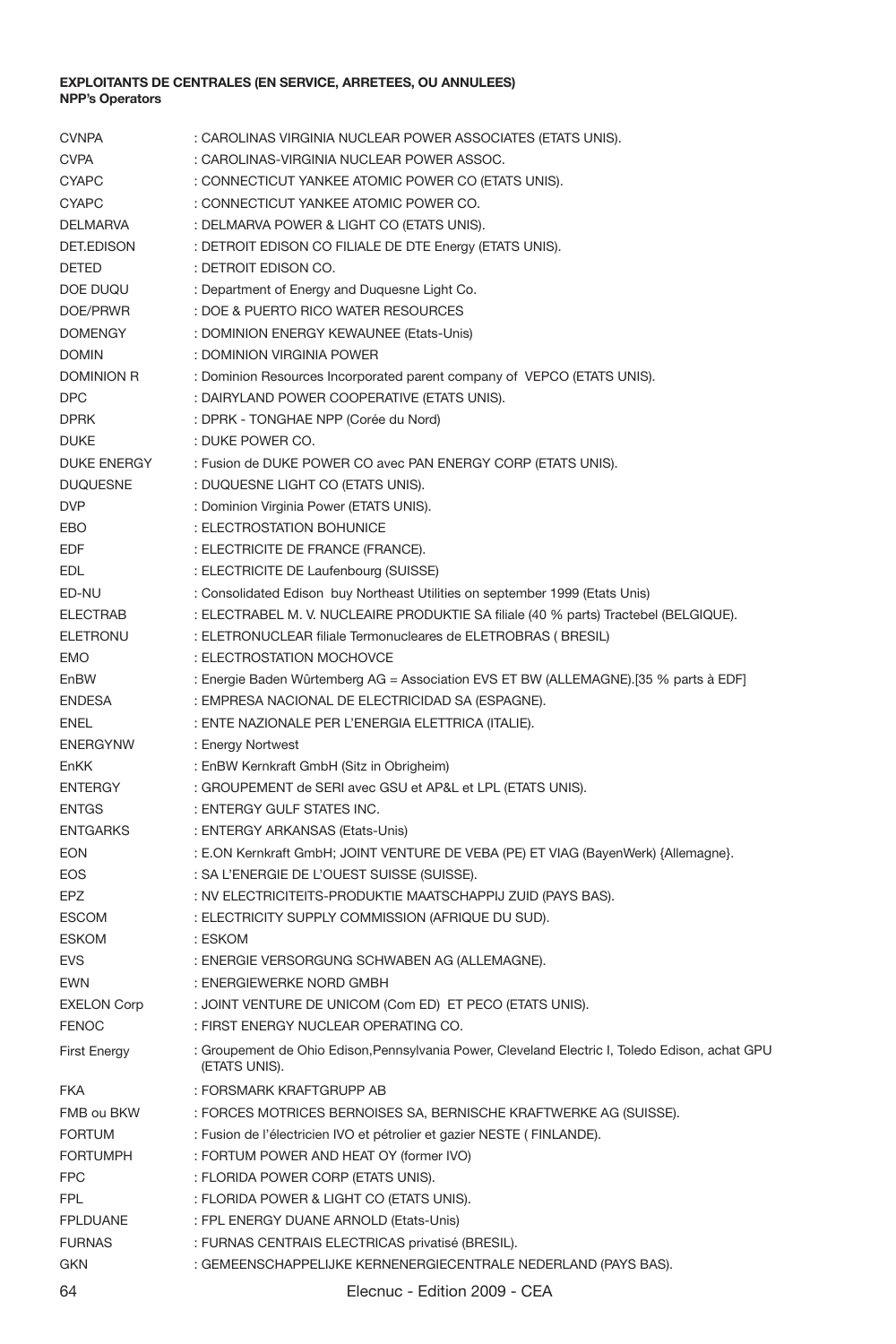| <b>CVNPA</b>        | : CAROLINAS VIRGINIA NUCLEAR POWER ASSOCIATES (ETATS UNIS).                                                      |
|---------------------|------------------------------------------------------------------------------------------------------------------|
| <b>CVPA</b>         | : CAROLINAS-VIRGINIA NUCLEAR POWER ASSOC.                                                                        |
| <b>CYAPC</b>        | : CONNECTICUT YANKEE ATOMIC POWER CO (ETATS UNIS).                                                               |
| <b>CYAPC</b>        | : CONNECTICUT YANKEE ATOMIC POWER CO.                                                                            |
| <b>DELMARVA</b>     | : DELMARVA POWER & LIGHT CO (ETATS UNIS).                                                                        |
| DET.EDISON          | : DETROIT EDISON CO FILIALE DE DTE Energy (ETATS UNIS).                                                          |
| DETED               | : DETROIT EDISON CO.                                                                                             |
| DOE DUQU            | : Department of Energy and Duquesne Light Co.                                                                    |
| DOE/PRWR            | : DOE & PUERTO RICO WATER RESOURCES                                                                              |
| <b>DOMENGY</b>      | : DOMINION ENERGY KEWAUNEE (Etats-Unis)                                                                          |
| <b>DOMIN</b>        | : DOMINION VIRGINIA POWER                                                                                        |
| <b>DOMINION R</b>   | : Dominion Resources Incorporated parent company of VEPCO (ETATS UNIS).                                          |
| <b>DPC</b>          | : DAIRYLAND POWER COOPERATIVE (ETATS UNIS).                                                                      |
| <b>DPRK</b>         | : DPRK - TONGHAE NPP (Corée du Nord)                                                                             |
| <b>DUKE</b>         | : DUKE POWER CO.                                                                                                 |
| <b>DUKE ENERGY</b>  | : Fusion de DUKE POWER CO avec PAN ENERGY CORP (ETATS UNIS).                                                     |
| <b>DUQUESNE</b>     | : DUQUESNE LIGHT CO (ETATS UNIS).                                                                                |
| <b>DVP</b>          | : Dominion Virginia Power (ETATS UNIS).                                                                          |
| <b>FBO</b>          | : ELECTROSTATION BOHUNICE                                                                                        |
| <b>EDF</b>          | : ELECTRICITE DE FRANCE (FRANCE).                                                                                |
| <b>EDL</b>          | : ELECTRICITE DE Laufenbourg (SUISSE)                                                                            |
| ED-NU               | : Consolidated Edison buy Northeast Utilities on september 1999 (Etats Unis)                                     |
| <b>ELECTRAB</b>     | : ELECTRABEL M. V. NUCLEAIRE PRODUKTIE SA filiale (40 % parts) Tractebel (BELGIQUE).                             |
| ELETRONU            | : ELETRONUCLEAR filiale Termonucleares de ELETROBRAS ( BRESIL)                                                   |
| <b>EMO</b>          | : ELECTROSTATION MOCHOVCE                                                                                        |
| EnBW                | : Energie Baden Wûrtemberg AG = Association EVS ET BW (ALLEMAGNE).[35 % parts à EDF]                             |
| <b>ENDESA</b>       | : EMPRESA NACIONAL DE ELECTRICIDAD SA (ESPAGNE).                                                                 |
| ENEL                | : ENTE NAZIONALE PER L'ENERGIA ELETTRICA (ITALIE).                                                               |
| <b>ENERGYNW</b>     | : Energy Nortwest                                                                                                |
| <b>EnKK</b>         | : EnBW Kernkraft GmbH (Sitz in Obrigheim)                                                                        |
| <b>ENTERGY</b>      | : GROUPEMENT de SERI avec GSU et AP&L et LPL (ETATS UNIS).                                                       |
| <b>ENTGS</b>        | : ENTERGY GULF STATES INC.                                                                                       |
| <b>ENTGARKS</b>     | : ENTERGY ARKANSAS (Etats-Unis)                                                                                  |
| <b>EON</b>          | : E.ON Kernkraft GmbH; JOINT VENTURE DE VEBA (PE) ET VIAG (BayenWerk) {Allemagne}.                               |
| EOS                 | : SA L'ENERGIE DE L'OUEST SUISSE (SUISSE).                                                                       |
| EPZ                 | : NV ELECTRICITEITS-PRODUKTIE MAATSCHAPPIJ ZUID (PAYS BAS).                                                      |
| <b>ESCOM</b>        | : ELECTRICITY SUPPLY COMMISSION (AFRIQUE DU SUD).                                                                |
| <b>ESKOM</b>        | : ESKOM                                                                                                          |
| <b>EVS</b>          | : ENERGIE VERSORGUNG SCHWABEN AG (ALLEMAGNE).                                                                    |
| EWN                 | : ENERGIEWERKE NORD GMBH                                                                                         |
| <b>EXELON Corp</b>  | : JOINT VENTURE DE UNICOM (Com ED) ET PECO (ETATS UNIS).                                                         |
| <b>FENOC</b>        | : FIRST ENERGY NUCLEAR OPERATING CO.                                                                             |
| <b>First Energy</b> | : Groupement de Ohio Edison, Pennsylvania Power, Cleveland Electric I, Toledo Edison, achat GPU<br>(ETATS UNIS). |
| <b>FKA</b>          | : FORSMARK KRAFTGRUPP AB                                                                                         |
| FMB ou BKW          | : FORCES MOTRICES BERNOISES SA, BERNISCHE KRAFTWERKE AG (SUISSE).                                                |
| <b>FORTUM</b>       | : Fusion de l'électricien IVO et pétrolier et gazier NESTE (FINLANDE).                                           |
| <b>FORTUMPH</b>     | : FORTUM POWER AND HEAT OY (former IVO)                                                                          |
| <b>FPC</b>          | : FLORIDA POWER CORP (ETATS UNIS).                                                                               |
| <b>FPL</b>          | : FLORIDA POWER & LIGHT CO (ETATS UNIS).                                                                         |
| <b>FPLDUANE</b>     | : FPL ENERGY DUANE ARNOLD (Etats-Unis)                                                                           |
| <b>FURNAS</b>       | : FURNAS CENTRAIS ELECTRICAS privatisé (BRESIL).                                                                 |
| <b>GKN</b>          | : GEMEENSCHAPPELIJKE KERNENERGIECENTRALE NEDERLAND (PAYS BAS).                                                   |
| $\sim$ $\Lambda$    | $F_{\text{d}}(k) = 0000$                                                                                         |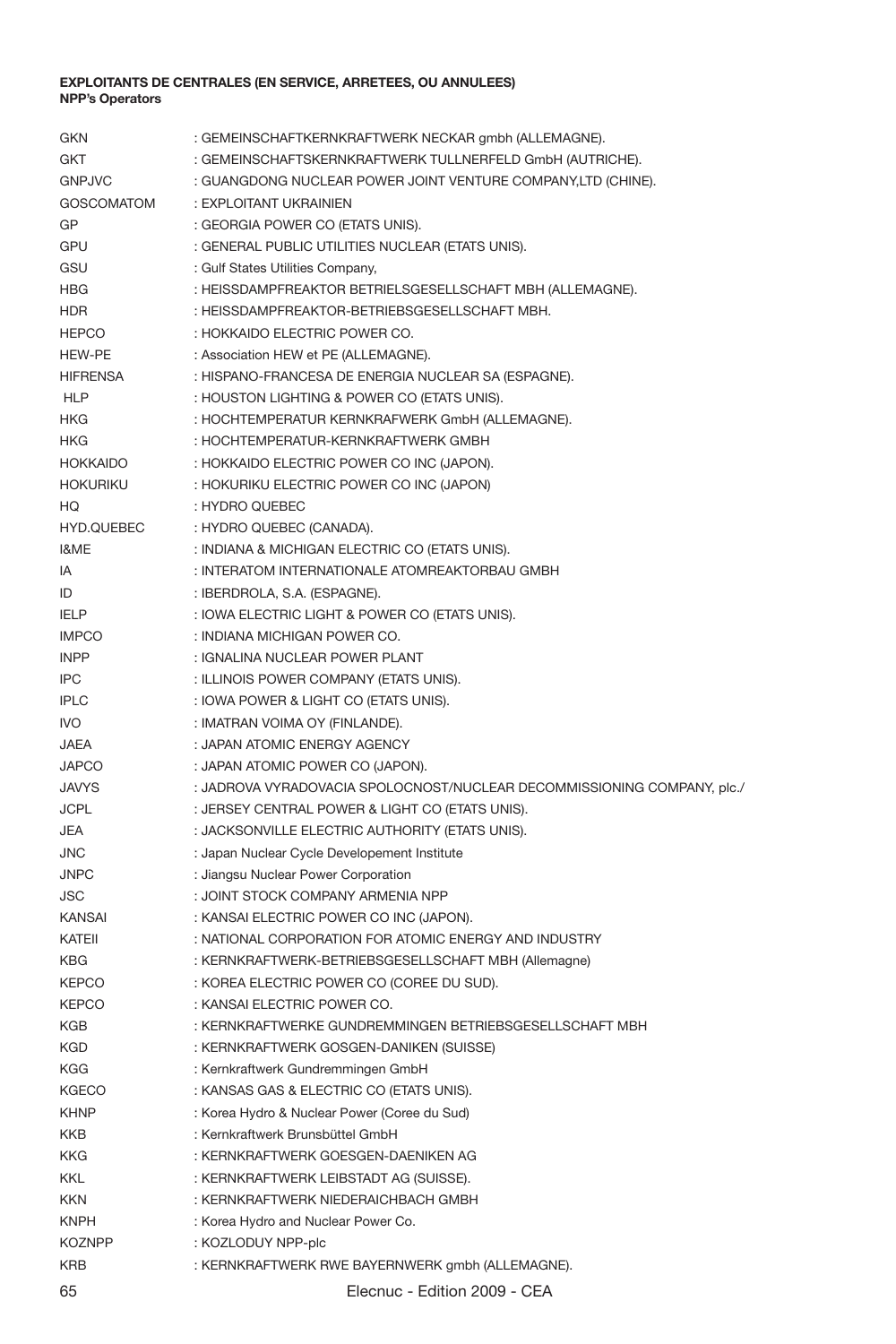| <b>GKN</b>        | : GEMEINSCHAFTKERNKRAFTWERK NECKAR gmbh (ALLEMAGNE).                    |
|-------------------|-------------------------------------------------------------------------|
| GKT               | : GEMEINSCHAFTSKERNKRAFTWERK TULLNERFELD GmbH (AUTRICHE).               |
| <b>GNPJVC</b>     | : GUANGDONG NUCLEAR POWER JOINT VENTURE COMPANY,LTD (CHINE).            |
| <b>GOSCOMATOM</b> | : EXPLOITANT UKRAINIEN                                                  |
| GP                | : GEORGIA POWER CO (ETATS UNIS).                                        |
| GPU               | : GENERAL PUBLIC UTILITIES NUCLEAR (ETATS UNIS).                        |
| GSU               | : Gulf States Utilities Company,                                        |
| HBG               | : HEISSDAMPFREAKTOR BETRIELSGESELLSCHAFT MBH (ALLEMAGNE).               |
| <b>HDR</b>        | : HEISSDAMPFREAKTOR-BETRIEBSGESELLSCHAFT MBH.                           |
| <b>HEPCO</b>      | : HOKKAIDO ELECTRIC POWER CO.                                           |
| HEW-PE            | : Association HEW et PE (ALLEMAGNE).                                    |
| <b>HIFRENSA</b>   | : HISPANO-FRANCESA DE ENERGIA NUCLEAR SA (ESPAGNE).                     |
| <b>HLP</b>        | : HOUSTON LIGHTING & POWER CO (ETATS UNIS).                             |
| <b>HKG</b>        | : HOCHTEMPERATUR KERNKRAFWERK GmbH (ALLEMAGNE).                         |
| <b>HKG</b>        | : HOCHTEMPERATUR-KERNKRAFTWERK GMBH                                     |
| <b>HOKKAIDO</b>   | : HOKKAIDO ELECTRIC POWER CO INC (JAPON).                               |
| <b>HOKURIKU</b>   | : HOKURIKU ELECTRIC POWER CO INC (JAPON)                                |
| HO                | : HYDRO QUEBEC                                                          |
| HYD.QUEBEC        | : HYDRO QUEBEC (CANADA).                                                |
| I&ME              | : INDIANA & MICHIGAN ELECTRIC CO (ETATS UNIS).                          |
| IA                | : INTERATOM INTERNATIONALE ATOMREAKTORBAU GMBH                          |
| ID                | : IBERDROLA, S.A. (ESPAGNE).                                            |
| <b>IFLP</b>       | : IOWA ELECTRIC LIGHT & POWER CO (ETATS UNIS).                          |
| <b>IMPCO</b>      | : INDIANA MICHIGAN POWER CO.                                            |
| <b>INPP</b>       | : IGNALINA NUCLEAR POWER PLANT                                          |
|                   |                                                                         |
| <b>IPC</b>        | : ILLINOIS POWER COMPANY (ETATS UNIS).                                  |
| <b>IPLC</b>       | : IOWA POWER & LIGHT CO (ETATS UNIS).                                   |
| <b>IVO</b>        | : IMATRAN VOIMA OY (FINLANDE).                                          |
| JAEA              | : JAPAN ATOMIC ENERGY AGENCY                                            |
| <b>JAPCO</b>      | : JAPAN ATOMIC POWER CO (JAPON).                                        |
| <b>JAVYS</b>      | : JADROVA VYRADOVACIA SPOLOCNOST/NUCLEAR DECOMMISSIONING COMPANY, plc., |
| <b>JCPL</b>       | : JERSEY CENTRAL POWER & LIGHT CO (ETATS UNIS).                         |
| <b>JEA</b>        | : JACKSONVILLE ELECTRIC AUTHORITY (ETATS UNIS).                         |
| JNC               | : Japan Nuclear Cycle Developement Institute                            |
| <b>JNPC</b>       | : Jiangsu Nuclear Power Corporation                                     |
| JSC               | : JOINT STOCK COMPANY ARMENIA NPP                                       |
| <b>KANSAI</b>     | : KANSAI ELECTRIC POWER CO INC (JAPON).                                 |
| KATEII            | : NATIONAL CORPORATION FOR ATOMIC ENERGY AND INDUSTRY                   |
| <b>KBG</b>        | : KERNKRAFTWERK-BETRIEBSGESELLSCHAFT MBH (Allemagne)                    |
| <b>KEPCO</b>      | : KOREA ELECTRIC POWER CO (COREE DU SUD).                               |
| <b>KEPCO</b>      | : KANSAI ELECTRIC POWER CO.                                             |
| KGB               | : KERNKRAFTWERKE GUNDREMMINGEN BETRIEBSGESELLSCHAFT MBH                 |
| <b>KGD</b>        | : KERNKRAFTWERK GOSGEN-DANIKEN (SUISSE)                                 |
| <b>KGG</b>        | : Kernkraftwerk Gundremmingen GmbH                                      |
| <b>KGECO</b>      | : KANSAS GAS & ELECTRIC CO (ETATS UNIS).                                |
| <b>KHNP</b>       | : Korea Hydro & Nuclear Power (Coree du Sud)                            |
| <b>KKB</b>        | : Kernkraftwerk Brunsbüttel GmbH                                        |
| KKG               | : KERNKRAFTWERK GOESGEN-DAENIKEN AG                                     |
| <b>KKL</b>        | : KERNKRAFTWERK LEIBSTADT AG (SUISSE).                                  |
| <b>KKN</b>        | : KERNKRAFTWERK NIEDERAICHBACH GMBH                                     |
| <b>KNPH</b>       | : Korea Hydro and Nuclear Power Co.                                     |
| <b>KOZNPP</b>     | : KOZLODUY NPP-plc                                                      |
| <b>KRB</b>        | : KERNKRAFTWERK RWE BAYERNWERK gmbh (ALLEMAGNE).                        |
| 65                | Elecnuc - Edition 2009 - CEA                                            |
|                   |                                                                         |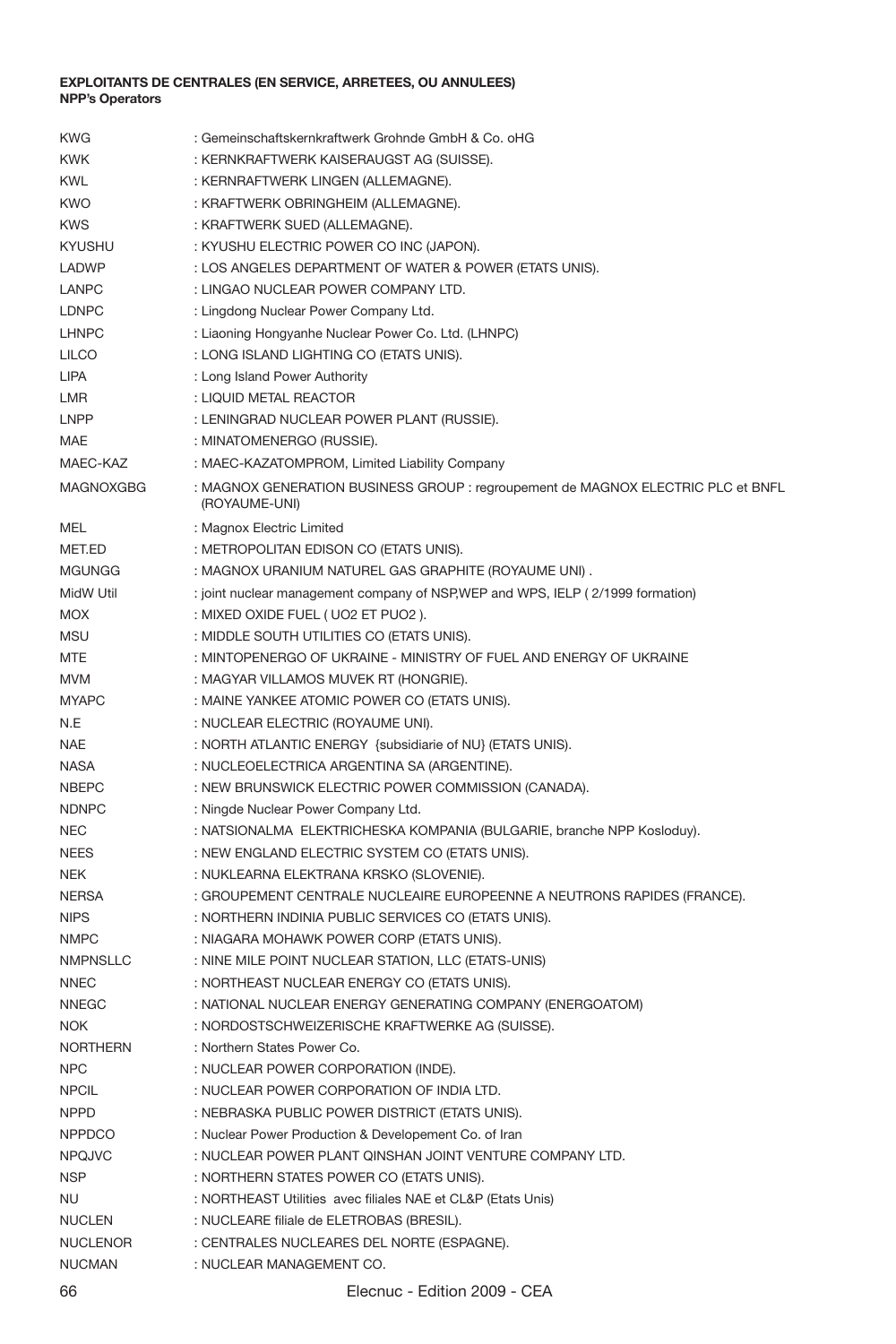| <b>KWG</b>      | : Gemeinschaftskernkraftwerk Grohnde GmbH & Co. oHG                                               |
|-----------------|---------------------------------------------------------------------------------------------------|
| <b>KWK</b>      | : KERNKRAFTWERK KAISERAUGST AG (SUISSE).                                                          |
| <b>KWL</b>      | : KERNRAFTWERK LINGEN (ALLEMAGNE).                                                                |
| <b>KWO</b>      | : KRAFTWERK OBRINGHEIM (ALLEMAGNE).                                                               |
| <b>KWS</b>      | : KRAFTWERK SUED (ALLEMAGNE).                                                                     |
| <b>KYUSHU</b>   | : KYUSHU ELECTRIC POWER CO INC (JAPON).                                                           |
| LADWP           | : LOS ANGELES DEPARTMENT OF WATER & POWER (ETATS UNIS).                                           |
| LANPC           | : LINGAO NUCLEAR POWER COMPANY LTD.                                                               |
| LDNPC           | : Lingdong Nuclear Power Company Ltd.                                                             |
| LHNPC           | : Liaoning Hongyanhe Nuclear Power Co. Ltd. (LHNPC)                                               |
| LILCO           | : LONG ISLAND LIGHTING CO (ETATS UNIS).                                                           |
| LIPA            | : Long Island Power Authority                                                                     |
|                 | : LIQUID METAL REACTOR                                                                            |
| LMR<br>LNPP     |                                                                                                   |
|                 | : LENINGRAD NUCLEAR POWER PLANT (RUSSIE).                                                         |
| MAE             | : MINATOMENERGO (RUSSIE).                                                                         |
| MAEC-KAZ        | : MAEC-KAZATOMPROM, Limited Liability Company                                                     |
| MAGNOXGBG       | : MAGNOX GENERATION BUSINESS GROUP : regroupement de MAGNOX ELECTRIC PLC et BNFL<br>(ROYAUME-UNI) |
| <b>MFL</b>      | : Magnox Electric Limited                                                                         |
| MET.ED          | : METROPOLITAN EDISON CO (ETATS UNIS).                                                            |
| <b>MGUNGG</b>   | : MAGNOX URANIUM NATUREL GAS GRAPHITE (ROYAUME UNI).                                              |
| MidW Util       | : joint nuclear management company of NSP, WEP and WPS, IELP (2/1999 formation)                   |
| <b>MOX</b>      | : MIXED OXIDE FUEL ( UO2 ET PUO2 ).                                                               |
| <b>MSU</b>      | : MIDDLE SOUTH UTILITIES CO (ETATS UNIS).                                                         |
| MTE             | : MINTOPENERGO OF UKRAINE - MINISTRY OF FUEL AND ENERGY OF UKRAINE                                |
| <b>MVM</b>      | : MAGYAR VILLAMOS MUVEK RT (HONGRIE).                                                             |
| <b>MYAPC</b>    | : MAINE YANKEE ATOMIC POWER CO (ETATS UNIS).                                                      |
| N.F             | : NUCLEAR ELECTRIC (ROYAUME UNI).                                                                 |
| <b>NAE</b>      | : NORTH ATLANTIC ENERGY {subsidiarie of NU} (ETATS UNIS).                                         |
| <b>NASA</b>     | : NUCLEOELECTRICA ARGENTINA SA (ARGENTINE).                                                       |
| <b>NBEPC</b>    | : NEW BRUNSWICK ELECTRIC POWER COMMISSION (CANADA).                                               |
| <b>NDNPC</b>    | : Ningde Nuclear Power Company Ltd.                                                               |
| <b>NEC</b>      | : NATSIONALMA ELEKTRICHESKA KOMPANIA (BULGARIE, branche NPP Kosloduy).                            |
| <b>NEES</b>     | : NEW ENGLAND ELECTRIC SYSTEM CO (ETATS UNIS).                                                    |
| <b>NEK</b>      | : NUKLEARNA ELEKTRANA KRSKO (SLOVENIE).                                                           |
| <b>NERSA</b>    | : GROUPEMENT CENTRALE NUCLEAIRE EUROPEENNE A NEUTRONS RAPIDES (FRANCE).                           |
| <b>NIPS</b>     | : NORTHERN INDINIA PUBLIC SERVICES CO (ETATS UNIS).                                               |
| <b>NMPC</b>     | : NIAGARA MOHAWK POWER CORP (ETATS UNIS).                                                         |
| NMPNSLLC        | : NINE MILE POINT NUCLEAR STATION, LLC (ETATS-UNIS)                                               |
| <b>NNEC</b>     | : NORTHEAST NUCLEAR ENERGY CO (ETATS UNIS).                                                       |
| <b>NNEGC</b>    |                                                                                                   |
| <b>NOK</b>      | : NATIONAL NUCLEAR ENERGY GENERATING COMPANY (ENERGOATOM)                                         |
|                 | : NORDOSTSCHWEIZERISCHE KRAFTWERKE AG (SUISSE).                                                   |
| <b>NORTHERN</b> | : Northern States Power Co.                                                                       |
| <b>NPC</b>      | : NUCLEAR POWER CORPORATION (INDE).                                                               |
| <b>NPCIL</b>    | : NUCLEAR POWER CORPORATION OF INDIA LTD.                                                         |
| <b>NPPD</b>     | : NEBRASKA PUBLIC POWER DISTRICT (ETATS UNIS).                                                    |
| <b>NPPDCO</b>   | : Nuclear Power Production & Developement Co. of Iran                                             |
| <b>NPQJVC</b>   | : NUCLEAR POWER PLANT QINSHAN JOINT VENTURE COMPANY LTD.                                          |
| <b>NSP</b>      | : NORTHERN STATES POWER CO (ETATS UNIS).                                                          |
| <b>NU</b>       | : NORTHEAST Utilities avec filiales NAE et CL&P (Etats Unis)                                      |
| <b>NUCLEN</b>   | : NUCLEARE filiale de ELETROBAS (BRESIL).                                                         |
| <b>NUCLENOR</b> | : CENTRALES NUCLEARES DEL NORTE (ESPAGNE).                                                        |
| <b>NUCMAN</b>   | : NUCLEAR MANAGEMENT CO.                                                                          |
|                 |                                                                                                   |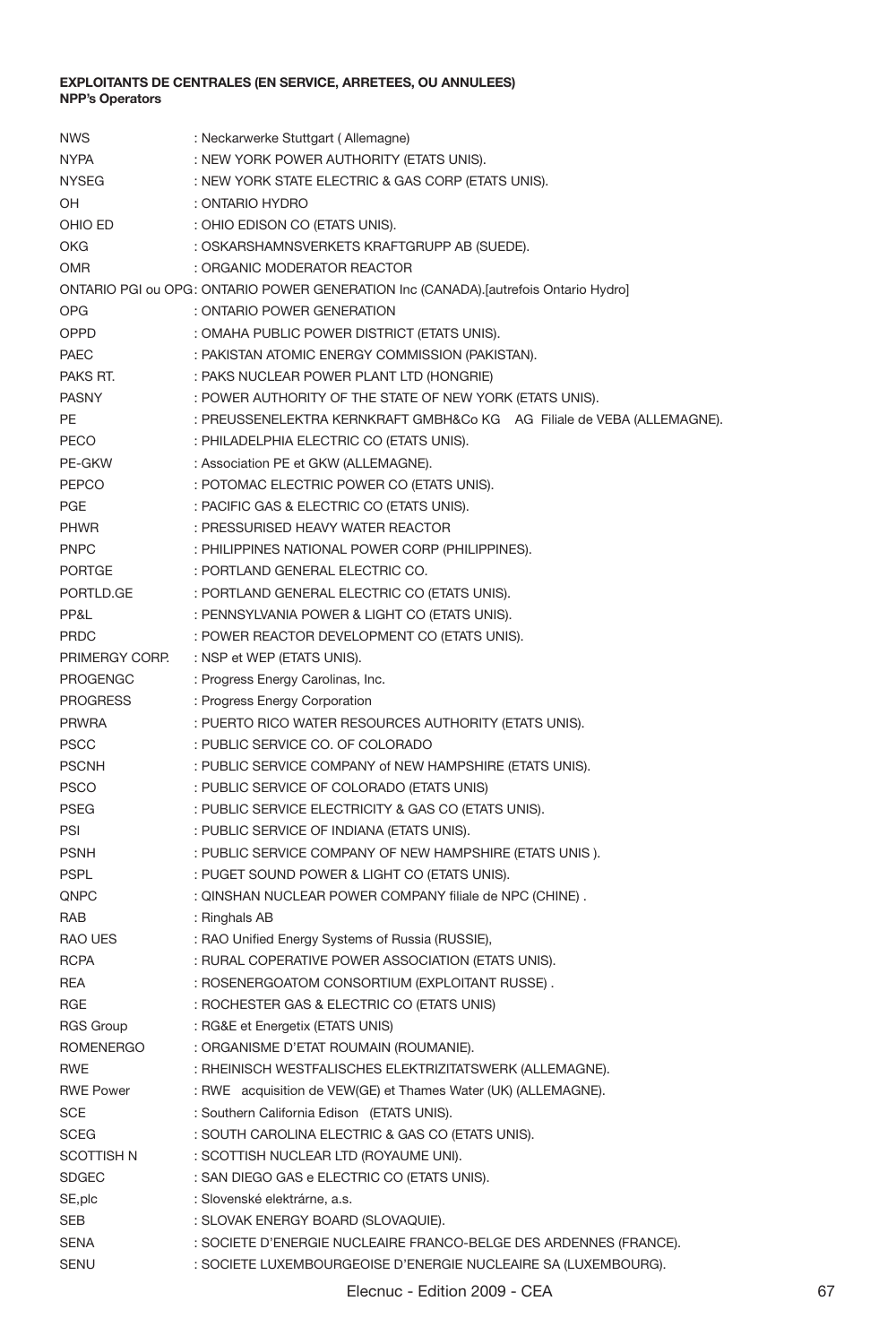| <b>NWS</b>        | : Neckarwerke Stuttgart (Allemagne)                                                 |
|-------------------|-------------------------------------------------------------------------------------|
| <b>NYPA</b>       | : NEW YORK POWER AUTHORITY (ETATS UNIS).                                            |
| <b>NYSEG</b>      | : NEW YORK STATE ELECTRIC & GAS CORP (ETATS UNIS).                                  |
| OH                | : ONTARIO HYDRO                                                                     |
| OHIO ED           | : OHIO EDISON CO (ETATS UNIS).                                                      |
| OKG               | : OSKARSHAMNSVERKETS KRAFTGRUPP AB (SUEDE).                                         |
| OMR               | : ORGANIC MODERATOR REACTOR                                                         |
|                   | ONTARIO PGI ou OPG: ONTARIO POWER GENERATION Inc (CANADA).[autrefois Ontario Hydro] |
| <b>OPG</b>        | : ONTARIO POWER GENERATION                                                          |
| OPPD              | : OMAHA PUBLIC POWER DISTRICT (ETATS UNIS).                                         |
| PAEC              | : PAKISTAN ATOMIC ENERGY COMMISSION (PAKISTAN).                                     |
| PAKS RT.          | : PAKS NUCLEAR POWER PLANT LTD (HONGRIE)                                            |
| <b>PASNY</b>      | : POWER AUTHORITY OF THE STATE OF NEW YORK (ETATS UNIS).                            |
| PE                | : PREUSSENELEKTRA KERNKRAFT GMBH&Co KG AG Filiale de VEBA (ALLEMAGNE).              |
| PECO              | : PHILADELPHIA ELECTRIC CO (ETATS UNIS).                                            |
| PE-GKW            | : Association PE et GKW (ALLEMAGNE).                                                |
| PEPCO             | : POTOMAC ELECTRIC POWER CO (ETATS UNIS).                                           |
| PGE               | : PACIFIC GAS & ELECTRIC CO (ETATS UNIS).                                           |
| PHWR              | : PRESSURISED HEAVY WATER REACTOR                                                   |
| PNPC              | : PHILIPPINES NATIONAL POWER CORP (PHILIPPINES).                                    |
| <b>PORTGE</b>     | : PORTLAND GENERAL ELECTRIC CO.                                                     |
| PORTLD.GE         | : PORTLAND GENERAL ELECTRIC CO (ETATS UNIS).                                        |
| PP&L              | : PENNSYLVANIA POWER & LIGHT CO (ETATS UNIS).                                       |
| PRDC              | : POWER REACTOR DEVELOPMENT CO (ETATS UNIS).                                        |
| PRIMERGY CORP.    | : NSP et WEP (ETATS UNIS).                                                          |
| PROGENGC          | : Progress Energy Carolinas, Inc.                                                   |
| <b>PROGRESS</b>   | : Progress Energy Corporation                                                       |
| <b>PRWRA</b>      | : PUERTO RICO WATER RESOURCES AUTHORITY (ETATS UNIS).                               |
| <b>PSCC</b>       | : PUBLIC SERVICE CO. OF COLORADO                                                    |
| <b>PSCNH</b>      | : PUBLIC SERVICE COMPANY of NEW HAMPSHIRE (ETATS UNIS).                             |
| <b>PSCO</b>       | : PUBLIC SERVICE OF COLORADO (ETATS UNIS)                                           |
| <b>PSEG</b>       | : PUBLIC SERVICE ELECTRICITY & GAS CO (ETATS UNIS).                                 |
| PSI               | : PUBLIC SERVICE OF INDIANA (ETATS UNIS).                                           |
| <b>PSNH</b>       | : PUBLIC SERVICE COMPANY OF NEW HAMPSHIRE (ETATS UNIS).                             |
| <b>PSPL</b>       | : PUGET SOUND POWER & LIGHT CO (ETATS UNIS).                                        |
| QNPC              | : QINSHAN NUCLEAR POWER COMPANY filiale de NPC (CHINE).                             |
| RAB               | : Ringhals AB                                                                       |
| <b>RAO UES</b>    | : RAO Unified Energy Systems of Russia (RUSSIE),                                    |
| <b>RCPA</b>       | : RURAL COPERATIVE POWER ASSOCIATION (ETATS UNIS).                                  |
| <b>REA</b>        | : ROSENERGOATOM CONSORTIUM (EXPLOITANT RUSSE).                                      |
| RGE               | : ROCHESTER GAS & ELECTRIC CO (ETATS UNIS)                                          |
| <b>RGS Group</b>  | : RG&E et Energetix (ETATS UNIS)                                                    |
| <b>ROMENERGO</b>  | : ORGANISME D'ETAT ROUMAIN (ROUMANIE).                                              |
| <b>RWE</b>        | : RHEINISCH WESTFALISCHES ELEKTRIZITATSWERK (ALLEMAGNE).                            |
| <b>RWE Power</b>  | : RWE acquisition de VEW(GE) et Thames Water (UK) (ALLEMAGNE).                      |
| <b>SCE</b>        | : Southern California Edison (ETATS UNIS).                                          |
| <b>SCEG</b>       | : SOUTH CAROLINA ELECTRIC & GAS CO (ETATS UNIS).                                    |
| <b>SCOTTISH N</b> | : SCOTTISH NUCLEAR LTD (ROYAUME UNI).                                               |
| <b>SDGEC</b>      | : SAN DIEGO GAS e ELECTRIC CO (ETATS UNIS).                                         |
| SE, plc           | : Slovenské elektrárne, a.s.                                                        |
| <b>SEB</b>        | : SLOVAK ENERGY BOARD (SLOVAQUIE).                                                  |
| <b>SENA</b>       | : SOCIETE D'ENERGIE NUCLEAIRE FRANCO-BELGE DES ARDENNES (FRANCE).                   |
| <b>SENU</b>       | : SOCIETE LUXEMBOURGEOISE D'ENERGIE NUCLEAIRE SA (LUXEMBOURG).                      |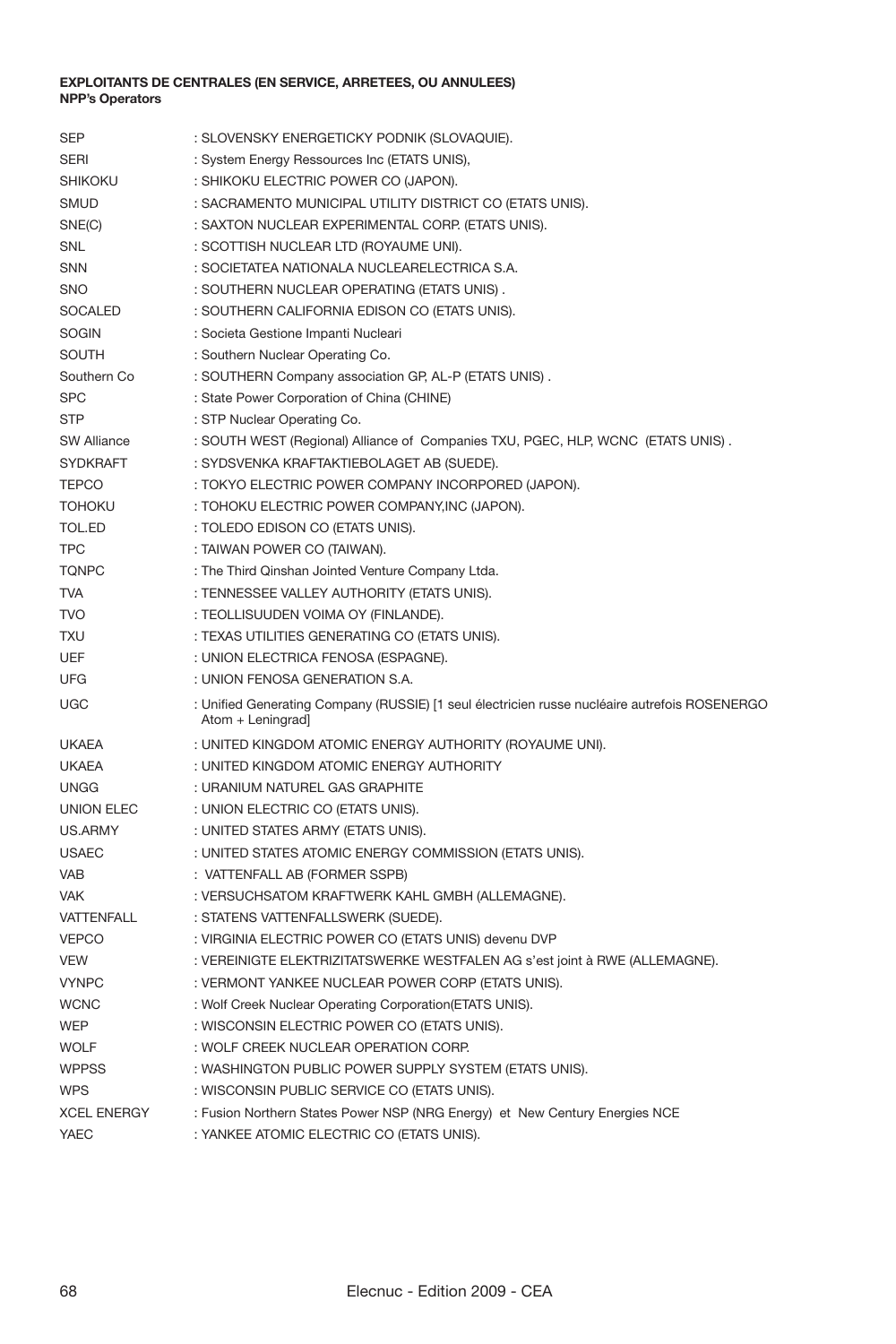| <b>SEP</b>         | : SLOVENSKY ENERGETICKY PODNIK (SLOVAQUIE).                                                                        |
|--------------------|--------------------------------------------------------------------------------------------------------------------|
| <b>SERI</b>        | : System Energy Ressources Inc (ETATS UNIS),                                                                       |
| <b>SHIKOKU</b>     | : SHIKOKU ELECTRIC POWER CO (JAPON).                                                                               |
| <b>SMUD</b>        | : SACRAMENTO MUNICIPAL UTILITY DISTRICT CO (ETATS UNIS).                                                           |
| SNE(C)             | : SAXTON NUCLEAR EXPERIMENTAL CORP. (ETATS UNIS).                                                                  |
| SNL                | : SCOTTISH NUCLEAR LTD (ROYAUME UNI).                                                                              |
| SNN                | : SOCIETATEA NATIONALA NUCLEARELECTRICA S.A.                                                                       |
| <b>SNO</b>         | : SOUTHERN NUCLEAR OPERATING (ETATS UNIS).                                                                         |
| <b>SOCALED</b>     | : SOUTHERN CALIFORNIA EDISON CO (ETATS UNIS).                                                                      |
| <b>SOGIN</b>       | : Societa Gestione Impanti Nucleari                                                                                |
| <b>SOUTH</b>       | : Southern Nuclear Operating Co.                                                                                   |
| Southern Co        | : SOUTHERN Company association GP, AL-P (ETATS UNIS).                                                              |
| <b>SPC</b>         | : State Power Corporation of China (CHINE)                                                                         |
| <b>STP</b>         | : STP Nuclear Operating Co.                                                                                        |
| SW Alliance        | : SOUTH WEST (Regional) Alliance of Companies TXU, PGEC, HLP, WCNC (ETATS UNIS).                                   |
| <b>SYDKRAFT</b>    | : SYDSVENKA KRAFTAKTIEBOLAGET AB (SUEDE).                                                                          |
| <b>TEPCO</b>       | : TOKYO ELECTRIC POWER COMPANY INCORPORED (JAPON).                                                                 |
| <b>TOHOKU</b>      | : TOHOKU ELECTRIC POWER COMPANY, INC (JAPON).                                                                      |
| TOL.ED             | : TOLEDO EDISON CO (ETATS UNIS).                                                                                   |
| <b>TPC</b>         | : TAIWAN POWER CO (TAIWAN).                                                                                        |
| <b>TONPC</b>       | : The Third Qinshan Jointed Venture Company Ltda.                                                                  |
| <b>TVA</b>         | : TENNESSEE VALLEY AUTHORITY (ETATS UNIS).                                                                         |
| <b>TVO</b>         | : TEOLLISUUDEN VOIMA OY (FINLANDE).                                                                                |
| <b>TXU</b>         | : TEXAS UTILITIES GENERATING CO (ETATS UNIS).                                                                      |
| <b>UEF</b>         | : UNION ELECTRICA FENOSA (ESPAGNE).                                                                                |
| UFG                | : UNION FENOSA GENERATION S.A.                                                                                     |
| UGC                | : Unified Generating Company (RUSSIE) [1 seul électricien russe nucléaire autrefois ROSENERGO<br>Atom + Leningrad] |
| <b>UKAEA</b>       | : UNITED KINGDOM ATOMIC ENERGY AUTHORITY (ROYAUME UNI).                                                            |
| <b>UKAEA</b>       | : UNITED KINGDOM ATOMIC ENERGY AUTHORITY                                                                           |
| <b>UNGG</b>        | : URANIUM NATUREL GAS GRAPHITE                                                                                     |
| UNION ELEC         | : UNION ELECTRIC CO (ETATS UNIS).                                                                                  |
| US.ARMY            | : UNITED STATES ARMY (ETATS UNIS).                                                                                 |
| <b>USAEC</b>       | : UNITED STATES ATOMIC ENERGY COMMISSION (ETATS UNIS).                                                             |
| VAB                | : VATTENFALL AB (FORMER SSPB)                                                                                      |
| <b>VAK</b>         | : VERSUCHSATOM KRAFTWERK KAHL GMBH (ALLEMAGNE).                                                                    |
| VATTENFALL         | : STATENS VATTENFALLSWERK (SUEDE).                                                                                 |
| <b>VEPCO</b>       | : VIRGINIA ELECTRIC POWER CO (ETATS UNIS) devenu DVP                                                               |
| <b>VEW</b>         | : VEREINIGTE ELEKTRIZITATSWERKE WESTFALEN AG s'est joint à RWE (ALLEMAGNE).                                        |
| <b>VYNPC</b>       | : VERMONT YANKEE NUCLEAR POWER CORP (ETATS UNIS).                                                                  |
| <b>WCNC</b>        | : Wolf Creek Nuclear Operating Corporation(ETATS UNIS).                                                            |
| WEP                | : WISCONSIN ELECTRIC POWER CO (ETATS UNIS).                                                                        |
| WOLF               | : WOLF CREEK NUCLEAR OPERATION CORP.                                                                               |
| <b>WPPSS</b>       | : WASHINGTON PUBLIC POWER SUPPLY SYSTEM (ETATS UNIS).                                                              |
| <b>WPS</b>         | : WISCONSIN PUBLIC SERVICE CO (ETATS UNIS).                                                                        |
| <b>XCEL ENERGY</b> | : Fusion Northern States Power NSP (NRG Energy) et New Century Energies NCE                                        |
| YAEC               | : YANKEE ATOMIC ELECTRIC CO (ETATS UNIS).                                                                          |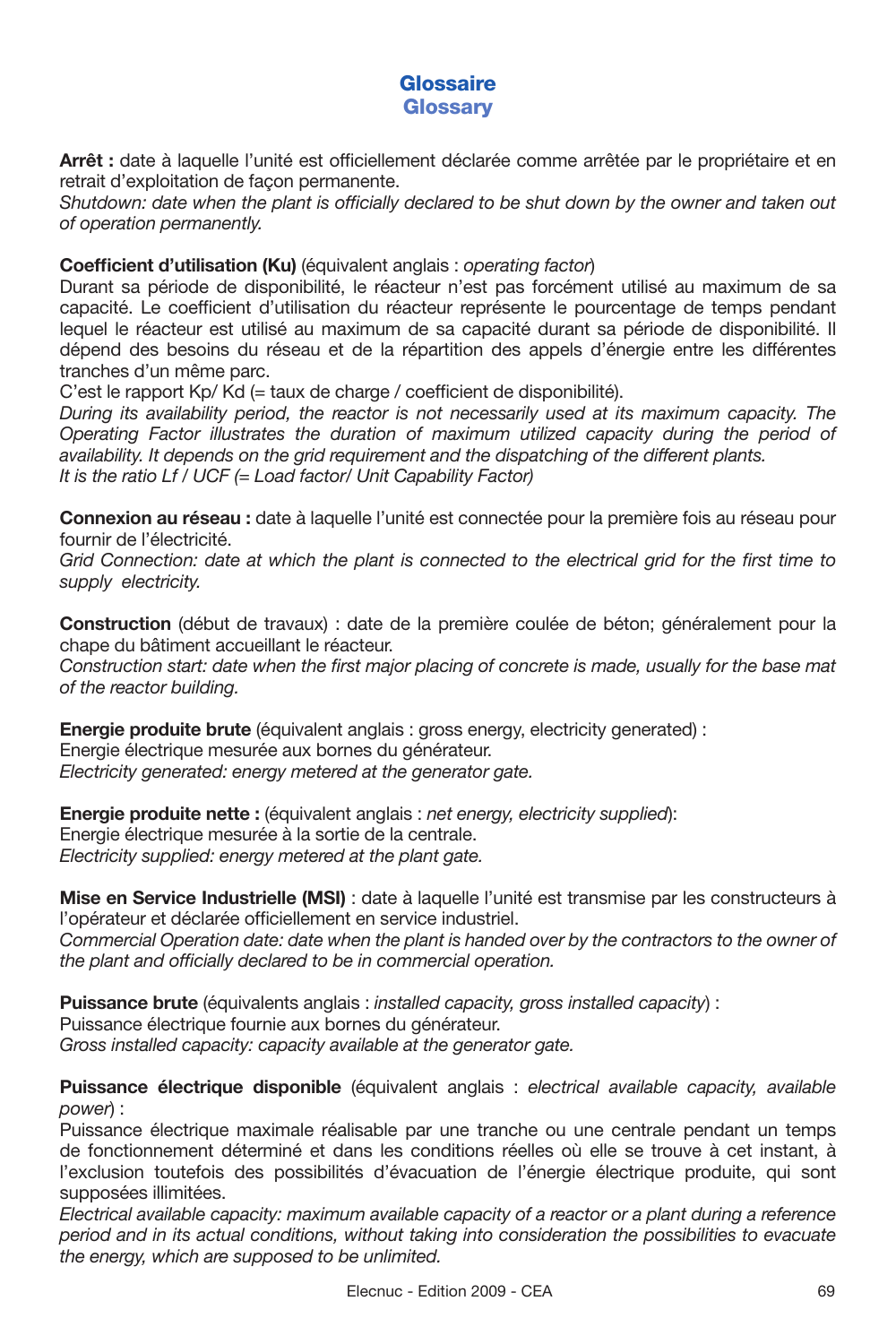## **Glossaire Glossary**

Arrêt : date à laquelle l'unité est officiellement déclarée comme arrêtée par le propriétaire et en retrait d'exploitation de façon permanente.

Shutdown: date when the plant is officially declared to be shut down by the owner and taken out *of operation permanently.*

## **Coefficient d'utilisation (Ku)** (équivalent anglais : *operating factor*)

Durant sa période de disponibilité, le réacteur n'est pas forcément utilisé au maximum de sa capacité. Le coefficient d'utilisation du réacteur représente le pourcentage de temps pendant lequel le réacteur est utilisé au maximum de sa capacité durant sa période de disponibilité. Il dépend des besoins du réseau et de la répartition des appels d'énergie entre les différentes tranches d'un même parc.

C'est le rapport Kp/ Kd (= taux de charge / coefficient de disponibilité).

*During its availability period, the reactor is not necessarily used at its maximum capacity. The Operating Factor illustrates the duration of maximum utilized capacity during the period of availability. It depends on the grid requirement and the dispatching of the different plants. It is the ratio Lf / UCF (= Load factor/ Unit Capability Factor)*

**Connexion au réseau :** date à laquelle l'unité est connectée pour la première fois au réseau pour fournir de l'électricité.

*Grid Connection: date at which the plant is connected to the electrical grid for the first time to supply electricity.*

**Construction** (début de travaux) : date de la première coulée de béton; généralement pour la chape du bâtiment accueillant le réacteur.

Construction start: date when the first major placing of concrete is made, usually for the base mat *of the reactor building.*

**Energie produite brute** (équivalent anglais : gross energy, electricity generated) : Energie électrique mesurée aux bornes du générateur. *Electricity generated: energy metered at the generator gate.* 

**Energie produite nette :** (équivalent anglais : *net energy, electricity supplied*): Energie électrique mesurée à la sortie de la centrale. *Electricity supplied: energy metered at the plant gate.*

**Mise en Service Industrielle (MSI)** : date à laquelle l'unité est transmise par les constructeurs à l'opérateur et déclarée officiellement en service industriel.

*Commercial Operation date: date when the plant is handed over by the contractors to the owner of*  the plant and officially declared to be in commercial operation.

**Puissance brute** (équivalents anglais : *installed capacity, gross installed capacity*) : Puissance électrique fournie aux bornes du générateur. *Gross installed capacity: capacity available at the generator gate.*

**Puissance électrique disponible** (équivalent anglais : *electrical available capacity, available power*) :

Puissance électrique maximale réalisable par une tranche ou une centrale pendant un temps de fonctionnement déterminé et dans les conditions réelles où elle se trouve à cet instant, à l'exclusion toutefois des possibilités d'évacuation de l'énergie électrique produite, qui sont supposées illimitées.

*Electrical available capacity: maximum available capacity of a reactor or a plant during a reference period and in its actual conditions, without taking into consideration the possibilities to evacuate the energy, which are supposed to be unlimited.*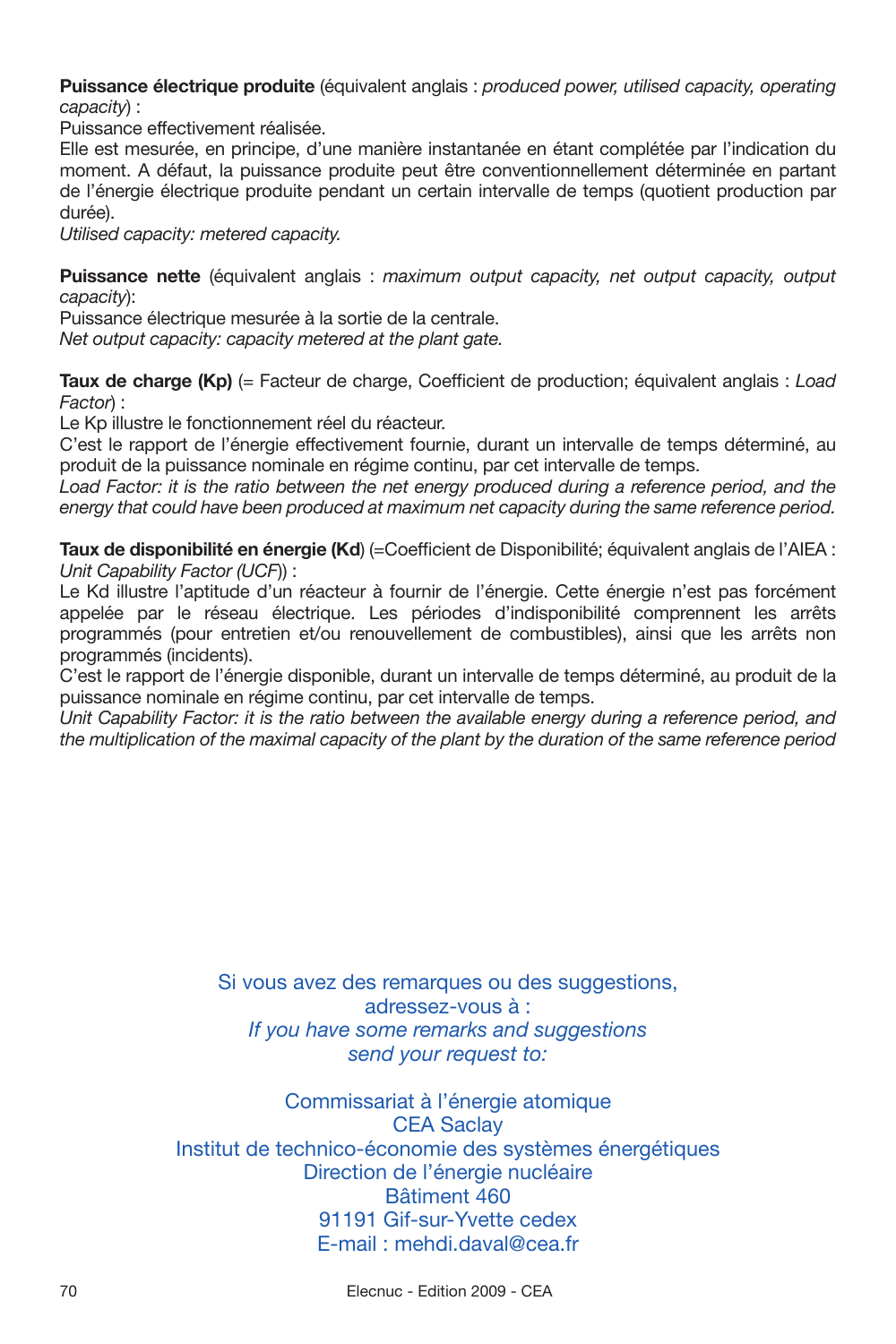**Puissance électrique produite** (équivalent anglais : *produced power, utilised capacity, operating capacity*) :

Puissance effectivement réalisée.

Elle est mesurée, en principe, d'une manière instantanée en étant complétée par l'indication du moment. A défaut, la puissance produite peut être conventionnellement déterminée en partant de l'énergie électrique produite pendant un certain intervalle de temps (quotient production par durée).

*Utilised capacity: metered capacity.*

**Puissance nette** (équivalent anglais : *maximum output capacity, net output capacity, output capacity*):

Puissance électrique mesurée à la sortie de la centrale.

*Net output capacity: capacity metered at the plant gate.*

**Taux de charge (Kp)** (= Facteur de charge, Coefficient de production; équivalent anglais : *Load Factor*) :

Le Kp illustre le fonctionnement réel du réacteur.

C'est le rapport de l'énergie effectivement fournie, durant un intervalle de temps déterminé, au produit de la puissance nominale en régime continu, par cet intervalle de temps.

*Load Factor: it is the ratio between the net energy produced during a reference period, and the energy that could have been produced at maximum net capacity during the same reference period.*

Taux de disponibilité en énergie (Kd) (=Coefficient de Disponibilité; équivalent anglais de l'AIEA : *Unit Capability Factor (UCF*)) :

Le Kd illustre l'aptitude d'un réacteur à fournir de l'énergie. Cette énergie n'est pas forcément appelée par le réseau électrique. Les périodes d'indisponibilité comprennent les arrêts programmés (pour entretien et/ou renouvellement de combustibles), ainsi que les arrêts non programmés (incidents).

C'est le rapport de l'énergie disponible, durant un intervalle de temps déterminé, au produit de la puissance nominale en régime continu, par cet intervalle de temps.

Unit Capability Factor: it is the ratio between the available energy during a reference period, and *the multiplication of the maximal capacity of the plant by the duration of the same reference period*

> Si vous avez des remarques ou des suggestions. adressez-vous à : *If you have some remarks and suggestions send your request to:*

Commissariat à l'énergie atomique CEA Saclay Institut de technico-économie des systèmes énergétiques Direction de l'énergie nucléaire Bâtiment 460 91191 Gif-sur-Yvette cedex E-mail : mehdi.daval@cea.fr